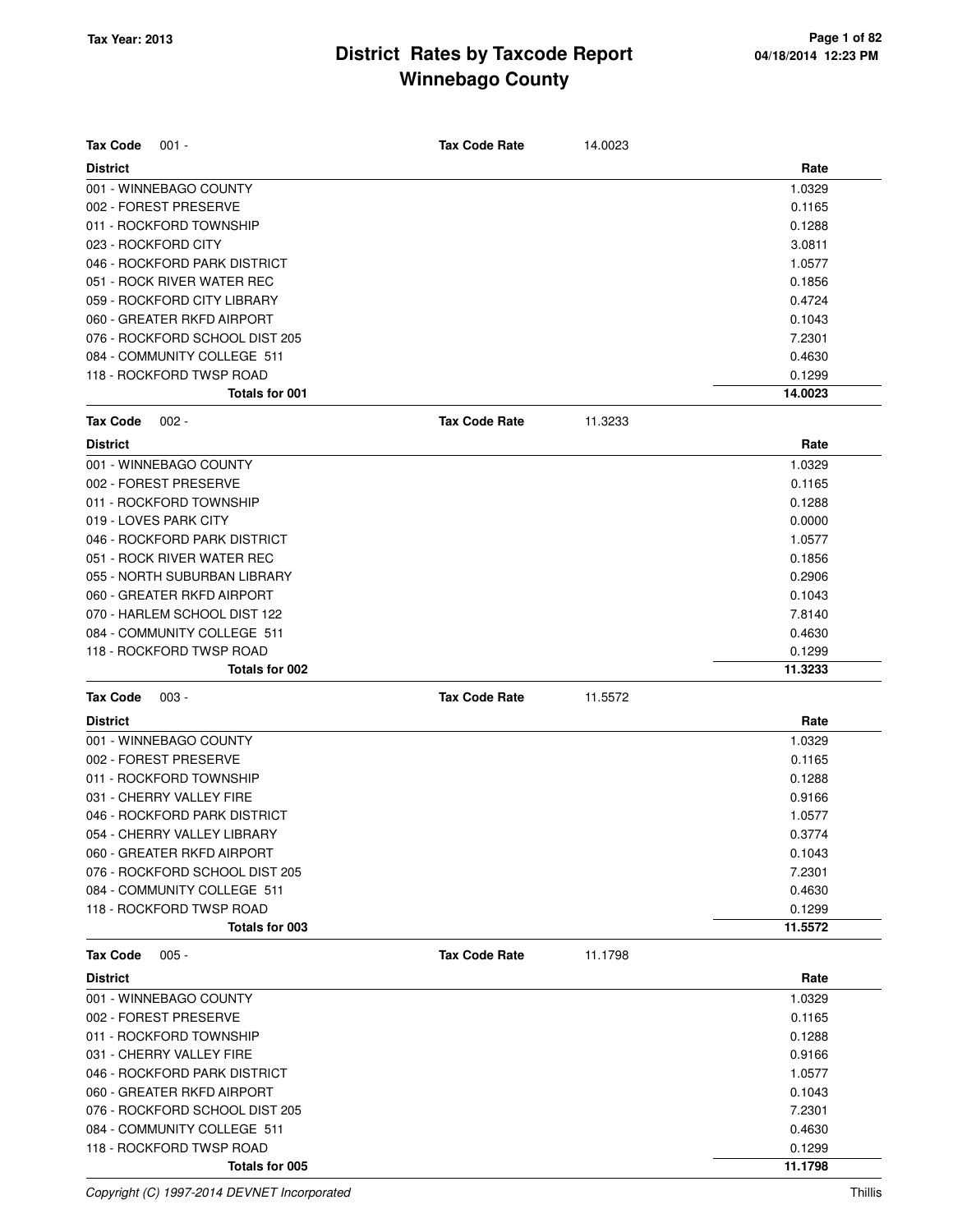| <b>Tax Code</b><br>$001 -$     | <b>Tax Code Rate</b> | 14.0023 |         |
|--------------------------------|----------------------|---------|---------|
| <b>District</b>                |                      |         | Rate    |
| 001 - WINNEBAGO COUNTY         |                      |         | 1.0329  |
| 002 - FOREST PRESERVE          |                      |         | 0.1165  |
| 011 - ROCKFORD TOWNSHIP        |                      |         | 0.1288  |
| 023 - ROCKFORD CITY            |                      |         | 3.0811  |
| 046 - ROCKFORD PARK DISTRICT   |                      |         | 1.0577  |
| 051 - ROCK RIVER WATER REC     |                      |         | 0.1856  |
| 059 - ROCKFORD CITY LIBRARY    |                      |         | 0.4724  |
| 060 - GREATER RKFD AIRPORT     |                      |         | 0.1043  |
| 076 - ROCKFORD SCHOOL DIST 205 |                      |         | 7.2301  |
| 084 - COMMUNITY COLLEGE 511    |                      |         | 0.4630  |
| 118 - ROCKFORD TWSP ROAD       |                      |         | 0.1299  |
| Totals for 001                 |                      |         | 14.0023 |
| <b>Tax Code</b><br>$002 -$     | <b>Tax Code Rate</b> | 11.3233 |         |
| <b>District</b>                |                      |         | Rate    |
| 001 - WINNEBAGO COUNTY         |                      |         | 1.0329  |
| 002 - FOREST PRESERVE          |                      |         | 0.1165  |
| 011 - ROCKFORD TOWNSHIP        |                      |         | 0.1288  |
| 019 - LOVES PARK CITY          |                      |         | 0.0000  |
| 046 - ROCKFORD PARK DISTRICT   |                      |         | 1.0577  |
| 051 - ROCK RIVER WATER REC     |                      |         | 0.1856  |
| 055 - NORTH SUBURBAN LIBRARY   |                      |         | 0.2906  |
| 060 - GREATER RKFD AIRPORT     |                      |         | 0.1043  |
| 070 - HARLEM SCHOOL DIST 122   |                      |         | 7.8140  |
| 084 - COMMUNITY COLLEGE 511    |                      |         | 0.4630  |
| 118 - ROCKFORD TWSP ROAD       |                      |         | 0.1299  |
| Totals for 002                 |                      |         | 11.3233 |
| <b>Tax Code</b><br>$003 -$     | <b>Tax Code Rate</b> | 11.5572 |         |
| <b>District</b>                |                      |         | Rate    |
| 001 - WINNEBAGO COUNTY         |                      |         | 1.0329  |
| 002 - FOREST PRESERVE          |                      |         | 0.1165  |
| 011 - ROCKFORD TOWNSHIP        |                      |         | 0.1288  |
| 031 - CHERRY VALLEY FIRE       |                      |         | 0.9166  |
| 046 - ROCKFORD PARK DISTRICT   |                      |         | 1.0577  |
| 054 - CHERRY VALLEY LIBRARY    |                      |         | 0.3774  |
| 060 - GREATER RKFD AIRPORT     |                      |         | 0.1043  |
| 076 - ROCKFORD SCHOOL DIST 205 |                      |         | 7.2301  |
| 084 - COMMUNITY COLLEGE 511    |                      |         | 0.4630  |
| 118 - ROCKFORD TWSP ROAD       |                      |         | 0.1299  |
| Totals for 003                 |                      |         | 11.5572 |
| <b>Tax Code</b><br>$005 -$     | <b>Tax Code Rate</b> | 11.1798 |         |
| <b>District</b>                |                      |         | Rate    |
| 001 - WINNEBAGO COUNTY         |                      |         | 1.0329  |
| 002 - FOREST PRESERVE          |                      |         | 0.1165  |
| 011 - ROCKFORD TOWNSHIP        |                      |         | 0.1288  |
| 031 - CHERRY VALLEY FIRE       |                      |         | 0.9166  |
| 046 - ROCKFORD PARK DISTRICT   |                      |         | 1.0577  |
| 060 - GREATER RKFD AIRPORT     |                      |         | 0.1043  |
| 076 - ROCKFORD SCHOOL DIST 205 |                      |         | 7.2301  |
| 084 - COMMUNITY COLLEGE 511    |                      |         | 0.4630  |
| 118 - ROCKFORD TWSP ROAD       |                      |         | 0.1299  |
| Totals for 005                 |                      |         | 11.1798 |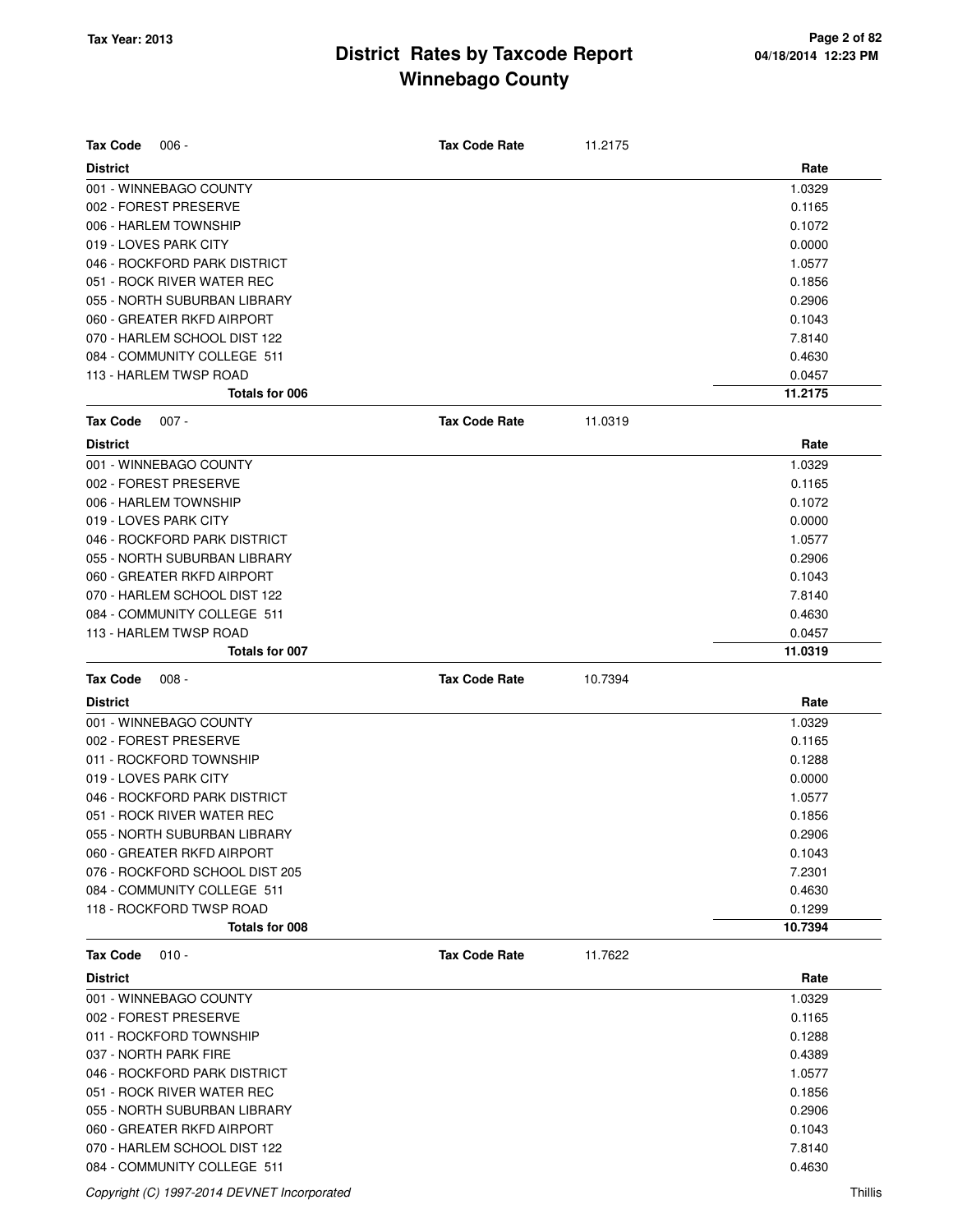| <b>Tax Code</b><br>$006 -$                                 | <b>Tax Code Rate</b> | 11.2175 |                   |
|------------------------------------------------------------|----------------------|---------|-------------------|
| <b>District</b>                                            |                      |         | Rate              |
| 001 - WINNEBAGO COUNTY                                     |                      |         | 1.0329            |
| 002 - FOREST PRESERVE                                      |                      |         | 0.1165            |
| 006 - HARLEM TOWNSHIP                                      |                      |         | 0.1072            |
| 019 - LOVES PARK CITY                                      |                      |         | 0.0000            |
| 046 - ROCKFORD PARK DISTRICT                               |                      |         | 1.0577            |
| 051 - ROCK RIVER WATER REC                                 |                      |         | 0.1856            |
| 055 - NORTH SUBURBAN LIBRARY                               |                      |         | 0.2906            |
| 060 - GREATER RKFD AIRPORT                                 |                      |         | 0.1043            |
| 070 - HARLEM SCHOOL DIST 122                               |                      |         | 7.8140            |
| 084 - COMMUNITY COLLEGE 511                                |                      |         | 0.4630            |
| 113 - HARLEM TWSP ROAD<br>Totals for 006                   |                      |         | 0.0457<br>11.2175 |
|                                                            |                      |         |                   |
| <b>Tax Code</b><br>$007 -$                                 | <b>Tax Code Rate</b> | 11.0319 |                   |
| <b>District</b>                                            |                      |         | Rate              |
| 001 - WINNEBAGO COUNTY                                     |                      |         | 1.0329            |
| 002 - FOREST PRESERVE                                      |                      |         | 0.1165            |
| 006 - HARLEM TOWNSHIP                                      |                      |         | 0.1072            |
| 019 - LOVES PARK CITY                                      |                      |         | 0.0000            |
| 046 - ROCKFORD PARK DISTRICT                               |                      |         | 1.0577            |
| 055 - NORTH SUBURBAN LIBRARY                               |                      |         | 0.2906            |
| 060 - GREATER RKFD AIRPORT                                 |                      |         | 0.1043            |
| 070 - HARLEM SCHOOL DIST 122                               |                      |         | 7.8140            |
| 084 - COMMUNITY COLLEGE 511                                |                      |         | 0.4630            |
| 113 - HARLEM TWSP ROAD                                     |                      |         | 0.0457            |
|                                                            |                      |         |                   |
| Totals for 007                                             |                      |         | 11.0319           |
| <b>Tax Code</b><br>$008 -$                                 | <b>Tax Code Rate</b> | 10.7394 |                   |
|                                                            |                      |         |                   |
| <b>District</b>                                            |                      |         | Rate              |
| 001 - WINNEBAGO COUNTY                                     |                      |         | 1.0329            |
| 002 - FOREST PRESERVE                                      |                      |         | 0.1165            |
| 011 - ROCKFORD TOWNSHIP<br>019 - LOVES PARK CITY           |                      |         | 0.1288<br>0.0000  |
| 046 - ROCKFORD PARK DISTRICT                               |                      |         |                   |
| 051 - ROCK RIVER WATER REC                                 |                      |         | 1.0577<br>0.1856  |
| 055 - NORTH SUBURBAN LIBRARY                               |                      |         |                   |
| 060 - GREATER RKFD AIRPORT                                 |                      |         | 0.2906<br>0.1043  |
| 076 - ROCKFORD SCHOOL DIST 205                             |                      |         | 7.2301            |
| 084 - COMMUNITY COLLEGE 511                                |                      |         | 0.4630            |
| 118 - ROCKFORD TWSP ROAD                                   |                      |         | 0.1299            |
| Totals for 008                                             |                      |         | 10.7394           |
| $010 -$                                                    | <b>Tax Code Rate</b> | 11.7622 |                   |
| <b>Tax Code</b>                                            |                      |         |                   |
| <b>District</b>                                            |                      |         | Rate              |
| 001 - WINNEBAGO COUNTY<br>002 - FOREST PRESERVE            |                      |         | 1.0329            |
|                                                            |                      |         | 0.1165            |
| 011 - ROCKFORD TOWNSHIP                                    |                      |         | 0.1288            |
| 037 - NORTH PARK FIRE                                      |                      |         | 0.4389            |
| 046 - ROCKFORD PARK DISTRICT                               |                      |         | 1.0577            |
| 051 - ROCK RIVER WATER REC                                 |                      |         | 0.1856            |
| 055 - NORTH SUBURBAN LIBRARY                               |                      |         | 0.2906            |
| 060 - GREATER RKFD AIRPORT<br>070 - HARLEM SCHOOL DIST 122 |                      |         | 0.1043<br>7.8140  |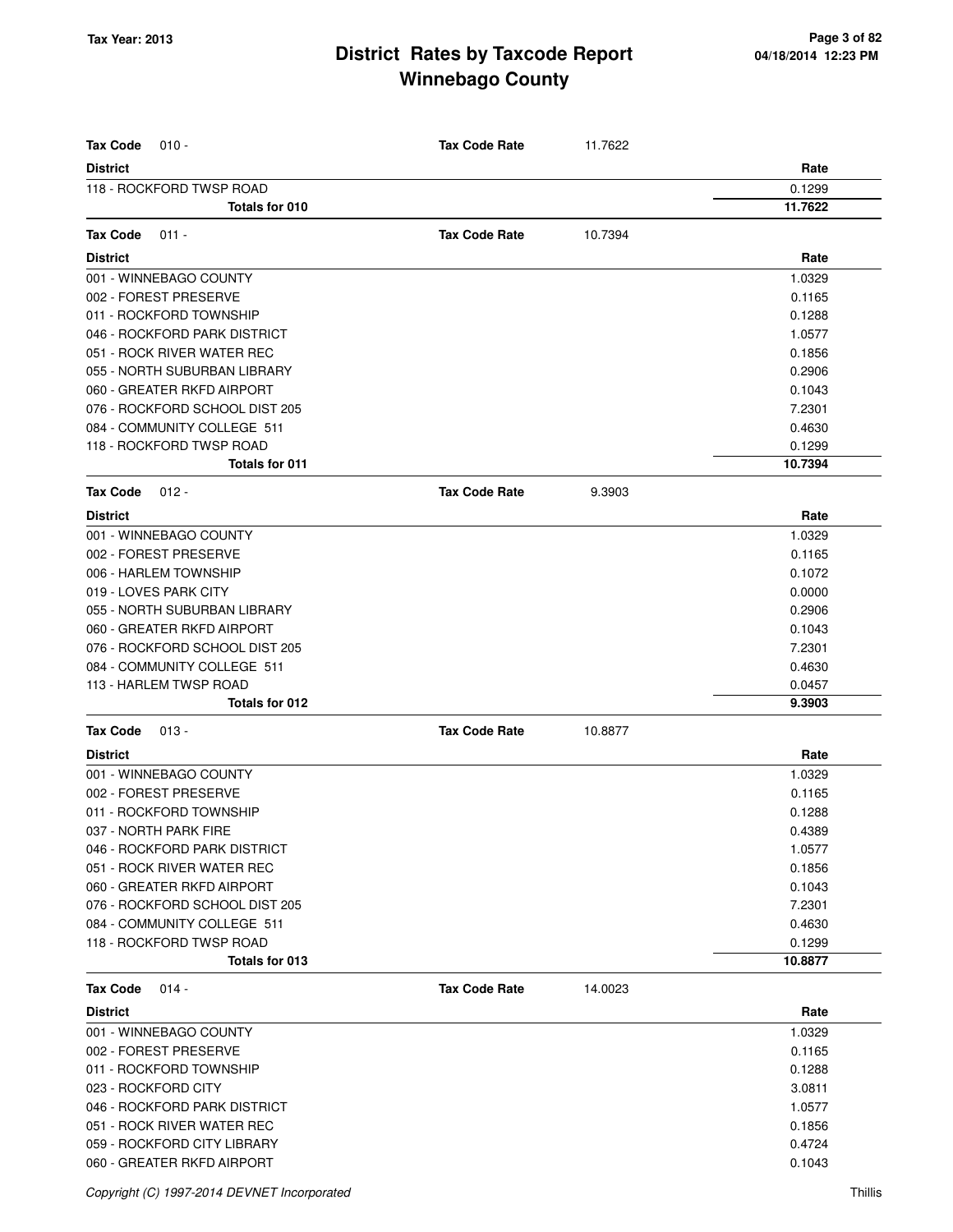| <b>Tax Code</b><br>$010 -$     | <b>Tax Code Rate</b> | 11.7622 |         |
|--------------------------------|----------------------|---------|---------|
| <b>District</b>                |                      |         | Rate    |
| 118 - ROCKFORD TWSP ROAD       |                      |         | 0.1299  |
| Totals for 010                 |                      |         | 11.7622 |
| <b>Tax Code</b><br>$011 -$     | <b>Tax Code Rate</b> | 10.7394 |         |
| <b>District</b>                |                      |         | Rate    |
| 001 - WINNEBAGO COUNTY         |                      |         | 1.0329  |
| 002 - FOREST PRESERVE          |                      |         | 0.1165  |
| 011 - ROCKFORD TOWNSHIP        |                      |         | 0.1288  |
| 046 - ROCKFORD PARK DISTRICT   |                      |         | 1.0577  |
| 051 - ROCK RIVER WATER REC     |                      |         | 0.1856  |
| 055 - NORTH SUBURBAN LIBRARY   |                      |         | 0.2906  |
| 060 - GREATER RKFD AIRPORT     |                      |         | 0.1043  |
| 076 - ROCKFORD SCHOOL DIST 205 |                      |         | 7.2301  |
| 084 - COMMUNITY COLLEGE 511    |                      |         | 0.4630  |
| 118 - ROCKFORD TWSP ROAD       |                      |         | 0.1299  |
| <b>Totals for 011</b>          |                      |         | 10.7394 |
| <b>Tax Code</b><br>$012 -$     | <b>Tax Code Rate</b> | 9.3903  |         |
| <b>District</b>                |                      |         | Rate    |
| 001 - WINNEBAGO COUNTY         |                      |         | 1.0329  |
| 002 - FOREST PRESERVE          |                      |         | 0.1165  |
| 006 - HARLEM TOWNSHIP          |                      |         | 0.1072  |
| 019 - LOVES PARK CITY          |                      |         | 0.0000  |
| 055 - NORTH SUBURBAN LIBRARY   |                      |         | 0.2906  |
| 060 - GREATER RKFD AIRPORT     |                      |         | 0.1043  |
| 076 - ROCKFORD SCHOOL DIST 205 |                      |         | 7.2301  |
| 084 - COMMUNITY COLLEGE 511    |                      |         | 0.4630  |
| 113 - HARLEM TWSP ROAD         |                      |         | 0.0457  |
| Totals for 012                 |                      |         | 9.3903  |
| <b>Tax Code</b><br>$013 -$     | <b>Tax Code Rate</b> | 10.8877 |         |
| <b>District</b>                |                      |         | Rate    |
| 001 - WINNEBAGO COUNTY         |                      |         | 1.0329  |
| 002 - FOREST PRESERVE          |                      |         | 0.1165  |
| 011 - ROCKFORD TOWNSHIP        |                      |         | 0.1288  |
| 037 - NORTH PARK FIRE          |                      |         | 0.4389  |
| 046 - ROCKFORD PARK DISTRICT   |                      |         | 1.0577  |
| 051 - ROCK RIVER WATER REC     |                      |         | 0.1856  |
| 060 - GREATER RKFD AIRPORT     |                      |         | 0.1043  |
| 076 - ROCKFORD SCHOOL DIST 205 |                      |         | 7.2301  |
| 084 - COMMUNITY COLLEGE 511    |                      |         | 0.4630  |
| 118 - ROCKFORD TWSP ROAD       |                      |         | 0.1299  |
| Totals for 013                 |                      |         | 10.8877 |
| <b>Tax Code</b><br>$014 -$     | <b>Tax Code Rate</b> | 14.0023 |         |
| <b>District</b>                |                      |         | Rate    |
| 001 - WINNEBAGO COUNTY         |                      |         | 1.0329  |
| 002 - FOREST PRESERVE          |                      |         | 0.1165  |
| 011 - ROCKFORD TOWNSHIP        |                      |         | 0.1288  |
| 023 - ROCKFORD CITY            |                      |         | 3.0811  |
| 046 - ROCKFORD PARK DISTRICT   |                      |         | 1.0577  |
| 051 - ROCK RIVER WATER REC     |                      |         | 0.1856  |
| 059 - ROCKFORD CITY LIBRARY    |                      |         | 0.4724  |
| 060 - GREATER RKFD AIRPORT     |                      |         | 0.1043  |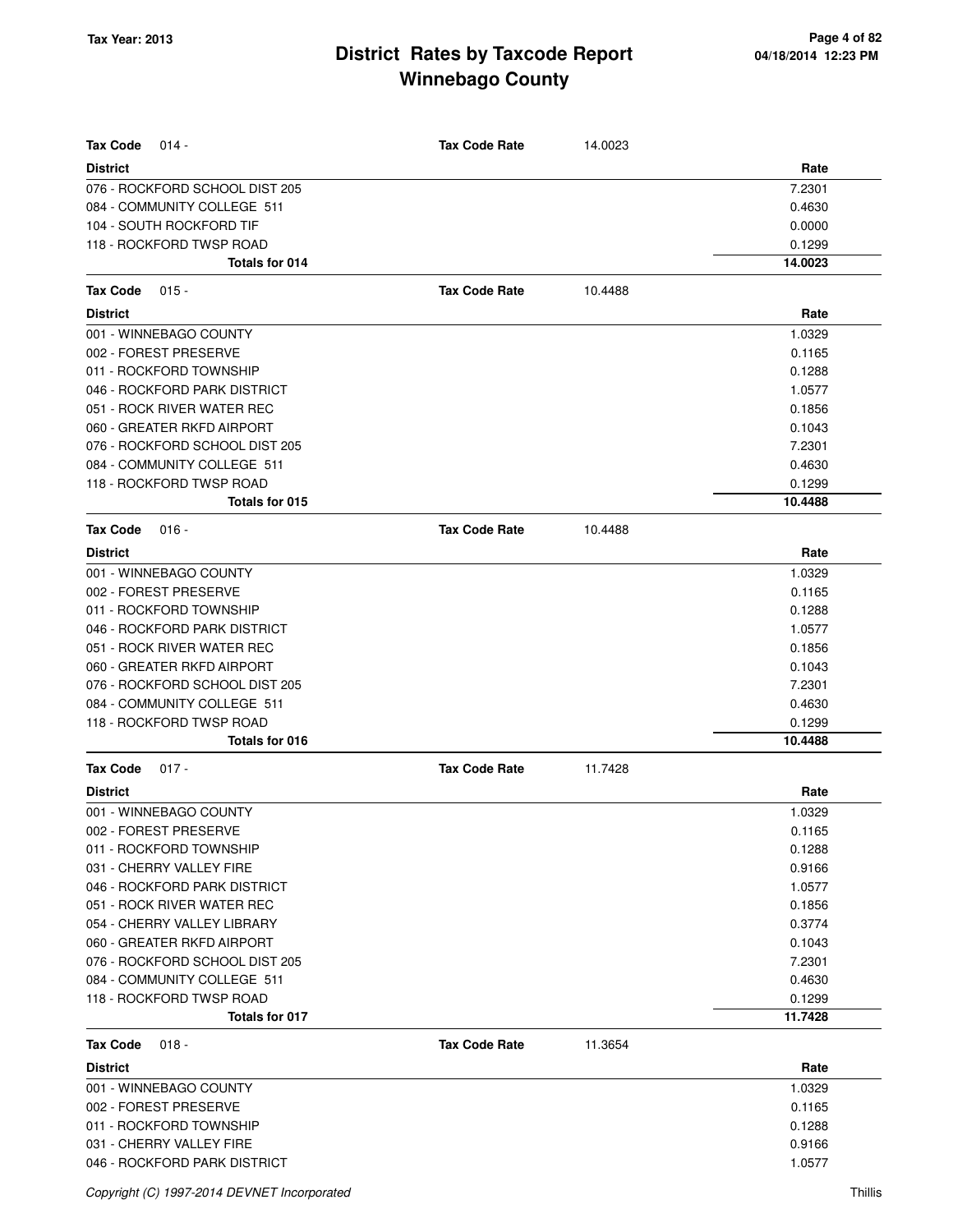| <b>Tax Code</b><br>$014 -$                        | <b>Tax Code Rate</b> | 14.0023 |                |
|---------------------------------------------------|----------------------|---------|----------------|
| <b>District</b><br>076 - ROCKFORD SCHOOL DIST 205 |                      |         | Rate<br>7.2301 |
| 084 - COMMUNITY COLLEGE 511                       |                      |         | 0.4630         |
| 104 - SOUTH ROCKFORD TIF                          |                      |         | 0.0000         |
| 118 - ROCKFORD TWSP ROAD                          |                      |         | 0.1299         |
| Totals for 014                                    |                      |         | 14.0023        |
| <b>Tax Code</b><br>$015 -$                        | <b>Tax Code Rate</b> | 10.4488 |                |
| <b>District</b>                                   |                      |         | Rate           |
| 001 - WINNEBAGO COUNTY                            |                      |         | 1.0329         |
| 002 - FOREST PRESERVE                             |                      |         | 0.1165         |
| 011 - ROCKFORD TOWNSHIP                           |                      |         | 0.1288         |
| 046 - ROCKFORD PARK DISTRICT                      |                      |         | 1.0577         |
| 051 - ROCK RIVER WATER REC                        |                      |         | 0.1856         |
| 060 - GREATER RKFD AIRPORT                        |                      |         | 0.1043         |
| 076 - ROCKFORD SCHOOL DIST 205                    |                      |         | 7.2301         |
| 084 - COMMUNITY COLLEGE 511                       |                      |         | 0.4630         |
| 118 - ROCKFORD TWSP ROAD                          |                      |         | 0.1299         |
| Totals for 015                                    |                      |         | 10.4488        |
|                                                   | <b>Tax Code Rate</b> |         |                |
| <b>Tax Code</b><br>$016 -$                        |                      | 10.4488 |                |
| <b>District</b><br>001 - WINNEBAGO COUNTY         |                      |         | Rate<br>1.0329 |
| 002 - FOREST PRESERVE                             |                      |         | 0.1165         |
| 011 - ROCKFORD TOWNSHIP                           |                      |         | 0.1288         |
| 046 - ROCKFORD PARK DISTRICT                      |                      |         | 1.0577         |
| 051 - ROCK RIVER WATER REC                        |                      |         | 0.1856         |
| 060 - GREATER RKFD AIRPORT                        |                      |         | 0.1043         |
| 076 - ROCKFORD SCHOOL DIST 205                    |                      |         | 7.2301         |
| 084 - COMMUNITY COLLEGE 511                       |                      |         | 0.4630         |
| 118 - ROCKFORD TWSP ROAD                          |                      |         | 0.1299         |
| Totals for 016                                    |                      |         | 10.4488        |
| <b>Tax Code</b><br>$017 -$                        | <b>Tax Code Rate</b> | 11.7428 |                |
| <b>District</b>                                   |                      |         | Rate           |
| 001 - WINNEBAGO COUNTY                            |                      |         | 1.0329         |
| 002 - FOREST PRESERVE                             |                      |         | 0.1165         |
| 011 - ROCKFORD TOWNSHIP                           |                      |         | 0.1288         |
| 031 - CHERRY VALLEY FIRE                          |                      |         | 0.9166         |
| 046 - ROCKFORD PARK DISTRICT                      |                      |         | 1.0577         |
| 051 - ROCK RIVER WATER REC                        |                      |         | 0.1856         |
| 054 - CHERRY VALLEY LIBRARY                       |                      |         | 0.3774         |
| 060 - GREATER RKFD AIRPORT                        |                      |         | 0.1043         |
| 076 - ROCKFORD SCHOOL DIST 205                    |                      |         | 7.2301         |
| 084 - COMMUNITY COLLEGE 511                       |                      |         | 0.4630         |
| 118 - ROCKFORD TWSP ROAD                          |                      |         | 0.1299         |
| Totals for 017                                    |                      |         | 11.7428        |
| Tax Code<br>$018 -$                               | <b>Tax Code Rate</b> | 11.3654 |                |
| <b>District</b>                                   |                      |         | Rate           |
| 001 - WINNEBAGO COUNTY                            |                      |         | 1.0329         |
| 002 - FOREST PRESERVE                             |                      |         | 0.1165         |
| 011 - ROCKFORD TOWNSHIP                           |                      |         | 0.1288         |
| 031 - CHERRY VALLEY FIRE                          |                      |         | 0.9166         |

046 - ROCKFORD PARK DISTRICT **1.0577**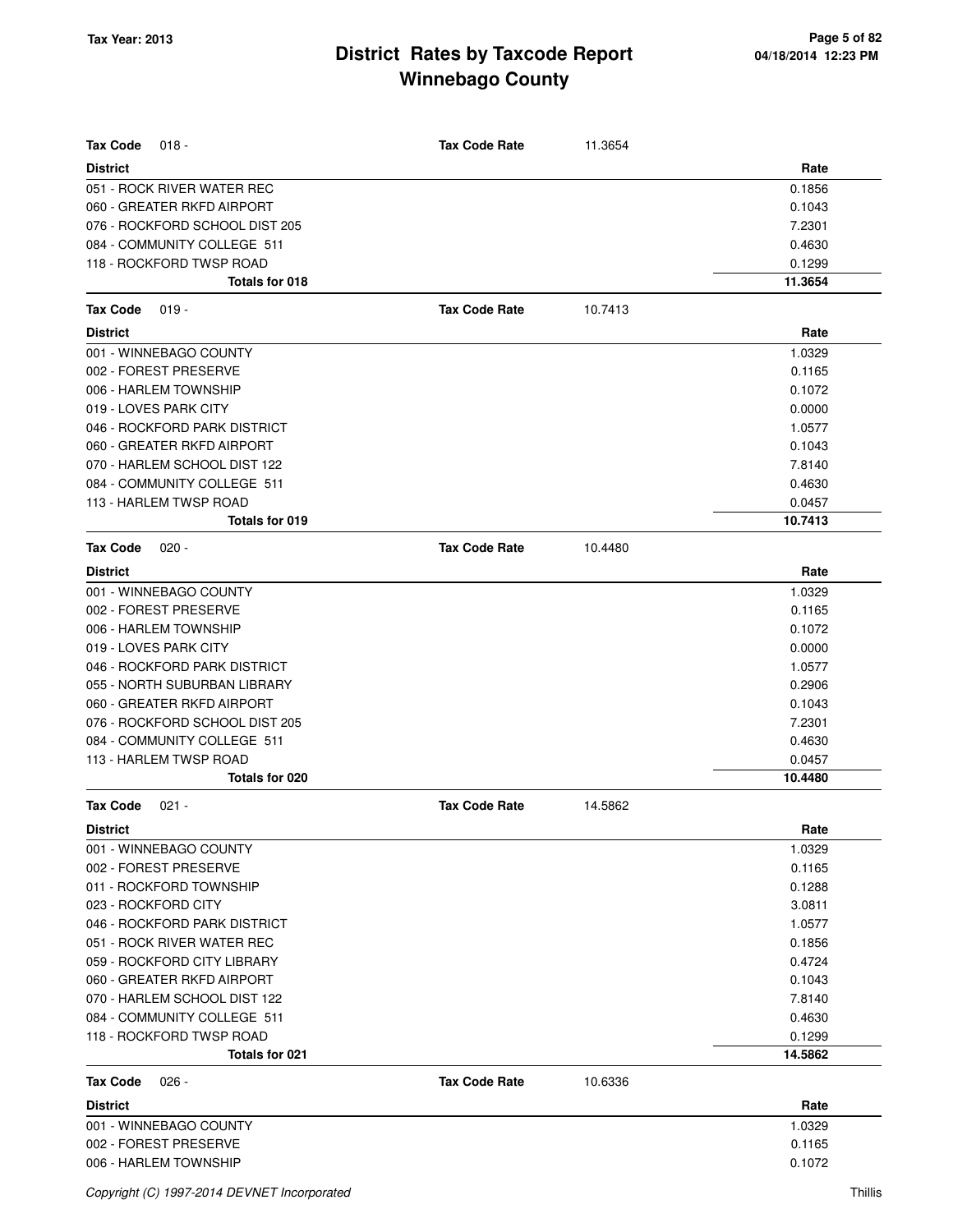| <b>Tax Code</b><br>$018 -$     | <b>Tax Code Rate</b> | 11.3654 |         |
|--------------------------------|----------------------|---------|---------|
| <b>District</b>                |                      |         | Rate    |
| 051 - ROCK RIVER WATER REC     |                      |         | 0.1856  |
| 060 - GREATER RKFD AIRPORT     |                      |         | 0.1043  |
| 076 - ROCKFORD SCHOOL DIST 205 |                      |         | 7.2301  |
| 084 - COMMUNITY COLLEGE 511    |                      |         | 0.4630  |
| 118 - ROCKFORD TWSP ROAD       |                      |         | 0.1299  |
| Totals for 018                 |                      |         | 11.3654 |
| $019 -$<br><b>Tax Code</b>     | <b>Tax Code Rate</b> | 10.7413 |         |
| <b>District</b>                |                      |         | Rate    |
| 001 - WINNEBAGO COUNTY         |                      |         | 1.0329  |
| 002 - FOREST PRESERVE          |                      |         | 0.1165  |
| 006 - HARLEM TOWNSHIP          |                      |         | 0.1072  |
| 019 - LOVES PARK CITY          |                      |         | 0.0000  |
| 046 - ROCKFORD PARK DISTRICT   |                      |         | 1.0577  |
| 060 - GREATER RKFD AIRPORT     |                      |         | 0.1043  |
| 070 - HARLEM SCHOOL DIST 122   |                      |         | 7.8140  |
| 084 - COMMUNITY COLLEGE 511    |                      |         | 0.4630  |
| 113 - HARLEM TWSP ROAD         |                      |         | 0.0457  |
| Totals for 019                 |                      |         | 10.7413 |
| <b>Tax Code</b><br>$020 -$     | <b>Tax Code Rate</b> | 10.4480 |         |
| <b>District</b>                |                      |         | Rate    |
| 001 - WINNEBAGO COUNTY         |                      |         | 1.0329  |
| 002 - FOREST PRESERVE          |                      |         | 0.1165  |
| 006 - HARLEM TOWNSHIP          |                      |         | 0.1072  |
| 019 - LOVES PARK CITY          |                      |         | 0.0000  |
| 046 - ROCKFORD PARK DISTRICT   |                      |         | 1.0577  |
| 055 - NORTH SUBURBAN LIBRARY   |                      |         | 0.2906  |
| 060 - GREATER RKFD AIRPORT     |                      |         | 0.1043  |
| 076 - ROCKFORD SCHOOL DIST 205 |                      |         | 7.2301  |
| 084 - COMMUNITY COLLEGE 511    |                      |         | 0.4630  |
| 113 - HARLEM TWSP ROAD         |                      |         | 0.0457  |
| Totals for 020                 |                      |         | 10.4480 |
| <b>Tax Code</b><br>$021 -$     | <b>Tax Code Rate</b> | 14.5862 |         |
| <b>District</b>                |                      |         | Rate    |
| 001 - WINNEBAGO COUNTY         |                      |         | 1.0329  |
| 002 - FOREST PRESERVE          |                      |         | 0.1165  |
| 011 - ROCKFORD TOWNSHIP        |                      |         | 0.1288  |
| 023 - ROCKFORD CITY            |                      |         | 3.0811  |
| 046 - ROCKFORD PARK DISTRICT   |                      |         | 1.0577  |
| 051 - ROCK RIVER WATER REC     |                      |         | 0.1856  |
| 059 - ROCKFORD CITY LIBRARY    |                      |         | 0.4724  |
| 060 - GREATER RKFD AIRPORT     |                      |         | 0.1043  |
| 070 - HARLEM SCHOOL DIST 122   |                      |         | 7.8140  |
| 084 - COMMUNITY COLLEGE 511    |                      |         | 0.4630  |
| 118 - ROCKFORD TWSP ROAD       |                      |         | 0.1299  |
| Totals for 021                 |                      |         | 14.5862 |
| <b>Tax Code</b><br>$026 -$     | <b>Tax Code Rate</b> | 10.6336 |         |
| <b>District</b>                |                      |         | Rate    |
| 001 - WINNEBAGO COUNTY         |                      |         | 1.0329  |
| 002 - FOREST PRESERVE          |                      |         | 0.1165  |
| 006 - HARLEM TOWNSHIP          |                      |         | 0.1072  |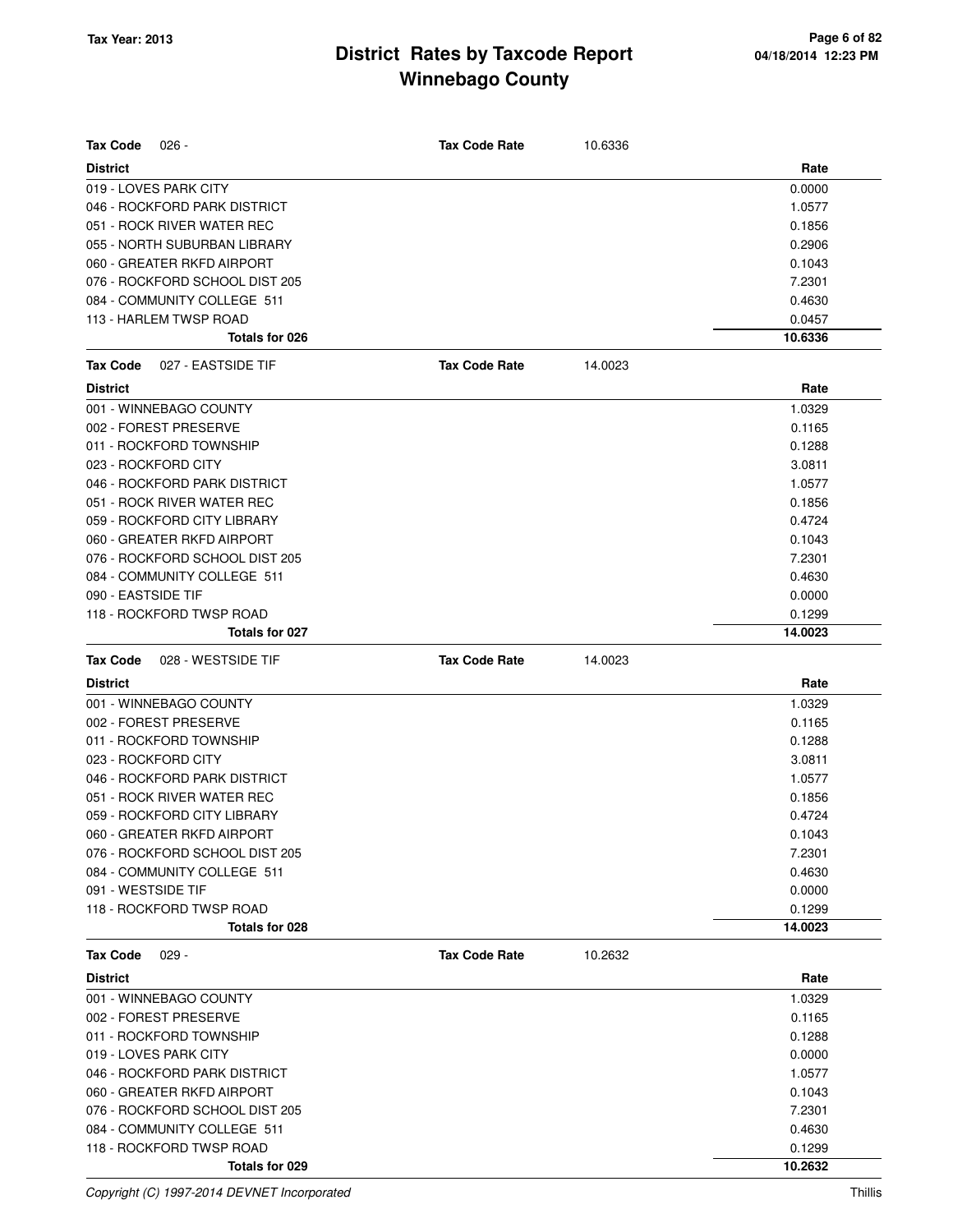| <b>Tax Code</b><br>$026 -$            | <b>Tax Code Rate</b> | 10.6336 |         |
|---------------------------------------|----------------------|---------|---------|
| <b>District</b>                       |                      |         | Rate    |
| 019 - LOVES PARK CITY                 |                      |         | 0.0000  |
| 046 - ROCKFORD PARK DISTRICT          |                      |         | 1.0577  |
| 051 - ROCK RIVER WATER REC            |                      |         | 0.1856  |
| 055 - NORTH SUBURBAN LIBRARY          |                      |         | 0.2906  |
| 060 - GREATER RKFD AIRPORT            |                      |         | 0.1043  |
| 076 - ROCKFORD SCHOOL DIST 205        |                      |         | 7.2301  |
| 084 - COMMUNITY COLLEGE 511           |                      |         | 0.4630  |
| 113 - HARLEM TWSP ROAD                |                      |         | 0.0457  |
| Totals for 026                        |                      |         | 10.6336 |
| <b>Tax Code</b><br>027 - EASTSIDE TIF | <b>Tax Code Rate</b> | 14.0023 |         |
| <b>District</b>                       |                      |         | Rate    |
| 001 - WINNEBAGO COUNTY                |                      |         | 1.0329  |
| 002 - FOREST PRESERVE                 |                      |         | 0.1165  |
| 011 - ROCKFORD TOWNSHIP               |                      |         | 0.1288  |
| 023 - ROCKFORD CITY                   |                      |         | 3.0811  |
| 046 - ROCKFORD PARK DISTRICT          |                      |         | 1.0577  |
| 051 - ROCK RIVER WATER REC            |                      |         | 0.1856  |
| 059 - ROCKFORD CITY LIBRARY           |                      |         | 0.4724  |
|                                       |                      |         |         |
| 060 - GREATER RKFD AIRPORT            |                      |         | 0.1043  |
| 076 - ROCKFORD SCHOOL DIST 205        |                      |         | 7.2301  |
| 084 - COMMUNITY COLLEGE 511           |                      |         | 0.4630  |
| 090 - EASTSIDE TIF                    |                      |         | 0.0000  |
| 118 - ROCKFORD TWSP ROAD              |                      |         | 0.1299  |
| Totals for 027                        |                      |         | 14.0023 |
| 028 - WESTSIDE TIF<br><b>Tax Code</b> | <b>Tax Code Rate</b> | 14.0023 |         |
| <b>District</b>                       |                      |         | Rate    |
| 001 - WINNEBAGO COUNTY                |                      |         | 1.0329  |
| 002 - FOREST PRESERVE                 |                      |         | 0.1165  |
| 011 - ROCKFORD TOWNSHIP               |                      |         | 0.1288  |
| 023 - ROCKFORD CITY                   |                      |         | 3.0811  |
| 046 - ROCKFORD PARK DISTRICT          |                      |         | 1.0577  |
| 051 - ROCK RIVER WATER REC            |                      |         | 0.1856  |
| 059 - ROCKFORD CITY LIBRARY           |                      |         | 0.4724  |
| 060 - GREATER RKFD AIRPORT            |                      |         | 0.1043  |
| 076 - ROCKFORD SCHOOL DIST 205        |                      |         | 7.2301  |
| 084 - COMMUNITY COLLEGE 511           |                      |         | 0.4630  |
| 091 - WESTSIDE TIF                    |                      |         | 0.0000  |
| 118 - ROCKFORD TWSP ROAD              |                      |         | 0.1299  |
| Totals for 028                        |                      |         | 14.0023 |
| <b>Tax Code</b><br>$029 -$            | <b>Tax Code Rate</b> | 10.2632 |         |
| <b>District</b>                       |                      |         | Rate    |
| 001 - WINNEBAGO COUNTY                |                      |         | 1.0329  |
| 002 - FOREST PRESERVE                 |                      |         | 0.1165  |
| 011 - ROCKFORD TOWNSHIP               |                      |         | 0.1288  |
| 019 - LOVES PARK CITY                 |                      |         | 0.0000  |
| 046 - ROCKFORD PARK DISTRICT          |                      |         | 1.0577  |
| 060 - GREATER RKFD AIRPORT            |                      |         | 0.1043  |
| 076 - ROCKFORD SCHOOL DIST 205        |                      |         | 7.2301  |
| 084 - COMMUNITY COLLEGE 511           |                      |         | 0.4630  |
| 118 - ROCKFORD TWSP ROAD              |                      |         | 0.1299  |

**Totals for 029 10.2632**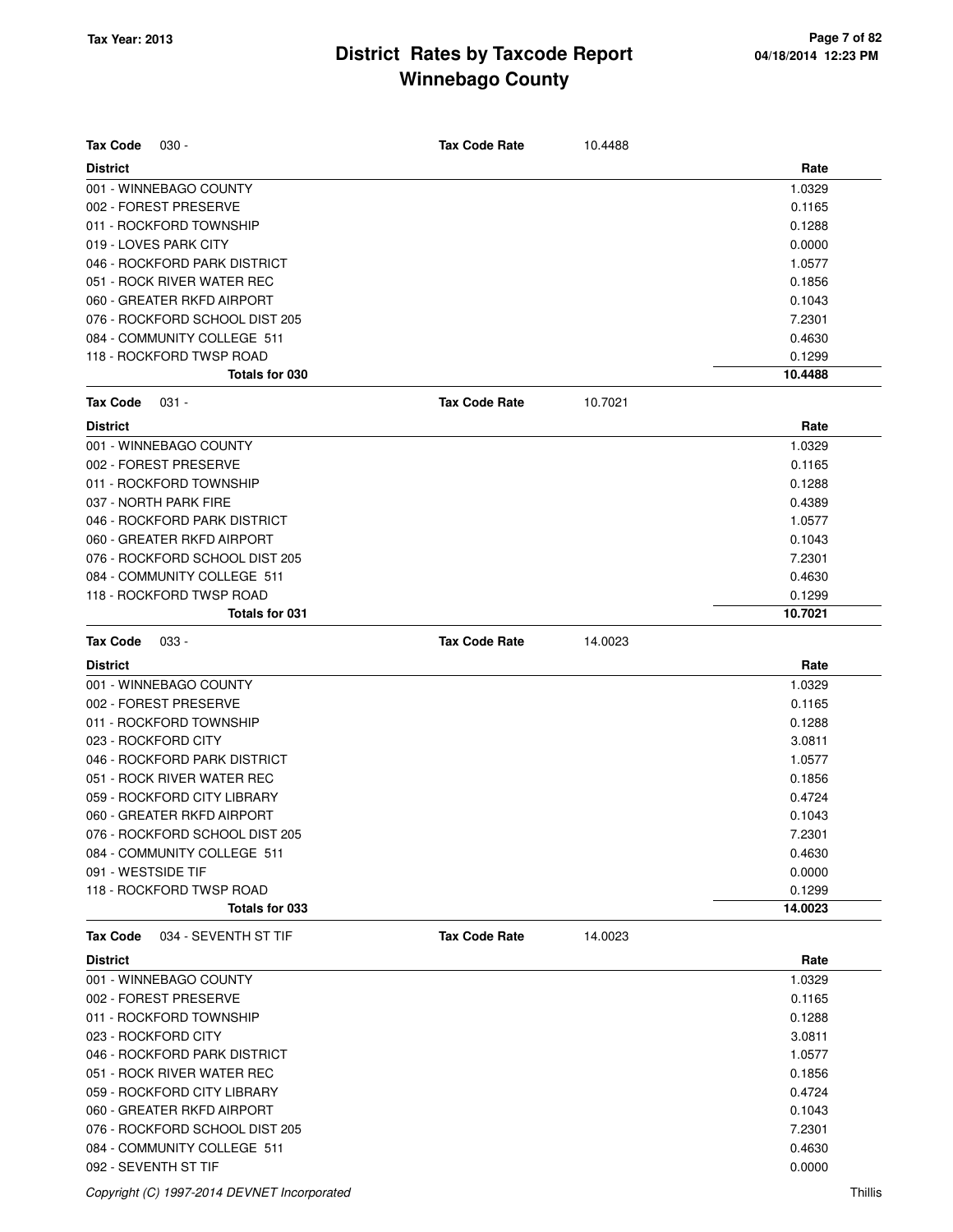| <b>Tax Code</b><br>$030 -$              | <b>Tax Code Rate</b> | 10.4488 |         |
|-----------------------------------------|----------------------|---------|---------|
| <b>District</b>                         |                      |         | Rate    |
| 001 - WINNEBAGO COUNTY                  |                      |         | 1.0329  |
| 002 - FOREST PRESERVE                   |                      |         | 0.1165  |
| 011 - ROCKFORD TOWNSHIP                 |                      |         | 0.1288  |
| 019 - LOVES PARK CITY                   |                      |         | 0.0000  |
| 046 - ROCKFORD PARK DISTRICT            |                      |         | 1.0577  |
| 051 - ROCK RIVER WATER REC              |                      |         | 0.1856  |
| 060 - GREATER RKFD AIRPORT              |                      |         | 0.1043  |
| 076 - ROCKFORD SCHOOL DIST 205          |                      |         | 7.2301  |
| 084 - COMMUNITY COLLEGE 511             |                      |         | 0.4630  |
| 118 - ROCKFORD TWSP ROAD                |                      |         | 0.1299  |
| Totals for 030                          |                      |         | 10.4488 |
| <b>Tax Code</b><br>$031 -$              | <b>Tax Code Rate</b> | 10.7021 |         |
| <b>District</b>                         |                      |         | Rate    |
| 001 - WINNEBAGO COUNTY                  |                      |         | 1.0329  |
| 002 - FOREST PRESERVE                   |                      |         | 0.1165  |
| 011 - ROCKFORD TOWNSHIP                 |                      |         | 0.1288  |
| 037 - NORTH PARK FIRE                   |                      |         | 0.4389  |
| 046 - ROCKFORD PARK DISTRICT            |                      |         | 1.0577  |
| 060 - GREATER RKFD AIRPORT              |                      |         | 0.1043  |
| 076 - ROCKFORD SCHOOL DIST 205          |                      |         | 7.2301  |
| 084 - COMMUNITY COLLEGE 511             |                      |         | 0.4630  |
| 118 - ROCKFORD TWSP ROAD                |                      |         | 0.1299  |
| <b>Totals for 031</b>                   |                      |         | 10.7021 |
| <b>Tax Code</b><br>$033 -$              | <b>Tax Code Rate</b> | 14.0023 |         |
| <b>District</b>                         |                      |         | Rate    |
| 001 - WINNEBAGO COUNTY                  |                      |         | 1.0329  |
| 002 - FOREST PRESERVE                   |                      |         | 0.1165  |
| 011 - ROCKFORD TOWNSHIP                 |                      |         | 0.1288  |
| 023 - ROCKFORD CITY                     |                      |         | 3.0811  |
| 046 - ROCKFORD PARK DISTRICT            |                      |         | 1.0577  |
|                                         |                      |         |         |
| 051 - ROCK RIVER WATER REC              |                      |         | 0.1856  |
| 059 - ROCKFORD CITY LIBRARY             |                      |         | 0.4724  |
| 060 - GREATER RKFD AIRPORT              |                      |         | 0.1043  |
| 076 - ROCKFORD SCHOOL DIST 205          |                      |         | 7.2301  |
| 084 - COMMUNITY COLLEGE 511             |                      |         | 0.4630  |
| 091 - WESTSIDE TIF                      |                      |         | 0.0000  |
| 118 - ROCKFORD TWSP ROAD                |                      |         | 0.1299  |
| Totals for 033                          |                      |         | 14.0023 |
| 034 - SEVENTH ST TIF<br><b>Tax Code</b> | <b>Tax Code Rate</b> | 14.0023 |         |
| <b>District</b>                         |                      |         | Rate    |
| 001 - WINNEBAGO COUNTY                  |                      |         | 1.0329  |
| 002 - FOREST PRESERVE                   |                      |         | 0.1165  |
| 011 - ROCKFORD TOWNSHIP                 |                      |         | 0.1288  |
| 023 - ROCKFORD CITY                     |                      |         | 3.0811  |
| 046 - ROCKFORD PARK DISTRICT            |                      |         | 1.0577  |
| 051 - ROCK RIVER WATER REC              |                      |         | 0.1856  |
| 059 - ROCKFORD CITY LIBRARY             |                      |         | 0.4724  |
| 060 - GREATER RKFD AIRPORT              |                      |         | 0.1043  |
| 076 - ROCKFORD SCHOOL DIST 205          |                      |         | 7.2301  |
| 084 - COMMUNITY COLLEGE 511             |                      |         | 0.4630  |

Copyright (C) 1997-2014 DEVNET Incorporated Thillis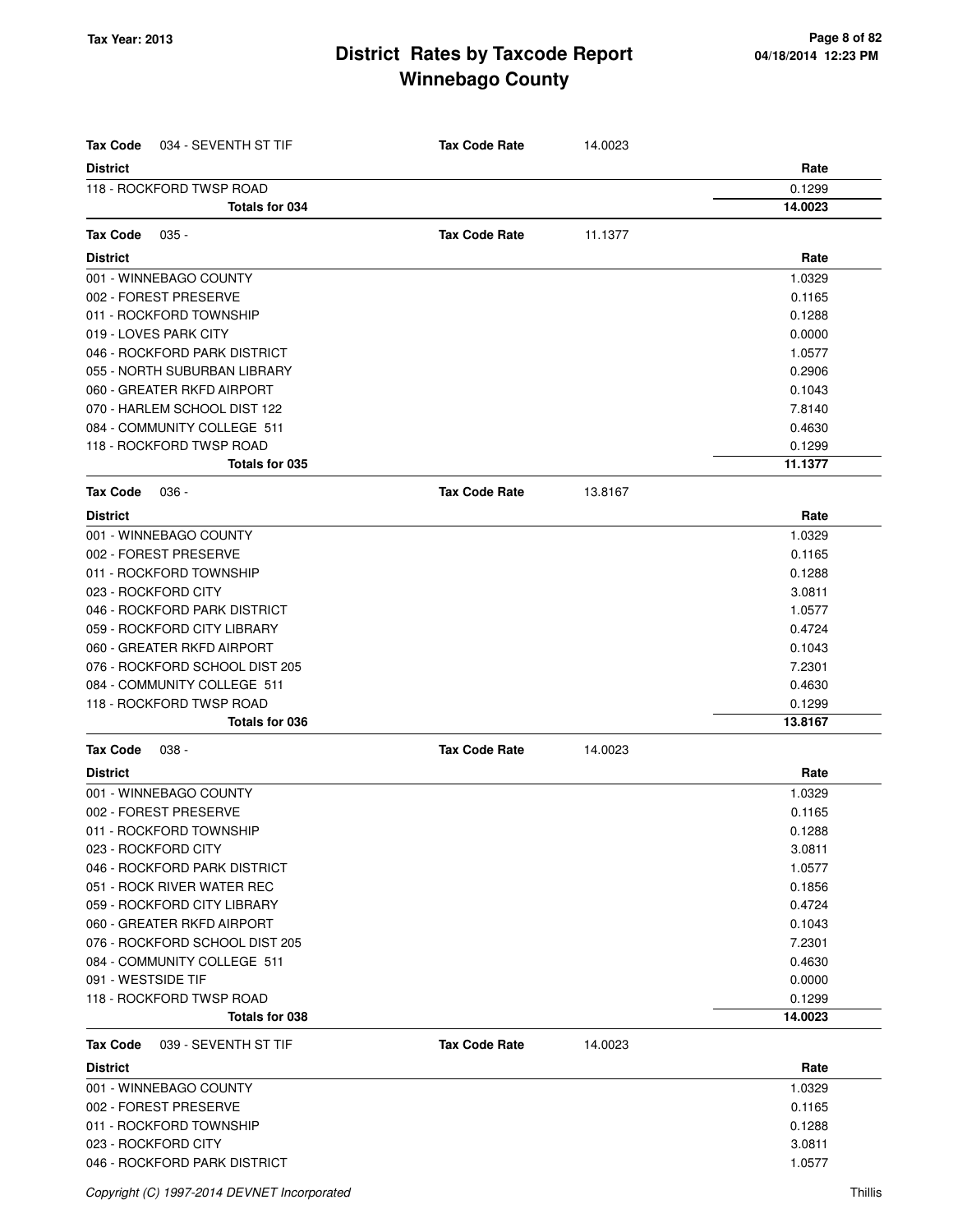| <b>Tax Code</b><br>034 - SEVENTH ST TIF | <b>Tax Code Rate</b> | 14.0023 |         |
|-----------------------------------------|----------------------|---------|---------|
| <b>District</b>                         |                      |         | Rate    |
| 118 - ROCKFORD TWSP ROAD                |                      |         | 0.1299  |
| Totals for 034                          |                      |         | 14.0023 |
| <b>Tax Code</b><br>$035 -$              | <b>Tax Code Rate</b> | 11.1377 |         |
| <b>District</b>                         |                      |         | Rate    |
| 001 - WINNEBAGO COUNTY                  |                      |         | 1.0329  |
| 002 - FOREST PRESERVE                   |                      |         | 0.1165  |
| 011 - ROCKFORD TOWNSHIP                 |                      |         | 0.1288  |
| 019 - LOVES PARK CITY                   |                      |         | 0.0000  |
| 046 - ROCKFORD PARK DISTRICT            |                      |         | 1.0577  |
| 055 - NORTH SUBURBAN LIBRARY            |                      |         | 0.2906  |
| 060 - GREATER RKFD AIRPORT              |                      |         | 0.1043  |
| 070 - HARLEM SCHOOL DIST 122            |                      |         | 7.8140  |
| 084 - COMMUNITY COLLEGE 511             |                      |         | 0.4630  |
| 118 - ROCKFORD TWSP ROAD                |                      |         | 0.1299  |
| Totals for 035                          |                      |         | 11.1377 |
| <b>Tax Code</b><br>$036 -$              | <b>Tax Code Rate</b> | 13.8167 |         |
| <b>District</b>                         |                      |         | Rate    |
| 001 - WINNEBAGO COUNTY                  |                      |         | 1.0329  |
| 002 - FOREST PRESERVE                   |                      |         | 0.1165  |
| 011 - ROCKFORD TOWNSHIP                 |                      |         | 0.1288  |
| 023 - ROCKFORD CITY                     |                      |         | 3.0811  |
| 046 - ROCKFORD PARK DISTRICT            |                      |         | 1.0577  |
| 059 - ROCKFORD CITY LIBRARY             |                      |         | 0.4724  |
| 060 - GREATER RKFD AIRPORT              |                      |         | 0.1043  |
| 076 - ROCKFORD SCHOOL DIST 205          |                      |         | 7.2301  |
| 084 - COMMUNITY COLLEGE 511             |                      |         | 0.4630  |
| 118 - ROCKFORD TWSP ROAD                |                      |         | 0.1299  |
| Totals for 036                          |                      |         | 13.8167 |
| <b>Tax Code</b><br>038 -                | <b>Tax Code Rate</b> | 14.0023 |         |
| <b>District</b>                         |                      |         | Rate    |
| 001 - WINNEBAGO COUNTY                  |                      |         | 1.0329  |
| 002 - FOREST PRESERVE                   |                      |         | 0.1165  |
| 011 - ROCKFORD TOWNSHIP                 |                      |         | 0.1288  |
| 023 - ROCKFORD CITY                     |                      |         | 3.0811  |
| 046 - ROCKFORD PARK DISTRICT            |                      |         | 1.0577  |
| 051 - ROCK RIVER WATER REC              |                      |         | 0.1856  |
| 059 - ROCKFORD CITY LIBRARY             |                      |         | 0.4724  |
| 060 - GREATER RKFD AIRPORT              |                      |         | 0.1043  |
| 076 - ROCKFORD SCHOOL DIST 205          |                      |         | 7.2301  |
| 084 - COMMUNITY COLLEGE 511             |                      |         | 0.4630  |
| 091 - WESTSIDE TIF                      |                      |         | 0.0000  |
| 118 - ROCKFORD TWSP ROAD                |                      |         | 0.1299  |
| Totals for 038                          |                      |         | 14.0023 |
| <b>Tax Code</b><br>039 - SEVENTH ST TIF | <b>Tax Code Rate</b> | 14.0023 |         |
| <b>District</b>                         |                      |         | Rate    |
| 001 - WINNEBAGO COUNTY                  |                      |         | 1.0329  |
| 002 - FOREST PRESERVE                   |                      |         | 0.1165  |
| 011 - ROCKFORD TOWNSHIP                 |                      |         | 0.1288  |
| 023 - ROCKFORD CITY                     |                      |         | 3.0811  |
| 046 - ROCKFORD PARK DISTRICT            |                      |         | 1.0577  |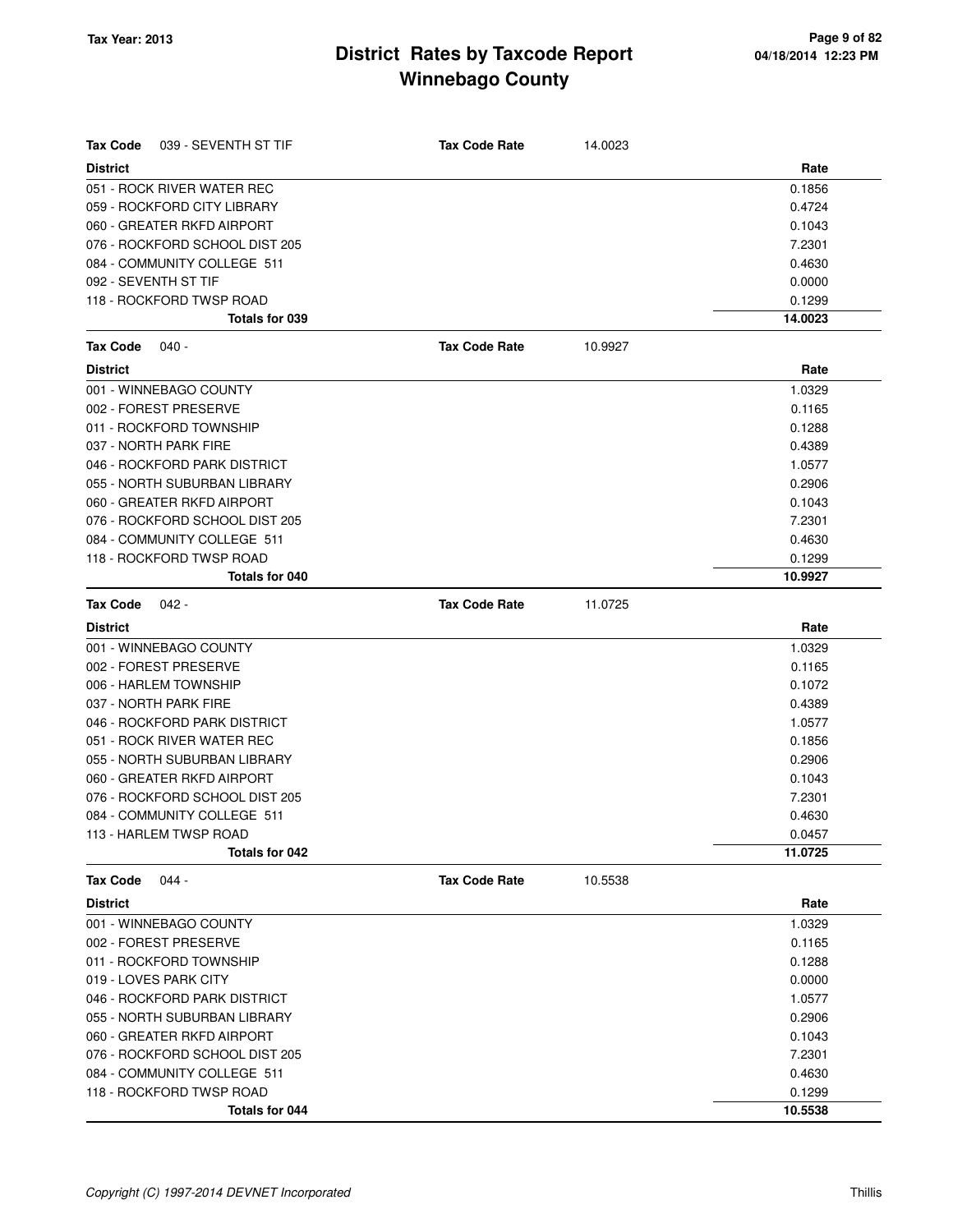| <b>Tax Code</b><br>039 - SEVENTH ST TIF | <b>Tax Code Rate</b> | 14.0023 |         |
|-----------------------------------------|----------------------|---------|---------|
| <b>District</b>                         |                      |         | Rate    |
| 051 - ROCK RIVER WATER REC              |                      |         | 0.1856  |
| 059 - ROCKFORD CITY LIBRARY             |                      |         | 0.4724  |
| 060 - GREATER RKFD AIRPORT              |                      |         | 0.1043  |
| 076 - ROCKFORD SCHOOL DIST 205          |                      |         | 7.2301  |
| 084 - COMMUNITY COLLEGE 511             |                      |         | 0.4630  |
| 092 - SEVENTH ST TIF                    |                      |         | 0.0000  |
| 118 - ROCKFORD TWSP ROAD                |                      |         | 0.1299  |
| Totals for 039                          |                      |         | 14.0023 |
| <b>Tax Code</b><br>040 -                | <b>Tax Code Rate</b> | 10.9927 |         |
| <b>District</b>                         |                      |         | Rate    |
| 001 - WINNEBAGO COUNTY                  |                      |         | 1.0329  |
| 002 - FOREST PRESERVE                   |                      |         | 0.1165  |
| 011 - ROCKFORD TOWNSHIP                 |                      |         | 0.1288  |
| 037 - NORTH PARK FIRE                   |                      |         | 0.4389  |
| 046 - ROCKFORD PARK DISTRICT            |                      |         | 1.0577  |
| 055 - NORTH SUBURBAN LIBRARY            |                      |         | 0.2906  |
| 060 - GREATER RKFD AIRPORT              |                      |         | 0.1043  |
| 076 - ROCKFORD SCHOOL DIST 205          |                      |         | 7.2301  |
| 084 - COMMUNITY COLLEGE 511             |                      |         | 0.4630  |
| 118 - ROCKFORD TWSP ROAD                |                      |         | 0.1299  |
| Totals for 040                          |                      |         | 10.9927 |
| <b>Tax Code</b><br>042 -                | <b>Tax Code Rate</b> | 11.0725 |         |
| <b>District</b>                         |                      |         | Rate    |
| 001 - WINNEBAGO COUNTY                  |                      |         | 1.0329  |
| 002 - FOREST PRESERVE                   |                      |         | 0.1165  |
| 006 - HARLEM TOWNSHIP                   |                      |         | 0.1072  |
| 037 - NORTH PARK FIRE                   |                      |         | 0.4389  |
| 046 - ROCKFORD PARK DISTRICT            |                      |         | 1.0577  |
| 051 - ROCK RIVER WATER REC              |                      |         | 0.1856  |
| 055 - NORTH SUBURBAN LIBRARY            |                      |         | 0.2906  |
| 060 - GREATER RKFD AIRPORT              |                      |         | 0.1043  |
| 076 - ROCKFORD SCHOOL DIST 205          |                      |         | 7.2301  |
| 084 - COMMUNITY COLLEGE 511             |                      |         | 0.4630  |
| 113 - HARLEM TWSP ROAD                  |                      |         | 0.0457  |
| Totals for 042                          |                      |         | 11.0725 |
| $044 -$<br><b>Tax Code</b>              | <b>Tax Code Rate</b> | 10.5538 |         |
| <b>District</b>                         |                      |         | Rate    |
| 001 - WINNEBAGO COUNTY                  |                      |         | 1.0329  |
| 002 - FOREST PRESERVE                   |                      |         | 0.1165  |
| 011 - ROCKFORD TOWNSHIP                 |                      |         | 0.1288  |
| 019 - LOVES PARK CITY                   |                      |         | 0.0000  |
| 046 - ROCKFORD PARK DISTRICT            |                      |         | 1.0577  |
| 055 - NORTH SUBURBAN LIBRARY            |                      |         | 0.2906  |
| 060 - GREATER RKFD AIRPORT              |                      |         | 0.1043  |
| 076 - ROCKFORD SCHOOL DIST 205          |                      |         | 7.2301  |
| 084 - COMMUNITY COLLEGE 511             |                      |         | 0.4630  |
| 118 - ROCKFORD TWSP ROAD                |                      |         | 0.1299  |
| Totals for 044                          |                      |         | 10.5538 |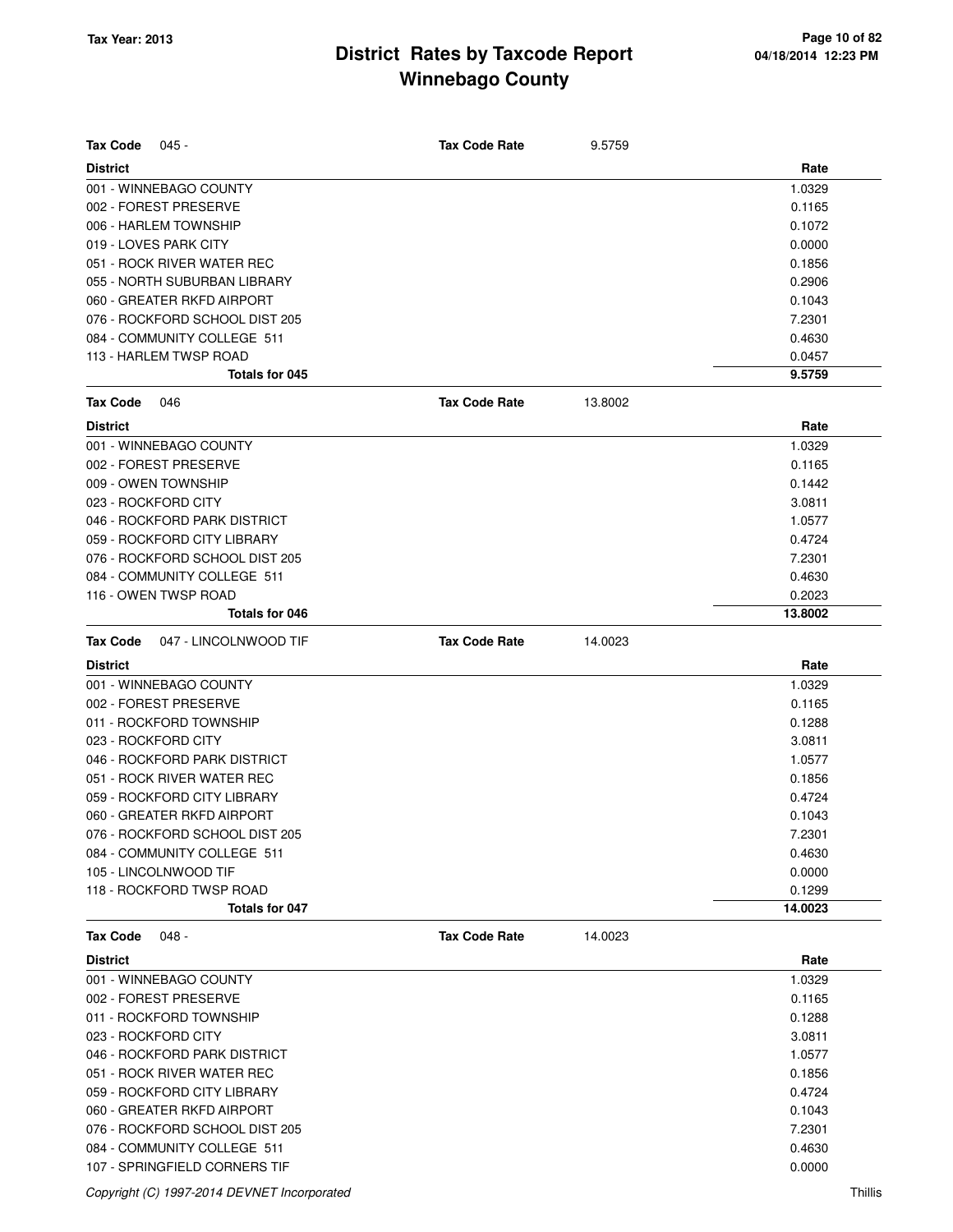| <b>Tax Code</b><br>045 -                                      | <b>Tax Code Rate</b> | 9.5759  |                  |
|---------------------------------------------------------------|----------------------|---------|------------------|
| <b>District</b>                                               |                      |         | Rate             |
| 001 - WINNEBAGO COUNTY                                        |                      |         | 1.0329           |
| 002 - FOREST PRESERVE                                         |                      |         | 0.1165           |
| 006 - HARLEM TOWNSHIP                                         |                      |         | 0.1072           |
| 019 - LOVES PARK CITY                                         |                      |         | 0.0000           |
| 051 - ROCK RIVER WATER REC                                    |                      |         | 0.1856           |
| 055 - NORTH SUBURBAN LIBRARY                                  |                      |         | 0.2906           |
| 060 - GREATER RKFD AIRPORT                                    |                      |         | 0.1043           |
| 076 - ROCKFORD SCHOOL DIST 205                                |                      |         | 7.2301           |
| 084 - COMMUNITY COLLEGE 511                                   |                      |         | 0.4630           |
| 113 - HARLEM TWSP ROAD                                        |                      |         | 0.0457           |
| Totals for 045                                                |                      |         | 9.5759           |
| <b>Tax Code</b><br>046                                        | <b>Tax Code Rate</b> | 13.8002 |                  |
| <b>District</b>                                               |                      |         | Rate             |
| 001 - WINNEBAGO COUNTY                                        |                      |         | 1.0329           |
| 002 - FOREST PRESERVE                                         |                      |         | 0.1165           |
| 009 - OWEN TOWNSHIP                                           |                      |         | 0.1442           |
| 023 - ROCKFORD CITY                                           |                      |         | 3.0811           |
| 046 - ROCKFORD PARK DISTRICT                                  |                      |         | 1.0577           |
| 059 - ROCKFORD CITY LIBRARY                                   |                      |         | 0.4724           |
| 076 - ROCKFORD SCHOOL DIST 205                                |                      |         | 7.2301           |
| 084 - COMMUNITY COLLEGE 511                                   |                      |         | 0.4630           |
| 116 - OWEN TWSP ROAD                                          |                      |         | 0.2023           |
| Totals for 046                                                |                      |         | 13.8002          |
| <b>Tax Code</b><br>047 - LINCOLNWOOD TIF                      | <b>Tax Code Rate</b> | 14.0023 |                  |
| <b>District</b>                                               |                      |         | Rate             |
| 001 - WINNEBAGO COUNTY                                        |                      |         | 1.0329           |
| 002 - FOREST PRESERVE                                         |                      |         | 0.1165           |
| 011 - ROCKFORD TOWNSHIP                                       |                      |         | 0.1288           |
| 023 - ROCKFORD CITY                                           |                      |         | 3.0811           |
| 046 - ROCKFORD PARK DISTRICT                                  |                      |         | 1.0577           |
| 051 - ROCK RIVER WATER REC                                    |                      |         | 0.1856           |
| 059 - ROCKFORD CITY LIBRARY                                   |                      |         | 0.4724           |
| 060 - GREATER RKFD AIRPORT                                    |                      |         | 0.1043           |
|                                                               |                      |         |                  |
| 076 - ROCKFORD SCHOOL DIST 205<br>084 - COMMUNITY COLLEGE 511 |                      |         | 7.2301<br>0.4630 |
| 105 - LINCOLNWOOD TIF                                         |                      |         | 0.0000           |
| 118 - ROCKFORD TWSP ROAD                                      |                      |         | 0.1299           |
| Totals for 047                                                |                      |         | 14.0023          |
|                                                               |                      |         |                  |
| <b>Tax Code</b><br>048 -                                      | <b>Tax Code Rate</b> | 14.0023 |                  |
| <b>District</b>                                               |                      |         | Rate             |
| 001 - WINNEBAGO COUNTY                                        |                      |         | 1.0329           |
| 002 - FOREST PRESERVE                                         |                      |         | 0.1165           |
| 011 - ROCKFORD TOWNSHIP                                       |                      |         | 0.1288           |
| 023 - ROCKFORD CITY                                           |                      |         | 3.0811           |
| 046 - ROCKFORD PARK DISTRICT                                  |                      |         | 1.0577           |
| 051 - ROCK RIVER WATER REC                                    |                      |         | 0.1856           |
| 059 - ROCKFORD CITY LIBRARY                                   |                      |         | 0.4724           |
| 060 - GREATER RKFD AIRPORT                                    |                      |         | 0.1043           |
| 076 - ROCKFORD SCHOOL DIST 205                                |                      |         | 7.2301           |
| 084 - COMMUNITY COLLEGE 511                                   |                      |         | 0.4630           |
| 107 - SPRINGFIELD CORNERS TIF                                 |                      |         | 0.0000           |

Copyright (C) 1997-2014 DEVNET Incorporated Thillis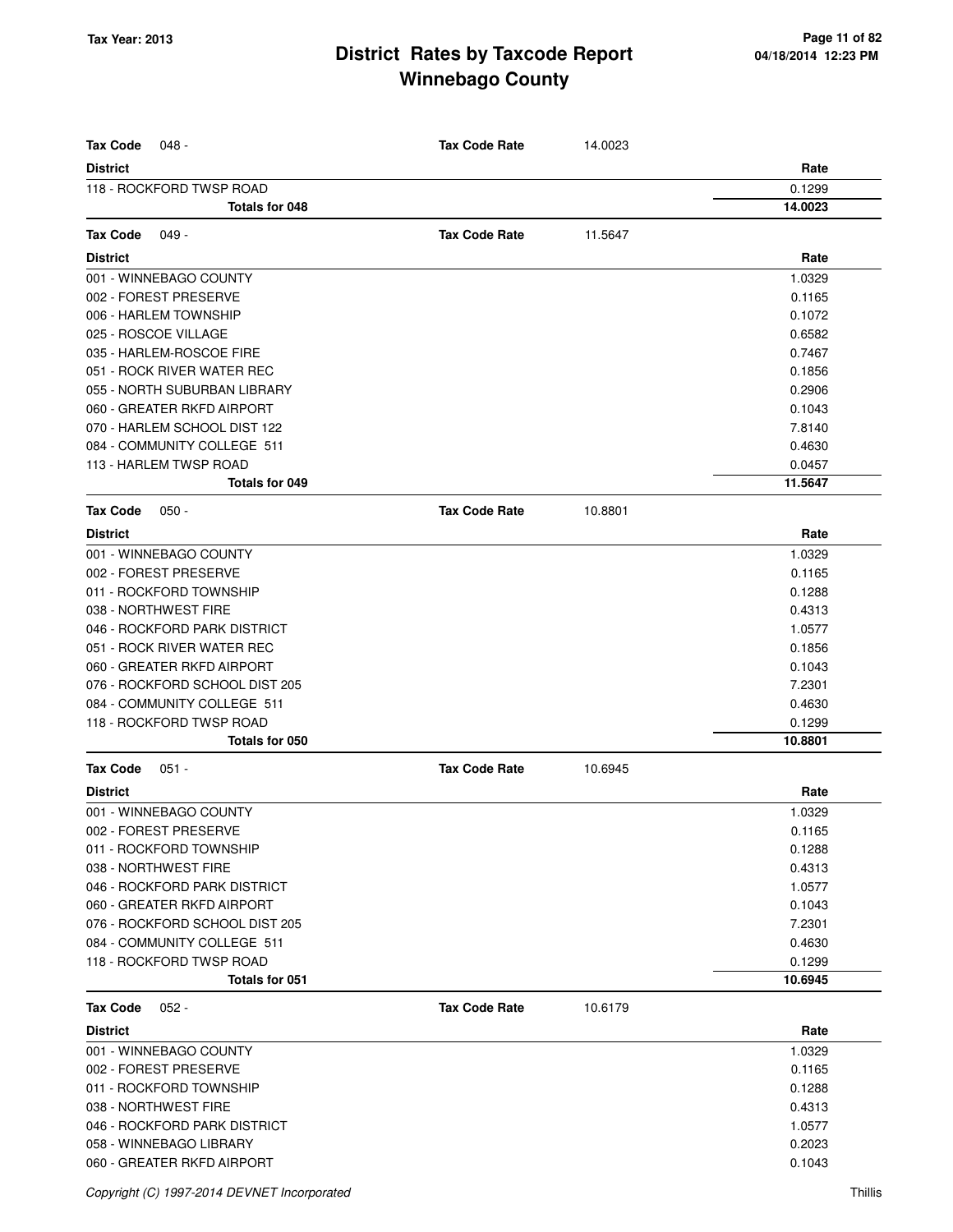| <b>Tax Code</b><br>048 -       | <b>Tax Code Rate</b> | 14.0023 |         |
|--------------------------------|----------------------|---------|---------|
| <b>District</b>                |                      |         | Rate    |
| 118 - ROCKFORD TWSP ROAD       |                      |         | 0.1299  |
| Totals for 048                 |                      |         | 14.0023 |
| $049 -$<br>Tax Code            | <b>Tax Code Rate</b> | 11.5647 |         |
| <b>District</b>                |                      |         | Rate    |
| 001 - WINNEBAGO COUNTY         |                      |         | 1.0329  |
| 002 - FOREST PRESERVE          |                      |         | 0.1165  |
| 006 - HARLEM TOWNSHIP          |                      |         | 0.1072  |
| 025 - ROSCOE VILLAGE           |                      |         | 0.6582  |
| 035 - HARLEM-ROSCOE FIRE       |                      |         | 0.7467  |
| 051 - ROCK RIVER WATER REC     |                      |         | 0.1856  |
| 055 - NORTH SUBURBAN LIBRARY   |                      |         | 0.2906  |
| 060 - GREATER RKFD AIRPORT     |                      |         | 0.1043  |
| 070 - HARLEM SCHOOL DIST 122   |                      |         | 7.8140  |
| 084 - COMMUNITY COLLEGE 511    |                      |         | 0.4630  |
| 113 - HARLEM TWSP ROAD         |                      |         | 0.0457  |
| Totals for 049                 |                      |         | 11.5647 |
| <b>Tax Code</b><br>$050 -$     | <b>Tax Code Rate</b> | 10.8801 |         |
| <b>District</b>                |                      |         | Rate    |
| 001 - WINNEBAGO COUNTY         |                      |         | 1.0329  |
| 002 - FOREST PRESERVE          |                      |         | 0.1165  |
| 011 - ROCKFORD TOWNSHIP        |                      |         | 0.1288  |
| 038 - NORTHWEST FIRE           |                      |         | 0.4313  |
| 046 - ROCKFORD PARK DISTRICT   |                      |         | 1.0577  |
| 051 - ROCK RIVER WATER REC     |                      |         | 0.1856  |
| 060 - GREATER RKFD AIRPORT     |                      |         | 0.1043  |
| 076 - ROCKFORD SCHOOL DIST 205 |                      |         | 7.2301  |
| 084 - COMMUNITY COLLEGE 511    |                      |         | 0.4630  |
| 118 - ROCKFORD TWSP ROAD       |                      |         | 0.1299  |
| Totals for 050                 |                      |         | 10.8801 |
| <b>Tax Code</b><br>$051 -$     | <b>Tax Code Rate</b> | 10.6945 |         |
| <b>District</b>                |                      |         | Rate    |
| 001 - WINNEBAGO COUNTY         |                      |         | 1.0329  |
| 002 - FOREST PRESERVE          |                      |         | 0.1165  |
| 011 - ROCKFORD TOWNSHIP        |                      |         | 0.1288  |
| 038 - NORTHWEST FIRE           |                      |         | 0.4313  |
| 046 - ROCKFORD PARK DISTRICT   |                      |         | 1.0577  |
| 060 - GREATER RKFD AIRPORT     |                      |         | 0.1043  |
| 076 - ROCKFORD SCHOOL DIST 205 |                      |         | 7.2301  |
| 084 - COMMUNITY COLLEGE 511    |                      |         | 0.4630  |
| 118 - ROCKFORD TWSP ROAD       |                      |         | 0.1299  |
| <b>Totals for 051</b>          |                      |         | 10.6945 |
| <b>Tax Code</b><br>$052 -$     | <b>Tax Code Rate</b> | 10.6179 |         |
| <b>District</b>                |                      |         | Rate    |
| 001 - WINNEBAGO COUNTY         |                      |         | 1.0329  |
| 002 - FOREST PRESERVE          |                      |         | 0.1165  |
| 011 - ROCKFORD TOWNSHIP        |                      |         | 0.1288  |
| 038 - NORTHWEST FIRE           |                      |         | 0.4313  |
| 046 - ROCKFORD PARK DISTRICT   |                      |         | 1.0577  |
| 058 - WINNEBAGO LIBRARY        |                      |         | 0.2023  |
| 060 - GREATER RKFD AIRPORT     |                      |         | 0.1043  |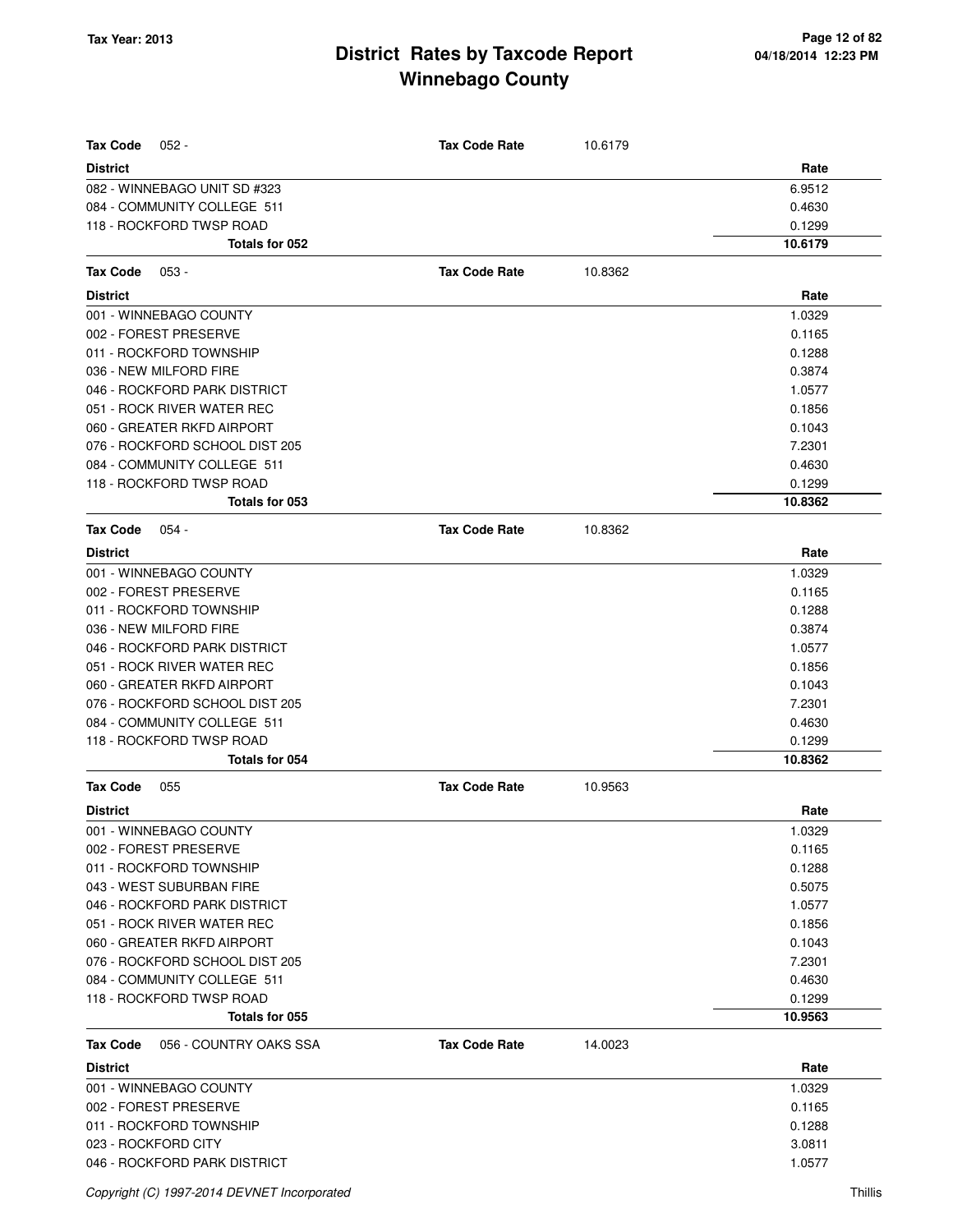| <b>Tax Code</b><br>$052 -$         | <b>Tax Code Rate</b> | 10.6179 |         |
|------------------------------------|----------------------|---------|---------|
| <b>District</b>                    |                      |         | Rate    |
| 082 - WINNEBAGO UNIT SD #323       |                      |         | 6.9512  |
| 084 - COMMUNITY COLLEGE 511        |                      |         | 0.4630  |
| 118 - ROCKFORD TWSP ROAD           |                      |         | 0.1299  |
| Totals for 052                     |                      |         | 10.6179 |
|                                    |                      |         |         |
| <b>Tax Code</b><br>$053 -$         | <b>Tax Code Rate</b> | 10.8362 |         |
| <b>District</b>                    |                      |         | Rate    |
| 001 - WINNEBAGO COUNTY             |                      |         | 1.0329  |
| 002 - FOREST PRESERVE              |                      |         | 0.1165  |
| 011 - ROCKFORD TOWNSHIP            |                      |         | 0.1288  |
| 036 - NEW MILFORD FIRE             |                      |         | 0.3874  |
| 046 - ROCKFORD PARK DISTRICT       |                      |         | 1.0577  |
| 051 - ROCK RIVER WATER REC         |                      |         | 0.1856  |
| 060 - GREATER RKFD AIRPORT         |                      |         | 0.1043  |
| 076 - ROCKFORD SCHOOL DIST 205     |                      |         | 7.2301  |
| 084 - COMMUNITY COLLEGE 511        |                      |         | 0.4630  |
| 118 - ROCKFORD TWSP ROAD           |                      |         | 0.1299  |
| Totals for 053                     |                      |         | 10.8362 |
| Tax Code<br>$054 -$                | <b>Tax Code Rate</b> | 10.8362 |         |
| <b>District</b>                    |                      |         | Rate    |
| 001 - WINNEBAGO COUNTY             |                      |         | 1.0329  |
| 002 - FOREST PRESERVE              |                      |         | 0.1165  |
| 011 - ROCKFORD TOWNSHIP            |                      |         | 0.1288  |
| 036 - NEW MILFORD FIRE             |                      |         | 0.3874  |
| 046 - ROCKFORD PARK DISTRICT       |                      |         | 1.0577  |
| 051 - ROCK RIVER WATER REC         |                      |         | 0.1856  |
| 060 - GREATER RKFD AIRPORT         |                      |         | 0.1043  |
| 076 - ROCKFORD SCHOOL DIST 205     |                      |         | 7.2301  |
| 084 - COMMUNITY COLLEGE 511        |                      |         | 0.4630  |
| 118 - ROCKFORD TWSP ROAD           |                      |         | 0.1299  |
| Totals for 054                     |                      |         | 10.8362 |
| Tax Code<br>055                    | <b>Tax Code Rate</b> | 10.9563 |         |
| <b>District</b>                    |                      |         | Rate    |
| 001 - WINNEBAGO COUNTY             |                      |         | 1.0329  |
| 002 - FOREST PRESERVE              |                      |         | 0.1165  |
| 011 - ROCKFORD TOWNSHIP            |                      |         | 0.1288  |
| 043 - WEST SUBURBAN FIRE           |                      |         | 0.5075  |
| 046 - ROCKFORD PARK DISTRICT       |                      |         | 1.0577  |
| 051 - ROCK RIVER WATER REC         |                      |         | 0.1856  |
| 060 - GREATER RKFD AIRPORT         |                      |         | 0.1043  |
| 076 - ROCKFORD SCHOOL DIST 205     |                      |         | 7.2301  |
| 084 - COMMUNITY COLLEGE 511        |                      |         | 0.4630  |
| 118 - ROCKFORD TWSP ROAD           |                      |         | 0.1299  |
| Totals for 055                     |                      |         | 10.9563 |
| 056 - COUNTRY OAKS SSA<br>Tax Code | <b>Tax Code Rate</b> | 14.0023 |         |
| <b>District</b>                    |                      |         | Rate    |
| 001 - WINNEBAGO COUNTY             |                      |         | 1.0329  |
| 002 - FOREST PRESERVE              |                      |         | 0.1165  |
| 011 - ROCKFORD TOWNSHIP            |                      |         | 0.1288  |
| 023 - ROCKFORD CITY                |                      |         | 3.0811  |
| 046 - ROCKFORD PARK DISTRICT       |                      |         | 1.0577  |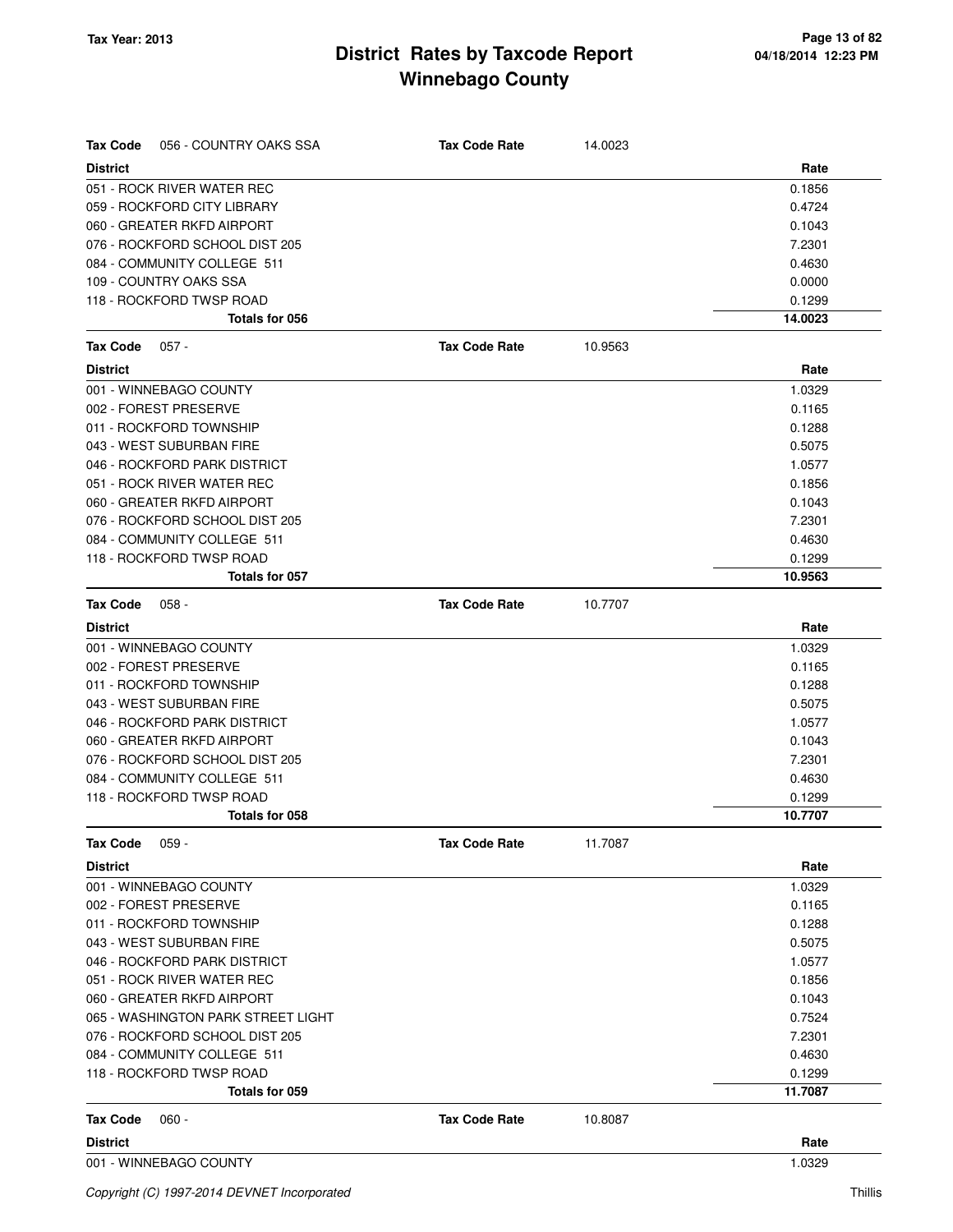| 056 - COUNTRY OAKS SSA<br>Tax Code | <b>Tax Code Rate</b> | 14.0023 |         |
|------------------------------------|----------------------|---------|---------|
| <b>District</b>                    |                      |         | Rate    |
| 051 - ROCK RIVER WATER REC         |                      |         | 0.1856  |
| 059 - ROCKFORD CITY LIBRARY        |                      |         | 0.4724  |
| 060 - GREATER RKFD AIRPORT         |                      |         | 0.1043  |
| 076 - ROCKFORD SCHOOL DIST 205     |                      |         | 7.2301  |
| 084 - COMMUNITY COLLEGE 511        |                      |         | 0.4630  |
| 109 - COUNTRY OAKS SSA             |                      |         | 0.0000  |
| 118 - ROCKFORD TWSP ROAD           |                      |         | 0.1299  |
| Totals for 056                     |                      |         | 14.0023 |
| Tax Code<br>$057 -$                | <b>Tax Code Rate</b> | 10.9563 |         |
| <b>District</b>                    |                      |         | Rate    |
| 001 - WINNEBAGO COUNTY             |                      |         | 1.0329  |
| 002 - FOREST PRESERVE              |                      |         | 0.1165  |
| 011 - ROCKFORD TOWNSHIP            |                      |         | 0.1288  |
| 043 - WEST SUBURBAN FIRE           |                      |         | 0.5075  |
| 046 - ROCKFORD PARK DISTRICT       |                      |         | 1.0577  |
| 051 - ROCK RIVER WATER REC         |                      |         | 0.1856  |
| 060 - GREATER RKFD AIRPORT         |                      |         | 0.1043  |
| 076 - ROCKFORD SCHOOL DIST 205     |                      |         | 7.2301  |
| 084 - COMMUNITY COLLEGE 511        |                      |         | 0.4630  |
| 118 - ROCKFORD TWSP ROAD           |                      |         | 0.1299  |
| Totals for 057                     |                      |         | 10.9563 |
| <b>Tax Code</b><br>$058 -$         | <b>Tax Code Rate</b> | 10.7707 |         |
| <b>District</b>                    |                      |         | Rate    |
| 001 - WINNEBAGO COUNTY             |                      |         | 1.0329  |
| 002 - FOREST PRESERVE              |                      |         | 0.1165  |
| 011 - ROCKFORD TOWNSHIP            |                      |         | 0.1288  |
| 043 - WEST SUBURBAN FIRE           |                      |         | 0.5075  |
| 046 - ROCKFORD PARK DISTRICT       |                      |         | 1.0577  |
| 060 - GREATER RKFD AIRPORT         |                      |         | 0.1043  |
| 076 - ROCKFORD SCHOOL DIST 205     |                      |         | 7.2301  |
| 084 - COMMUNITY COLLEGE 511        |                      |         | 0.4630  |
| 118 - ROCKFORD TWSP ROAD           |                      |         | 0.1299  |
| Totals for 058                     |                      |         | 10.7707 |
| Tax Code<br>$059 -$                | <b>Tax Code Rate</b> | 11.7087 |         |
| <b>District</b>                    |                      |         | Rate    |
| 001 - WINNEBAGO COUNTY             |                      |         | 1.0329  |
| 002 - FOREST PRESERVE              |                      |         | 0.1165  |
| 011 - ROCKFORD TOWNSHIP            |                      |         | 0.1288  |
| 043 - WEST SUBURBAN FIRE           |                      |         | 0.5075  |
| 046 - ROCKFORD PARK DISTRICT       |                      |         | 1.0577  |
| 051 - ROCK RIVER WATER REC         |                      |         | 0.1856  |
| 060 - GREATER RKFD AIRPORT         |                      |         | 0.1043  |
| 065 - WASHINGTON PARK STREET LIGHT |                      |         | 0.7524  |
| 076 - ROCKFORD SCHOOL DIST 205     |                      |         | 7.2301  |
| 084 - COMMUNITY COLLEGE 511        |                      |         | 0.4630  |
| 118 - ROCKFORD TWSP ROAD           |                      |         | 0.1299  |
| Totals for 059                     |                      |         | 11.7087 |
| $060 -$<br>Tax Code                | <b>Tax Code Rate</b> | 10.8087 |         |
| <b>District</b>                    |                      |         | Rate    |
| 001 - WINNEBAGO COUNTY             |                      |         | 1.0329  |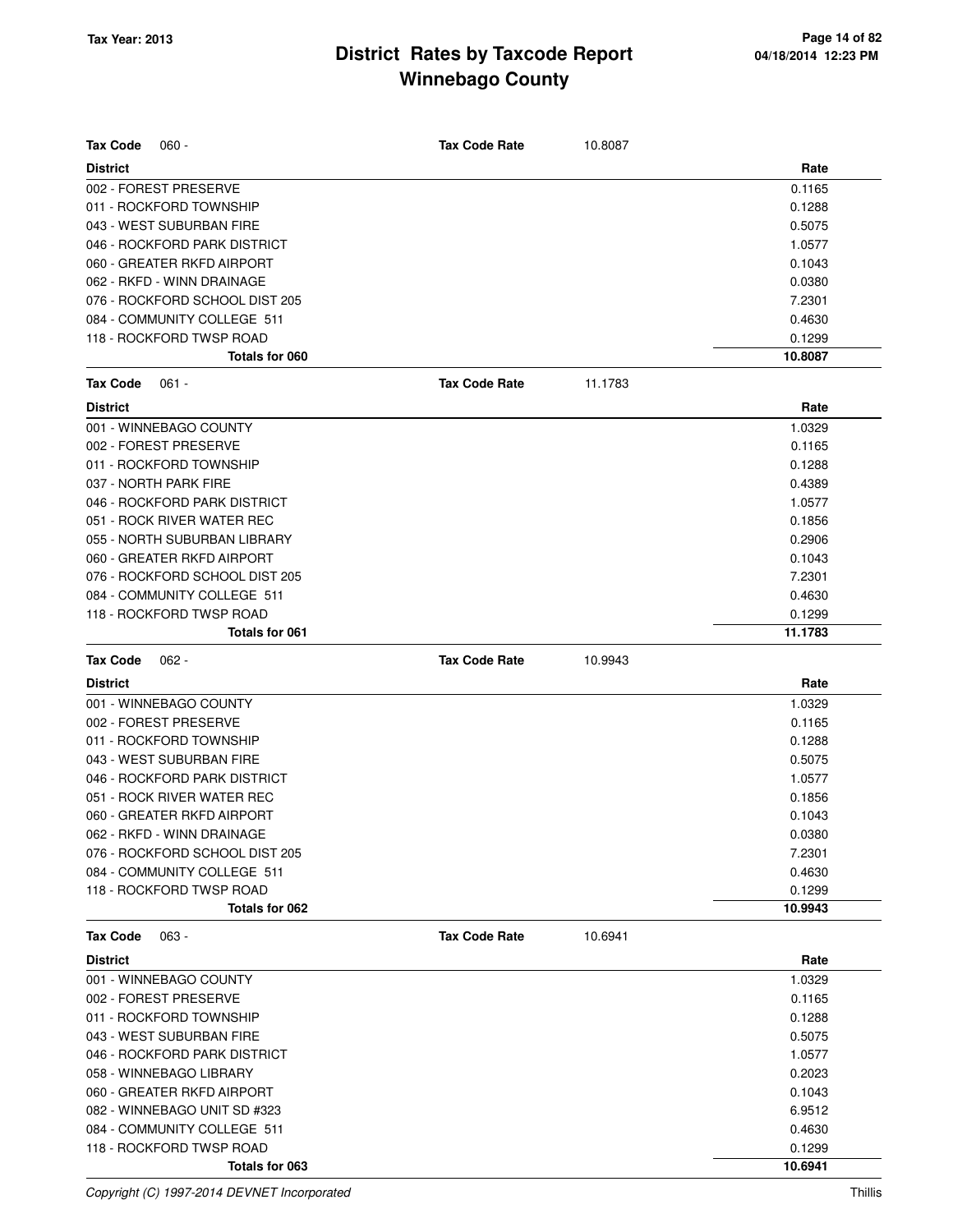| <b>Tax Code</b><br>$060 -$     | <b>Tax Code Rate</b> | 10.8087 |         |
|--------------------------------|----------------------|---------|---------|
| <b>District</b>                |                      |         | Rate    |
| 002 - FOREST PRESERVE          |                      |         | 0.1165  |
| 011 - ROCKFORD TOWNSHIP        |                      |         | 0.1288  |
| 043 - WEST SUBURBAN FIRE       |                      |         | 0.5075  |
| 046 - ROCKFORD PARK DISTRICT   |                      |         | 1.0577  |
| 060 - GREATER RKFD AIRPORT     |                      |         | 0.1043  |
| 062 - RKFD - WINN DRAINAGE     |                      |         | 0.0380  |
| 076 - ROCKFORD SCHOOL DIST 205 |                      |         | 7.2301  |
| 084 - COMMUNITY COLLEGE 511    |                      |         | 0.4630  |
| 118 - ROCKFORD TWSP ROAD       |                      |         | 0.1299  |
| Totals for 060                 |                      |         | 10.8087 |
| <b>Tax Code</b><br>$061 -$     | <b>Tax Code Rate</b> | 11.1783 |         |
| <b>District</b>                |                      |         | Rate    |
| 001 - WINNEBAGO COUNTY         |                      |         | 1.0329  |
| 002 - FOREST PRESERVE          |                      |         | 0.1165  |
| 011 - ROCKFORD TOWNSHIP        |                      |         | 0.1288  |
| 037 - NORTH PARK FIRE          |                      |         | 0.4389  |
| 046 - ROCKFORD PARK DISTRICT   |                      |         | 1.0577  |
| 051 - ROCK RIVER WATER REC     |                      |         | 0.1856  |
| 055 - NORTH SUBURBAN LIBRARY   |                      |         | 0.2906  |
| 060 - GREATER RKFD AIRPORT     |                      |         | 0.1043  |
| 076 - ROCKFORD SCHOOL DIST 205 |                      |         | 7.2301  |
| 084 - COMMUNITY COLLEGE 511    |                      |         | 0.4630  |
| 118 - ROCKFORD TWSP ROAD       |                      |         | 0.1299  |
| <b>Totals for 061</b>          |                      |         | 11.1783 |
| Tax Code<br>$062 -$            | <b>Tax Code Rate</b> | 10.9943 |         |
| <b>District</b>                |                      |         | Rate    |
| 001 - WINNEBAGO COUNTY         |                      |         | 1.0329  |
| 002 - FOREST PRESERVE          |                      |         | 0.1165  |
| 011 - ROCKFORD TOWNSHIP        |                      |         | 0.1288  |
| 043 - WEST SUBURBAN FIRE       |                      |         | 0.5075  |
| 046 - ROCKFORD PARK DISTRICT   |                      |         | 1.0577  |
| 051 - ROCK RIVER WATER REC     |                      |         | 0.1856  |
| 060 - GREATER RKFD AIRPORT     |                      |         | 0.1043  |
| 062 - RKFD - WINN DRAINAGE     |                      |         | 0.0380  |
| 076 - ROCKFORD SCHOOL DIST 205 |                      |         | 7.2301  |
| 084 - COMMUNITY COLLEGE 511    |                      |         | 0.4630  |
| 118 - ROCKFORD TWSP ROAD       |                      |         | 0.1299  |
| Totals for 062                 |                      |         | 10.9943 |
| <b>Tax Code</b><br>063 -       | <b>Tax Code Rate</b> | 10.6941 |         |
| <b>District</b>                |                      |         | Rate    |
| 001 - WINNEBAGO COUNTY         |                      |         | 1.0329  |
| 002 - FOREST PRESERVE          |                      |         | 0.1165  |
| 011 - ROCKFORD TOWNSHIP        |                      |         | 0.1288  |
| 043 - WEST SUBURBAN FIRE       |                      |         | 0.5075  |
| 046 - ROCKFORD PARK DISTRICT   |                      |         | 1.0577  |
| 058 - WINNEBAGO LIBRARY        |                      |         | 0.2023  |
| 060 - GREATER RKFD AIRPORT     |                      |         | 0.1043  |
| 082 - WINNEBAGO UNIT SD #323   |                      |         | 6.9512  |
| 084 - COMMUNITY COLLEGE 511    |                      |         | 0.4630  |
| 118 - ROCKFORD TWSP ROAD       |                      |         |         |
|                                |                      |         | 0.1299  |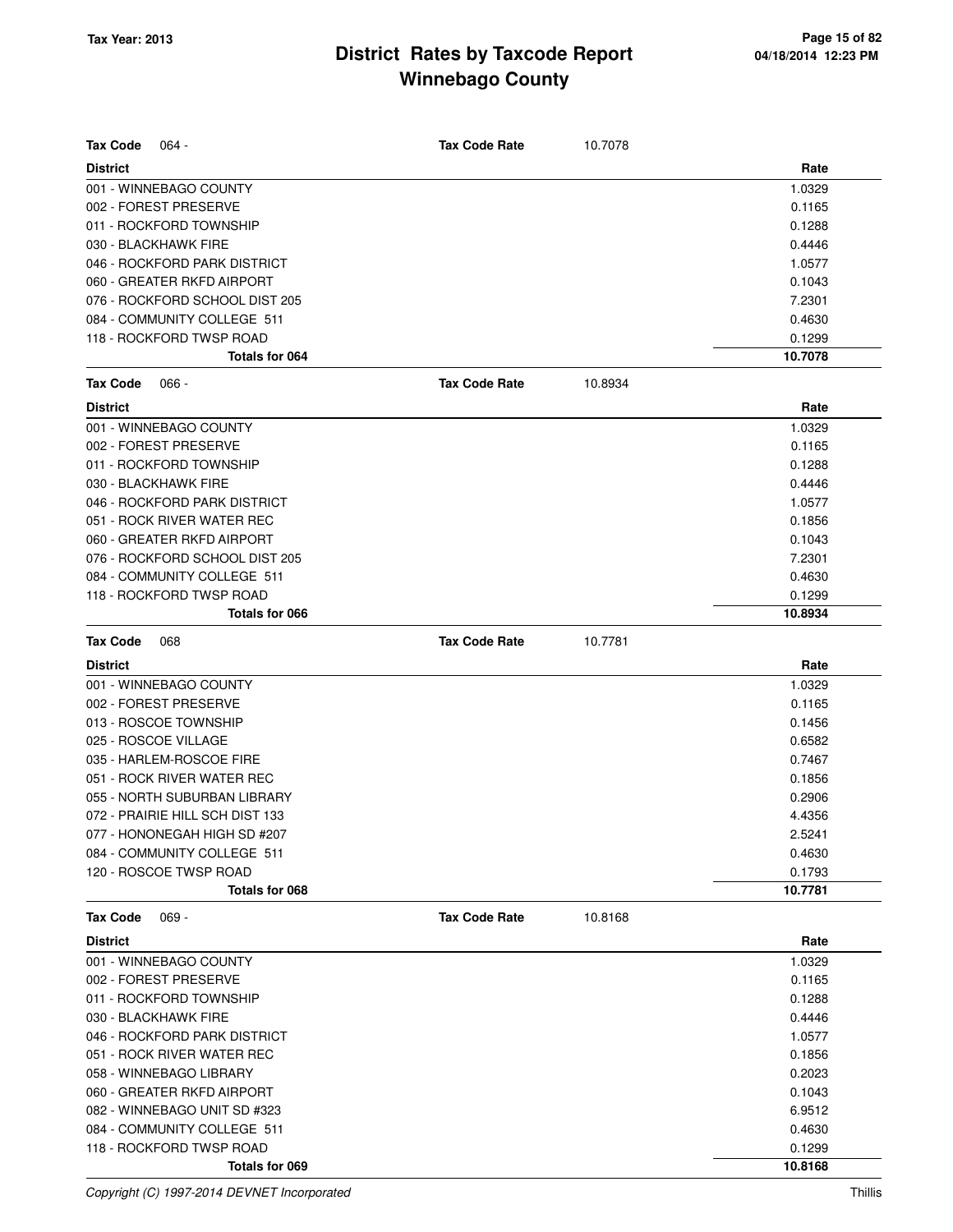| <b>Tax Code</b><br>064 -        | <b>Tax Code Rate</b> | 10.7078 |         |
|---------------------------------|----------------------|---------|---------|
| <b>District</b>                 |                      |         | Rate    |
| 001 - WINNEBAGO COUNTY          |                      |         | 1.0329  |
| 002 - FOREST PRESERVE           |                      |         | 0.1165  |
| 011 - ROCKFORD TOWNSHIP         |                      |         | 0.1288  |
| 030 - BLACKHAWK FIRE            |                      |         | 0.4446  |
| 046 - ROCKFORD PARK DISTRICT    |                      |         | 1.0577  |
| 060 - GREATER RKFD AIRPORT      |                      |         | 0.1043  |
| 076 - ROCKFORD SCHOOL DIST 205  |                      |         | 7.2301  |
| 084 - COMMUNITY COLLEGE 511     |                      |         | 0.4630  |
| 118 - ROCKFORD TWSP ROAD        |                      |         | 0.1299  |
| Totals for 064                  |                      |         | 10.7078 |
| <b>Tax Code</b><br>$066 -$      | <b>Tax Code Rate</b> | 10.8934 |         |
| <b>District</b>                 |                      |         | Rate    |
| 001 - WINNEBAGO COUNTY          |                      |         | 1.0329  |
| 002 - FOREST PRESERVE           |                      |         | 0.1165  |
| 011 - ROCKFORD TOWNSHIP         |                      |         | 0.1288  |
| 030 - BLACKHAWK FIRE            |                      |         | 0.4446  |
| 046 - ROCKFORD PARK DISTRICT    |                      |         | 1.0577  |
| 051 - ROCK RIVER WATER REC      |                      |         | 0.1856  |
| 060 - GREATER RKFD AIRPORT      |                      |         | 0.1043  |
| 076 - ROCKFORD SCHOOL DIST 205  |                      |         | 7.2301  |
| 084 - COMMUNITY COLLEGE 511     |                      |         | 0.4630  |
| 118 - ROCKFORD TWSP ROAD        |                      |         | 0.1299  |
| Totals for 066                  |                      |         | 10.8934 |
| <b>Tax Code</b><br>068          | <b>Tax Code Rate</b> | 10.7781 |         |
| <b>District</b>                 |                      |         | Rate    |
| 001 - WINNEBAGO COUNTY          |                      |         | 1.0329  |
| 002 - FOREST PRESERVE           |                      |         | 0.1165  |
| 013 - ROSCOE TOWNSHIP           |                      |         | 0.1456  |
| 025 - ROSCOE VILLAGE            |                      |         | 0.6582  |
| 035 - HARLEM-ROSCOE FIRE        |                      |         | 0.7467  |
| 051 - ROCK RIVER WATER REC      |                      |         | 0.1856  |
| 055 - NORTH SUBURBAN LIBRARY    |                      |         | 0.2906  |
| 072 - PRAIRIE HILL SCH DIST 133 |                      |         | 4.4356  |
| 077 - HONONEGAH HIGH SD #207    |                      |         | 2.5241  |
| 084 - COMMUNITY COLLEGE 511     |                      |         | 0.4630  |
| 120 - ROSCOE TWSP ROAD          |                      |         | 0.1793  |
| Totals for 068                  |                      |         | 10.7781 |
| <b>Tax Code</b><br>$069 -$      | <b>Tax Code Rate</b> | 10.8168 |         |
| <b>District</b>                 |                      |         | Rate    |
| 001 - WINNEBAGO COUNTY          |                      |         | 1.0329  |
| 002 - FOREST PRESERVE           |                      |         | 0.1165  |
| 011 - ROCKFORD TOWNSHIP         |                      |         | 0.1288  |
| 030 - BLACKHAWK FIRE            |                      |         | 0.4446  |
| 046 - ROCKFORD PARK DISTRICT    |                      |         | 1.0577  |
| 051 - ROCK RIVER WATER REC      |                      |         | 0.1856  |
| 058 - WINNEBAGO LIBRARY         |                      |         | 0.2023  |
| 060 - GREATER RKFD AIRPORT      |                      |         | 0.1043  |
| 082 - WINNEBAGO UNIT SD #323    |                      |         | 6.9512  |
| 084 - COMMUNITY COLLEGE 511     |                      |         | 0.4630  |
| 118 - ROCKFORD TWSP ROAD        |                      |         | 0.1299  |
| Totals for 069                  |                      |         | 10.8168 |

Copyright (C) 1997-2014 DEVNET Incorporated Thillis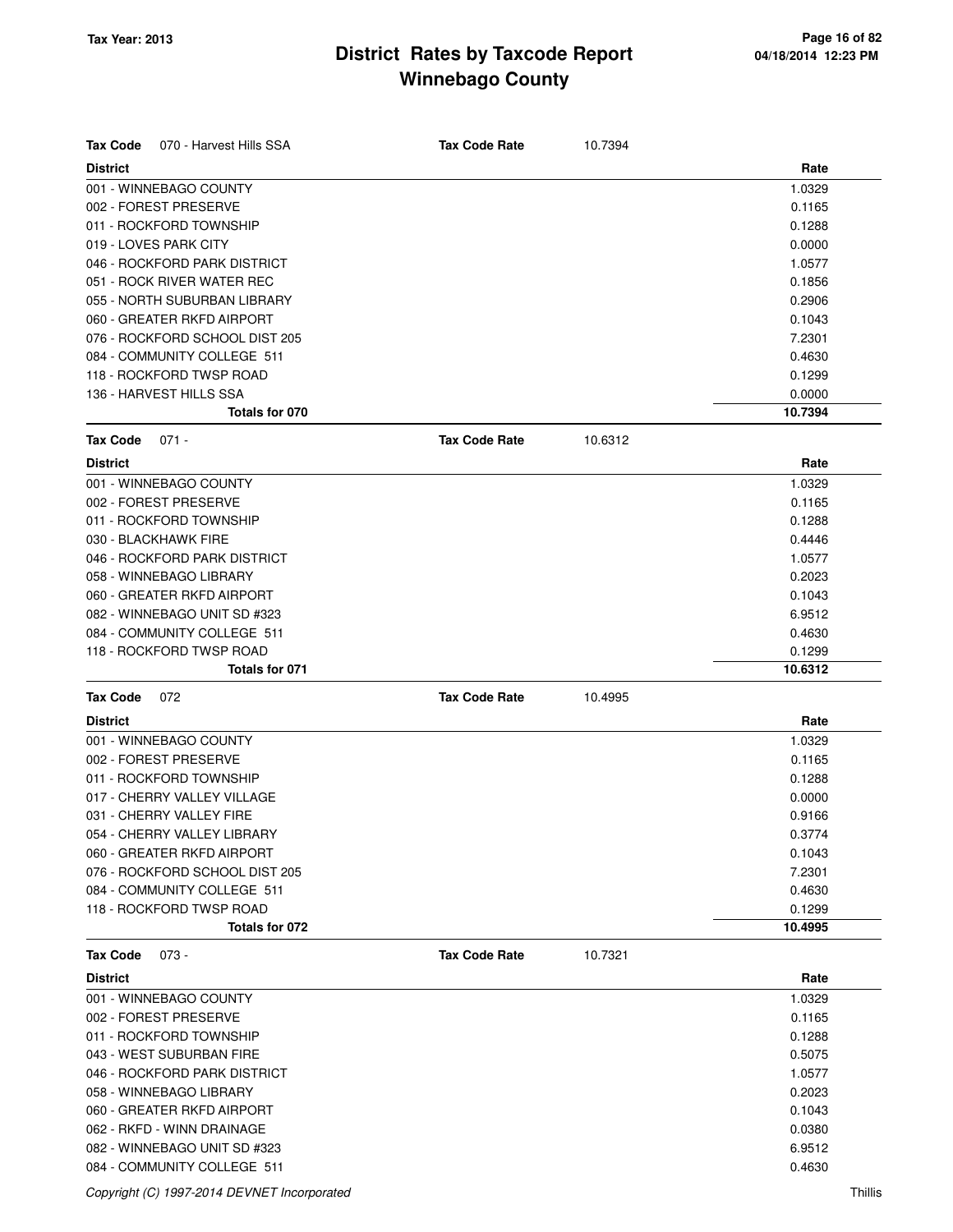| <b>Tax Code</b><br>070 - Harvest Hills SSA | <b>Tax Code Rate</b> | 10.7394 |         |
|--------------------------------------------|----------------------|---------|---------|
| <b>District</b>                            |                      |         | Rate    |
| 001 - WINNEBAGO COUNTY                     |                      |         | 1.0329  |
| 002 - FOREST PRESERVE                      |                      |         | 0.1165  |
| 011 - ROCKFORD TOWNSHIP                    |                      |         | 0.1288  |
| 019 - LOVES PARK CITY                      |                      |         | 0.0000  |
| 046 - ROCKFORD PARK DISTRICT               |                      |         | 1.0577  |
| 051 - ROCK RIVER WATER REC                 |                      |         | 0.1856  |
| 055 - NORTH SUBURBAN LIBRARY               |                      |         | 0.2906  |
| 060 - GREATER RKFD AIRPORT                 |                      |         | 0.1043  |
| 076 - ROCKFORD SCHOOL DIST 205             |                      |         | 7.2301  |
| 084 - COMMUNITY COLLEGE 511                |                      |         | 0.4630  |
| 118 - ROCKFORD TWSP ROAD                   |                      |         | 0.1299  |
| 136 - HARVEST HILLS SSA                    |                      |         | 0.0000  |
| Totals for 070                             |                      |         | 10.7394 |
|                                            |                      |         |         |
| <b>Tax Code</b><br>$071 -$                 | <b>Tax Code Rate</b> | 10.6312 |         |
| <b>District</b>                            |                      |         | Rate    |
| 001 - WINNEBAGO COUNTY                     |                      |         | 1.0329  |
| 002 - FOREST PRESERVE                      |                      |         | 0.1165  |
| 011 - ROCKFORD TOWNSHIP                    |                      |         | 0.1288  |
| 030 - BLACKHAWK FIRE                       |                      |         | 0.4446  |
| 046 - ROCKFORD PARK DISTRICT               |                      |         | 1.0577  |
| 058 - WINNEBAGO LIBRARY                    |                      |         | 0.2023  |
| 060 - GREATER RKFD AIRPORT                 |                      |         | 0.1043  |
| 082 - WINNEBAGO UNIT SD #323               |                      |         | 6.9512  |
| 084 - COMMUNITY COLLEGE 511                |                      |         | 0.4630  |
| 118 - ROCKFORD TWSP ROAD                   |                      |         | 0.1299  |
| Totals for 071                             |                      |         | 10.6312 |
| <b>Tax Code</b><br>072                     | <b>Tax Code Rate</b> | 10.4995 |         |
| <b>District</b>                            |                      |         | Rate    |
| 001 - WINNEBAGO COUNTY                     |                      |         | 1.0329  |
| 002 - FOREST PRESERVE                      |                      |         | 0.1165  |
| 011 - ROCKFORD TOWNSHIP                    |                      |         | 0.1288  |
| 017 - CHERRY VALLEY VILLAGE                |                      |         | 0.0000  |
| 031 - CHERRY VALLEY FIRE                   |                      |         | 0.9166  |
| 054 - CHERRY VALLEY LIBRARY                |                      |         | 0.3774  |
| 060 - GREATER RKFD AIRPORT                 |                      |         | 0.1043  |
| 076 - ROCKFORD SCHOOL DIST 205             |                      |         | 7.2301  |
| 084 - COMMUNITY COLLEGE 511                |                      |         | 0.4630  |
| 118 - ROCKFORD TWSP ROAD                   |                      |         | 0.1299  |
| Totals for 072                             |                      |         | 10.4995 |
| <b>Tax Code</b><br>$073 -$                 | <b>Tax Code Rate</b> | 10.7321 |         |
| <b>District</b>                            |                      |         | Rate    |
| 001 - WINNEBAGO COUNTY                     |                      |         | 1.0329  |
| 002 - FOREST PRESERVE                      |                      |         | 0.1165  |
| 011 - ROCKFORD TOWNSHIP                    |                      |         | 0.1288  |
| 043 - WEST SUBURBAN FIRE                   |                      |         | 0.5075  |
| 046 - ROCKFORD PARK DISTRICT               |                      |         | 1.0577  |
| 058 - WINNEBAGO LIBRARY                    |                      |         | 0.2023  |
| 060 - GREATER RKFD AIRPORT                 |                      |         | 0.1043  |
| 062 - RKFD - WINN DRAINAGE                 |                      |         | 0.0380  |
| 082 - WINNEBAGO UNIT SD #323               |                      |         | 6.9512  |
| 084 - COMMUNITY COLLEGE 511                |                      |         | 0.4630  |

#### Copyright (C) 1997-2014 DEVNET Incorporated Thillis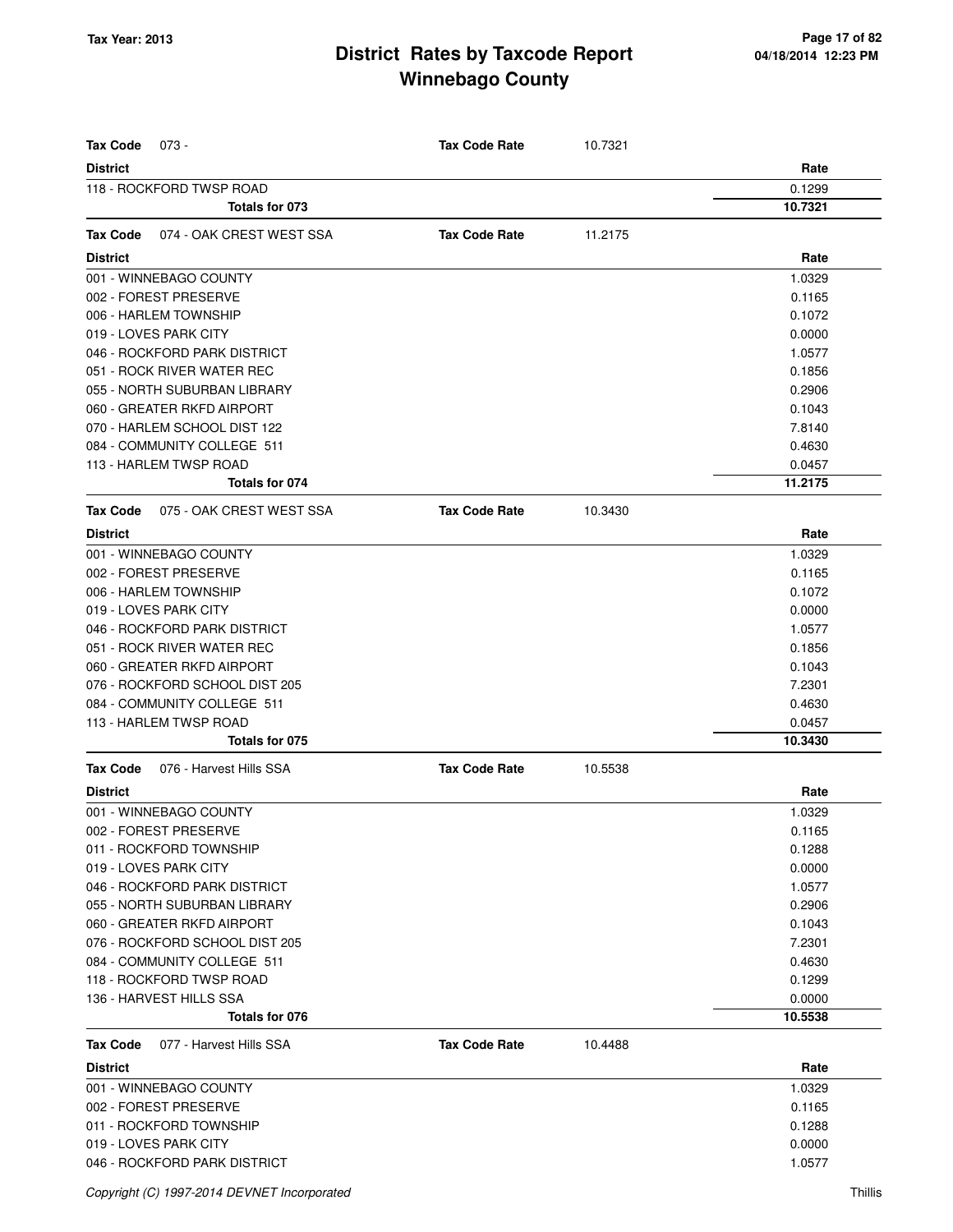| <b>Tax Code</b><br>$073 -$                  | <b>Tax Code Rate</b> | 10.7321 |         |
|---------------------------------------------|----------------------|---------|---------|
| <b>District</b>                             |                      |         | Rate    |
| 118 - ROCKFORD TWSP ROAD                    |                      |         | 0.1299  |
| Totals for 073                              |                      |         | 10.7321 |
| 074 - OAK CREST WEST SSA<br><b>Tax Code</b> | <b>Tax Code Rate</b> | 11.2175 |         |
| <b>District</b>                             |                      |         | Rate    |
| 001 - WINNEBAGO COUNTY                      |                      |         | 1.0329  |
| 002 - FOREST PRESERVE                       |                      |         | 0.1165  |
| 006 - HARLEM TOWNSHIP                       |                      |         | 0.1072  |
| 019 - LOVES PARK CITY                       |                      |         | 0.0000  |
| 046 - ROCKFORD PARK DISTRICT                |                      |         | 1.0577  |
| 051 - ROCK RIVER WATER REC                  |                      |         | 0.1856  |
|                                             |                      |         |         |
| 055 - NORTH SUBURBAN LIBRARY                |                      |         | 0.2906  |
| 060 - GREATER RKFD AIRPORT                  |                      |         | 0.1043  |
| 070 - HARLEM SCHOOL DIST 122                |                      |         | 7.8140  |
| 084 - COMMUNITY COLLEGE 511                 |                      |         | 0.4630  |
| 113 - HARLEM TWSP ROAD                      |                      |         | 0.0457  |
| Totals for 074                              |                      |         | 11.2175 |
| <b>Tax Code</b><br>075 - OAK CREST WEST SSA | <b>Tax Code Rate</b> | 10.3430 |         |
| <b>District</b>                             |                      |         | Rate    |
| 001 - WINNEBAGO COUNTY                      |                      |         | 1.0329  |
| 002 - FOREST PRESERVE                       |                      |         | 0.1165  |
| 006 - HARLEM TOWNSHIP                       |                      |         | 0.1072  |
| 019 - LOVES PARK CITY                       |                      |         | 0.0000  |
| 046 - ROCKFORD PARK DISTRICT                |                      |         | 1.0577  |
| 051 - ROCK RIVER WATER REC                  |                      |         | 0.1856  |
| 060 - GREATER RKFD AIRPORT                  |                      |         | 0.1043  |
| 076 - ROCKFORD SCHOOL DIST 205              |                      |         | 7.2301  |
| 084 - COMMUNITY COLLEGE 511                 |                      |         | 0.4630  |
| 113 - HARLEM TWSP ROAD                      |                      |         | 0.0457  |
| Totals for 075                              |                      |         | 10.3430 |
| <b>Tax Code</b><br>076 - Harvest Hills SSA  | <b>Tax Code Rate</b> | 10.5538 |         |
| <b>District</b>                             |                      |         | Rate    |
| 001 - WINNEBAGO COUNTY                      |                      |         | 1.0329  |
| 002 - FOREST PRESERVE                       |                      |         | 0.1165  |
| 011 - ROCKFORD TOWNSHIP                     |                      |         | 0.1288  |
| 019 - LOVES PARK CITY                       |                      |         | 0.0000  |
| 046 - ROCKFORD PARK DISTRICT                |                      |         | 1.0577  |
| 055 - NORTH SUBURBAN LIBRARY                |                      |         | 0.2906  |
| 060 - GREATER RKFD AIRPORT                  |                      |         | 0.1043  |
| 076 - ROCKFORD SCHOOL DIST 205              |                      |         | 7.2301  |
| 084 - COMMUNITY COLLEGE 511                 |                      |         | 0.4630  |
| 118 - ROCKFORD TWSP ROAD                    |                      |         | 0.1299  |
| 136 - HARVEST HILLS SSA                     |                      |         | 0.0000  |
| Totals for 076                              |                      |         | 10.5538 |
| 077 - Harvest Hills SSA<br><b>Tax Code</b>  | <b>Tax Code Rate</b> | 10.4488 |         |
| <b>District</b>                             |                      |         | Rate    |
| 001 - WINNEBAGO COUNTY                      |                      |         | 1.0329  |
| 002 - FOREST PRESERVE                       |                      |         | 0.1165  |
| 011 - ROCKFORD TOWNSHIP                     |                      |         | 0.1288  |
| 019 - LOVES PARK CITY                       |                      |         | 0.0000  |
| 046 - ROCKFORD PARK DISTRICT                |                      |         | 1.0577  |
|                                             |                      |         |         |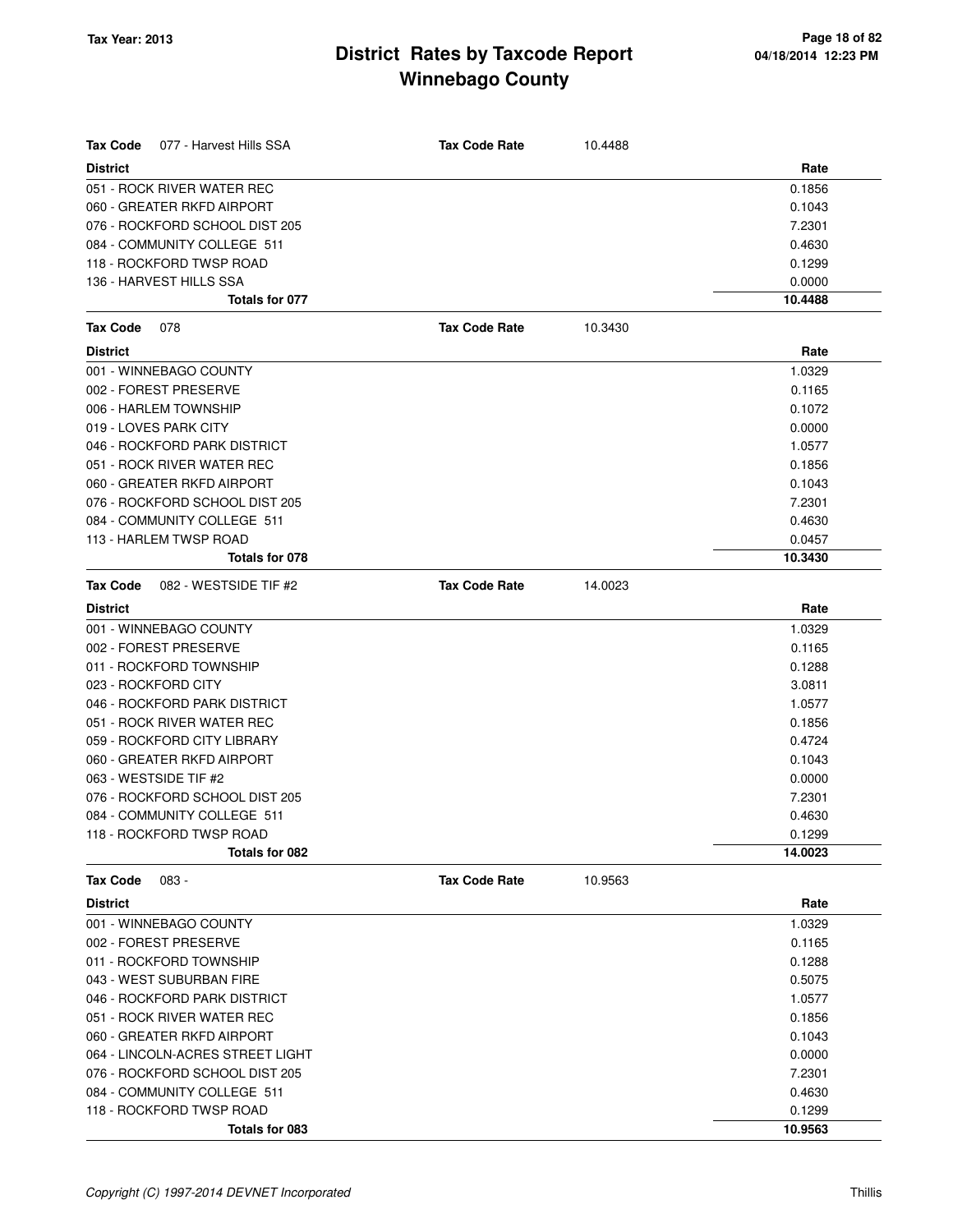| <b>Tax Code</b><br>077 - Harvest Hills SSA | <b>Tax Code Rate</b> | 10.4488 |         |
|--------------------------------------------|----------------------|---------|---------|
| <b>District</b>                            |                      |         | Rate    |
| 051 - ROCK RIVER WATER REC                 |                      |         | 0.1856  |
| 060 - GREATER RKFD AIRPORT                 |                      |         | 0.1043  |
| 076 - ROCKFORD SCHOOL DIST 205             |                      |         | 7.2301  |
| 084 - COMMUNITY COLLEGE 511                |                      |         | 0.4630  |
| 118 - ROCKFORD TWSP ROAD                   |                      |         | 0.1299  |
| 136 - HARVEST HILLS SSA                    |                      |         | 0.0000  |
| Totals for 077                             |                      |         | 10.4488 |
| <b>Tax Code</b><br>078                     | <b>Tax Code Rate</b> | 10.3430 |         |
| <b>District</b>                            |                      |         | Rate    |
| 001 - WINNEBAGO COUNTY                     |                      |         | 1.0329  |
| 002 - FOREST PRESERVE                      |                      |         | 0.1165  |
| 006 - HARLEM TOWNSHIP                      |                      |         | 0.1072  |
| 019 - LOVES PARK CITY                      |                      |         | 0.0000  |
| 046 - ROCKFORD PARK DISTRICT               |                      |         | 1.0577  |
| 051 - ROCK RIVER WATER REC                 |                      |         | 0.1856  |
| 060 - GREATER RKFD AIRPORT                 |                      |         | 0.1043  |
| 076 - ROCKFORD SCHOOL DIST 205             |                      |         | 7.2301  |
| 084 - COMMUNITY COLLEGE 511                |                      |         | 0.4630  |
| 113 - HARLEM TWSP ROAD                     |                      |         | 0.0457  |
| Totals for 078                             |                      |         | 10.3430 |
| 082 - WESTSIDE TIF #2<br>Tax Code          | <b>Tax Code Rate</b> | 14.0023 |         |
| <b>District</b>                            |                      |         | Rate    |
| 001 - WINNEBAGO COUNTY                     |                      |         | 1.0329  |
| 002 - FOREST PRESERVE                      |                      |         | 0.1165  |
| 011 - ROCKFORD TOWNSHIP                    |                      |         | 0.1288  |
| 023 - ROCKFORD CITY                        |                      |         | 3.0811  |
| 046 - ROCKFORD PARK DISTRICT               |                      |         | 1.0577  |
| 051 - ROCK RIVER WATER REC                 |                      |         | 0.1856  |
| 059 - ROCKFORD CITY LIBRARY                |                      |         | 0.4724  |
| 060 - GREATER RKFD AIRPORT                 |                      |         | 0.1043  |
| 063 - WESTSIDE TIF #2                      |                      |         | 0.0000  |
| 076 - ROCKFORD SCHOOL DIST 205             |                      |         | 7.2301  |
| 084 - COMMUNITY COLLEGE 511                |                      |         | 0.4630  |
| 118 - ROCKFORD TWSP ROAD                   |                      |         | 0.1299  |
| Totals for 082                             |                      |         | 14.0023 |
| <b>Tax Code</b><br>$083 -$                 | <b>Tax Code Rate</b> | 10.9563 |         |
| <b>District</b>                            |                      |         | Rate    |
| 001 - WINNEBAGO COUNTY                     |                      |         | 1.0329  |
| 002 - FOREST PRESERVE                      |                      |         | 0.1165  |
| 011 - ROCKFORD TOWNSHIP                    |                      |         | 0.1288  |
| 043 - WEST SUBURBAN FIRE                   |                      |         | 0.5075  |
| 046 - ROCKFORD PARK DISTRICT               |                      |         | 1.0577  |
| 051 - ROCK RIVER WATER REC                 |                      |         | 0.1856  |
| 060 - GREATER RKFD AIRPORT                 |                      |         | 0.1043  |
| 064 - LINCOLN-ACRES STREET LIGHT           |                      |         | 0.0000  |
| 076 - ROCKFORD SCHOOL DIST 205             |                      |         | 7.2301  |
| 084 - COMMUNITY COLLEGE 511                |                      |         | 0.4630  |
| 118 - ROCKFORD TWSP ROAD                   |                      |         | 0.1299  |
| Totals for 083                             |                      |         | 10.9563 |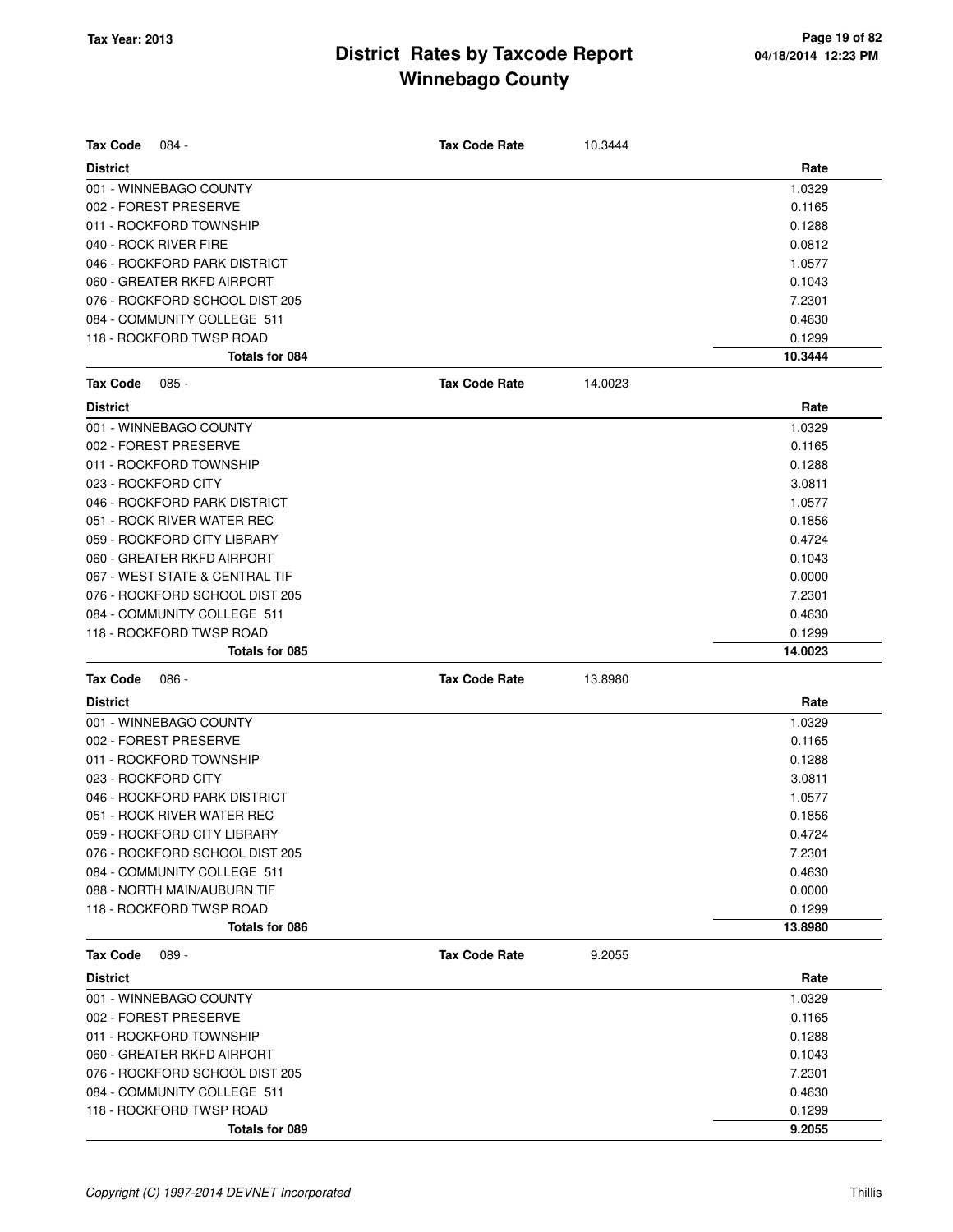| <b>Tax Code</b><br>084 -                   | <b>Tax Code Rate</b> | 10.3444 |                   |
|--------------------------------------------|----------------------|---------|-------------------|
| <b>District</b>                            |                      |         | Rate              |
| 001 - WINNEBAGO COUNTY                     |                      |         | 1.0329            |
| 002 - FOREST PRESERVE                      |                      |         | 0.1165            |
| 011 - ROCKFORD TOWNSHIP                    |                      |         | 0.1288            |
| 040 - ROCK RIVER FIRE                      |                      |         | 0.0812            |
| 046 - ROCKFORD PARK DISTRICT               |                      |         | 1.0577            |
| 060 - GREATER RKFD AIRPORT                 |                      |         | 0.1043            |
| 076 - ROCKFORD SCHOOL DIST 205             |                      |         | 7.2301            |
| 084 - COMMUNITY COLLEGE 511                |                      |         | 0.4630            |
| 118 - ROCKFORD TWSP ROAD                   |                      |         | 0.1299            |
| Totals for 084                             |                      |         | 10.3444           |
| <b>Tax Code</b><br>$085 -$                 | <b>Tax Code Rate</b> | 14.0023 |                   |
| <b>District</b>                            |                      |         | Rate              |
| 001 - WINNEBAGO COUNTY                     |                      |         | 1.0329            |
| 002 - FOREST PRESERVE                      |                      |         | 0.1165            |
| 011 - ROCKFORD TOWNSHIP                    |                      |         | 0.1288            |
| 023 - ROCKFORD CITY                        |                      |         | 3.0811            |
| 046 - ROCKFORD PARK DISTRICT               |                      |         | 1.0577            |
| 051 - ROCK RIVER WATER REC                 |                      |         | 0.1856            |
| 059 - ROCKFORD CITY LIBRARY                |                      |         | 0.4724            |
| 060 - GREATER RKFD AIRPORT                 |                      |         | 0.1043            |
| 067 - WEST STATE & CENTRAL TIF             |                      |         | 0.0000            |
| 076 - ROCKFORD SCHOOL DIST 205             |                      |         | 7.2301            |
| 084 - COMMUNITY COLLEGE 511                |                      |         | 0.4630            |
|                                            |                      |         |                   |
| 118 - ROCKFORD TWSP ROAD<br>Totals for 085 |                      |         | 0.1299<br>14.0023 |
| <b>Tax Code</b><br>$086 -$                 | <b>Tax Code Rate</b> | 13.8980 |                   |
| <b>District</b>                            |                      |         | Rate              |
| 001 - WINNEBAGO COUNTY                     |                      |         | 1.0329            |
|                                            |                      |         |                   |
| 002 - FOREST PRESERVE                      |                      |         | 0.1165            |
| 011 - ROCKFORD TOWNSHIP                    |                      |         | 0.1288            |
| 023 - ROCKFORD CITY                        |                      |         | 3.0811            |
| 046 - ROCKFORD PARK DISTRICT               |                      |         | 1.0577            |
| 051 - ROCK RIVER WATER REC                 |                      |         | 0.1856            |
| 059 - ROCKFORD CITY LIBRARY                |                      |         | 0.4724            |
| 076 - ROCKFORD SCHOOL DIST 205             |                      |         | 7.2301            |
| 084 - COMMUNITY COLLEGE 511                |                      |         | 0.4630            |
| 088 - NORTH MAIN/AUBURN TIF                |                      |         | 0.0000            |
| 118 - ROCKFORD TWSP ROAD                   |                      |         | 0.1299            |
| Totals for 086                             |                      |         | 13.8980           |
| <b>Tax Code</b><br>$089 -$                 | <b>Tax Code Rate</b> | 9.2055  |                   |
| <b>District</b>                            |                      |         | Rate              |
| 001 - WINNEBAGO COUNTY                     |                      |         | 1.0329            |
| 002 - FOREST PRESERVE                      |                      |         | 0.1165            |
| 011 - ROCKFORD TOWNSHIP                    |                      |         | 0.1288            |
| 060 - GREATER RKFD AIRPORT                 |                      |         | 0.1043            |
| 076 - ROCKFORD SCHOOL DIST 205             |                      |         | 7.2301            |
| 084 - COMMUNITY COLLEGE 511                |                      |         | 0.4630            |
| 118 - ROCKFORD TWSP ROAD                   |                      |         | 0.1299            |
| Totals for 089                             |                      |         | 9.2055            |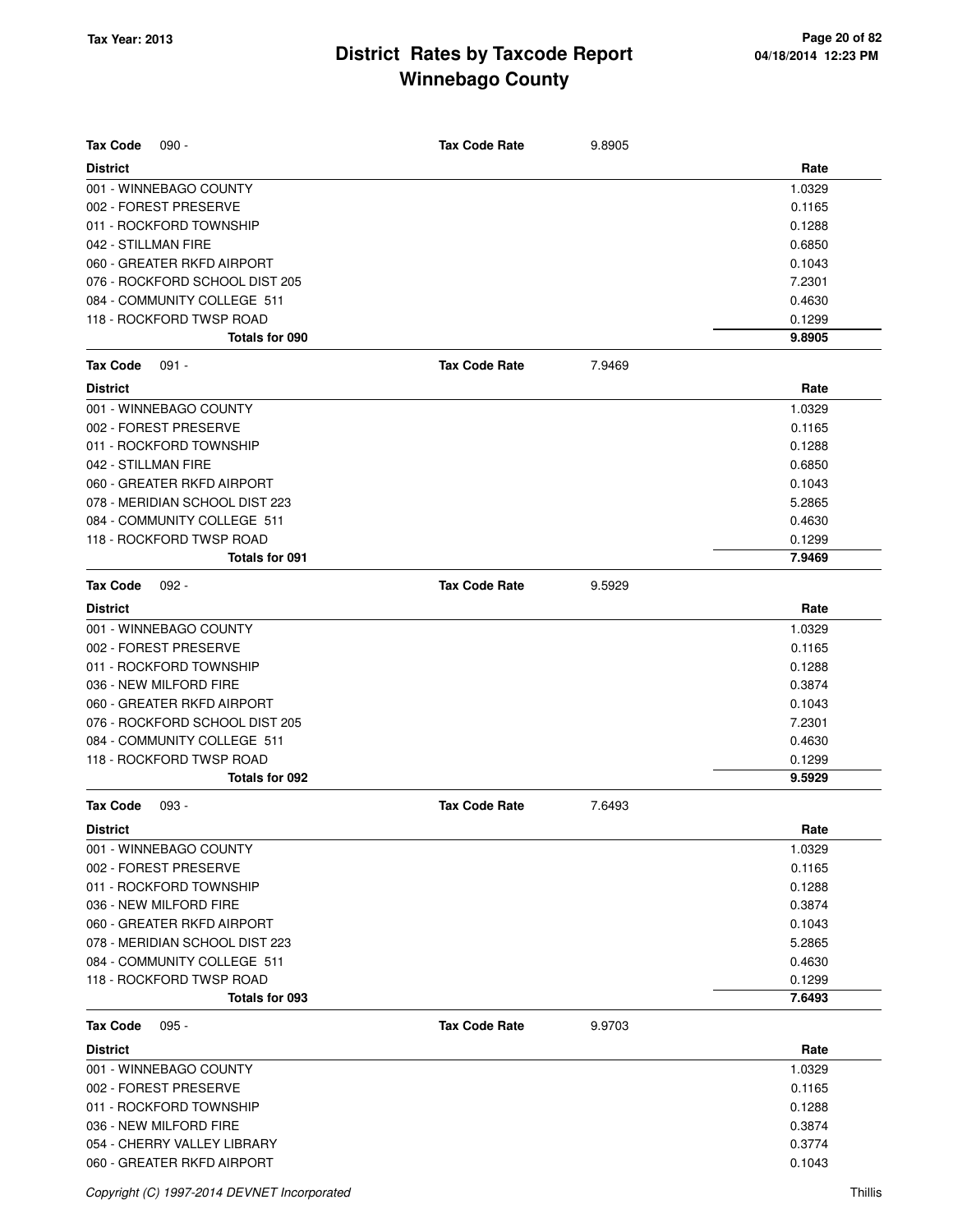| <b>Tax Code</b><br>$090 -$     | <b>Tax Code Rate</b> | 9.8905 |        |
|--------------------------------|----------------------|--------|--------|
| <b>District</b>                |                      |        | Rate   |
| 001 - WINNEBAGO COUNTY         |                      |        | 1.0329 |
| 002 - FOREST PRESERVE          |                      |        | 0.1165 |
| 011 - ROCKFORD TOWNSHIP        |                      |        | 0.1288 |
| 042 - STILLMAN FIRE            |                      |        | 0.6850 |
| 060 - GREATER RKFD AIRPORT     |                      |        | 0.1043 |
| 076 - ROCKFORD SCHOOL DIST 205 |                      |        | 7.2301 |
| 084 - COMMUNITY COLLEGE 511    |                      |        | 0.4630 |
| 118 - ROCKFORD TWSP ROAD       |                      |        | 0.1299 |
| Totals for 090                 |                      |        | 9.8905 |
| <b>Tax Code</b><br>$091 -$     | <b>Tax Code Rate</b> | 7.9469 |        |
| <b>District</b>                |                      |        | Rate   |
| 001 - WINNEBAGO COUNTY         |                      |        | 1.0329 |
| 002 - FOREST PRESERVE          |                      |        | 0.1165 |
| 011 - ROCKFORD TOWNSHIP        |                      |        | 0.1288 |
| 042 - STILLMAN FIRE            |                      |        | 0.6850 |
| 060 - GREATER RKFD AIRPORT     |                      |        | 0.1043 |
| 078 - MERIDIAN SCHOOL DIST 223 |                      |        | 5.2865 |
| 084 - COMMUNITY COLLEGE 511    |                      |        | 0.4630 |
| 118 - ROCKFORD TWSP ROAD       |                      |        | 0.1299 |
| Totals for 091                 |                      |        | 7.9469 |
| <b>Tax Code</b><br>$092 -$     | <b>Tax Code Rate</b> | 9.5929 |        |
| <b>District</b>                |                      |        | Rate   |
| 001 - WINNEBAGO COUNTY         |                      |        | 1.0329 |
| 002 - FOREST PRESERVE          |                      |        | 0.1165 |
| 011 - ROCKFORD TOWNSHIP        |                      |        | 0.1288 |
| 036 - NEW MILFORD FIRE         |                      |        | 0.3874 |
| 060 - GREATER RKFD AIRPORT     |                      |        | 0.1043 |
| 076 - ROCKFORD SCHOOL DIST 205 |                      |        | 7.2301 |
| 084 - COMMUNITY COLLEGE 511    |                      |        | 0.4630 |
| 118 - ROCKFORD TWSP ROAD       |                      |        | 0.1299 |
| Totals for 092                 |                      |        | 9.5929 |
| <b>Tax Code</b><br>$093 -$     | <b>Tax Code Rate</b> | 7.6493 |        |
| <b>District</b>                |                      |        | Rate   |
| 001 - WINNEBAGO COUNTY         |                      |        | 1.0329 |
| 002 - FOREST PRESERVE          |                      |        | 0.1165 |
| 011 - ROCKFORD TOWNSHIP        |                      |        | 0.1288 |
| 036 - NEW MILFORD FIRE         |                      |        | 0.3874 |
| 060 - GREATER RKFD AIRPORT     |                      |        | 0.1043 |
| 078 - MERIDIAN SCHOOL DIST 223 |                      |        | 5.2865 |
| 084 - COMMUNITY COLLEGE 511    |                      |        | 0.4630 |
| 118 - ROCKFORD TWSP ROAD       |                      |        | 0.1299 |
| Totals for 093                 |                      |        | 7.6493 |
| <b>Tax Code</b><br>$095 -$     | <b>Tax Code Rate</b> | 9.9703 |        |
| <b>District</b>                |                      |        | Rate   |
| 001 - WINNEBAGO COUNTY         |                      |        | 1.0329 |
| 002 - FOREST PRESERVE          |                      |        | 0.1165 |
| 011 - ROCKFORD TOWNSHIP        |                      |        | 0.1288 |
| 036 - NEW MILFORD FIRE         |                      |        | 0.3874 |
| 054 - CHERRY VALLEY LIBRARY    |                      |        | 0.3774 |
| 060 - GREATER RKFD AIRPORT     |                      |        | 0.1043 |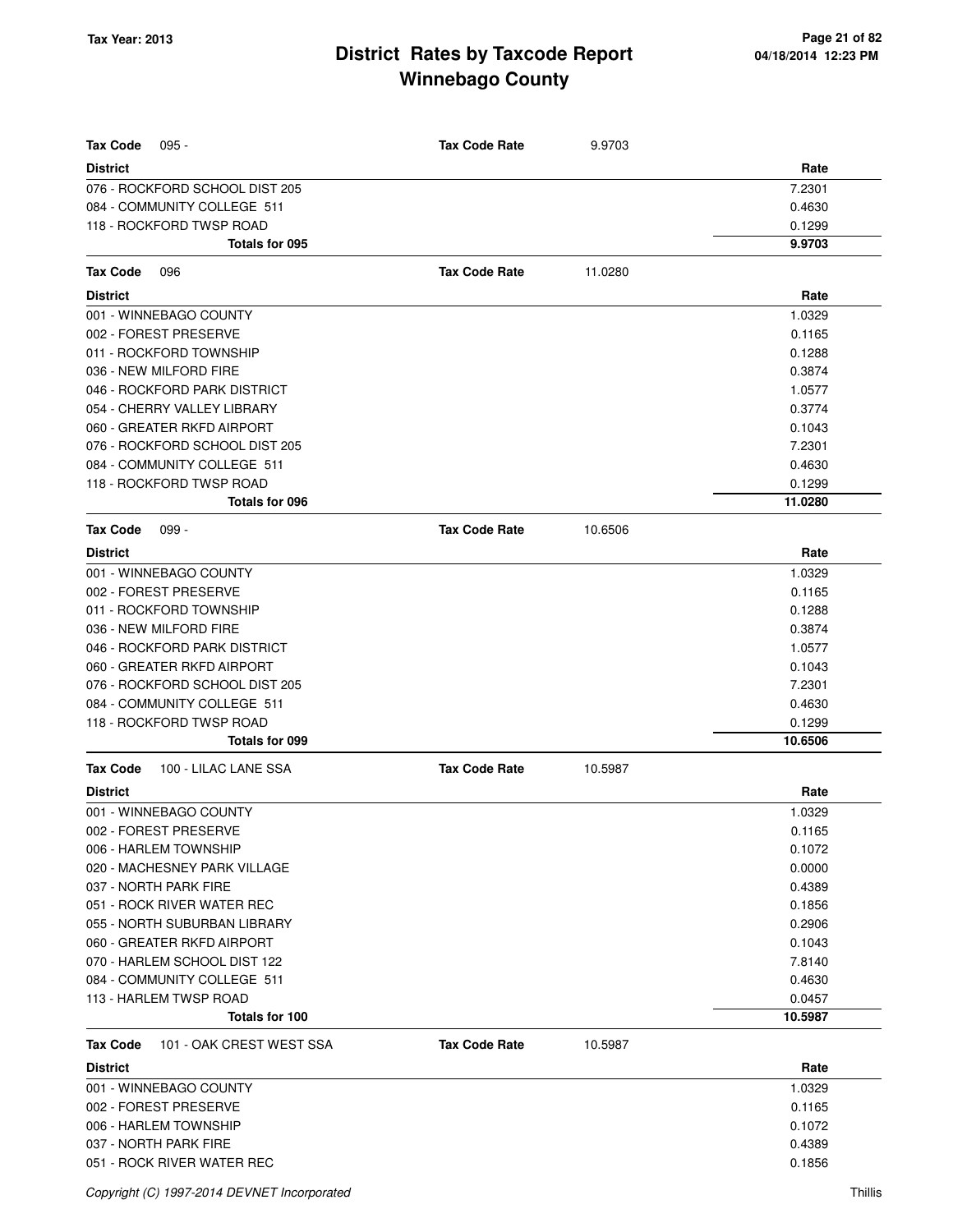| <b>Tax Code</b><br>$095 -$                  | <b>Tax Code Rate</b> | 9.9703  |         |
|---------------------------------------------|----------------------|---------|---------|
| <b>District</b>                             |                      |         | Rate    |
| 076 - ROCKFORD SCHOOL DIST 205              |                      |         | 7.2301  |
| 084 - COMMUNITY COLLEGE 511                 |                      |         | 0.4630  |
| 118 - ROCKFORD TWSP ROAD                    |                      |         | 0.1299  |
| Totals for 095                              |                      |         | 9.9703  |
| Tax Code<br>096                             | <b>Tax Code Rate</b> | 11.0280 |         |
| <b>District</b>                             |                      |         | Rate    |
| 001 - WINNEBAGO COUNTY                      |                      |         | 1.0329  |
| 002 - FOREST PRESERVE                       |                      |         | 0.1165  |
| 011 - ROCKFORD TOWNSHIP                     |                      |         | 0.1288  |
| 036 - NEW MILFORD FIRE                      |                      |         | 0.3874  |
| 046 - ROCKFORD PARK DISTRICT                |                      |         | 1.0577  |
| 054 - CHERRY VALLEY LIBRARY                 |                      |         | 0.3774  |
| 060 - GREATER RKFD AIRPORT                  |                      |         | 0.1043  |
| 076 - ROCKFORD SCHOOL DIST 205              |                      |         | 7.2301  |
| 084 - COMMUNITY COLLEGE 511                 |                      |         | 0.4630  |
| 118 - ROCKFORD TWSP ROAD                    |                      |         | 0.1299  |
| Totals for 096                              |                      |         | 11.0280 |
| <b>Tax Code</b><br>$099 -$                  | <b>Tax Code Rate</b> | 10.6506 |         |
| <b>District</b>                             |                      |         | Rate    |
| 001 - WINNEBAGO COUNTY                      |                      |         | 1.0329  |
| 002 - FOREST PRESERVE                       |                      |         | 0.1165  |
| 011 - ROCKFORD TOWNSHIP                     |                      |         | 0.1288  |
| 036 - NEW MILFORD FIRE                      |                      |         | 0.3874  |
| 046 - ROCKFORD PARK DISTRICT                |                      |         | 1.0577  |
| 060 - GREATER RKFD AIRPORT                  |                      |         | 0.1043  |
| 076 - ROCKFORD SCHOOL DIST 205              |                      |         | 7.2301  |
| 084 - COMMUNITY COLLEGE 511                 |                      |         | 0.4630  |
| 118 - ROCKFORD TWSP ROAD                    |                      |         | 0.1299  |
| <b>Totals for 099</b>                       |                      |         | 10.6506 |
| 100 - LILAC LANE SSA<br>Tax Code            | <b>Tax Code Rate</b> | 10.5987 |         |
| <b>District</b>                             |                      |         | Rate    |
| 001 - WINNEBAGO COUNTY                      |                      |         | 1.0329  |
| 002 - FOREST PRESERVE                       |                      |         | 0.1165  |
| 006 - HARLEM TOWNSHIP                       |                      |         | 0.1072  |
| 020 - MACHESNEY PARK VILLAGE                |                      |         | 0.0000  |
| 037 - NORTH PARK FIRE                       |                      |         | 0.4389  |
| 051 - ROCK RIVER WATER REC                  |                      |         | 0.1856  |
| 055 - NORTH SUBURBAN LIBRARY                |                      |         | 0.2906  |
| 060 - GREATER RKFD AIRPORT                  |                      |         | 0.1043  |
| 070 - HARLEM SCHOOL DIST 122                |                      |         | 7.8140  |
| 084 - COMMUNITY COLLEGE 511                 |                      |         | 0.4630  |
| 113 - HARLEM TWSP ROAD                      |                      |         | 0.0457  |
| Totals for 100                              |                      |         | 10.5987 |
| 101 - OAK CREST WEST SSA<br><b>Tax Code</b> | <b>Tax Code Rate</b> | 10.5987 |         |
| <b>District</b>                             |                      |         | Rate    |
| 001 - WINNEBAGO COUNTY                      |                      |         | 1.0329  |
| 002 - FOREST PRESERVE                       |                      |         | 0.1165  |
| 006 - HARLEM TOWNSHIP                       |                      |         | 0.1072  |
| 037 - NORTH PARK FIRE                       |                      |         | 0.4389  |
| 051 - ROCK RIVER WATER REC                  |                      |         | 0.1856  |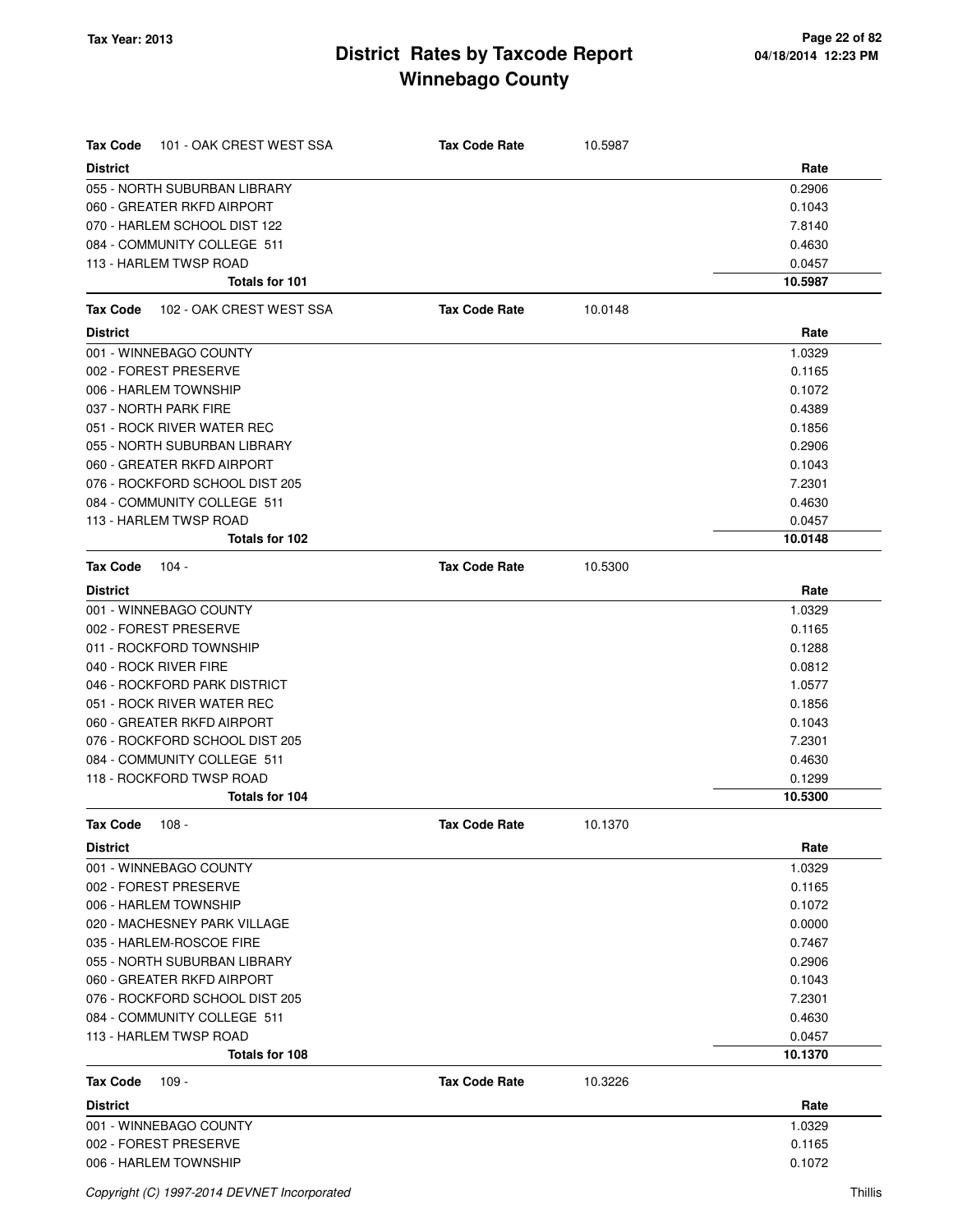| 101 - OAK CREST WEST SSA<br><b>Tax Code</b> | <b>Tax Code Rate</b> | 10.5987 |         |
|---------------------------------------------|----------------------|---------|---------|
| <b>District</b>                             |                      |         | Rate    |
| 055 - NORTH SUBURBAN LIBRARY                |                      |         | 0.2906  |
| 060 - GREATER RKFD AIRPORT                  |                      |         | 0.1043  |
| 070 - HARLEM SCHOOL DIST 122                |                      |         | 7.8140  |
| 084 - COMMUNITY COLLEGE 511                 |                      |         | 0.4630  |
| 113 - HARLEM TWSP ROAD                      |                      |         | 0.0457  |
| Totals for 101                              |                      |         | 10.5987 |
| 102 - OAK CREST WEST SSA<br>Tax Code        | <b>Tax Code Rate</b> | 10.0148 |         |
| <b>District</b>                             |                      |         | Rate    |
| 001 - WINNEBAGO COUNTY                      |                      |         | 1.0329  |
| 002 - FOREST PRESERVE                       |                      |         | 0.1165  |
| 006 - HARLEM TOWNSHIP                       |                      |         | 0.1072  |
| 037 - NORTH PARK FIRE                       |                      |         | 0.4389  |
| 051 - ROCK RIVER WATER REC                  |                      |         | 0.1856  |
| 055 - NORTH SUBURBAN LIBRARY                |                      |         | 0.2906  |
| 060 - GREATER RKFD AIRPORT                  |                      |         | 0.1043  |
| 076 - ROCKFORD SCHOOL DIST 205              |                      |         | 7.2301  |
| 084 - COMMUNITY COLLEGE 511                 |                      |         | 0.4630  |
| 113 - HARLEM TWSP ROAD                      |                      |         | 0.0457  |
| Totals for 102                              |                      |         | 10.0148 |
| <b>Tax Code</b><br>104 -                    | <b>Tax Code Rate</b> | 10.5300 |         |
| <b>District</b>                             |                      |         | Rate    |
| 001 - WINNEBAGO COUNTY                      |                      |         | 1.0329  |
| 002 - FOREST PRESERVE                       |                      |         | 0.1165  |
| 011 - ROCKFORD TOWNSHIP                     |                      |         | 0.1288  |
| 040 - ROCK RIVER FIRE                       |                      |         | 0.0812  |
| 046 - ROCKFORD PARK DISTRICT                |                      |         | 1.0577  |
| 051 - ROCK RIVER WATER REC                  |                      |         | 0.1856  |
| 060 - GREATER RKFD AIRPORT                  |                      |         | 0.1043  |
| 076 - ROCKFORD SCHOOL DIST 205              |                      |         | 7.2301  |
| 084 - COMMUNITY COLLEGE 511                 |                      |         | 0.4630  |
| 118 - ROCKFORD TWSP ROAD                    |                      |         | 0.1299  |
| Totals for 104                              |                      |         | 10.5300 |
| Tax Code<br>$108 -$                         | <b>Tax Code Rate</b> | 10.1370 |         |
| <b>District</b>                             |                      |         | Rate    |
| 001 - WINNEBAGO COUNTY                      |                      |         | 1.0329  |
| 002 - FOREST PRESERVE                       |                      |         | 0.1165  |
| 006 - HARLEM TOWNSHIP                       |                      |         | 0.1072  |
| 020 - MACHESNEY PARK VILLAGE                |                      |         | 0.0000  |
| 035 - HARLEM-ROSCOE FIRE                    |                      |         | 0.7467  |
| 055 - NORTH SUBURBAN LIBRARY                |                      |         | 0.2906  |
| 060 - GREATER RKFD AIRPORT                  |                      |         | 0.1043  |
| 076 - ROCKFORD SCHOOL DIST 205              |                      |         | 7.2301  |
| 084 - COMMUNITY COLLEGE 511                 |                      |         | 0.4630  |
| 113 - HARLEM TWSP ROAD                      |                      |         | 0.0457  |
| Totals for 108                              |                      |         | 10.1370 |
| $109 -$<br><b>Tax Code</b>                  | <b>Tax Code Rate</b> | 10.3226 |         |
| <b>District</b>                             |                      |         | Rate    |
| 001 - WINNEBAGO COUNTY                      |                      |         | 1.0329  |
| 002 - FOREST PRESERVE                       |                      |         | 0.1165  |
| 006 - HARLEM TOWNSHIP                       |                      |         | 0.1072  |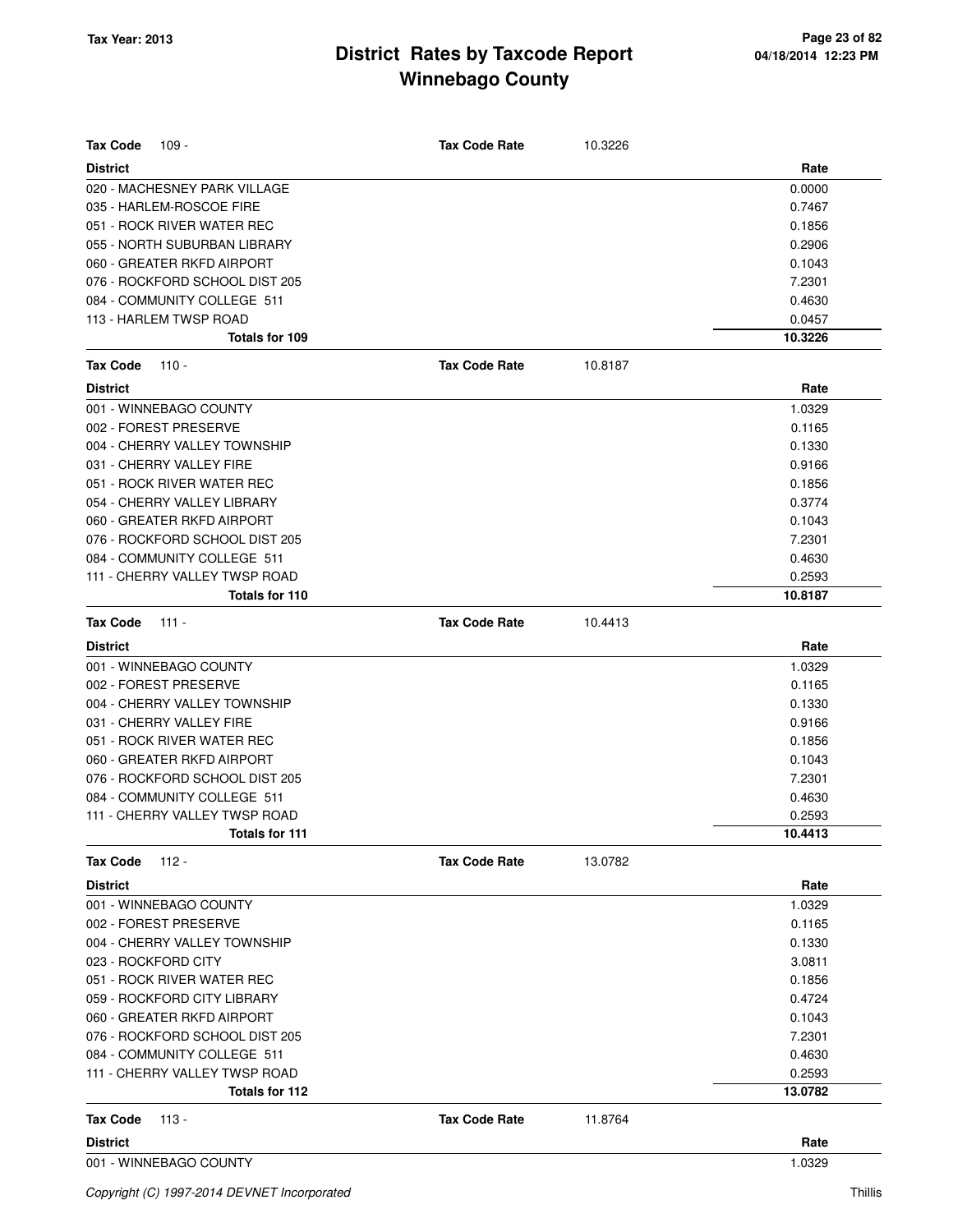| <b>Tax Code</b><br>$109 -$     | <b>Tax Code Rate</b> | 10.3226 |         |
|--------------------------------|----------------------|---------|---------|
| <b>District</b>                |                      |         | Rate    |
| 020 - MACHESNEY PARK VILLAGE   |                      |         | 0.0000  |
| 035 - HARLEM-ROSCOE FIRE       |                      |         | 0.7467  |
| 051 - ROCK RIVER WATER REC     |                      |         | 0.1856  |
| 055 - NORTH SUBURBAN LIBRARY   |                      |         | 0.2906  |
| 060 - GREATER RKFD AIRPORT     |                      |         | 0.1043  |
| 076 - ROCKFORD SCHOOL DIST 205 |                      |         | 7.2301  |
| 084 - COMMUNITY COLLEGE 511    |                      |         | 0.4630  |
| 113 - HARLEM TWSP ROAD         |                      |         | 0.0457  |
| Totals for 109                 |                      |         | 10.3226 |
| <b>Tax Code</b><br>$110 -$     | <b>Tax Code Rate</b> | 10.8187 |         |
| <b>District</b>                |                      |         | Rate    |
| 001 - WINNEBAGO COUNTY         |                      |         | 1.0329  |
| 002 - FOREST PRESERVE          |                      |         | 0.1165  |
| 004 - CHERRY VALLEY TOWNSHIP   |                      |         | 0.1330  |
| 031 - CHERRY VALLEY FIRE       |                      |         | 0.9166  |
| 051 - ROCK RIVER WATER REC     |                      |         | 0.1856  |
| 054 - CHERRY VALLEY LIBRARY    |                      |         | 0.3774  |
| 060 - GREATER RKFD AIRPORT     |                      |         | 0.1043  |
| 076 - ROCKFORD SCHOOL DIST 205 |                      |         | 7.2301  |
| 084 - COMMUNITY COLLEGE 511    |                      |         | 0.4630  |
| 111 - CHERRY VALLEY TWSP ROAD  |                      |         | 0.2593  |
| Totals for 110                 |                      |         | 10.8187 |
| <b>Tax Code</b><br>$111 -$     | <b>Tax Code Rate</b> | 10.4413 |         |
| <b>District</b>                |                      |         | Rate    |
| 001 - WINNEBAGO COUNTY         |                      |         | 1.0329  |
| 002 - FOREST PRESERVE          |                      |         | 0.1165  |
| 004 - CHERRY VALLEY TOWNSHIP   |                      |         | 0.1330  |
| 031 - CHERRY VALLEY FIRE       |                      |         | 0.9166  |
| 051 - ROCK RIVER WATER REC     |                      |         | 0.1856  |
| 060 - GREATER RKFD AIRPORT     |                      |         | 0.1043  |
| 076 - ROCKFORD SCHOOL DIST 205 |                      |         | 7.2301  |
| 084 - COMMUNITY COLLEGE 511    |                      |         | 0.4630  |
| 111 - CHERRY VALLEY TWSP ROAD  |                      |         | 0.2593  |
| Totals for 111                 |                      |         | 10.4413 |
| <b>Tax Code</b><br>112 -       | <b>Tax Code Rate</b> | 13.0782 |         |
| <b>District</b>                |                      |         | Rate    |
| 001 - WINNEBAGO COUNTY         |                      |         | 1.0329  |
| 002 - FOREST PRESERVE          |                      |         | 0.1165  |
| 004 - CHERRY VALLEY TOWNSHIP   |                      |         | 0.1330  |
| 023 - ROCKFORD CITY            |                      |         | 3.0811  |
| 051 - ROCK RIVER WATER REC     |                      |         | 0.1856  |
| 059 - ROCKFORD CITY LIBRARY    |                      |         | 0.4724  |
| 060 - GREATER RKFD AIRPORT     |                      |         | 0.1043  |
| 076 - ROCKFORD SCHOOL DIST 205 |                      |         | 7.2301  |
| 084 - COMMUNITY COLLEGE 511    |                      |         | 0.4630  |
| 111 - CHERRY VALLEY TWSP ROAD  |                      |         | 0.2593  |
| Totals for 112                 |                      |         | 13.0782 |
| <b>Tax Code</b><br>113 -       | <b>Tax Code Rate</b> | 11.8764 |         |
| <b>District</b>                |                      |         | Rate    |
| 001 - WINNEBAGO COUNTY         |                      |         | 1.0329  |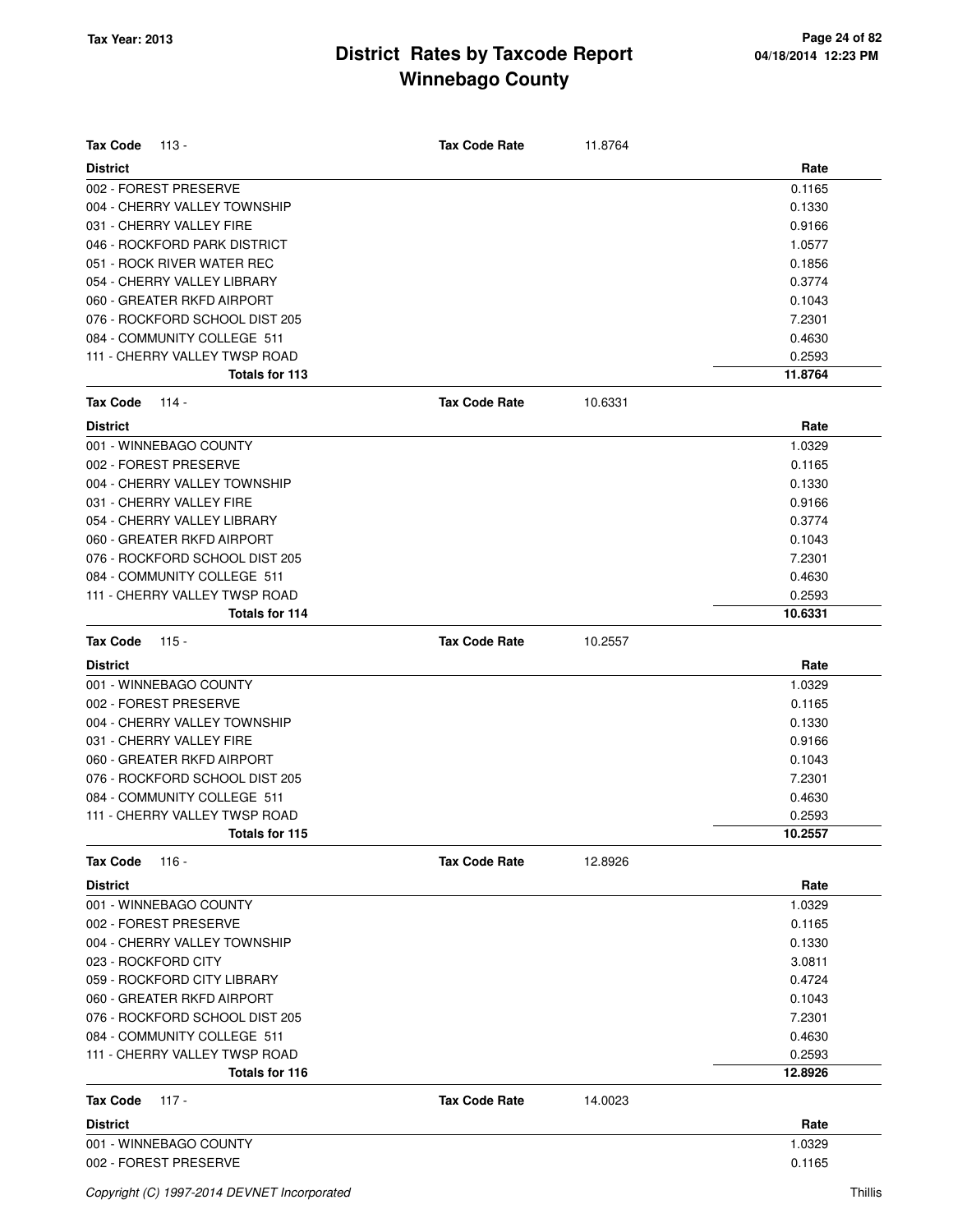| <b>Tax Code</b><br>113 -                        | <b>Tax Code Rate</b> | 11.8764 |                   |
|-------------------------------------------------|----------------------|---------|-------------------|
| <b>District</b>                                 |                      |         | Rate              |
| 002 - FOREST PRESERVE                           |                      |         | 0.1165            |
| 004 - CHERRY VALLEY TOWNSHIP                    |                      |         | 0.1330            |
| 031 - CHERRY VALLEY FIRE                        |                      |         | 0.9166            |
| 046 - ROCKFORD PARK DISTRICT                    |                      |         | 1.0577            |
| 051 - ROCK RIVER WATER REC                      |                      |         | 0.1856            |
| 054 - CHERRY VALLEY LIBRARY                     |                      |         | 0.3774            |
| 060 - GREATER RKFD AIRPORT                      |                      |         | 0.1043            |
| 076 - ROCKFORD SCHOOL DIST 205                  |                      |         | 7.2301            |
| 084 - COMMUNITY COLLEGE 511                     |                      |         | 0.4630            |
| 111 - CHERRY VALLEY TWSP ROAD                   |                      |         | 0.2593            |
| Totals for 113                                  |                      |         | 11.8764           |
| <b>Tax Code</b><br>114 -                        | <b>Tax Code Rate</b> | 10.6331 |                   |
| <b>District</b>                                 |                      |         | Rate              |
| 001 - WINNEBAGO COUNTY                          |                      |         | 1.0329            |
| 002 - FOREST PRESERVE                           |                      |         | 0.1165            |
| 004 - CHERRY VALLEY TOWNSHIP                    |                      |         | 0.1330            |
| 031 - CHERRY VALLEY FIRE                        |                      |         | 0.9166            |
| 054 - CHERRY VALLEY LIBRARY                     |                      |         | 0.3774            |
| 060 - GREATER RKFD AIRPORT                      |                      |         | 0.1043            |
| 076 - ROCKFORD SCHOOL DIST 205                  |                      |         | 7.2301            |
| 084 - COMMUNITY COLLEGE 511                     |                      |         | 0.4630            |
| 111 - CHERRY VALLEY TWSP ROAD                   |                      |         | 0.2593            |
| Totals for 114                                  |                      |         | 10.6331           |
| <b>Tax Code</b><br>$115 -$                      | <b>Tax Code Rate</b> | 10.2557 |                   |
| <b>District</b>                                 |                      |         | Rate              |
| 001 - WINNEBAGO COUNTY                          |                      |         | 1.0329            |
| 002 - FOREST PRESERVE                           |                      |         | 0.1165            |
| 004 - CHERRY VALLEY TOWNSHIP                    |                      |         | 0.1330            |
| 031 - CHERRY VALLEY FIRE                        |                      |         | 0.9166            |
| 060 - GREATER RKFD AIRPORT                      |                      |         | 0.1043            |
|                                                 |                      |         |                   |
| 076 - ROCKFORD SCHOOL DIST 205                  |                      |         | 7.2301            |
| 084 - COMMUNITY COLLEGE 511                     |                      |         | 0.4630            |
| 111 - CHERRY VALLEY TWSP ROAD<br>Totals for 115 |                      |         | 0.2593<br>10.2557 |
| <b>Tax Code</b><br>116 -                        | <b>Tax Code Rate</b> | 12.8926 |                   |
| <b>District</b>                                 |                      |         | Rate              |
| 001 - WINNEBAGO COUNTY                          |                      |         | 1.0329            |
| 002 - FOREST PRESERVE                           |                      |         | 0.1165            |
| 004 - CHERRY VALLEY TOWNSHIP                    |                      |         | 0.1330            |
| 023 - ROCKFORD CITY                             |                      |         | 3.0811            |
| 059 - ROCKFORD CITY LIBRARY                     |                      |         | 0.4724            |
| 060 - GREATER RKFD AIRPORT                      |                      |         | 0.1043            |
|                                                 |                      |         |                   |
| 076 - ROCKFORD SCHOOL DIST 205                  |                      |         | 7.2301            |
| 084 - COMMUNITY COLLEGE 511                     |                      |         | 0.4630            |
| 111 - CHERRY VALLEY TWSP ROAD<br>Totals for 116 |                      |         | 0.2593<br>12.8926 |
|                                                 |                      |         |                   |
| <b>Tax Code</b><br>$117 -$                      | <b>Tax Code Rate</b> | 14.0023 |                   |
| <b>District</b>                                 |                      |         | Rate              |
| 001 - WINNEBAGO COUNTY                          |                      |         | 1.0329            |
| 002 - FOREST PRESERVE                           |                      |         | 0.1165            |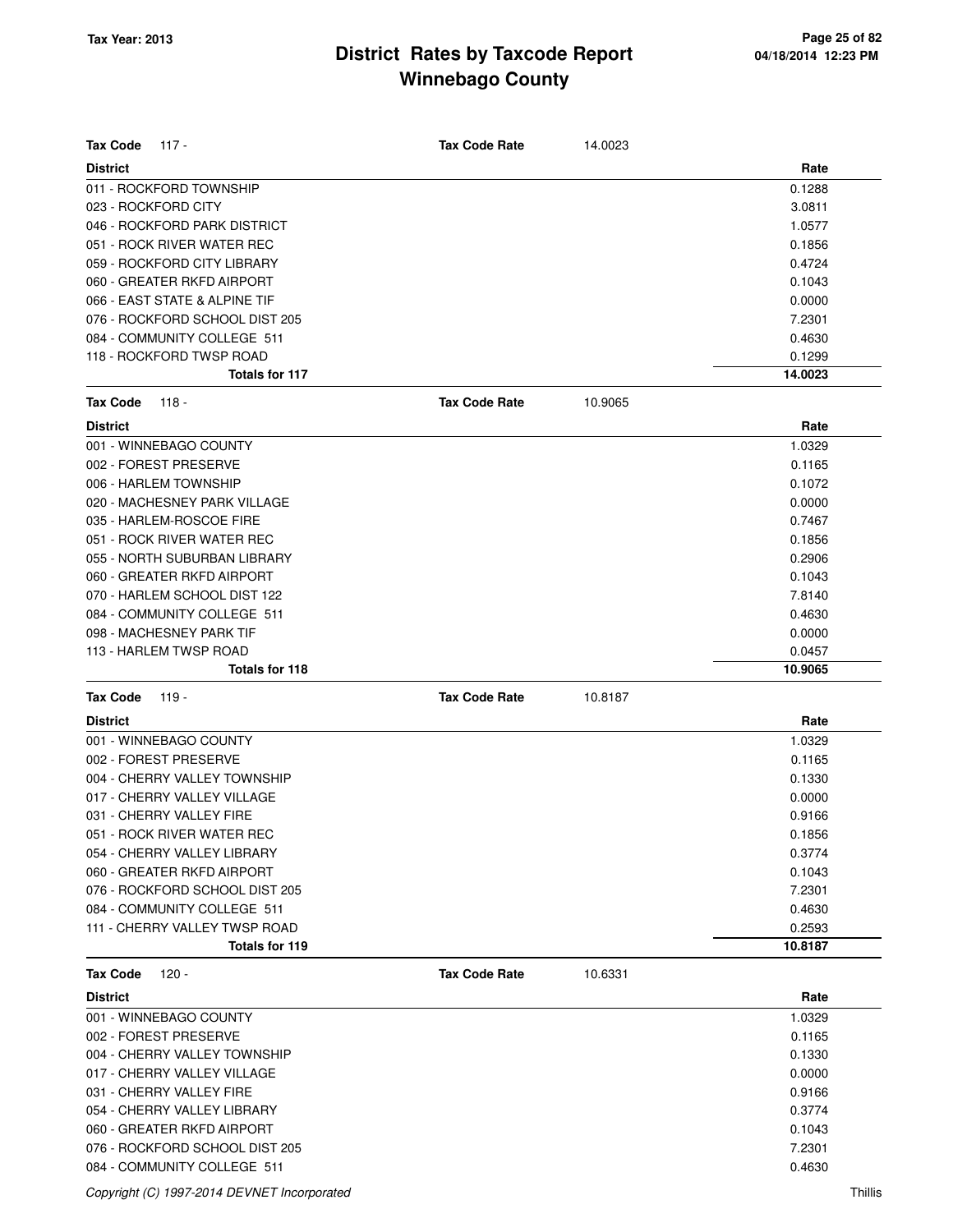| <b>Tax Code</b>     | $117 -$                                                     | <b>Tax Code Rate</b> | 14.0023 |                  |
|---------------------|-------------------------------------------------------------|----------------------|---------|------------------|
|                     |                                                             |                      |         |                  |
| <b>District</b>     |                                                             |                      |         | Rate             |
|                     | 011 - ROCKFORD TOWNSHIP                                     |                      |         | 0.1288           |
| 023 - ROCKFORD CITY | 046 - ROCKFORD PARK DISTRICT                                |                      |         | 3.0811           |
|                     | 051 - ROCK RIVER WATER REC                                  |                      |         | 1.0577           |
|                     | 059 - ROCKFORD CITY LIBRARY                                 |                      |         | 0.1856           |
|                     |                                                             |                      |         | 0.4724           |
|                     | 060 - GREATER RKFD AIRPORT<br>066 - EAST STATE & ALPINE TIF |                      |         | 0.1043<br>0.0000 |
|                     | 076 - ROCKFORD SCHOOL DIST 205                              |                      |         | 7.2301           |
|                     | 084 - COMMUNITY COLLEGE 511                                 |                      |         | 0.4630           |
|                     | 118 - ROCKFORD TWSP ROAD                                    |                      |         | 0.1299           |
|                     | Totals for 117                                              |                      |         | 14.0023          |
|                     |                                                             |                      |         |                  |
| <b>Tax Code</b>     | 118 -                                                       | <b>Tax Code Rate</b> | 10.9065 |                  |
| <b>District</b>     |                                                             |                      |         | Rate             |
|                     | 001 - WINNEBAGO COUNTY                                      |                      |         | 1.0329           |
|                     | 002 - FOREST PRESERVE                                       |                      |         | 0.1165           |
|                     | 006 - HARLEM TOWNSHIP                                       |                      |         | 0.1072           |
|                     | 020 - MACHESNEY PARK VILLAGE                                |                      |         | 0.0000           |
|                     | 035 - HARLEM-ROSCOE FIRE                                    |                      |         | 0.7467           |
|                     | 051 - ROCK RIVER WATER REC                                  |                      |         | 0.1856           |
|                     | 055 - NORTH SUBURBAN LIBRARY                                |                      |         | 0.2906           |
|                     | 060 - GREATER RKFD AIRPORT                                  |                      |         | 0.1043           |
|                     | 070 - HARLEM SCHOOL DIST 122                                |                      |         | 7.8140           |
|                     | 084 - COMMUNITY COLLEGE 511                                 |                      |         | 0.4630           |
|                     | 098 - MACHESNEY PARK TIF                                    |                      |         | 0.0000           |
|                     | 113 - HARLEM TWSP ROAD                                      |                      |         | 0.0457           |
|                     | Totals for 118                                              |                      |         | 10.9065          |
| <b>Tax Code</b>     | $119 -$                                                     | <b>Tax Code Rate</b> | 10.8187 |                  |
| <b>District</b>     |                                                             |                      |         | Rate             |
|                     | 001 - WINNEBAGO COUNTY                                      |                      |         | 1.0329           |
|                     | 002 - FOREST PRESERVE                                       |                      |         | 0.1165           |
|                     | 004 - CHERRY VALLEY TOWNSHIP                                |                      |         | 0.1330           |
|                     | 017 - CHERRY VALLEY VILLAGE                                 |                      |         | 0.0000           |
|                     | 031 - CHERRY VALLEY FIRE                                    |                      |         | 0.9166           |
|                     | 051 - ROCK RIVER WATER REC                                  |                      |         | 0.1856           |
|                     | 054 - CHERRY VALLEY LIBRARY                                 |                      |         | 0.3774           |
|                     | 060 - GREATER RKFD AIRPORT                                  |                      |         | 0.1043           |
|                     | 076 - ROCKFORD SCHOOL DIST 205                              |                      |         | 7.2301           |
|                     | 084 - COMMUNITY COLLEGE 511                                 |                      |         | 0.4630           |
|                     | 111 - CHERRY VALLEY TWSP ROAD                               |                      |         | 0.2593           |
|                     | Totals for 119                                              |                      |         | 10.8187          |
| <b>Tax Code</b>     | 120 -                                                       | <b>Tax Code Rate</b> | 10.6331 |                  |
| <b>District</b>     |                                                             |                      |         | Rate             |
|                     | 001 - WINNEBAGO COUNTY                                      |                      |         | 1.0329           |
|                     | 002 - FOREST PRESERVE                                       |                      |         | 0.1165           |
|                     | 004 - CHERRY VALLEY TOWNSHIP                                |                      |         | 0.1330           |
|                     | 017 - CHERRY VALLEY VILLAGE                                 |                      |         | 0.0000           |
|                     | 031 - CHERRY VALLEY FIRE                                    |                      |         | 0.9166           |
|                     | 054 - CHERRY VALLEY LIBRARY                                 |                      |         | 0.3774           |
|                     | 060 - GREATER RKFD AIRPORT                                  |                      |         | 0.1043           |
|                     | 076 - ROCKFORD SCHOOL DIST 205                              |                      |         | 7.2301           |
|                     | 084 - COMMUNITY COLLEGE 511                                 |                      |         | 0.4630           |

Copyright (C) 1997-2014 DEVNET Incorporated Thillis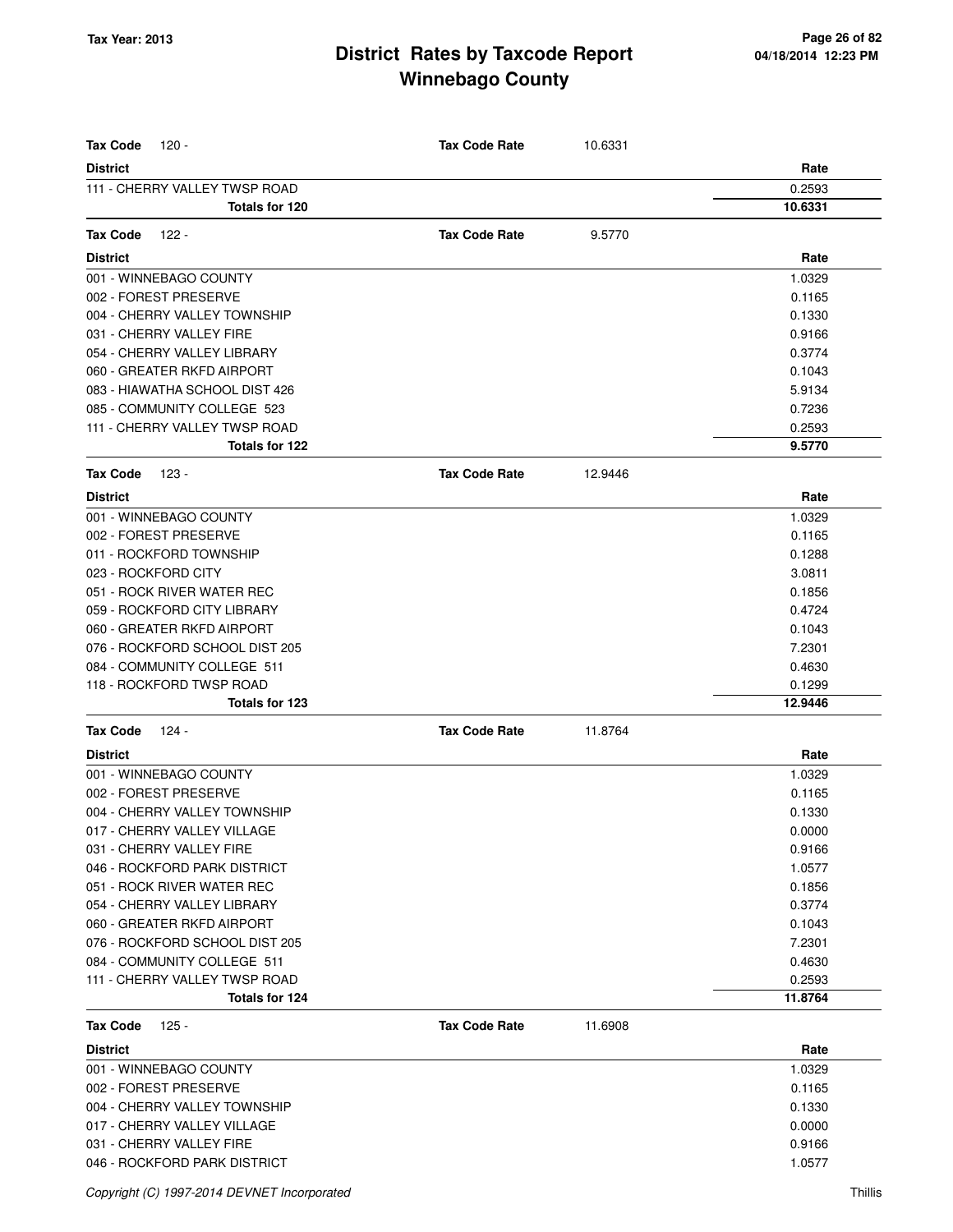| <b>Tax Code</b><br>120 -       | <b>Tax Code Rate</b> | 10.6331 |         |
|--------------------------------|----------------------|---------|---------|
| <b>District</b>                |                      |         | Rate    |
| 111 - CHERRY VALLEY TWSP ROAD  |                      |         | 0.2593  |
| <b>Totals for 120</b>          |                      |         | 10.6331 |
| <b>Tax Code</b><br>122 -       | <b>Tax Code Rate</b> | 9.5770  |         |
| <b>District</b>                |                      |         | Rate    |
| 001 - WINNEBAGO COUNTY         |                      |         | 1.0329  |
| 002 - FOREST PRESERVE          |                      |         | 0.1165  |
| 004 - CHERRY VALLEY TOWNSHIP   |                      |         | 0.1330  |
| 031 - CHERRY VALLEY FIRE       |                      |         | 0.9166  |
| 054 - CHERRY VALLEY LIBRARY    |                      |         | 0.3774  |
| 060 - GREATER RKFD AIRPORT     |                      |         | 0.1043  |
| 083 - HIAWATHA SCHOOL DIST 426 |                      |         | 5.9134  |
| 085 - COMMUNITY COLLEGE 523    |                      |         | 0.7236  |
| 111 - CHERRY VALLEY TWSP ROAD  |                      |         | 0.2593  |
| Totals for 122                 |                      |         | 9.5770  |
| <b>Tax Code</b><br>123 -       | <b>Tax Code Rate</b> | 12.9446 |         |
| <b>District</b>                |                      |         | Rate    |
| 001 - WINNEBAGO COUNTY         |                      |         | 1.0329  |
| 002 - FOREST PRESERVE          |                      |         | 0.1165  |
| 011 - ROCKFORD TOWNSHIP        |                      |         | 0.1288  |
| 023 - ROCKFORD CITY            |                      |         | 3.0811  |
| 051 - ROCK RIVER WATER REC     |                      |         | 0.1856  |
| 059 - ROCKFORD CITY LIBRARY    |                      |         | 0.4724  |
| 060 - GREATER RKFD AIRPORT     |                      |         | 0.1043  |
| 076 - ROCKFORD SCHOOL DIST 205 |                      |         | 7.2301  |
| 084 - COMMUNITY COLLEGE 511    |                      |         | 0.4630  |
| 118 - ROCKFORD TWSP ROAD       |                      |         | 0.1299  |
| Totals for 123                 |                      |         | 12.9446 |
| <b>Tax Code</b><br>124 -       | <b>Tax Code Rate</b> | 11.8764 |         |
| <b>District</b>                |                      |         | Rate    |
| 001 - WINNEBAGO COUNTY         |                      |         | 1.0329  |
| 002 - FOREST PRESERVE          |                      |         | 0.1165  |
| 004 - CHERRY VALLEY TOWNSHIP   |                      |         | 0.1330  |
| 017 - CHERRY VALLEY VILLAGE    |                      |         | 0.0000  |
| 031 - CHERRY VALLEY FIRE       |                      |         | 0.9166  |
| 046 - ROCKFORD PARK DISTRICT   |                      |         | 1.0577  |
| 051 - ROCK RIVER WATER REC     |                      |         | 0.1856  |
| 054 - CHERRY VALLEY LIBRARY    |                      |         | 0.3774  |
| 060 - GREATER RKFD AIRPORT     |                      |         | 0.1043  |
| 076 - ROCKFORD SCHOOL DIST 205 |                      |         | 7.2301  |
| 084 - COMMUNITY COLLEGE 511    |                      |         | 0.4630  |
| 111 - CHERRY VALLEY TWSP ROAD  |                      |         | 0.2593  |
| Totals for 124                 |                      |         | 11.8764 |
| <b>Tax Code</b><br>125 -       | <b>Tax Code Rate</b> | 11.6908 |         |
| <b>District</b>                |                      |         | Rate    |
| 001 - WINNEBAGO COUNTY         |                      |         | 1.0329  |
| 002 - FOREST PRESERVE          |                      |         | 0.1165  |
| 004 - CHERRY VALLEY TOWNSHIP   |                      |         | 0.1330  |
| 017 - CHERRY VALLEY VILLAGE    |                      |         | 0.0000  |
| 031 - CHERRY VALLEY FIRE       |                      |         | 0.9166  |
| 046 - ROCKFORD PARK DISTRICT   |                      |         | 1.0577  |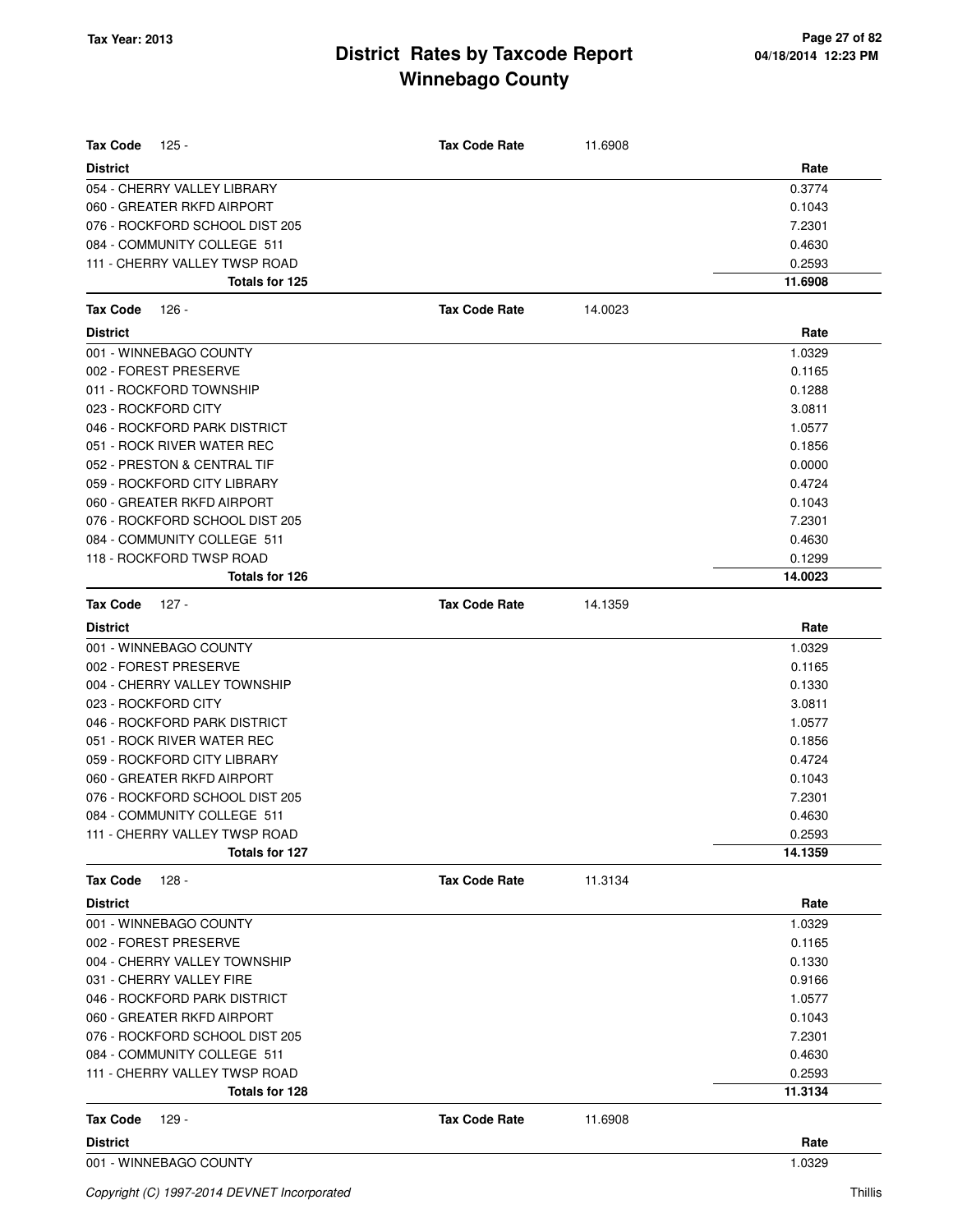| <b>Tax Code</b><br>125 -                                     | <b>Tax Code Rate</b> | 11.6908 |                   |
|--------------------------------------------------------------|----------------------|---------|-------------------|
| <b>District</b>                                              |                      |         | Rate              |
| 054 - CHERRY VALLEY LIBRARY                                  |                      |         | 0.3774            |
| 060 - GREATER RKFD AIRPORT                                   |                      |         | 0.1043            |
| 076 - ROCKFORD SCHOOL DIST 205                               |                      |         | 7.2301            |
| 084 - COMMUNITY COLLEGE 511                                  |                      |         | 0.4630            |
| 111 - CHERRY VALLEY TWSP ROAD                                |                      |         | 0.2593            |
| Totals for 125                                               |                      |         | 11.6908           |
| $126 -$<br>Tax Code                                          | <b>Tax Code Rate</b> | 14.0023 |                   |
| <b>District</b>                                              |                      |         | Rate              |
| 001 - WINNEBAGO COUNTY                                       |                      |         | 1.0329            |
| 002 - FOREST PRESERVE                                        |                      |         | 0.1165            |
| 011 - ROCKFORD TOWNSHIP                                      |                      |         | 0.1288            |
| 023 - ROCKFORD CITY                                          |                      |         | 3.0811            |
| 046 - ROCKFORD PARK DISTRICT                                 |                      |         | 1.0577            |
| 051 - ROCK RIVER WATER REC                                   |                      |         | 0.1856            |
| 052 - PRESTON & CENTRAL TIF                                  |                      |         | 0.0000            |
| 059 - ROCKFORD CITY LIBRARY                                  |                      |         | 0.4724            |
| 060 - GREATER RKFD AIRPORT                                   |                      |         | 0.1043            |
| 076 - ROCKFORD SCHOOL DIST 205                               |                      |         | 7.2301            |
| 084 - COMMUNITY COLLEGE 511                                  |                      |         | 0.4630            |
| 118 - ROCKFORD TWSP ROAD<br>Totals for 126                   |                      |         | 0.1299<br>14.0023 |
|                                                              |                      |         |                   |
| Tax Code<br>127 -                                            | <b>Tax Code Rate</b> | 14.1359 |                   |
| <b>District</b>                                              |                      |         | Rate              |
| 001 - WINNEBAGO COUNTY                                       |                      |         | 1.0329            |
| 002 - FOREST PRESERVE                                        |                      |         | 0.1165            |
| 004 - CHERRY VALLEY TOWNSHIP                                 |                      |         | 0.1330            |
| 023 - ROCKFORD CITY                                          |                      |         | 3.0811            |
| 046 - ROCKFORD PARK DISTRICT                                 |                      |         | 1.0577            |
| 051 - ROCK RIVER WATER REC                                   |                      |         | 0.1856            |
| 059 - ROCKFORD CITY LIBRARY                                  |                      |         | 0.4724            |
| 060 - GREATER RKFD AIRPORT                                   |                      |         | 0.1043            |
| 076 - ROCKFORD SCHOOL DIST 205                               |                      |         | 7.2301            |
| 084 - COMMUNITY COLLEGE 511<br>111 - CHERRY VALLEY TWSP ROAD |                      |         | 0.4630<br>0.2593  |
| Totals for 127                                               |                      |         | 14.1359           |
|                                                              |                      |         |                   |
| <b>Tax Code</b><br>128 -                                     | <b>Tax Code Rate</b> | 11.3134 |                   |
| <b>District</b>                                              |                      |         | Rate              |
| 001 - WINNEBAGO COUNTY                                       |                      |         | 1.0329            |
| 002 - FOREST PRESERVE                                        |                      |         | 0.1165            |
| 004 - CHERRY VALLEY TOWNSHIP                                 |                      |         | 0.1330            |
| 031 - CHERRY VALLEY FIRE                                     |                      |         | 0.9166            |
| 046 - ROCKFORD PARK DISTRICT                                 |                      |         | 1.0577            |
| 060 - GREATER RKFD AIRPORT<br>076 - ROCKFORD SCHOOL DIST 205 |                      |         | 0.1043<br>7.2301  |
| 084 - COMMUNITY COLLEGE 511                                  |                      |         | 0.4630            |
| 111 - CHERRY VALLEY TWSP ROAD                                |                      |         | 0.2593            |
| Totals for 128                                               |                      |         | 11.3134           |
| Tax Code<br>129 -                                            | <b>Tax Code Rate</b> | 11.6908 |                   |
|                                                              |                      |         |                   |
| <b>District</b><br>001 - WINNEBAGO COUNTY                    |                      |         | Rate<br>1.0329    |
|                                                              |                      |         |                   |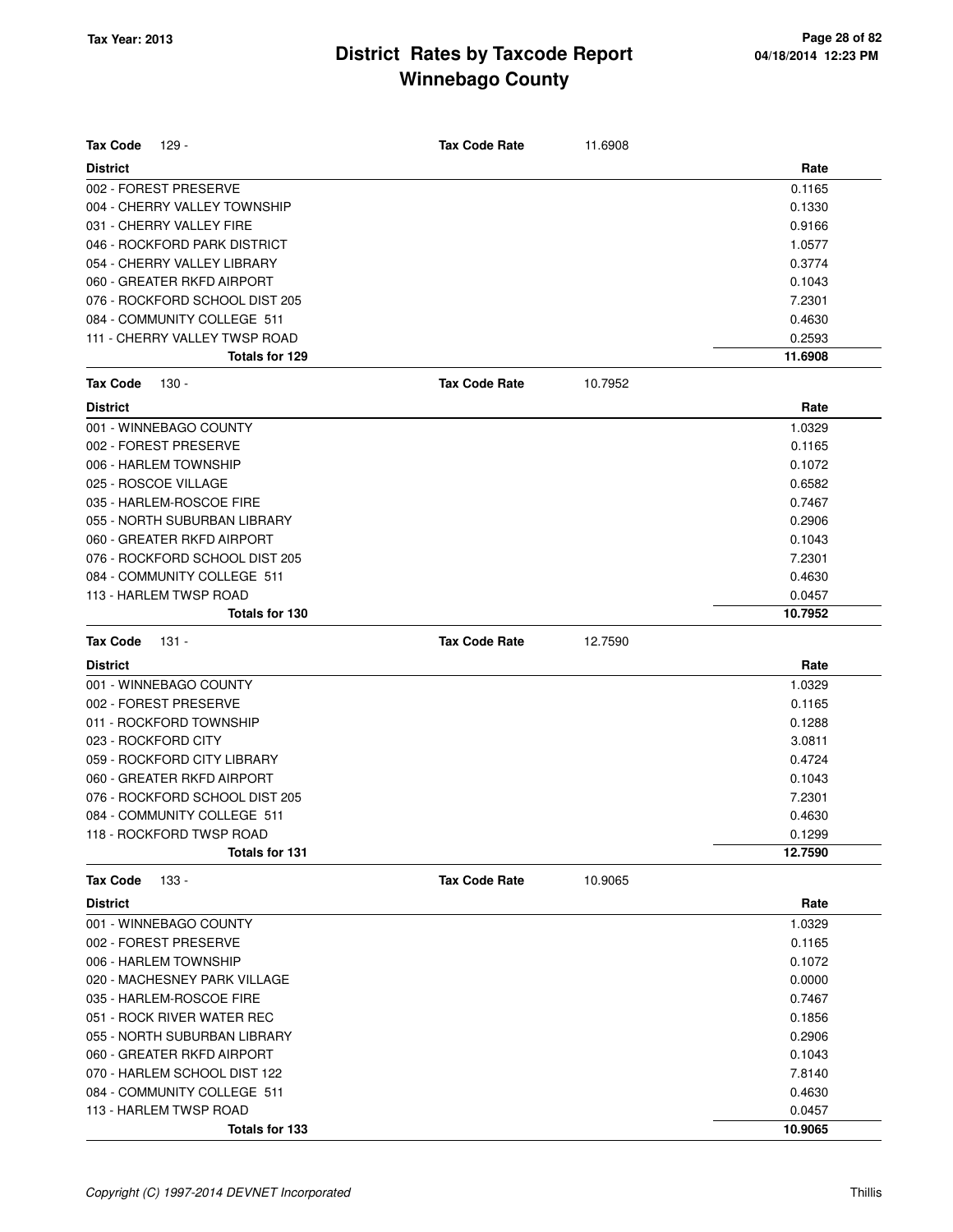| <b>Tax Code</b><br>$129 -$     | <b>Tax Code Rate</b> | 11.6908 |         |
|--------------------------------|----------------------|---------|---------|
| <b>District</b>                |                      |         | Rate    |
| 002 - FOREST PRESERVE          |                      |         | 0.1165  |
| 004 - CHERRY VALLEY TOWNSHIP   |                      |         | 0.1330  |
| 031 - CHERRY VALLEY FIRE       |                      |         | 0.9166  |
| 046 - ROCKFORD PARK DISTRICT   |                      |         | 1.0577  |
| 054 - CHERRY VALLEY LIBRARY    |                      |         | 0.3774  |
| 060 - GREATER RKFD AIRPORT     |                      |         | 0.1043  |
| 076 - ROCKFORD SCHOOL DIST 205 |                      |         | 7.2301  |
| 084 - COMMUNITY COLLEGE 511    |                      |         | 0.4630  |
| 111 - CHERRY VALLEY TWSP ROAD  |                      |         | 0.2593  |
| Totals for 129                 |                      |         | 11.6908 |
| <b>Tax Code</b><br>130 -       | <b>Tax Code Rate</b> | 10.7952 |         |
| <b>District</b>                |                      |         | Rate    |
| 001 - WINNEBAGO COUNTY         |                      |         | 1.0329  |
| 002 - FOREST PRESERVE          |                      |         | 0.1165  |
| 006 - HARLEM TOWNSHIP          |                      |         | 0.1072  |
| 025 - ROSCOE VILLAGE           |                      |         | 0.6582  |
| 035 - HARLEM-ROSCOE FIRE       |                      |         | 0.7467  |
| 055 - NORTH SUBURBAN LIBRARY   |                      |         | 0.2906  |
| 060 - GREATER RKFD AIRPORT     |                      |         | 0.1043  |
| 076 - ROCKFORD SCHOOL DIST 205 |                      |         | 7.2301  |
| 084 - COMMUNITY COLLEGE 511    |                      |         | 0.4630  |
| 113 - HARLEM TWSP ROAD         |                      |         | 0.0457  |
| Totals for 130                 |                      |         | 10.7952 |
| <b>Tax Code</b><br>131 -       | <b>Tax Code Rate</b> | 12.7590 |         |
| <b>District</b>                |                      |         | Rate    |
| 001 - WINNEBAGO COUNTY         |                      |         | 1.0329  |
| 002 - FOREST PRESERVE          |                      |         | 0.1165  |
| 011 - ROCKFORD TOWNSHIP        |                      |         | 0.1288  |
| 023 - ROCKFORD CITY            |                      |         | 3.0811  |
| 059 - ROCKFORD CITY LIBRARY    |                      |         | 0.4724  |
| 060 - GREATER RKFD AIRPORT     |                      |         | 0.1043  |
| 076 - ROCKFORD SCHOOL DIST 205 |                      |         | 7.2301  |
| 084 - COMMUNITY COLLEGE 511    |                      |         | 0.4630  |
| 118 - ROCKFORD TWSP ROAD       |                      |         | 0.1299  |
| <b>Totals for 131</b>          |                      |         | 12.7590 |
| <b>Tax Code</b><br>133 -       | <b>Tax Code Rate</b> | 10.9065 |         |
| <b>District</b>                |                      |         | Rate    |
| 001 - WINNEBAGO COUNTY         |                      |         | 1.0329  |
| 002 - FOREST PRESERVE          |                      |         | 0.1165  |
| 006 - HARLEM TOWNSHIP          |                      |         | 0.1072  |
| 020 - MACHESNEY PARK VILLAGE   |                      |         | 0.0000  |
| 035 - HARLEM-ROSCOE FIRE       |                      |         | 0.7467  |
| 051 - ROCK RIVER WATER REC     |                      |         | 0.1856  |
| 055 - NORTH SUBURBAN LIBRARY   |                      |         | 0.2906  |
| 060 - GREATER RKFD AIRPORT     |                      |         | 0.1043  |
| 070 - HARLEM SCHOOL DIST 122   |                      |         | 7.8140  |
| 084 - COMMUNITY COLLEGE 511    |                      |         | 0.4630  |
| 113 - HARLEM TWSP ROAD         |                      |         | 0.0457  |
| Totals for 133                 |                      |         | 10.9065 |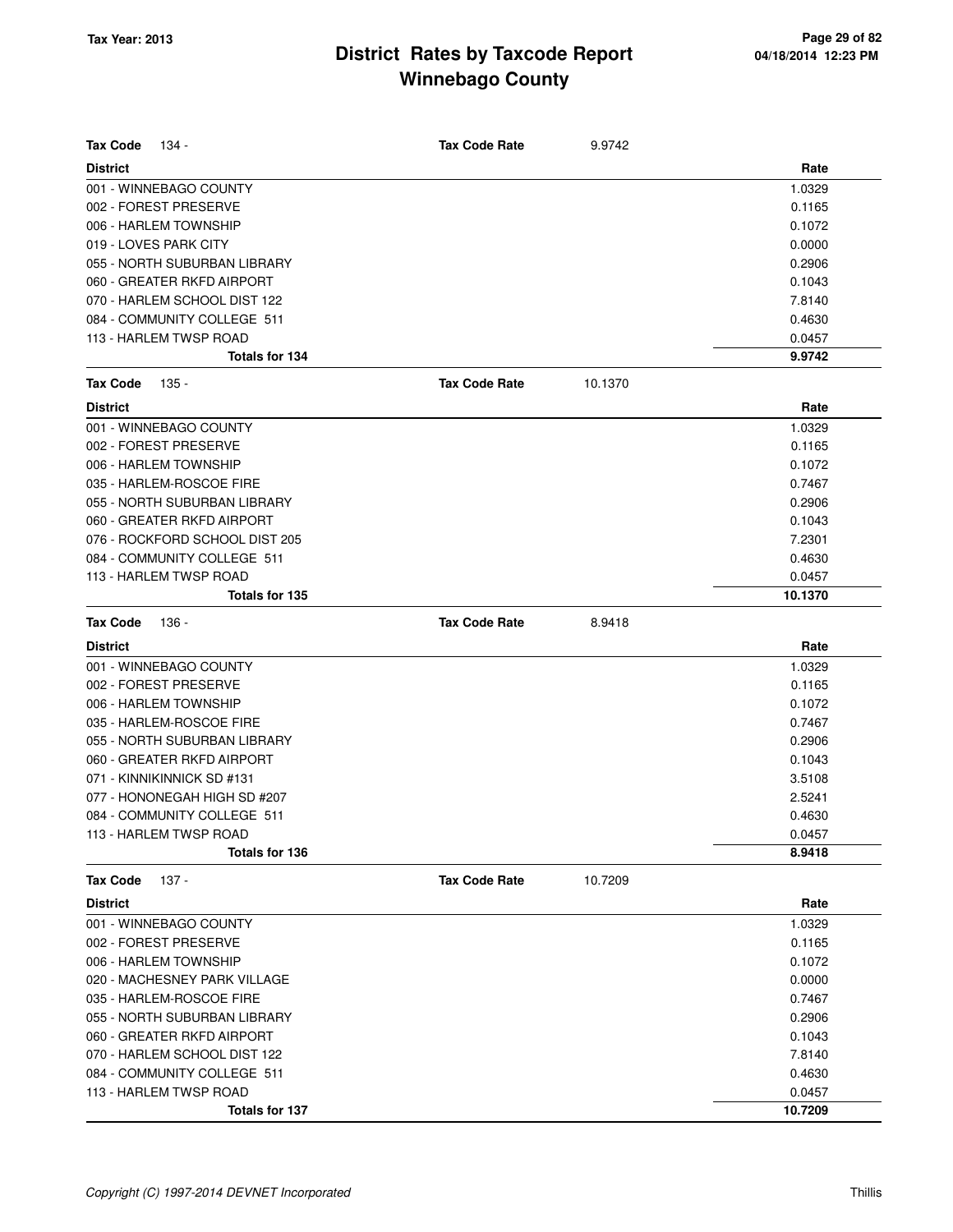| <b>Tax Code</b><br>134 -       | <b>Tax Code Rate</b> | 9.9742  |         |
|--------------------------------|----------------------|---------|---------|
| <b>District</b>                |                      |         | Rate    |
| 001 - WINNEBAGO COUNTY         |                      |         | 1.0329  |
| 002 - FOREST PRESERVE          |                      |         | 0.1165  |
| 006 - HARLEM TOWNSHIP          |                      |         | 0.1072  |
| 019 - LOVES PARK CITY          |                      |         | 0.0000  |
| 055 - NORTH SUBURBAN LIBRARY   |                      |         | 0.2906  |
| 060 - GREATER RKFD AIRPORT     |                      |         | 0.1043  |
| 070 - HARLEM SCHOOL DIST 122   |                      |         | 7.8140  |
| 084 - COMMUNITY COLLEGE 511    |                      |         | 0.4630  |
| 113 - HARLEM TWSP ROAD         |                      |         | 0.0457  |
| Totals for 134                 |                      |         | 9.9742  |
| <b>Tax Code</b><br>135 -       | <b>Tax Code Rate</b> | 10.1370 |         |
| <b>District</b>                |                      |         | Rate    |
| 001 - WINNEBAGO COUNTY         |                      |         | 1.0329  |
| 002 - FOREST PRESERVE          |                      |         | 0.1165  |
| 006 - HARLEM TOWNSHIP          |                      |         | 0.1072  |
| 035 - HARLEM-ROSCOE FIRE       |                      |         | 0.7467  |
| 055 - NORTH SUBURBAN LIBRARY   |                      |         | 0.2906  |
| 060 - GREATER RKFD AIRPORT     |                      |         | 0.1043  |
| 076 - ROCKFORD SCHOOL DIST 205 |                      |         | 7.2301  |
| 084 - COMMUNITY COLLEGE 511    |                      |         | 0.4630  |
| 113 - HARLEM TWSP ROAD         |                      |         | 0.0457  |
| Totals for 135                 |                      |         | 10.1370 |
| <b>Tax Code</b><br>136 -       | <b>Tax Code Rate</b> | 8.9418  |         |
| <b>District</b>                |                      |         | Rate    |
| 001 - WINNEBAGO COUNTY         |                      |         | 1.0329  |
| 002 - FOREST PRESERVE          |                      |         | 0.1165  |
| 006 - HARLEM TOWNSHIP          |                      |         | 0.1072  |
| 035 - HARLEM-ROSCOE FIRE       |                      |         | 0.7467  |
| 055 - NORTH SUBURBAN LIBRARY   |                      |         | 0.2906  |
| 060 - GREATER RKFD AIRPORT     |                      |         | 0.1043  |
| 071 - KINNIKINNICK SD #131     |                      |         | 3.5108  |
| 077 - HONONEGAH HIGH SD #207   |                      |         | 2.5241  |
| 084 - COMMUNITY COLLEGE 511    |                      |         | 0.4630  |
| 113 - HARLEM TWSP ROAD         |                      |         | 0.0457  |
| Totals for 136                 |                      |         | 8.9418  |
| <b>Tax Code</b><br>137 -       | <b>Tax Code Rate</b> | 10.7209 |         |
| <b>District</b>                |                      |         | Rate    |
| 001 - WINNEBAGO COUNTY         |                      |         | 1.0329  |
| 002 - FOREST PRESERVE          |                      |         | 0.1165  |
| 006 - HARLEM TOWNSHIP          |                      |         | 0.1072  |
| 020 - MACHESNEY PARK VILLAGE   |                      |         | 0.0000  |
| 035 - HARLEM-ROSCOE FIRE       |                      |         | 0.7467  |
| 055 - NORTH SUBURBAN LIBRARY   |                      |         | 0.2906  |
| 060 - GREATER RKFD AIRPORT     |                      |         | 0.1043  |
| 070 - HARLEM SCHOOL DIST 122   |                      |         | 7.8140  |
| 084 - COMMUNITY COLLEGE 511    |                      |         | 0.4630  |
| 113 - HARLEM TWSP ROAD         |                      |         | 0.0457  |
| Totals for 137                 |                      |         | 10.7209 |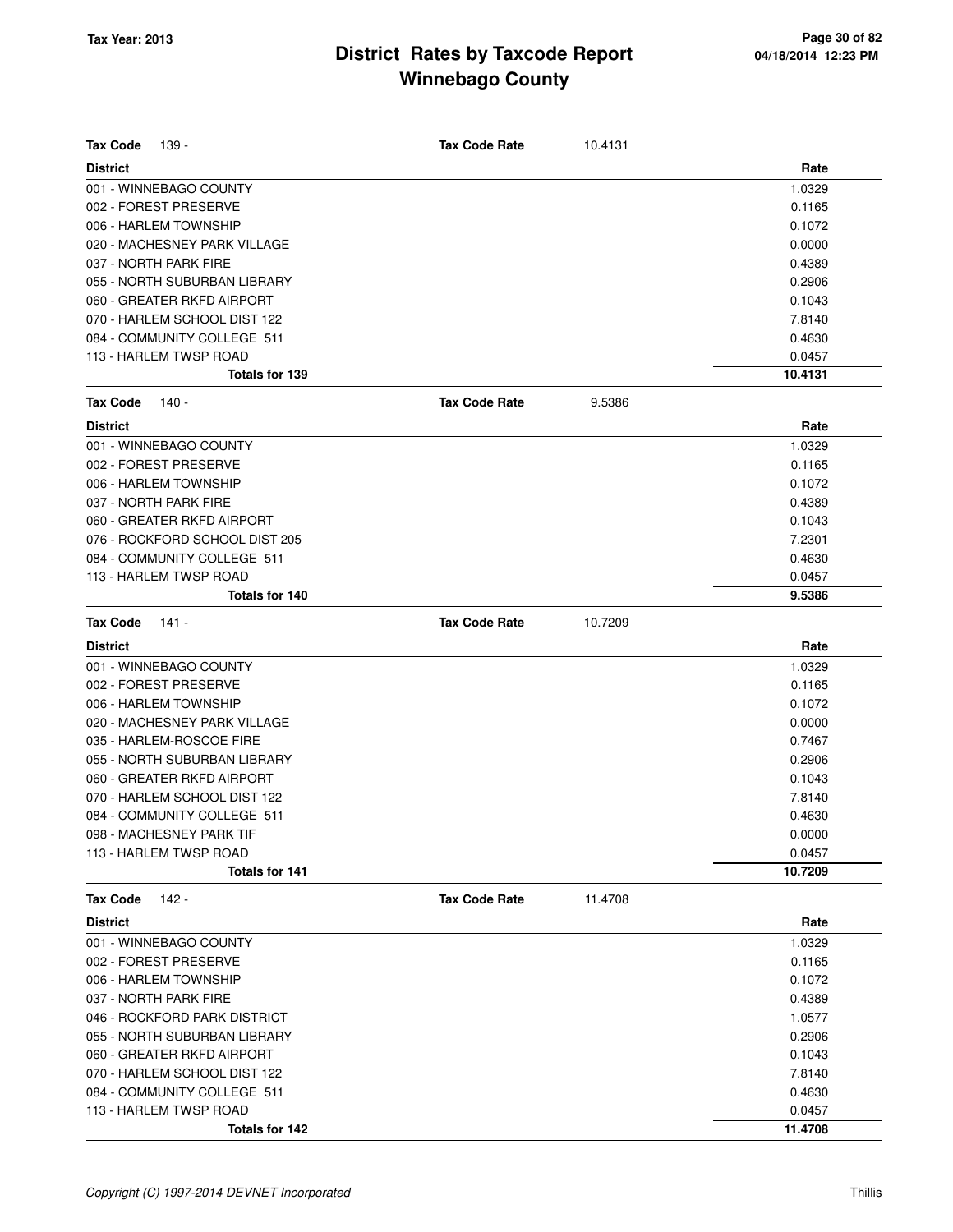| <b>Tax Code</b><br>139 -       | <b>Tax Code Rate</b> | 10.4131 |         |
|--------------------------------|----------------------|---------|---------|
| <b>District</b>                |                      |         | Rate    |
| 001 - WINNEBAGO COUNTY         |                      |         | 1.0329  |
| 002 - FOREST PRESERVE          |                      |         | 0.1165  |
| 006 - HARLEM TOWNSHIP          |                      |         | 0.1072  |
| 020 - MACHESNEY PARK VILLAGE   |                      |         | 0.0000  |
| 037 - NORTH PARK FIRE          |                      |         | 0.4389  |
| 055 - NORTH SUBURBAN LIBRARY   |                      |         | 0.2906  |
| 060 - GREATER RKFD AIRPORT     |                      |         | 0.1043  |
| 070 - HARLEM SCHOOL DIST 122   |                      |         | 7.8140  |
| 084 - COMMUNITY COLLEGE 511    |                      |         | 0.4630  |
| 113 - HARLEM TWSP ROAD         |                      |         | 0.0457  |
| <b>Totals for 139</b>          |                      |         | 10.4131 |
| Tax Code<br>140 -              | <b>Tax Code Rate</b> | 9.5386  |         |
| <b>District</b>                |                      |         | Rate    |
| 001 - WINNEBAGO COUNTY         |                      |         | 1.0329  |
| 002 - FOREST PRESERVE          |                      |         | 0.1165  |
| 006 - HARLEM TOWNSHIP          |                      |         | 0.1072  |
| 037 - NORTH PARK FIRE          |                      |         | 0.4389  |
| 060 - GREATER RKFD AIRPORT     |                      |         | 0.1043  |
| 076 - ROCKFORD SCHOOL DIST 205 |                      |         | 7.2301  |
| 084 - COMMUNITY COLLEGE 511    |                      |         | 0.4630  |
| 113 - HARLEM TWSP ROAD         |                      |         | 0.0457  |
| Totals for 140                 |                      |         | 9.5386  |
| <b>Tax Code</b><br>141 -       | <b>Tax Code Rate</b> | 10.7209 |         |
| <b>District</b>                |                      |         | Rate    |
| 001 - WINNEBAGO COUNTY         |                      |         | 1.0329  |
| 002 - FOREST PRESERVE          |                      |         | 0.1165  |
| 006 - HARLEM TOWNSHIP          |                      |         | 0.1072  |
| 020 - MACHESNEY PARK VILLAGE   |                      |         | 0.0000  |
| 035 - HARLEM-ROSCOE FIRE       |                      |         | 0.7467  |
| 055 - NORTH SUBURBAN LIBRARY   |                      |         | 0.2906  |
| 060 - GREATER RKFD AIRPORT     |                      |         | 0.1043  |
| 070 - HARLEM SCHOOL DIST 122   |                      |         | 7.8140  |
| 084 - COMMUNITY COLLEGE 511    |                      |         | 0.4630  |
| 098 - MACHESNEY PARK TIF       |                      |         | 0.0000  |
| 113 - HARLEM TWSP ROAD         |                      |         | 0.0457  |
| Totals for 141                 |                      |         | 10.7209 |
| <b>Tax Code</b><br>142 -       | <b>Tax Code Rate</b> | 11.4708 |         |
| <b>District</b>                |                      |         | Rate    |
| 001 - WINNEBAGO COUNTY         |                      |         | 1.0329  |
| 002 - FOREST PRESERVE          |                      |         | 0.1165  |
| 006 - HARLEM TOWNSHIP          |                      |         | 0.1072  |
| 037 - NORTH PARK FIRE          |                      |         | 0.4389  |
| 046 - ROCKFORD PARK DISTRICT   |                      |         | 1.0577  |
| 055 - NORTH SUBURBAN LIBRARY   |                      |         | 0.2906  |
| 060 - GREATER RKFD AIRPORT     |                      |         | 0.1043  |
| 070 - HARLEM SCHOOL DIST 122   |                      |         | 7.8140  |
| 084 - COMMUNITY COLLEGE 511    |                      |         | 0.4630  |
| 113 - HARLEM TWSP ROAD         |                      |         | 0.0457  |
| Totals for 142                 |                      |         | 11.4708 |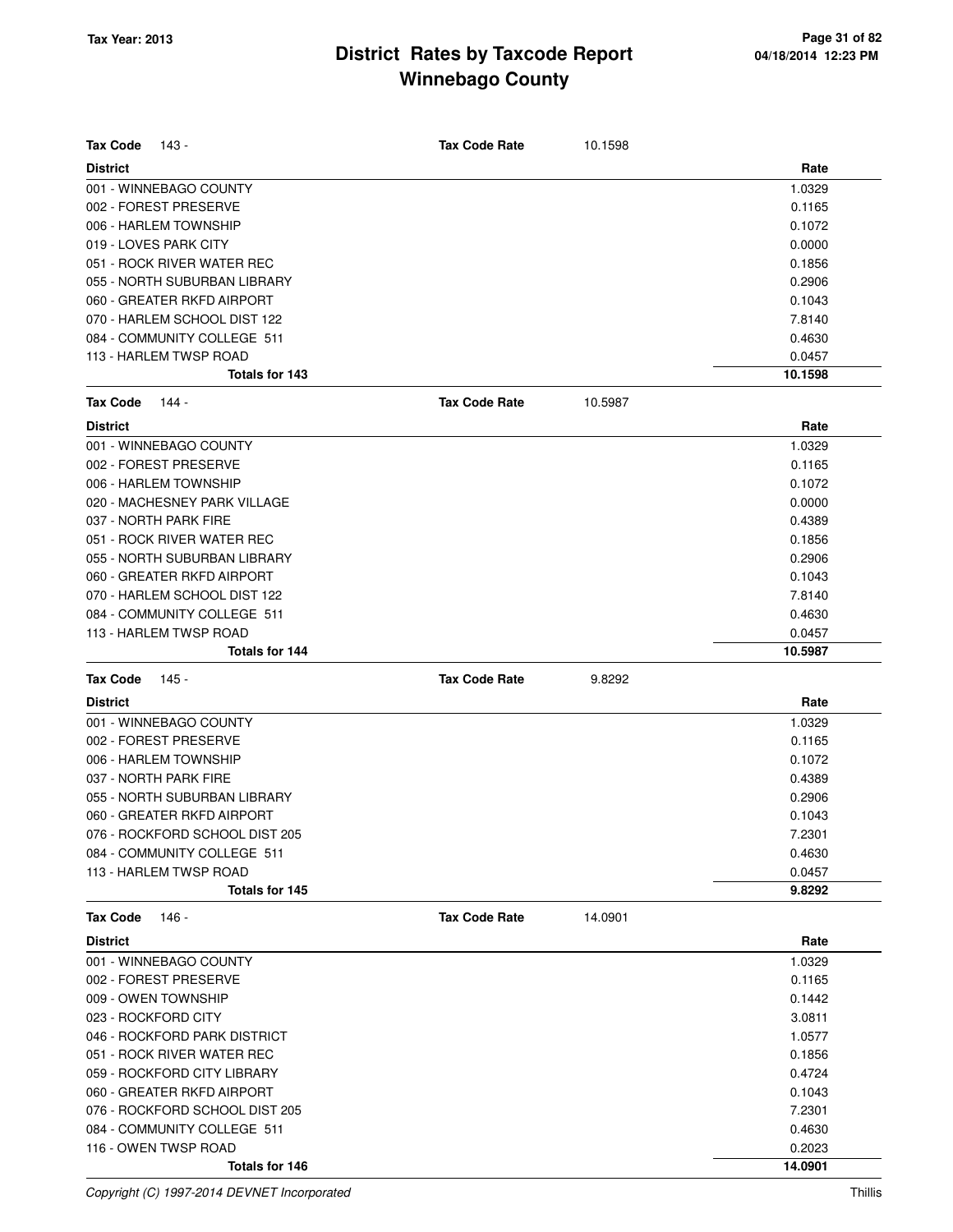| <b>Tax Code</b><br>- 143       | <b>Tax Code Rate</b> | 10.1598 |         |
|--------------------------------|----------------------|---------|---------|
| <b>District</b>                |                      |         | Rate    |
| 001 - WINNEBAGO COUNTY         |                      |         | 1.0329  |
| 002 - FOREST PRESERVE          |                      |         | 0.1165  |
| 006 - HARLEM TOWNSHIP          |                      |         | 0.1072  |
| 019 - LOVES PARK CITY          |                      |         | 0.0000  |
| 051 - ROCK RIVER WATER REC     |                      |         | 0.1856  |
| 055 - NORTH SUBURBAN LIBRARY   |                      |         | 0.2906  |
| 060 - GREATER RKFD AIRPORT     |                      |         | 0.1043  |
| 070 - HARLEM SCHOOL DIST 122   |                      |         | 7.8140  |
| 084 - COMMUNITY COLLEGE 511    |                      |         | 0.4630  |
| 113 - HARLEM TWSP ROAD         |                      |         | 0.0457  |
| Totals for 143                 |                      |         | 10.1598 |
| <b>Tax Code</b><br>144 -       | <b>Tax Code Rate</b> | 10.5987 |         |
| <b>District</b>                |                      |         | Rate    |
| 001 - WINNEBAGO COUNTY         |                      |         | 1.0329  |
| 002 - FOREST PRESERVE          |                      |         | 0.1165  |
| 006 - HARLEM TOWNSHIP          |                      |         | 0.1072  |
| 020 - MACHESNEY PARK VILLAGE   |                      |         | 0.0000  |
| 037 - NORTH PARK FIRE          |                      |         | 0.4389  |
| 051 - ROCK RIVER WATER REC     |                      |         | 0.1856  |
| 055 - NORTH SUBURBAN LIBRARY   |                      |         | 0.2906  |
| 060 - GREATER RKFD AIRPORT     |                      |         | 0.1043  |
| 070 - HARLEM SCHOOL DIST 122   |                      |         | 7.8140  |
| 084 - COMMUNITY COLLEGE 511    |                      |         | 0.4630  |
| 113 - HARLEM TWSP ROAD         |                      |         | 0.0457  |
| Totals for 144                 |                      |         | 10.5987 |
|                                |                      |         |         |
| <b>Tax Code</b><br>145 -       | <b>Tax Code Rate</b> | 9.8292  |         |
| <b>District</b>                |                      |         | Rate    |
| 001 - WINNEBAGO COUNTY         |                      |         | 1.0329  |
| 002 - FOREST PRESERVE          |                      |         | 0.1165  |
| 006 - HARLEM TOWNSHIP          |                      |         | 0.1072  |
| 037 - NORTH PARK FIRE          |                      |         | 0.4389  |
| 055 - NORTH SUBURBAN LIBRARY   |                      |         | 0.2906  |
| 060 - GREATER RKFD AIRPORT     |                      |         | 0.1043  |
| 076 - ROCKFORD SCHOOL DIST 205 |                      |         | 7.2301  |
| 084 - COMMUNITY COLLEGE 511    |                      |         | 0.4630  |
| 113 - HARLEM TWSP ROAD         |                      |         | 0.0457  |
| Totals for 145                 |                      |         | 9.8292  |
| <b>Tax Code</b><br>146 -       | <b>Tax Code Rate</b> | 14.0901 |         |
| <b>District</b>                |                      |         | Rate    |
| 001 - WINNEBAGO COUNTY         |                      |         | 1.0329  |
| 002 - FOREST PRESERVE          |                      |         | 0.1165  |
| 009 - OWEN TOWNSHIP            |                      |         | 0.1442  |
| 023 - ROCKFORD CITY            |                      |         | 3.0811  |
| 046 - ROCKFORD PARK DISTRICT   |                      |         | 1.0577  |
| 051 - ROCK RIVER WATER REC     |                      |         | 0.1856  |
| 059 - ROCKFORD CITY LIBRARY    |                      |         | 0.4724  |
| 060 - GREATER RKFD AIRPORT     |                      |         | 0.1043  |
| 076 - ROCKFORD SCHOOL DIST 205 |                      |         | 7.2301  |
| 084 - COMMUNITY COLLEGE 511    |                      |         | 0.4630  |
| 116 - OWEN TWSP ROAD           |                      |         | 0.2023  |

Copyright (C) 1997-2014 DEVNET Incorporated Thillis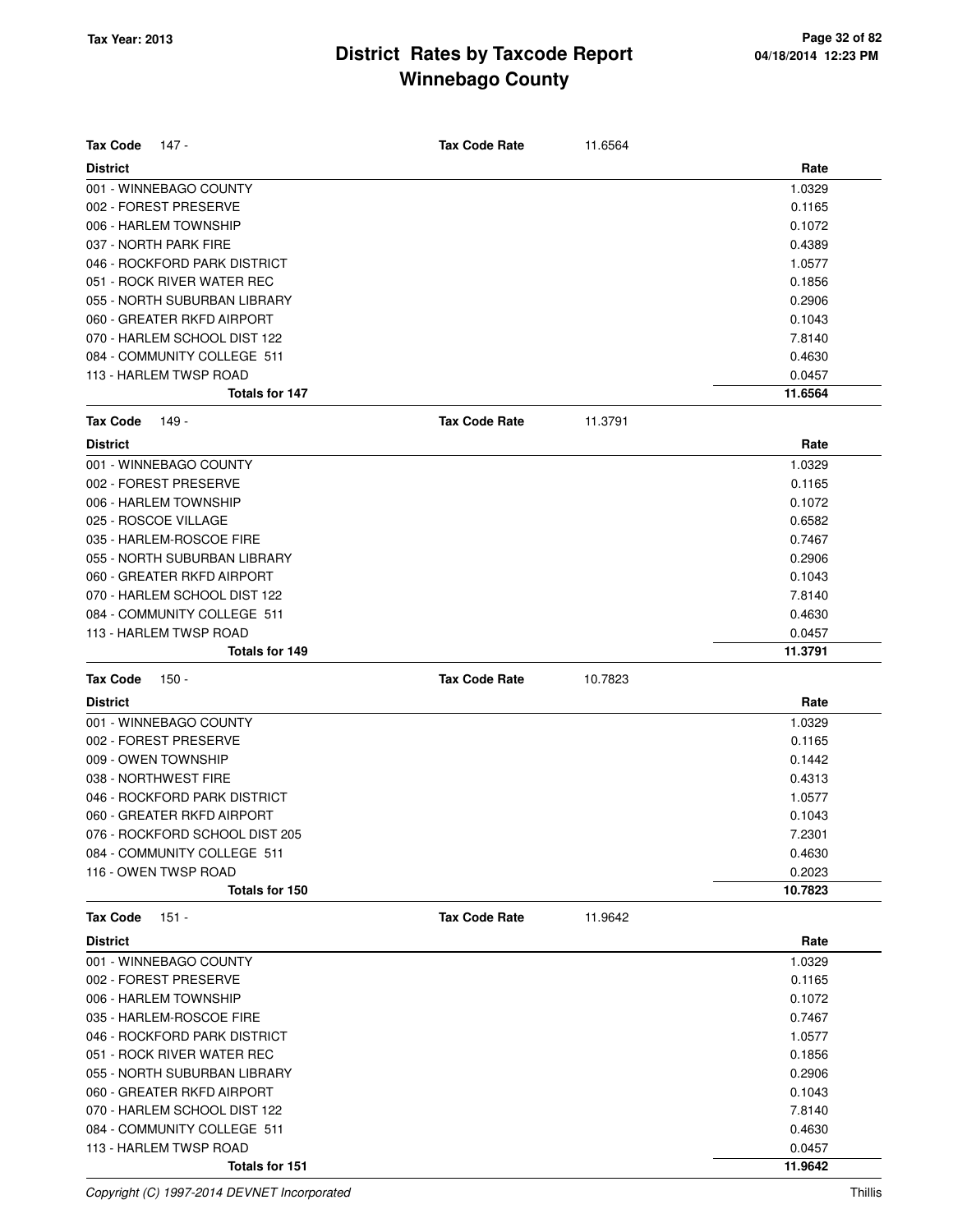| <b>Tax Code</b><br>147 -       | <b>Tax Code Rate</b> | 11.6564 |         |
|--------------------------------|----------------------|---------|---------|
| <b>District</b>                |                      |         | Rate    |
| 001 - WINNEBAGO COUNTY         |                      |         | 1.0329  |
| 002 - FOREST PRESERVE          |                      |         | 0.1165  |
| 006 - HARLEM TOWNSHIP          |                      |         | 0.1072  |
| 037 - NORTH PARK FIRE          |                      |         | 0.4389  |
| 046 - ROCKFORD PARK DISTRICT   |                      |         | 1.0577  |
| 051 - ROCK RIVER WATER REC     |                      |         | 0.1856  |
| 055 - NORTH SUBURBAN LIBRARY   |                      |         | 0.2906  |
| 060 - GREATER RKFD AIRPORT     |                      |         | 0.1043  |
| 070 - HARLEM SCHOOL DIST 122   |                      |         | 7.8140  |
| 084 - COMMUNITY COLLEGE 511    |                      |         | 0.4630  |
| 113 - HARLEM TWSP ROAD         |                      |         | 0.0457  |
| <b>Totals for 147</b>          |                      |         | 11.6564 |
| <b>Tax Code</b><br>149 -       | <b>Tax Code Rate</b> | 11.3791 |         |
| <b>District</b>                |                      |         | Rate    |
| 001 - WINNEBAGO COUNTY         |                      |         | 1.0329  |
| 002 - FOREST PRESERVE          |                      |         | 0.1165  |
| 006 - HARLEM TOWNSHIP          |                      |         | 0.1072  |
| 025 - ROSCOE VILLAGE           |                      |         | 0.6582  |
| 035 - HARLEM-ROSCOE FIRE       |                      |         | 0.7467  |
| 055 - NORTH SUBURBAN LIBRARY   |                      |         | 0.2906  |
| 060 - GREATER RKFD AIRPORT     |                      |         | 0.1043  |
| 070 - HARLEM SCHOOL DIST 122   |                      |         | 7.8140  |
| 084 - COMMUNITY COLLEGE 511    |                      |         | 0.4630  |
| 113 - HARLEM TWSP ROAD         |                      |         | 0.0457  |
| Totals for 149                 |                      |         | 11.3791 |
| <b>Tax Code</b><br>$150 -$     | <b>Tax Code Rate</b> | 10.7823 |         |
| <b>District</b>                |                      |         | Rate    |
| 001 - WINNEBAGO COUNTY         |                      |         | 1.0329  |
| 002 - FOREST PRESERVE          |                      |         | 0.1165  |
| 009 - OWEN TOWNSHIP            |                      |         | 0.1442  |
| 038 - NORTHWEST FIRE           |                      |         | 0.4313  |
| 046 - ROCKFORD PARK DISTRICT   |                      |         | 1.0577  |
| 060 - GREATER RKFD AIRPORT     |                      |         | 0.1043  |
| 076 - ROCKFORD SCHOOL DIST 205 |                      |         | 7.2301  |
| 084 - COMMUNITY COLLEGE 511    |                      |         | 0.4630  |
| 116 - OWEN TWSP ROAD           |                      |         | 0.2023  |
| Totals for 150                 |                      |         | 10.7823 |
| <b>Tax Code</b><br>$151 -$     | <b>Tax Code Rate</b> | 11.9642 |         |
| <b>District</b>                |                      |         | Rate    |
| 001 - WINNEBAGO COUNTY         |                      |         | 1.0329  |
| 002 - FOREST PRESERVE          |                      |         | 0.1165  |
| 006 - HARLEM TOWNSHIP          |                      |         | 0.1072  |
| 035 - HARLEM-ROSCOE FIRE       |                      |         | 0.7467  |
| 046 - ROCKFORD PARK DISTRICT   |                      |         | 1.0577  |
| 051 - ROCK RIVER WATER REC     |                      |         | 0.1856  |
| 055 - NORTH SUBURBAN LIBRARY   |                      |         | 0.2906  |
| 060 - GREATER RKFD AIRPORT     |                      |         | 0.1043  |
| 070 - HARLEM SCHOOL DIST 122   |                      |         | 7.8140  |
| 084 - COMMUNITY COLLEGE 511    |                      |         | 0.4630  |
| 113 - HARLEM TWSP ROAD         |                      |         | 0.0457  |
| Totals for 151                 |                      |         | 11.9642 |

Copyright (C) 1997-2014 DEVNET Incorporated Thillis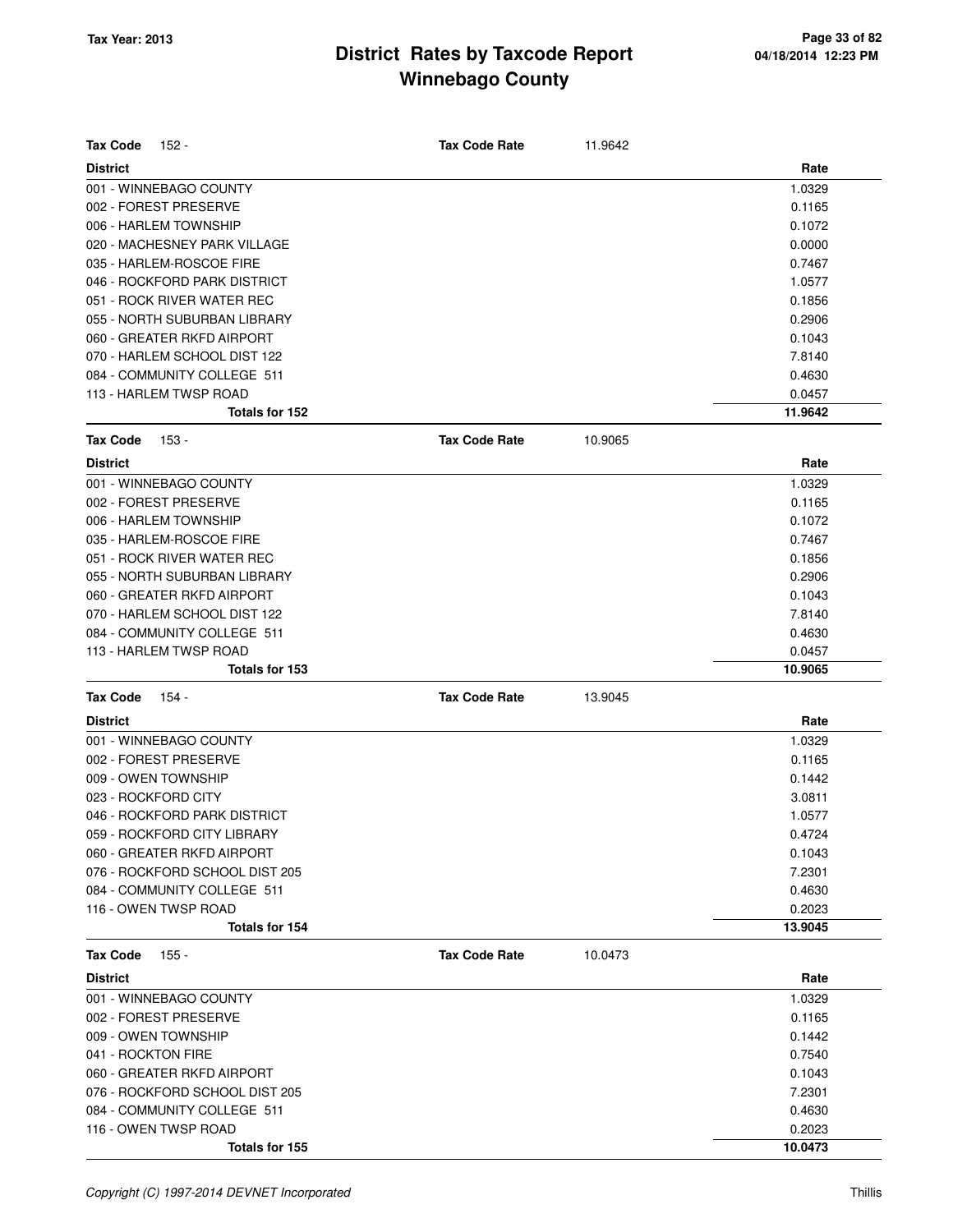| <b>Tax Code</b><br>152 -       | <b>Tax Code Rate</b> | 11.9642 |         |
|--------------------------------|----------------------|---------|---------|
| <b>District</b>                |                      |         | Rate    |
| 001 - WINNEBAGO COUNTY         |                      |         | 1.0329  |
| 002 - FOREST PRESERVE          |                      |         | 0.1165  |
| 006 - HARLEM TOWNSHIP          |                      |         | 0.1072  |
| 020 - MACHESNEY PARK VILLAGE   |                      |         | 0.0000  |
| 035 - HARLEM-ROSCOE FIRE       |                      |         | 0.7467  |
| 046 - ROCKFORD PARK DISTRICT   |                      |         | 1.0577  |
| 051 - ROCK RIVER WATER REC     |                      |         | 0.1856  |
| 055 - NORTH SUBURBAN LIBRARY   |                      |         | 0.2906  |
| 060 - GREATER RKFD AIRPORT     |                      |         | 0.1043  |
| 070 - HARLEM SCHOOL DIST 122   |                      |         | 7.8140  |
| 084 - COMMUNITY COLLEGE 511    |                      |         | 0.4630  |
| 113 - HARLEM TWSP ROAD         |                      |         | 0.0457  |
| Totals for 152                 |                      |         | 11.9642 |
| <b>Tax Code</b><br>153 -       | <b>Tax Code Rate</b> | 10.9065 |         |
| <b>District</b>                |                      |         | Rate    |
| 001 - WINNEBAGO COUNTY         |                      |         | 1.0329  |
| 002 - FOREST PRESERVE          |                      |         | 0.1165  |
| 006 - HARLEM TOWNSHIP          |                      |         | 0.1072  |
| 035 - HARLEM-ROSCOE FIRE       |                      |         | 0.7467  |
| 051 - ROCK RIVER WATER REC     |                      |         | 0.1856  |
| 055 - NORTH SUBURBAN LIBRARY   |                      |         | 0.2906  |
| 060 - GREATER RKFD AIRPORT     |                      |         | 0.1043  |
| 070 - HARLEM SCHOOL DIST 122   |                      |         | 7.8140  |
| 084 - COMMUNITY COLLEGE 511    |                      |         | 0.4630  |
| 113 - HARLEM TWSP ROAD         |                      |         | 0.0457  |
| Totals for 153                 |                      |         | 10.9065 |
| <b>Tax Code</b><br>154 -       | <b>Tax Code Rate</b> | 13.9045 |         |
|                                |                      |         |         |
| <b>District</b>                |                      |         | Rate    |
| 001 - WINNEBAGO COUNTY         |                      |         | 1.0329  |
| 002 - FOREST PRESERVE          |                      |         | 0.1165  |
| 009 - OWEN TOWNSHIP            |                      |         | 0.1442  |
| 023 - ROCKFORD CITY            |                      |         | 3.0811  |
| 046 - ROCKFORD PARK DISTRICT   |                      |         | 1.0577  |
| 059 - ROCKFORD CITY LIBRARY    |                      |         | 0.4724  |
| 060 - GREATER RKFD AIRPORT     |                      |         | 0.1043  |
| 076 - ROCKFORD SCHOOL DIST 205 |                      |         | 7.2301  |
| 084 - COMMUNITY COLLEGE 511    |                      |         | 0.4630  |
| 116 - OWEN TWSP ROAD           |                      |         | 0.2023  |
| Totals for 154                 |                      |         | 13.9045 |
| <b>Tax Code</b><br>155 -       | <b>Tax Code Rate</b> | 10.0473 |         |
| <b>District</b>                |                      |         | Rate    |
| 001 - WINNEBAGO COUNTY         |                      |         | 1.0329  |
| 002 - FOREST PRESERVE          |                      |         | 0.1165  |
| 009 - OWEN TOWNSHIP            |                      |         | 0.1442  |
| 041 - ROCKTON FIRE             |                      |         | 0.7540  |
| 060 - GREATER RKFD AIRPORT     |                      |         | 0.1043  |
| 076 - ROCKFORD SCHOOL DIST 205 |                      |         | 7.2301  |
| 084 - COMMUNITY COLLEGE 511    |                      |         | 0.4630  |
| 116 - OWEN TWSP ROAD           |                      |         | 0.2023  |
| Totals for 155                 |                      |         | 10.0473 |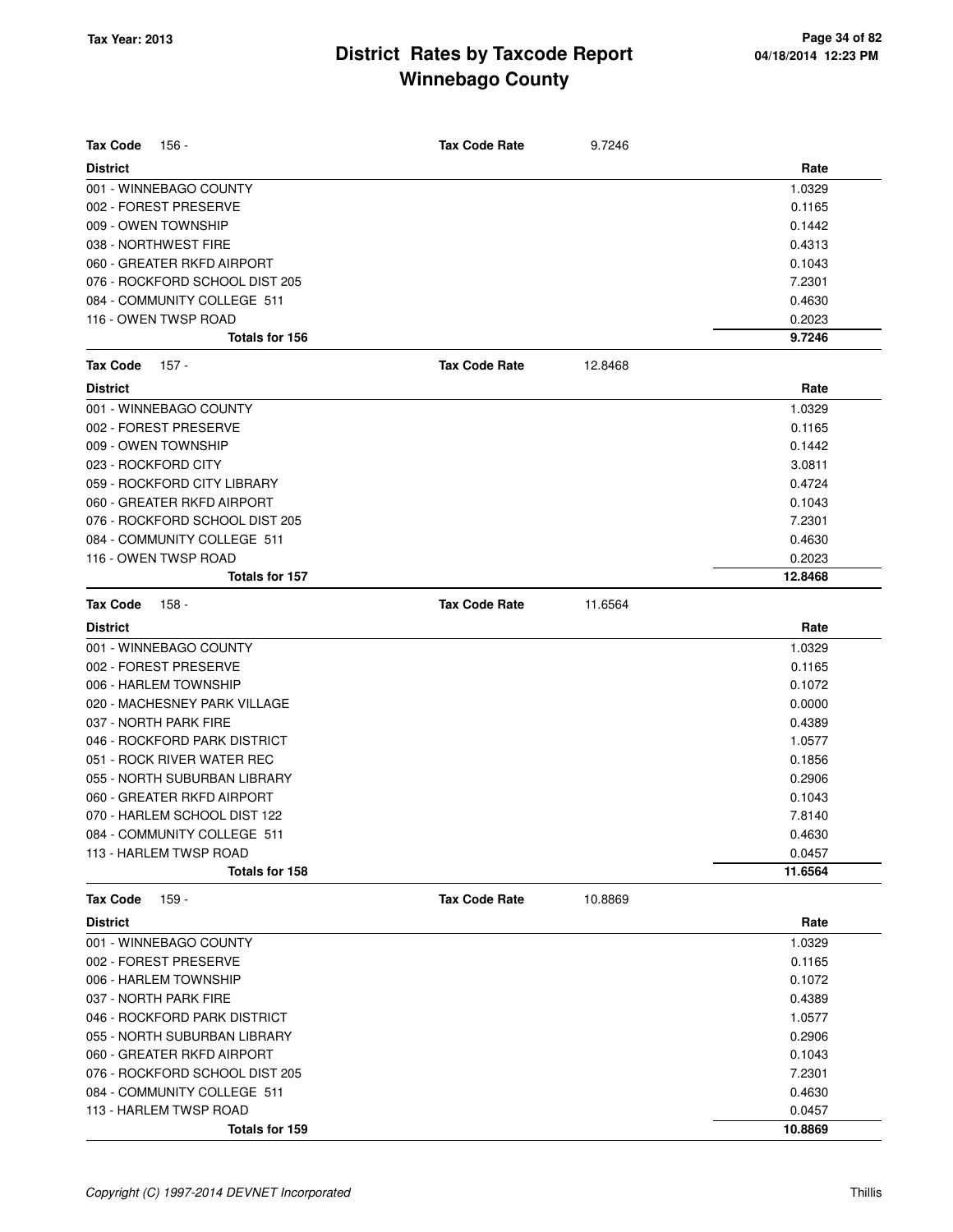| <b>Tax Code</b>     | 156 -                          | <b>Tax Code Rate</b> | 9.7246  |         |
|---------------------|--------------------------------|----------------------|---------|---------|
| <b>District</b>     |                                |                      |         | Rate    |
|                     | 001 - WINNEBAGO COUNTY         |                      |         | 1.0329  |
|                     | 002 - FOREST PRESERVE          |                      |         | 0.1165  |
|                     | 009 - OWEN TOWNSHIP            |                      |         | 0.1442  |
|                     | 038 - NORTHWEST FIRE           |                      |         | 0.4313  |
|                     | 060 - GREATER RKFD AIRPORT     |                      |         | 0.1043  |
|                     | 076 - ROCKFORD SCHOOL DIST 205 |                      |         | 7.2301  |
|                     | 084 - COMMUNITY COLLEGE 511    |                      |         | 0.4630  |
|                     | 116 - OWEN TWSP ROAD           |                      |         | 0.2023  |
|                     | Totals for 156                 |                      |         | 9.7246  |
| <b>Tax Code</b>     | 157 -                          | <b>Tax Code Rate</b> | 12.8468 |         |
| <b>District</b>     |                                |                      |         | Rate    |
|                     | 001 - WINNEBAGO COUNTY         |                      |         | 1.0329  |
|                     | 002 - FOREST PRESERVE          |                      |         | 0.1165  |
|                     | 009 - OWEN TOWNSHIP            |                      |         | 0.1442  |
| 023 - ROCKFORD CITY |                                |                      |         | 3.0811  |
|                     | 059 - ROCKFORD CITY LIBRARY    |                      |         | 0.4724  |
|                     | 060 - GREATER RKFD AIRPORT     |                      |         | 0.1043  |
|                     | 076 - ROCKFORD SCHOOL DIST 205 |                      |         | 7.2301  |
|                     | 084 - COMMUNITY COLLEGE 511    |                      |         | 0.4630  |
|                     | 116 - OWEN TWSP ROAD           |                      |         | 0.2023  |
|                     | Totals for 157                 |                      |         | 12.8468 |
| <b>Tax Code</b>     | $158 -$                        | <b>Tax Code Rate</b> | 11.6564 |         |
| <b>District</b>     |                                |                      |         | Rate    |
|                     | 001 - WINNEBAGO COUNTY         |                      |         | 1.0329  |
|                     | 002 - FOREST PRESERVE          |                      |         | 0.1165  |
|                     | 006 - HARLEM TOWNSHIP          |                      |         | 0.1072  |
|                     | 020 - MACHESNEY PARK VILLAGE   |                      |         | 0.0000  |
|                     | 037 - NORTH PARK FIRE          |                      |         | 0.4389  |
|                     | 046 - ROCKFORD PARK DISTRICT   |                      |         | 1.0577  |
|                     | 051 - ROCK RIVER WATER REC     |                      |         | 0.1856  |
|                     | 055 - NORTH SUBURBAN LIBRARY   |                      |         | 0.2906  |
|                     | 060 - GREATER RKFD AIRPORT     |                      |         | 0.1043  |
|                     | 070 - HARLEM SCHOOL DIST 122   |                      |         | 7.8140  |
|                     | 084 - COMMUNITY COLLEGE 511    |                      |         | 0.4630  |
|                     | 113 - HARLEM TWSP ROAD         |                      |         | 0.0457  |
|                     | Totals for 158                 |                      |         | 11.6564 |
| <b>Tax Code</b>     | 159 -                          | <b>Tax Code Rate</b> | 10.8869 |         |
| <b>District</b>     |                                |                      |         | Rate    |
|                     | 001 - WINNEBAGO COUNTY         |                      |         | 1.0329  |
|                     | 002 - FOREST PRESERVE          |                      |         | 0.1165  |
|                     | 006 - HARLEM TOWNSHIP          |                      |         | 0.1072  |
|                     | 037 - NORTH PARK FIRE          |                      |         | 0.4389  |
|                     | 046 - ROCKFORD PARK DISTRICT   |                      |         | 1.0577  |
|                     | 055 - NORTH SUBURBAN LIBRARY   |                      |         | 0.2906  |
|                     | 060 - GREATER RKFD AIRPORT     |                      |         | 0.1043  |
|                     | 076 - ROCKFORD SCHOOL DIST 205 |                      |         | 7.2301  |
|                     | 084 - COMMUNITY COLLEGE 511    |                      |         | 0.4630  |
|                     | 113 - HARLEM TWSP ROAD         |                      |         | 0.0457  |
|                     | Totals for 159                 |                      |         | 10.8869 |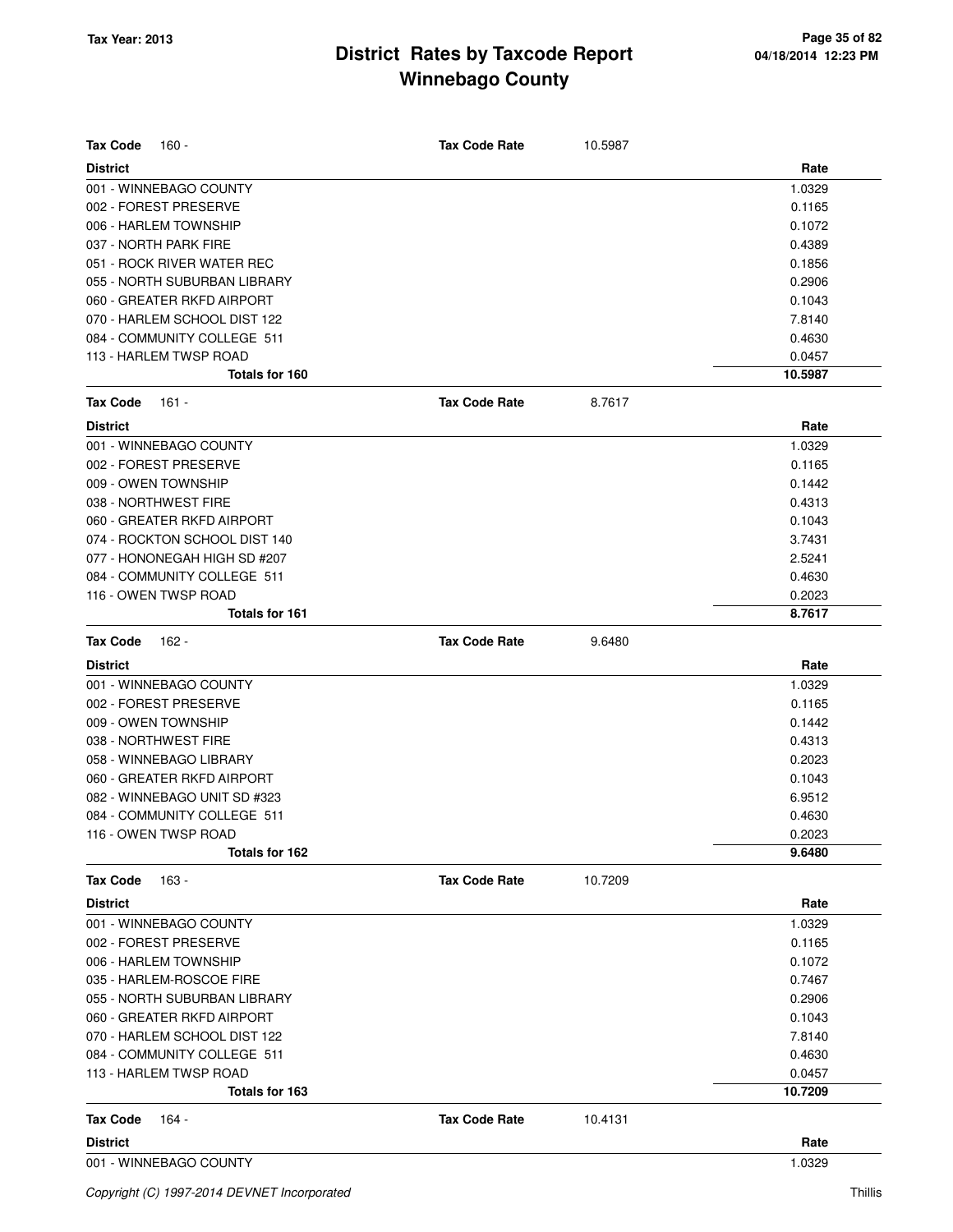| <b>Tax Code</b><br>160 -      | <b>Tax Code Rate</b> | 10.5987 |         |
|-------------------------------|----------------------|---------|---------|
| <b>District</b>               |                      |         | Rate    |
| 001 - WINNEBAGO COUNTY        |                      |         | 1.0329  |
| 002 - FOREST PRESERVE         |                      |         | 0.1165  |
| 006 - HARLEM TOWNSHIP         |                      |         | 0.1072  |
| 037 - NORTH PARK FIRE         |                      |         | 0.4389  |
| 051 - ROCK RIVER WATER REC    |                      |         | 0.1856  |
| 055 - NORTH SUBURBAN LIBRARY  |                      |         | 0.2906  |
| 060 - GREATER RKFD AIRPORT    |                      |         | 0.1043  |
| 070 - HARLEM SCHOOL DIST 122  |                      |         | 7.8140  |
| 084 - COMMUNITY COLLEGE 511   |                      |         | 0.4630  |
| 113 - HARLEM TWSP ROAD        |                      |         | 0.0457  |
| Totals for 160                |                      |         | 10.5987 |
| <b>Tax Code</b><br>161 -      | <b>Tax Code Rate</b> | 8.7617  |         |
| <b>District</b>               |                      |         | Rate    |
| 001 - WINNEBAGO COUNTY        |                      |         | 1.0329  |
| 002 - FOREST PRESERVE         |                      |         | 0.1165  |
| 009 - OWEN TOWNSHIP           |                      |         | 0.1442  |
| 038 - NORTHWEST FIRE          |                      |         | 0.4313  |
| 060 - GREATER RKFD AIRPORT    |                      |         | 0.1043  |
| 074 - ROCKTON SCHOOL DIST 140 |                      |         | 3.7431  |
| 077 - HONONEGAH HIGH SD #207  |                      |         | 2.5241  |
| 084 - COMMUNITY COLLEGE 511   |                      |         | 0.4630  |
| 116 - OWEN TWSP ROAD          |                      |         | 0.2023  |
| Totals for 161                |                      |         | 8.7617  |
| <b>Tax Code</b><br>162 -      | <b>Tax Code Rate</b> | 9.6480  |         |
| <b>District</b>               |                      |         | Rate    |
| 001 - WINNEBAGO COUNTY        |                      |         | 1.0329  |
| 002 - FOREST PRESERVE         |                      |         | 0.1165  |
| 009 - OWEN TOWNSHIP           |                      |         | 0.1442  |
| 038 - NORTHWEST FIRE          |                      |         | 0.4313  |
| 058 - WINNEBAGO LIBRARY       |                      |         | 0.2023  |
| 060 - GREATER RKFD AIRPORT    |                      |         | 0.1043  |
| 082 - WINNEBAGO UNIT SD #323  |                      |         | 6.9512  |
| 084 - COMMUNITY COLLEGE 511   |                      |         | 0.4630  |
| 116 - OWEN TWSP ROAD          |                      |         | 0.2023  |
| Totals for 162                |                      |         | 9.6480  |
| <b>Tax Code</b><br>163 -      | <b>Tax Code Rate</b> | 10.7209 |         |
| <b>District</b>               |                      |         | Rate    |
| 001 - WINNEBAGO COUNTY        |                      |         | 1.0329  |
| 002 - FOREST PRESERVE         |                      |         | 0.1165  |
| 006 - HARLEM TOWNSHIP         |                      |         | 0.1072  |
| 035 - HARLEM-ROSCOE FIRE      |                      |         | 0.7467  |
| 055 - NORTH SUBURBAN LIBRARY  |                      |         | 0.2906  |
| 060 - GREATER RKFD AIRPORT    |                      |         | 0.1043  |
| 070 - HARLEM SCHOOL DIST 122  |                      |         | 7.8140  |
| 084 - COMMUNITY COLLEGE 511   |                      |         | 0.4630  |
| 113 - HARLEM TWSP ROAD        |                      |         | 0.0457  |
| Totals for 163                |                      |         | 10.7209 |
| <b>Tax Code</b><br>164 -      | <b>Tax Code Rate</b> | 10.4131 |         |
| <b>District</b>               |                      |         | Rate    |
| 001 - WINNEBAGO COUNTY        |                      |         | 1.0329  |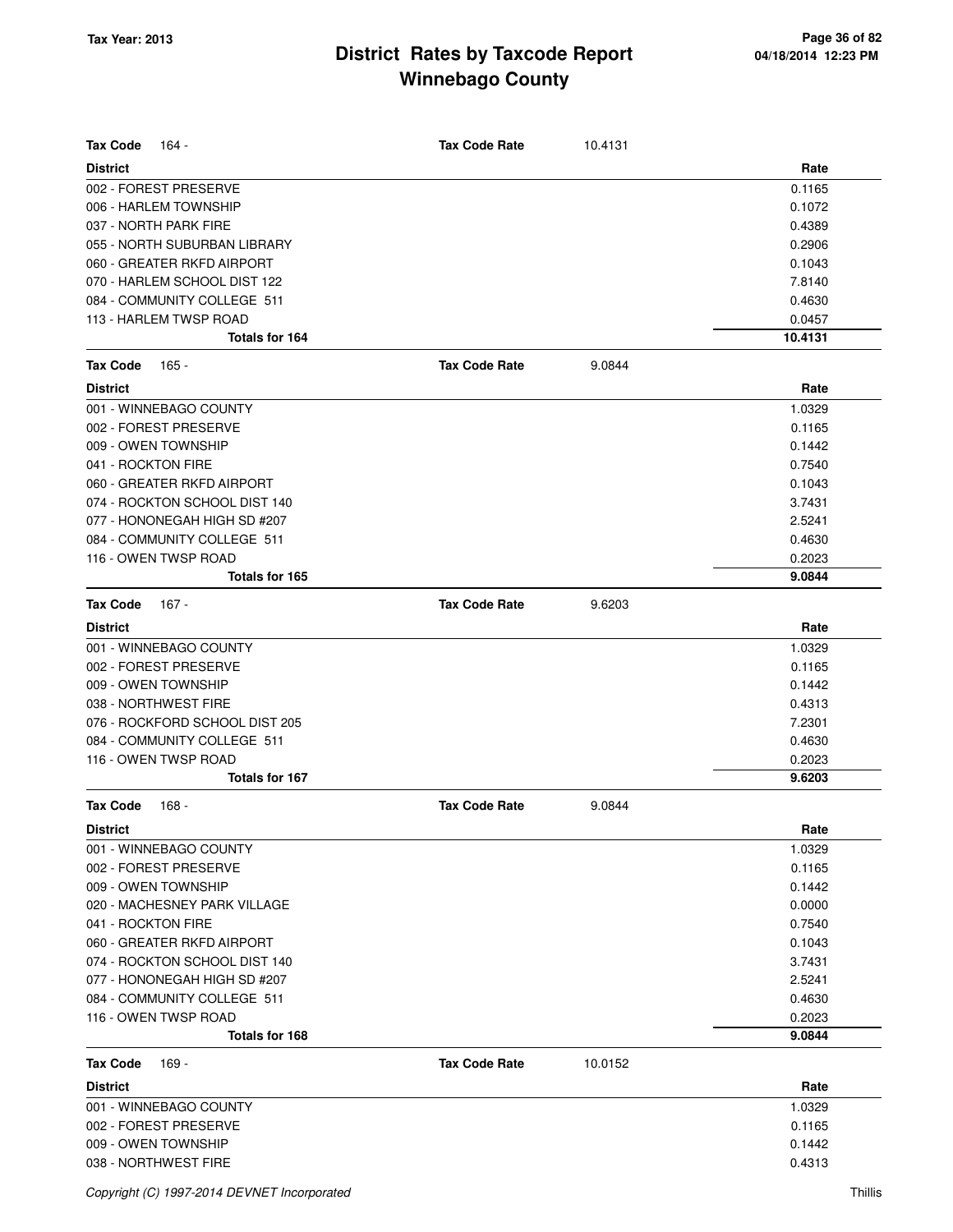| <b>Tax Code</b><br>164 -       | <b>Tax Code Rate</b> | 10.4131 |         |
|--------------------------------|----------------------|---------|---------|
| <b>District</b>                |                      |         | Rate    |
| 002 - FOREST PRESERVE          |                      |         | 0.1165  |
| 006 - HARLEM TOWNSHIP          |                      |         | 0.1072  |
| 037 - NORTH PARK FIRE          |                      |         | 0.4389  |
| 055 - NORTH SUBURBAN LIBRARY   |                      |         | 0.2906  |
| 060 - GREATER RKFD AIRPORT     |                      |         | 0.1043  |
| 070 - HARLEM SCHOOL DIST 122   |                      |         | 7.8140  |
| 084 - COMMUNITY COLLEGE 511    |                      |         | 0.4630  |
| 113 - HARLEM TWSP ROAD         |                      |         | 0.0457  |
| Totals for 164                 |                      |         | 10.4131 |
| <b>Tax Code</b><br>165 -       | <b>Tax Code Rate</b> | 9.0844  |         |
| <b>District</b>                |                      |         | Rate    |
| 001 - WINNEBAGO COUNTY         |                      |         | 1.0329  |
| 002 - FOREST PRESERVE          |                      |         | 0.1165  |
| 009 - OWEN TOWNSHIP            |                      |         | 0.1442  |
| 041 - ROCKTON FIRE             |                      |         | 0.7540  |
| 060 - GREATER RKFD AIRPORT     |                      |         | 0.1043  |
| 074 - ROCKTON SCHOOL DIST 140  |                      |         | 3.7431  |
| 077 - HONONEGAH HIGH SD #207   |                      |         | 2.5241  |
| 084 - COMMUNITY COLLEGE 511    |                      |         | 0.4630  |
| 116 - OWEN TWSP ROAD           |                      |         | 0.2023  |
| Totals for 165                 |                      |         | 9.0844  |
| <b>Tax Code</b><br>167 -       | <b>Tax Code Rate</b> | 9.6203  |         |
| <b>District</b>                |                      |         | Rate    |
| 001 - WINNEBAGO COUNTY         |                      |         | 1.0329  |
| 002 - FOREST PRESERVE          |                      |         | 0.1165  |
| 009 - OWEN TOWNSHIP            |                      |         | 0.1442  |
| 038 - NORTHWEST FIRE           |                      |         | 0.4313  |
| 076 - ROCKFORD SCHOOL DIST 205 |                      |         | 7.2301  |
| 084 - COMMUNITY COLLEGE 511    |                      |         | 0.4630  |
| 116 - OWEN TWSP ROAD           |                      |         | 0.2023  |
| <b>Totals for 167</b>          |                      |         | 9.6203  |
| <b>Tax Code</b><br>168 -       | <b>Tax Code Rate</b> | 9.0844  |         |
| <b>District</b>                |                      |         | Rate    |
| 001 - WINNEBAGO COUNTY         |                      |         | 1.0329  |
| 002 - FOREST PRESERVE          |                      |         | 0.1165  |
| 009 - OWEN TOWNSHIP            |                      |         | 0.1442  |
| 020 - MACHESNEY PARK VILLAGE   |                      |         | 0.0000  |
| 041 - ROCKTON FIRE             |                      |         | 0.7540  |
| 060 - GREATER RKFD AIRPORT     |                      |         | 0.1043  |
| 074 - ROCKTON SCHOOL DIST 140  |                      |         | 3.7431  |
| 077 - HONONEGAH HIGH SD #207   |                      |         | 2.5241  |
| 084 - COMMUNITY COLLEGE 511    |                      |         | 0.4630  |
| 116 - OWEN TWSP ROAD           |                      |         | 0.2023  |
| Totals for 168                 |                      |         | 9.0844  |
| <b>Tax Code</b><br>169 -       | <b>Tax Code Rate</b> | 10.0152 |         |
| <b>District</b>                |                      |         | Rate    |
| 001 - WINNEBAGO COUNTY         |                      |         | 1.0329  |
| 002 - FOREST PRESERVE          |                      |         | 0.1165  |
| 009 - OWEN TOWNSHIP            |                      |         | 0.1442  |
| 038 - NORTHWEST FIRE           |                      |         | 0.4313  |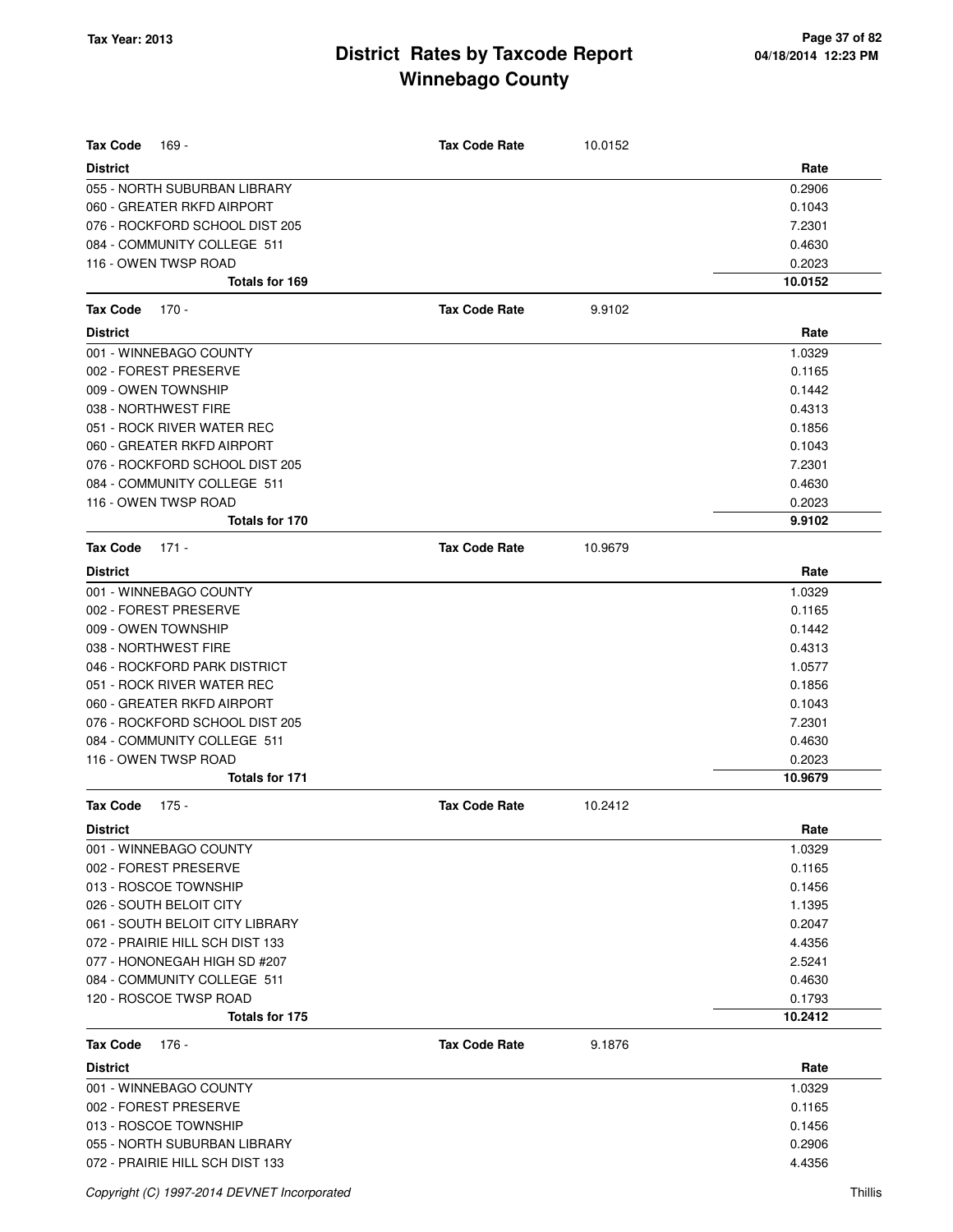| <b>Tax Code</b><br>169 -                                        | <b>Tax Code Rate</b> | 10.0152 |                  |
|-----------------------------------------------------------------|----------------------|---------|------------------|
| <b>District</b>                                                 |                      |         | Rate             |
| 055 - NORTH SUBURBAN LIBRARY                                    |                      |         | 0.2906           |
| 060 - GREATER RKFD AIRPORT                                      |                      |         | 0.1043           |
| 076 - ROCKFORD SCHOOL DIST 205                                  |                      |         | 7.2301           |
| 084 - COMMUNITY COLLEGE 511                                     |                      |         | 0.4630           |
| 116 - OWEN TWSP ROAD                                            |                      |         | 0.2023           |
| Totals for 169                                                  |                      |         | 10.0152          |
| <b>Tax Code</b><br>170 -                                        | <b>Tax Code Rate</b> | 9.9102  |                  |
| <b>District</b>                                                 |                      |         | Rate             |
| 001 - WINNEBAGO COUNTY                                          |                      |         | 1.0329           |
| 002 - FOREST PRESERVE                                           |                      |         | 0.1165           |
| 009 - OWEN TOWNSHIP                                             |                      |         | 0.1442           |
| 038 - NORTHWEST FIRE                                            |                      |         | 0.4313           |
| 051 - ROCK RIVER WATER REC                                      |                      |         | 0.1856           |
| 060 - GREATER RKFD AIRPORT                                      |                      |         | 0.1043           |
| 076 - ROCKFORD SCHOOL DIST 205                                  |                      |         | 7.2301           |
| 084 - COMMUNITY COLLEGE 511                                     |                      |         | 0.4630           |
| 116 - OWEN TWSP ROAD                                            |                      |         | 0.2023           |
| Totals for 170                                                  |                      |         | 9.9102           |
| <b>Tax Code</b><br>$171 -$                                      | <b>Tax Code Rate</b> | 10.9679 |                  |
| <b>District</b>                                                 |                      |         | Rate             |
| 001 - WINNEBAGO COUNTY                                          |                      |         | 1.0329           |
| 002 - FOREST PRESERVE                                           |                      |         | 0.1165           |
| 009 - OWEN TOWNSHIP                                             |                      |         | 0.1442           |
| 038 - NORTHWEST FIRE                                            |                      |         | 0.4313           |
| 046 - ROCKFORD PARK DISTRICT                                    |                      |         | 1.0577           |
| 051 - ROCK RIVER WATER REC                                      |                      |         | 0.1856           |
| 060 - GREATER RKFD AIRPORT                                      |                      |         | 0.1043           |
| 076 - ROCKFORD SCHOOL DIST 205                                  |                      |         | 7.2301           |
| 084 - COMMUNITY COLLEGE 511                                     |                      |         | 0.4630           |
| 116 - OWEN TWSP ROAD                                            |                      |         | 0.2023           |
| <b>Totals for 171</b>                                           |                      |         | 10.9679          |
| Tax Code<br>175 -                                               | <b>Tax Code Rate</b> | 10.2412 |                  |
| <b>District</b>                                                 |                      |         | Rate             |
| 001 - WINNEBAGO COUNTY                                          |                      |         | 1.0329           |
| 002 - FOREST PRESERVE                                           |                      |         | 0.1165           |
| 013 - ROSCOE TOWNSHIP                                           |                      |         | 0.1456           |
| 026 - SOUTH BELOIT CITY                                         |                      |         | 1.1395           |
| 061 - SOUTH BELOIT CITY LIBRARY                                 |                      |         | 0.2047           |
| 072 - PRAIRIE HILL SCH DIST 133                                 |                      |         | 4.4356           |
| 077 - HONONEGAH HIGH SD #207                                    |                      |         | 2.5241           |
| 084 - COMMUNITY COLLEGE 511                                     |                      |         | 0.4630           |
| 120 - ROSCOE TWSP ROAD                                          |                      |         | 0.1793           |
| Totals for 175                                                  |                      |         | 10.2412          |
| <b>Tax Code</b><br>176 -                                        | <b>Tax Code Rate</b> | 9.1876  |                  |
| <b>District</b>                                                 |                      |         | Rate             |
| 001 - WINNEBAGO COUNTY                                          |                      |         | 1.0329           |
| 002 - FOREST PRESERVE                                           |                      |         | 0.1165           |
| 013 - ROSCOE TOWNSHIP                                           |                      |         | 0.1456           |
| 055 - NORTH SUBURBAN LIBRARY<br>072 - PRAIRIE HILL SCH DIST 133 |                      |         | 0.2906<br>4.4356 |
|                                                                 |                      |         |                  |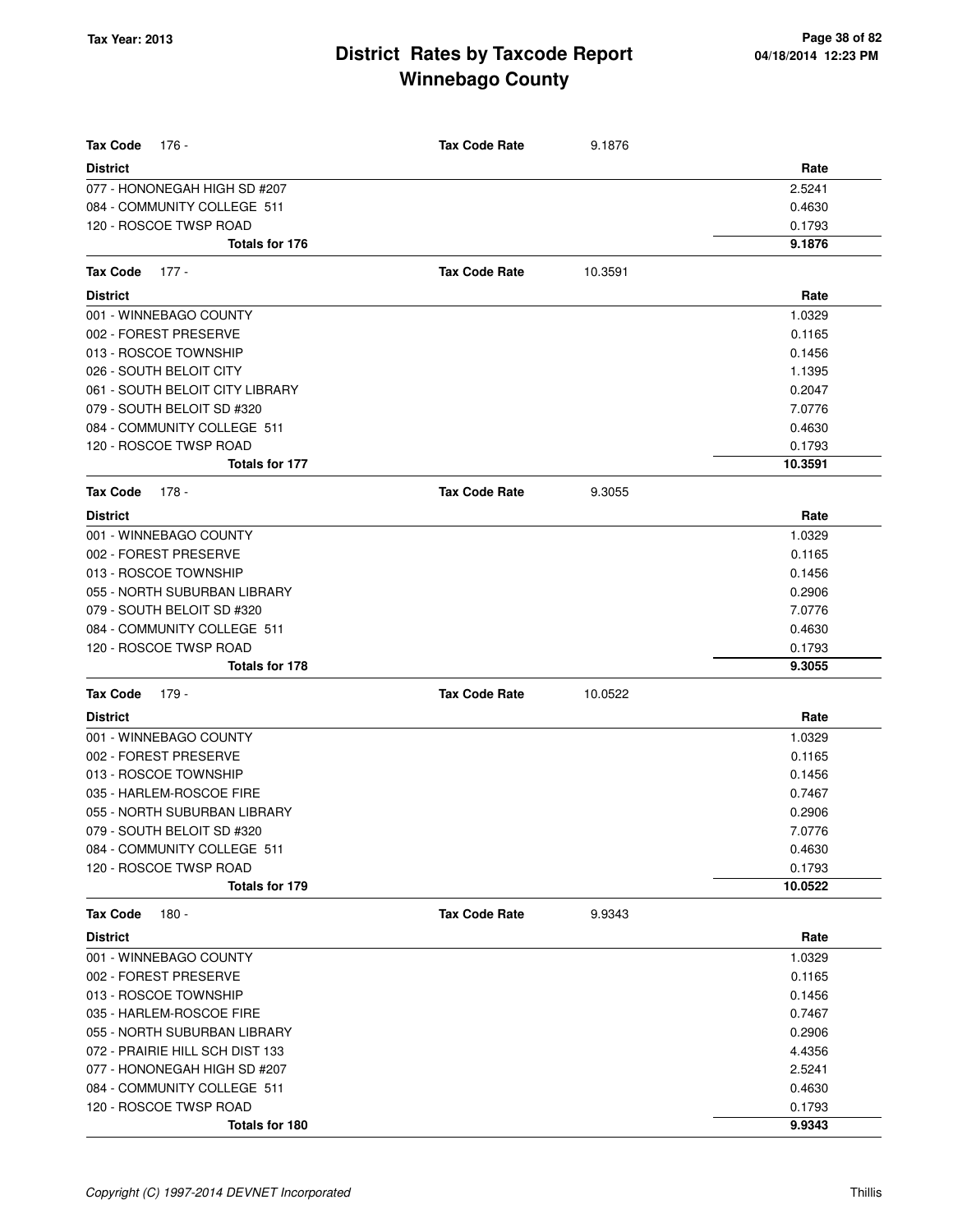| <b>Tax Code</b><br>176 -                                  | <b>Tax Code Rate</b> | 9.1876  |                  |
|-----------------------------------------------------------|----------------------|---------|------------------|
| <b>District</b>                                           |                      |         | Rate             |
| 077 - HONONEGAH HIGH SD #207                              |                      |         | 2.5241           |
| 084 - COMMUNITY COLLEGE 511                               |                      |         | 0.4630           |
| 120 - ROSCOE TWSP ROAD                                    |                      |         | 0.1793           |
| Totals for 176                                            |                      |         | 9.1876           |
| Tax Code<br>$177 -$                                       | <b>Tax Code Rate</b> | 10.3591 |                  |
| District                                                  |                      |         | Rate             |
| 001 - WINNEBAGO COUNTY                                    |                      |         | 1.0329           |
| 002 - FOREST PRESERVE                                     |                      |         | 0.1165           |
| 013 - ROSCOE TOWNSHIP                                     |                      |         | 0.1456           |
| 026 - SOUTH BELOIT CITY                                   |                      |         | 1.1395           |
| 061 - SOUTH BELOIT CITY LIBRARY                           |                      |         | 0.2047           |
| 079 - SOUTH BELOIT SD #320                                |                      |         | 7.0776           |
| 084 - COMMUNITY COLLEGE 511                               |                      |         | 0.4630           |
| 120 - ROSCOE TWSP ROAD                                    |                      |         | 0.1793           |
| <b>Totals for 177</b>                                     |                      |         | 10.3591          |
| Tax Code<br>178 -                                         | <b>Tax Code Rate</b> | 9.3055  |                  |
| <b>District</b>                                           |                      |         | Rate             |
| 001 - WINNEBAGO COUNTY                                    |                      |         | 1.0329           |
| 002 - FOREST PRESERVE                                     |                      |         | 0.1165           |
| 013 - ROSCOE TOWNSHIP                                     |                      |         | 0.1456           |
| 055 - NORTH SUBURBAN LIBRARY                              |                      |         | 0.2906           |
| 079 - SOUTH BELOIT SD #320                                |                      |         | 7.0776           |
| 084 - COMMUNITY COLLEGE 511                               |                      |         | 0.4630           |
| 120 - ROSCOE TWSP ROAD                                    |                      |         | 0.1793           |
| Totals for 178                                            |                      |         | 9.3055           |
| Tax Code<br>179 -                                         | <b>Tax Code Rate</b> | 10.0522 |                  |
| District                                                  |                      |         | Rate             |
| 001 - WINNEBAGO COUNTY                                    |                      |         | 1.0329           |
| 002 - FOREST PRESERVE                                     |                      |         | 0.1165           |
| 013 - ROSCOE TOWNSHIP                                     |                      |         | 0.1456           |
| 035 - HARLEM-ROSCOE FIRE                                  |                      |         | 0.7467           |
| 055 - NORTH SUBURBAN LIBRARY                              |                      |         | 0.2906           |
|                                                           |                      |         |                  |
| 079 - SOUTH BELOIT SD #320<br>084 - COMMUNITY COLLEGE 511 |                      |         | 7.0776<br>0.4630 |
| 120 - ROSCOE TWSP ROAD                                    |                      |         | 0.1793           |
| Totals for 179                                            |                      |         | 10.0522          |
| <b>Tax Code</b><br>$180 -$                                | <b>Tax Code Rate</b> | 9.9343  |                  |
| <b>District</b>                                           |                      |         | Rate             |
| 001 - WINNEBAGO COUNTY                                    |                      |         | 1.0329           |
| 002 - FOREST PRESERVE                                     |                      |         | 0.1165           |
| 013 - ROSCOE TOWNSHIP                                     |                      |         | 0.1456           |
| 035 - HARLEM-ROSCOE FIRE                                  |                      |         | 0.7467           |
| 055 - NORTH SUBURBAN LIBRARY                              |                      |         | 0.2906           |
| 072 - PRAIRIE HILL SCH DIST 133                           |                      |         | 4.4356           |
| 077 - HONONEGAH HIGH SD #207                              |                      |         | 2.5241           |
| 084 - COMMUNITY COLLEGE 511                               |                      |         | 0.4630           |
| 120 - ROSCOE TWSP ROAD                                    |                      |         | 0.1793           |
| Totals for 180                                            |                      |         | 9.9343           |
|                                                           |                      |         |                  |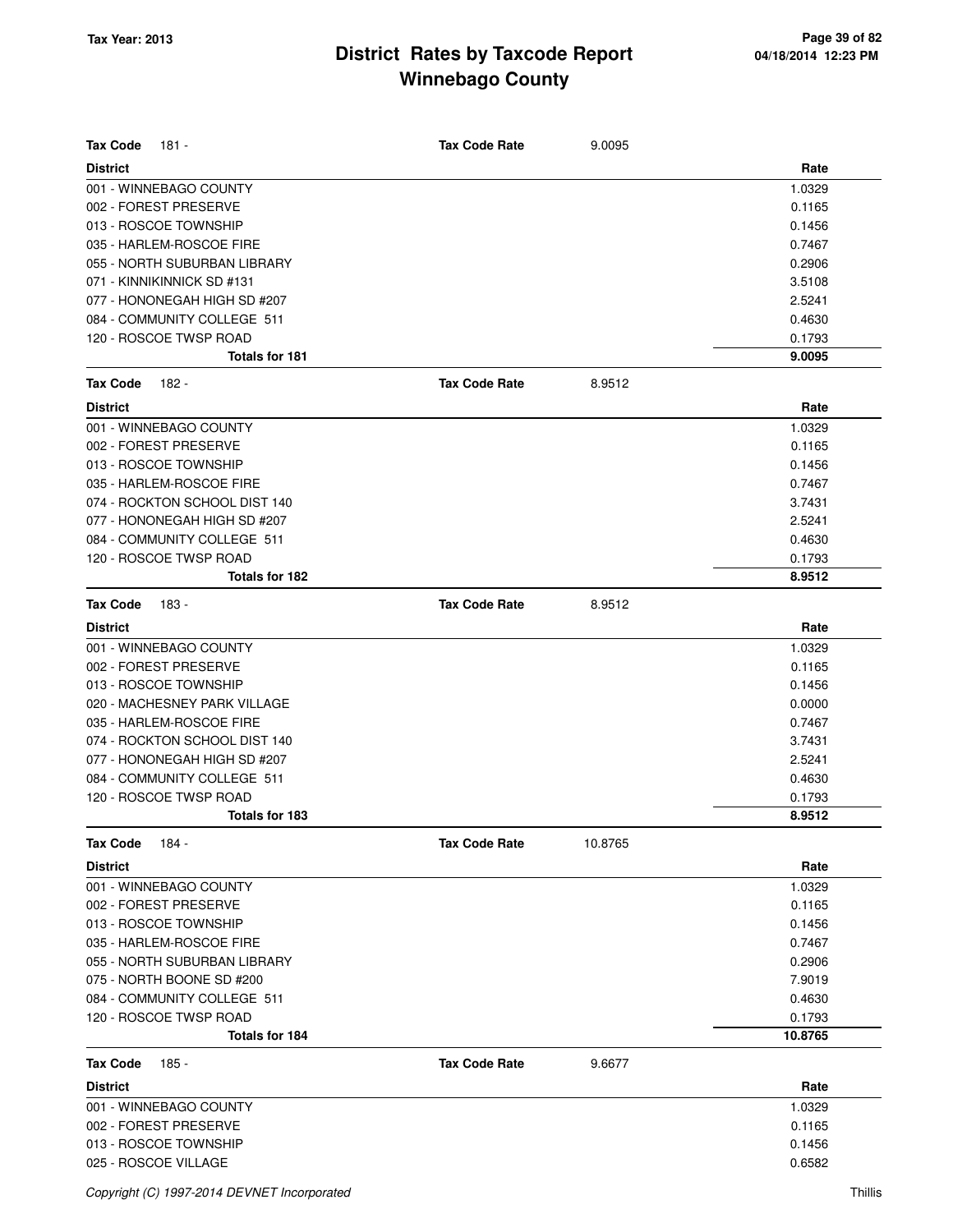| <b>Tax Code</b><br>181 -      | <b>Tax Code Rate</b> | 9.0095  |         |
|-------------------------------|----------------------|---------|---------|
| <b>District</b>               |                      |         | Rate    |
| 001 - WINNEBAGO COUNTY        |                      |         | 1.0329  |
| 002 - FOREST PRESERVE         |                      |         | 0.1165  |
| 013 - ROSCOE TOWNSHIP         |                      |         | 0.1456  |
| 035 - HARLEM-ROSCOE FIRE      |                      |         | 0.7467  |
| 055 - NORTH SUBURBAN LIBRARY  |                      |         | 0.2906  |
| 071 - KINNIKINNICK SD #131    |                      |         | 3.5108  |
| 077 - HONONEGAH HIGH SD #207  |                      |         | 2.5241  |
| 084 - COMMUNITY COLLEGE 511   |                      |         | 0.4630  |
| 120 - ROSCOE TWSP ROAD        |                      |         | 0.1793  |
| <b>Totals for 181</b>         |                      |         | 9.0095  |
| <b>Tax Code</b><br>182 -      | <b>Tax Code Rate</b> | 8.9512  |         |
| <b>District</b>               |                      |         | Rate    |
| 001 - WINNEBAGO COUNTY        |                      |         | 1.0329  |
| 002 - FOREST PRESERVE         |                      |         | 0.1165  |
| 013 - ROSCOE TOWNSHIP         |                      |         | 0.1456  |
| 035 - HARLEM-ROSCOE FIRE      |                      |         | 0.7467  |
| 074 - ROCKTON SCHOOL DIST 140 |                      |         | 3.7431  |
| 077 - HONONEGAH HIGH SD #207  |                      |         | 2.5241  |
| 084 - COMMUNITY COLLEGE 511   |                      |         | 0.4630  |
| 120 - ROSCOE TWSP ROAD        |                      |         | 0.1793  |
| Totals for 182                |                      |         | 8.9512  |
| <b>Tax Code</b><br>183 -      | <b>Tax Code Rate</b> | 8.9512  |         |
| <b>District</b>               |                      |         | Rate    |
| 001 - WINNEBAGO COUNTY        |                      |         | 1.0329  |
| 002 - FOREST PRESERVE         |                      |         | 0.1165  |
| 013 - ROSCOE TOWNSHIP         |                      |         | 0.1456  |
| 020 - MACHESNEY PARK VILLAGE  |                      |         | 0.0000  |
| 035 - HARLEM-ROSCOE FIRE      |                      |         | 0.7467  |
| 074 - ROCKTON SCHOOL DIST 140 |                      |         | 3.7431  |
| 077 - HONONEGAH HIGH SD #207  |                      |         | 2.5241  |
| 084 - COMMUNITY COLLEGE 511   |                      |         | 0.4630  |
| 120 - ROSCOE TWSP ROAD        |                      |         | 0.1793  |
| Totals for 183                |                      |         | 8.9512  |
| Tax Code<br>184 -             | <b>Tax Code Rate</b> | 10.8765 |         |
| <b>District</b>               |                      |         | Rate    |
| 001 - WINNEBAGO COUNTY        |                      |         | 1.0329  |
| 002 - FOREST PRESERVE         |                      |         | 0.1165  |
| 013 - ROSCOE TOWNSHIP         |                      |         | 0.1456  |
| 035 - HARLEM-ROSCOE FIRE      |                      |         | 0.7467  |
| 055 - NORTH SUBURBAN LIBRARY  |                      |         | 0.2906  |
| 075 - NORTH BOONE SD #200     |                      |         | 7.9019  |
| 084 - COMMUNITY COLLEGE 511   |                      |         | 0.4630  |
| 120 - ROSCOE TWSP ROAD        |                      |         | 0.1793  |
| Totals for 184                |                      |         | 10.8765 |
| <b>Tax Code</b><br>185 -      | <b>Tax Code Rate</b> | 9.6677  |         |
| <b>District</b>               |                      |         | Rate    |
| 001 - WINNEBAGO COUNTY        |                      |         | 1.0329  |
| 002 - FOREST PRESERVE         |                      |         | 0.1165  |
| 013 - ROSCOE TOWNSHIP         |                      |         | 0.1456  |
| 025 - ROSCOE VILLAGE          |                      |         | 0.6582  |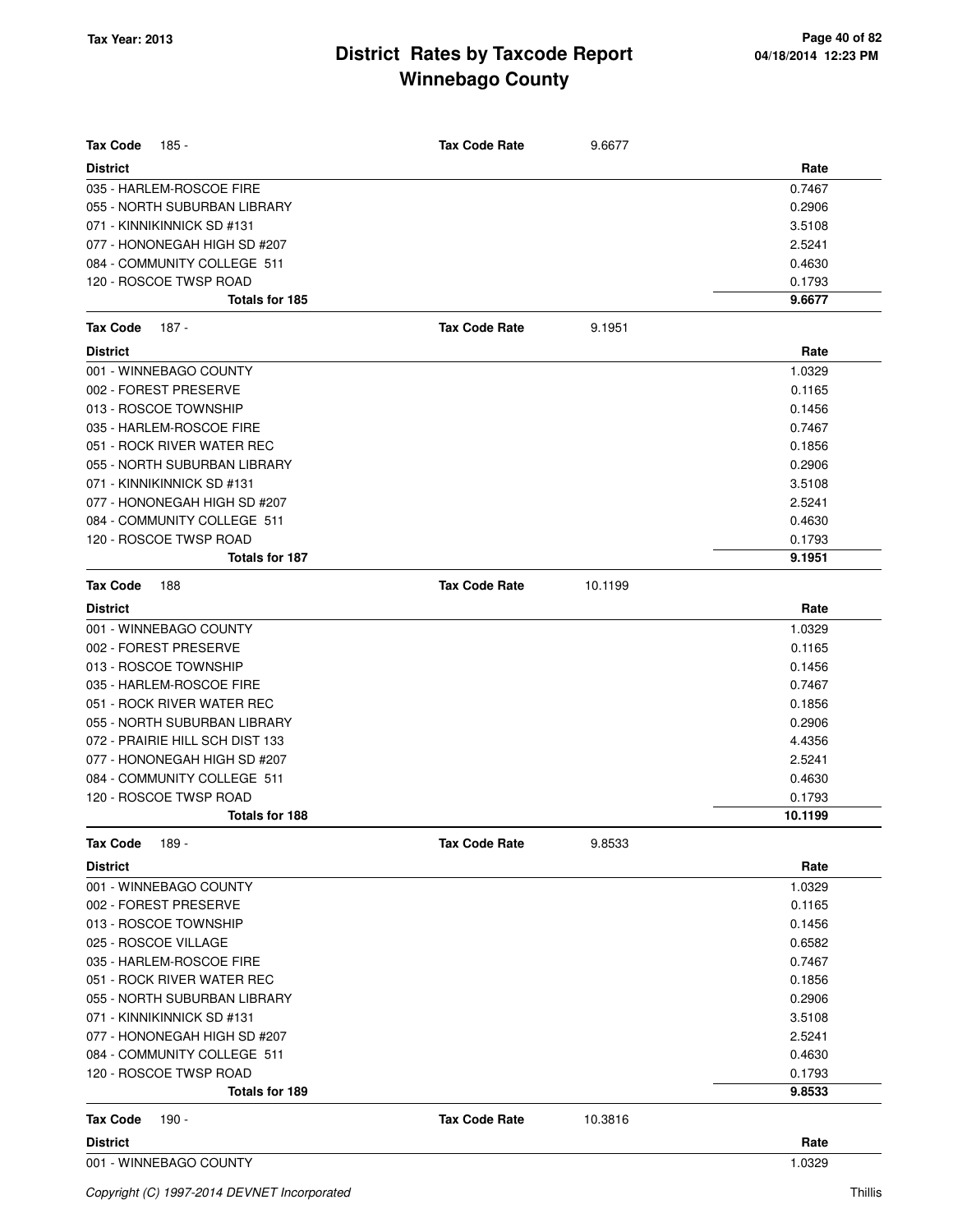| <b>Tax Code</b><br>185 -                 | <b>Tax Code Rate</b> | 9.6677  |                  |
|------------------------------------------|----------------------|---------|------------------|
| <b>District</b>                          |                      |         | Rate             |
| 035 - HARLEM-ROSCOE FIRE                 |                      |         | 0.7467           |
| 055 - NORTH SUBURBAN LIBRARY             |                      |         | 0.2906           |
| 071 - KINNIKINNICK SD #131               |                      |         | 3.5108           |
| 077 - HONONEGAH HIGH SD #207             |                      |         | 2.5241           |
| 084 - COMMUNITY COLLEGE 511              |                      |         | 0.4630           |
| 120 - ROSCOE TWSP ROAD                   |                      |         | 0.1793           |
| Totals for 185                           |                      |         | 9.6677           |
| <b>Tax Code</b><br>187 -                 | <b>Tax Code Rate</b> | 9.1951  |                  |
| <b>District</b>                          |                      |         | Rate             |
| 001 - WINNEBAGO COUNTY                   |                      |         | 1.0329           |
| 002 - FOREST PRESERVE                    |                      |         | 0.1165           |
| 013 - ROSCOE TOWNSHIP                    |                      |         | 0.1456           |
| 035 - HARLEM-ROSCOE FIRE                 |                      |         | 0.7467           |
| 051 - ROCK RIVER WATER REC               |                      |         | 0.1856           |
| 055 - NORTH SUBURBAN LIBRARY             |                      |         | 0.2906           |
| 071 - KINNIKINNICK SD #131               |                      |         | 3.5108           |
| 077 - HONONEGAH HIGH SD #207             |                      |         | 2.5241           |
| 084 - COMMUNITY COLLEGE 511              |                      |         | 0.4630           |
| 120 - ROSCOE TWSP ROAD                   |                      |         | 0.1793           |
| Totals for 187                           |                      |         | 9.1951           |
| <b>Tax Code</b><br>188                   | <b>Tax Code Rate</b> | 10.1199 |                  |
| <b>District</b>                          |                      |         | Rate             |
| 001 - WINNEBAGO COUNTY                   |                      |         | 1.0329           |
| 002 - FOREST PRESERVE                    |                      |         | 0.1165           |
| 013 - ROSCOE TOWNSHIP                    |                      |         | 0.1456           |
| 035 - HARLEM-ROSCOE FIRE                 |                      |         | 0.7467           |
| 051 - ROCK RIVER WATER REC               |                      |         | 0.1856           |
| 055 - NORTH SUBURBAN LIBRARY             |                      |         | 0.2906           |
| 072 - PRAIRIE HILL SCH DIST 133          |                      |         | 4.4356           |
| 077 - HONONEGAH HIGH SD #207             |                      |         | 2.5241           |
| 084 - COMMUNITY COLLEGE 511              |                      |         | 0.4630           |
| 120 - ROSCOE TWSP ROAD                   |                      |         | 0.1793           |
| Totals for 188                           |                      |         | 10.1199          |
| 189 -<br><b>Tax Code</b>                 | <b>Tax Code Rate</b> | 9.8533  |                  |
| <b>District</b>                          |                      |         | Rate             |
| 001 - WINNEBAGO COUNTY                   |                      |         | 1.0329           |
| 002 - FOREST PRESERVE                    |                      |         | 0.1165           |
| 013 - ROSCOE TOWNSHIP                    |                      |         | 0.1456           |
| 025 - ROSCOE VILLAGE                     |                      |         | 0.6582           |
| 035 - HARLEM-ROSCOE FIRE                 |                      |         | 0.7467           |
| 051 - ROCK RIVER WATER REC               |                      |         | 0.1856           |
| 055 - NORTH SUBURBAN LIBRARY             |                      |         | 0.2906           |
| 071 - KINNIKINNICK SD #131               |                      |         | 3.5108           |
| 077 - HONONEGAH HIGH SD #207             |                      |         | 2.5241           |
| 084 - COMMUNITY COLLEGE 511              |                      |         | 0.4630           |
| 120 - ROSCOE TWSP ROAD<br>Totals for 189 |                      |         | 0.1793<br>9.8533 |
|                                          |                      |         |                  |
| <b>Tax Code</b><br>190 -                 | <b>Tax Code Rate</b> | 10.3816 |                  |
| <b>District</b>                          |                      |         | Rate             |
| 001 - WINNEBAGO COUNTY                   |                      |         | 1.0329           |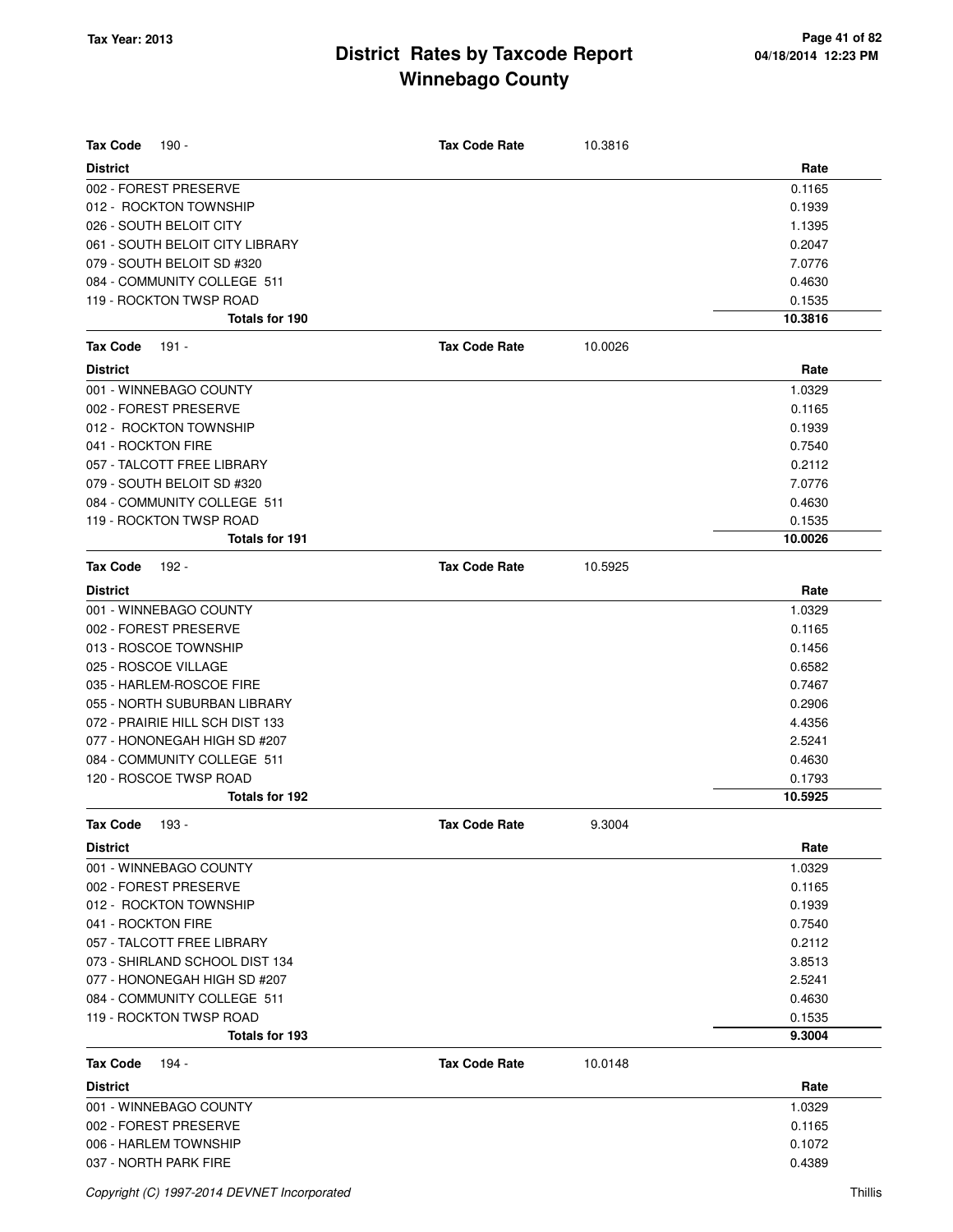| <b>Tax Code</b><br>190 -        | <b>Tax Code Rate</b> | 10.3816 |         |
|---------------------------------|----------------------|---------|---------|
| <b>District</b>                 |                      |         | Rate    |
| 002 - FOREST PRESERVE           |                      |         | 0.1165  |
| 012 - ROCKTON TOWNSHIP          |                      |         | 0.1939  |
| 026 - SOUTH BELOIT CITY         |                      |         | 1.1395  |
| 061 - SOUTH BELOIT CITY LIBRARY |                      |         | 0.2047  |
| 079 - SOUTH BELOIT SD #320      |                      |         | 7.0776  |
| 084 - COMMUNITY COLLEGE 511     |                      |         | 0.4630  |
| 119 - ROCKTON TWSP ROAD         |                      |         | 0.1535  |
| Totals for 190                  |                      |         | 10.3816 |
| <b>Tax Code</b><br>191 -        | <b>Tax Code Rate</b> | 10.0026 |         |
| <b>District</b>                 |                      |         | Rate    |
| 001 - WINNEBAGO COUNTY          |                      |         | 1.0329  |
| 002 - FOREST PRESERVE           |                      |         | 0.1165  |
| 012 - ROCKTON TOWNSHIP          |                      |         | 0.1939  |
| 041 - ROCKTON FIRE              |                      |         | 0.7540  |
| 057 - TALCOTT FREE LIBRARY      |                      |         | 0.2112  |
| 079 - SOUTH BELOIT SD #320      |                      |         | 7.0776  |
| 084 - COMMUNITY COLLEGE 511     |                      |         | 0.4630  |
| 119 - ROCKTON TWSP ROAD         |                      |         | 0.1535  |
| <b>Totals for 191</b>           |                      |         | 10.0026 |
| <b>Tax Code</b><br>$192 -$      | <b>Tax Code Rate</b> | 10.5925 |         |
|                                 |                      |         |         |
| <b>District</b>                 |                      |         | Rate    |
| 001 - WINNEBAGO COUNTY          |                      |         | 1.0329  |
| 002 - FOREST PRESERVE           |                      |         | 0.1165  |
| 013 - ROSCOE TOWNSHIP           |                      |         | 0.1456  |
| 025 - ROSCOE VILLAGE            |                      |         | 0.6582  |
| 035 - HARLEM-ROSCOE FIRE        |                      |         | 0.7467  |
| 055 - NORTH SUBURBAN LIBRARY    |                      |         | 0.2906  |
| 072 - PRAIRIE HILL SCH DIST 133 |                      |         | 4.4356  |
| 077 - HONONEGAH HIGH SD #207    |                      |         | 2.5241  |
| 084 - COMMUNITY COLLEGE 511     |                      |         | 0.4630  |
| 120 - ROSCOE TWSP ROAD          |                      |         | 0.1793  |
| Totals for 192                  |                      |         | 10.5925 |
| Tax Code 193 -                  | <b>Tax Code Rate</b> | 9.3004  |         |
| <b>District</b>                 |                      |         | Rate    |
| 001 - WINNEBAGO COUNTY          |                      |         | 1.0329  |
| 002 - FOREST PRESERVE           |                      |         | 0.1165  |
| 012 - ROCKTON TOWNSHIP          |                      |         | 0.1939  |
| 041 - ROCKTON FIRE              |                      |         | 0.7540  |
| 057 - TALCOTT FREE LIBRARY      |                      |         | 0.2112  |
| 073 - SHIRLAND SCHOOL DIST 134  |                      |         | 3.8513  |
| 077 - HONONEGAH HIGH SD #207    |                      |         | 2.5241  |
| 084 - COMMUNITY COLLEGE 511     |                      |         | 0.4630  |
| 119 - ROCKTON TWSP ROAD         |                      |         | 0.1535  |
| Totals for 193                  |                      |         | 9.3004  |
| <b>Tax Code</b><br>194 -        | <b>Tax Code Rate</b> | 10.0148 |         |
| <b>District</b>                 |                      |         | Rate    |
| 001 - WINNEBAGO COUNTY          |                      |         | 1.0329  |
| 002 - FOREST PRESERVE           |                      |         | 0.1165  |
| 006 - HARLEM TOWNSHIP           |                      |         | 0.1072  |
| 037 - NORTH PARK FIRE           |                      |         | 0.4389  |
|                                 |                      |         |         |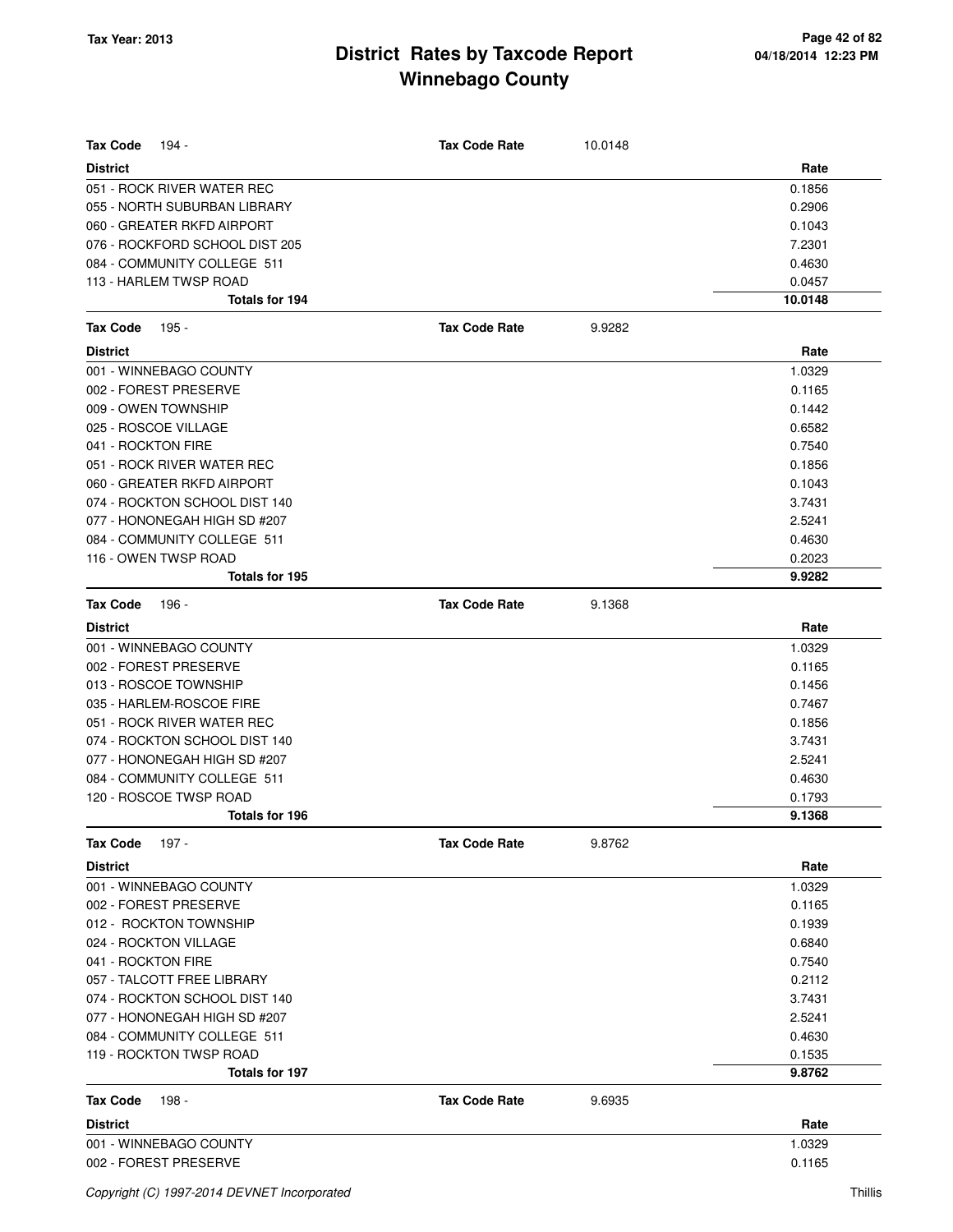| Tax Code<br>194 -                         | <b>Tax Code Rate</b> | 10.0148 |                  |
|-------------------------------------------|----------------------|---------|------------------|
| <b>District</b>                           |                      |         | Rate             |
| 051 - ROCK RIVER WATER REC                |                      |         | 0.1856           |
| 055 - NORTH SUBURBAN LIBRARY              |                      |         | 0.2906           |
| 060 - GREATER RKFD AIRPORT                |                      |         | 0.1043           |
| 076 - ROCKFORD SCHOOL DIST 205            |                      |         | 7.2301           |
| 084 - COMMUNITY COLLEGE 511               |                      |         | 0.4630           |
| 113 - HARLEM TWSP ROAD                    |                      |         | 0.0457           |
| Totals for 194                            |                      |         | 10.0148          |
| Tax Code<br>195 -                         | <b>Tax Code Rate</b> | 9.9282  |                  |
| <b>District</b>                           |                      |         | Rate             |
| 001 - WINNEBAGO COUNTY                    |                      |         | 1.0329           |
| 002 - FOREST PRESERVE                     |                      |         | 0.1165           |
| 009 - OWEN TOWNSHIP                       |                      |         | 0.1442           |
| 025 - ROSCOE VILLAGE                      |                      |         | 0.6582           |
| 041 - ROCKTON FIRE                        |                      |         | 0.7540           |
| 051 - ROCK RIVER WATER REC                |                      |         | 0.1856           |
| 060 - GREATER RKFD AIRPORT                |                      |         | 0.1043           |
| 074 - ROCKTON SCHOOL DIST 140             |                      |         | 3.7431           |
| 077 - HONONEGAH HIGH SD #207              |                      |         | 2.5241           |
| 084 - COMMUNITY COLLEGE 511               |                      |         | 0.4630           |
| 116 - OWEN TWSP ROAD                      |                      |         | 0.2023           |
| <b>Totals for 195</b>                     |                      |         | 9.9282           |
| Tax Code<br>196 -                         | <b>Tax Code Rate</b> | 9.1368  |                  |
| <b>District</b>                           |                      |         | Rate             |
| 001 - WINNEBAGO COUNTY                    |                      |         | 1.0329           |
| 002 - FOREST PRESERVE                     |                      |         | 0.1165           |
| 013 - ROSCOE TOWNSHIP                     |                      |         | 0.1456           |
| 035 - HARLEM-ROSCOE FIRE                  |                      |         | 0.7467           |
| 051 - ROCK RIVER WATER REC                |                      |         | 0.1856           |
| 074 - ROCKTON SCHOOL DIST 140             |                      |         | 3.7431           |
| 077 - HONONEGAH HIGH SD #207              |                      |         | 2.5241           |
| 084 - COMMUNITY COLLEGE 511               |                      |         | 0.4630           |
| 120 - ROSCOE TWSP ROAD                    |                      |         | 0.1793           |
| Totals for 196                            |                      |         | 9.1368           |
| Tax Code<br>197 -                         | <b>Tax Code Rate</b> | 9.8762  |                  |
| <b>District</b>                           |                      |         | Rate             |
| 001 - WINNEBAGO COUNTY                    |                      |         | 1.0329           |
| 002 - FOREST PRESERVE                     |                      |         | 0.1165           |
| 012 - ROCKTON TOWNSHIP                    |                      |         | 0.1939           |
| 024 - ROCKTON VILLAGE                     |                      |         | 0.6840           |
| 041 - ROCKTON FIRE                        |                      |         | 0.7540           |
| 057 - TALCOTT FREE LIBRARY                |                      |         | 0.2112           |
| 074 - ROCKTON SCHOOL DIST 140             |                      |         | 3.7431           |
| 077 - HONONEGAH HIGH SD #207              |                      |         | 2.5241           |
| 084 - COMMUNITY COLLEGE 511               |                      |         | 0.4630           |
| 119 - ROCKTON TWSP ROAD<br>Totals for 197 |                      |         | 0.1535<br>9.8762 |
|                                           |                      |         |                  |
| Tax Code<br>198 -                         | <b>Tax Code Rate</b> | 9.6935  |                  |
| <b>District</b>                           |                      |         | Rate             |
| 001 - WINNEBAGO COUNTY                    |                      |         | 1.0329           |
| 002 - FOREST PRESERVE                     |                      |         | 0.1165           |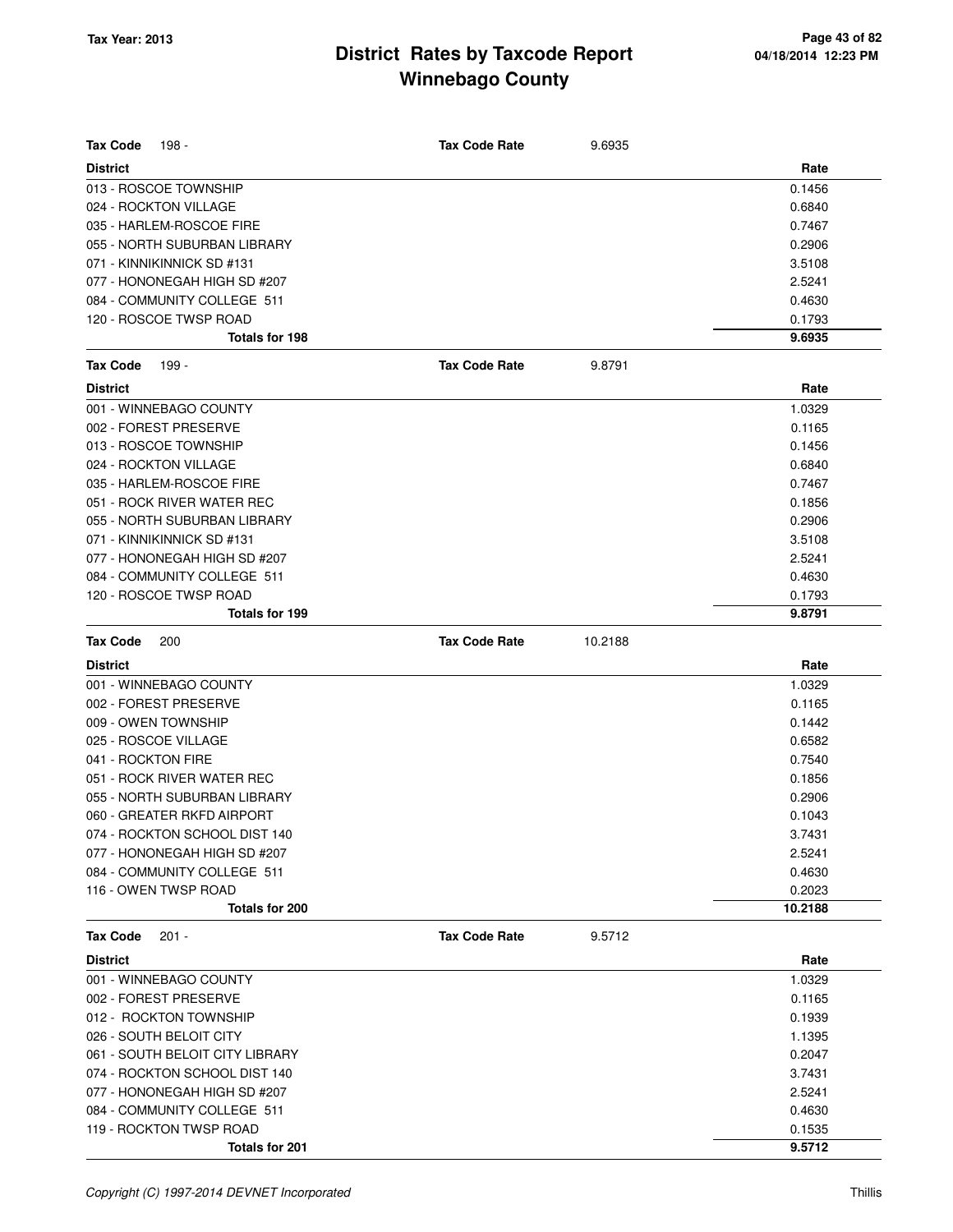| <b>Tax Code</b><br>198 -        | <b>Tax Code Rate</b> | 9.6935  |         |
|---------------------------------|----------------------|---------|---------|
| <b>District</b>                 |                      |         | Rate    |
| 013 - ROSCOE TOWNSHIP           |                      |         | 0.1456  |
| 024 - ROCKTON VILLAGE           |                      |         | 0.6840  |
| 035 - HARLEM-ROSCOE FIRE        |                      |         | 0.7467  |
| 055 - NORTH SUBURBAN LIBRARY    |                      |         | 0.2906  |
| 071 - KINNIKINNICK SD #131      |                      |         | 3.5108  |
| 077 - HONONEGAH HIGH SD #207    |                      |         | 2.5241  |
| 084 - COMMUNITY COLLEGE 511     |                      |         | 0.4630  |
| 120 - ROSCOE TWSP ROAD          |                      |         | 0.1793  |
| <b>Totals for 198</b>           |                      |         | 9.6935  |
| <b>Tax Code</b><br>199 -        | <b>Tax Code Rate</b> | 9.8791  |         |
| <b>District</b>                 |                      |         | Rate    |
| 001 - WINNEBAGO COUNTY          |                      |         | 1.0329  |
| 002 - FOREST PRESERVE           |                      |         | 0.1165  |
| 013 - ROSCOE TOWNSHIP           |                      |         | 0.1456  |
| 024 - ROCKTON VILLAGE           |                      |         | 0.6840  |
| 035 - HARLEM-ROSCOE FIRE        |                      |         | 0.7467  |
| 051 - ROCK RIVER WATER REC      |                      |         | 0.1856  |
| 055 - NORTH SUBURBAN LIBRARY    |                      |         | 0.2906  |
| 071 - KINNIKINNICK SD #131      |                      |         | 3.5108  |
| 077 - HONONEGAH HIGH SD #207    |                      |         | 2.5241  |
| 084 - COMMUNITY COLLEGE 511     |                      |         | 0.4630  |
| 120 - ROSCOE TWSP ROAD          |                      |         | 0.1793  |
| <b>Totals for 199</b>           |                      |         | 9.8791  |
| <b>Tax Code</b><br>200          | <b>Tax Code Rate</b> | 10.2188 |         |
| <b>District</b>                 |                      |         | Rate    |
| 001 - WINNEBAGO COUNTY          |                      |         | 1.0329  |
| 002 - FOREST PRESERVE           |                      |         | 0.1165  |
| 009 - OWEN TOWNSHIP             |                      |         | 0.1442  |
| 025 - ROSCOE VILLAGE            |                      |         | 0.6582  |
| 041 - ROCKTON FIRE              |                      |         | 0.7540  |
| 051 - ROCK RIVER WATER REC      |                      |         | 0.1856  |
| 055 - NORTH SUBURBAN LIBRARY    |                      |         | 0.2906  |
| 060 - GREATER RKFD AIRPORT      |                      |         | 0.1043  |
| 074 - ROCKTON SCHOOL DIST 140   |                      |         | 3.7431  |
| 077 - HONONEGAH HIGH SD #207    |                      |         | 2.5241  |
| 084 - COMMUNITY COLLEGE 511     |                      |         | 0.4630  |
| 116 - OWEN TWSP ROAD            |                      |         | 0.2023  |
| Totals for 200                  |                      |         | 10.2188 |
| Tax Code<br>$201 -$             | <b>Tax Code Rate</b> | 9.5712  |         |
| <b>District</b>                 |                      |         | Rate    |
| 001 - WINNEBAGO COUNTY          |                      |         | 1.0329  |
| 002 - FOREST PRESERVE           |                      |         | 0.1165  |
| 012 - ROCKTON TOWNSHIP          |                      |         | 0.1939  |
| 026 - SOUTH BELOIT CITY         |                      |         | 1.1395  |
| 061 - SOUTH BELOIT CITY LIBRARY |                      |         | 0.2047  |
| 074 - ROCKTON SCHOOL DIST 140   |                      |         | 3.7431  |
| 077 - HONONEGAH HIGH SD #207    |                      |         | 2.5241  |
| 084 - COMMUNITY COLLEGE 511     |                      |         | 0.4630  |
| 119 - ROCKTON TWSP ROAD         |                      |         | 0.1535  |
| Totals for 201                  |                      |         | 9.5712  |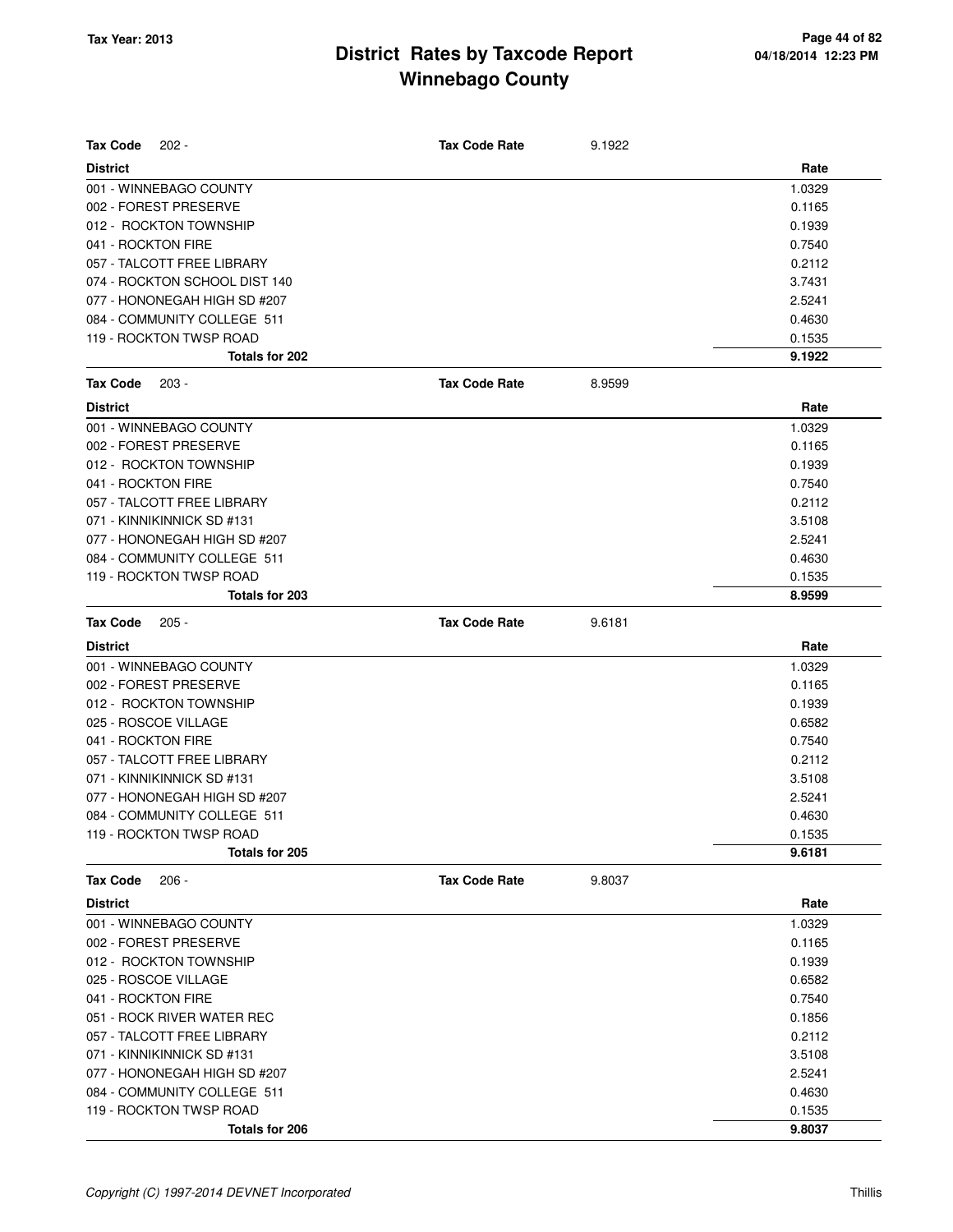| <b>Tax Code</b><br>$202 -$    | <b>Tax Code Rate</b> | 9.1922 |        |
|-------------------------------|----------------------|--------|--------|
| <b>District</b>               |                      |        | Rate   |
| 001 - WINNEBAGO COUNTY        |                      |        | 1.0329 |
| 002 - FOREST PRESERVE         |                      |        | 0.1165 |
| 012 - ROCKTON TOWNSHIP        |                      |        | 0.1939 |
| 041 - ROCKTON FIRE            |                      |        | 0.7540 |
| 057 - TALCOTT FREE LIBRARY    |                      |        | 0.2112 |
| 074 - ROCKTON SCHOOL DIST 140 |                      |        | 3.7431 |
| 077 - HONONEGAH HIGH SD #207  |                      |        | 2.5241 |
| 084 - COMMUNITY COLLEGE 511   |                      |        | 0.4630 |
| 119 - ROCKTON TWSP ROAD       |                      |        | 0.1535 |
| Totals for 202                |                      |        | 9.1922 |
| <b>Tax Code</b><br>$203 -$    | <b>Tax Code Rate</b> | 8.9599 |        |
| <b>District</b>               |                      |        | Rate   |
| 001 - WINNEBAGO COUNTY        |                      |        | 1.0329 |
| 002 - FOREST PRESERVE         |                      |        | 0.1165 |
| 012 - ROCKTON TOWNSHIP        |                      |        | 0.1939 |
| 041 - ROCKTON FIRE            |                      |        | 0.7540 |
| 057 - TALCOTT FREE LIBRARY    |                      |        | 0.2112 |
| 071 - KINNIKINNICK SD #131    |                      |        | 3.5108 |
| 077 - HONONEGAH HIGH SD #207  |                      |        | 2.5241 |
| 084 - COMMUNITY COLLEGE 511   |                      |        | 0.4630 |
| 119 - ROCKTON TWSP ROAD       |                      |        | 0.1535 |
| Totals for 203                |                      |        | 8.9599 |
| <b>Tax Code</b><br>$205 -$    | <b>Tax Code Rate</b> | 9.6181 |        |
| <b>District</b>               |                      |        | Rate   |
| 001 - WINNEBAGO COUNTY        |                      |        | 1.0329 |
| 002 - FOREST PRESERVE         |                      |        | 0.1165 |
| 012 - ROCKTON TOWNSHIP        |                      |        | 0.1939 |
| 025 - ROSCOE VILLAGE          |                      |        | 0.6582 |
| 041 - ROCKTON FIRE            |                      |        | 0.7540 |
| 057 - TALCOTT FREE LIBRARY    |                      |        | 0.2112 |
| 071 - KINNIKINNICK SD #131    |                      |        | 3.5108 |
| 077 - HONONEGAH HIGH SD #207  |                      |        | 2.5241 |
| 084 - COMMUNITY COLLEGE 511   |                      |        | 0.4630 |
| 119 - ROCKTON TWSP ROAD       |                      |        | 0.1535 |
| Totals for 205                |                      |        | 9.6181 |
| <b>Tax Code</b><br>$206 -$    | <b>Tax Code Rate</b> | 9.8037 |        |
| <b>District</b>               |                      |        | Rate   |
| 001 - WINNEBAGO COUNTY        |                      |        | 1.0329 |
| 002 - FOREST PRESERVE         |                      |        | 0.1165 |
| 012 - ROCKTON TOWNSHIP        |                      |        | 0.1939 |
| 025 - ROSCOE VILLAGE          |                      |        | 0.6582 |
| 041 - ROCKTON FIRE            |                      |        | 0.7540 |
| 051 - ROCK RIVER WATER REC    |                      |        | 0.1856 |
| 057 - TALCOTT FREE LIBRARY    |                      |        | 0.2112 |
| 071 - KINNIKINNICK SD #131    |                      |        | 3.5108 |
| 077 - HONONEGAH HIGH SD #207  |                      |        | 2.5241 |
| 084 - COMMUNITY COLLEGE 511   |                      |        | 0.4630 |
| 119 - ROCKTON TWSP ROAD       |                      |        | 0.1535 |
| Totals for 206                |                      |        | 9.8037 |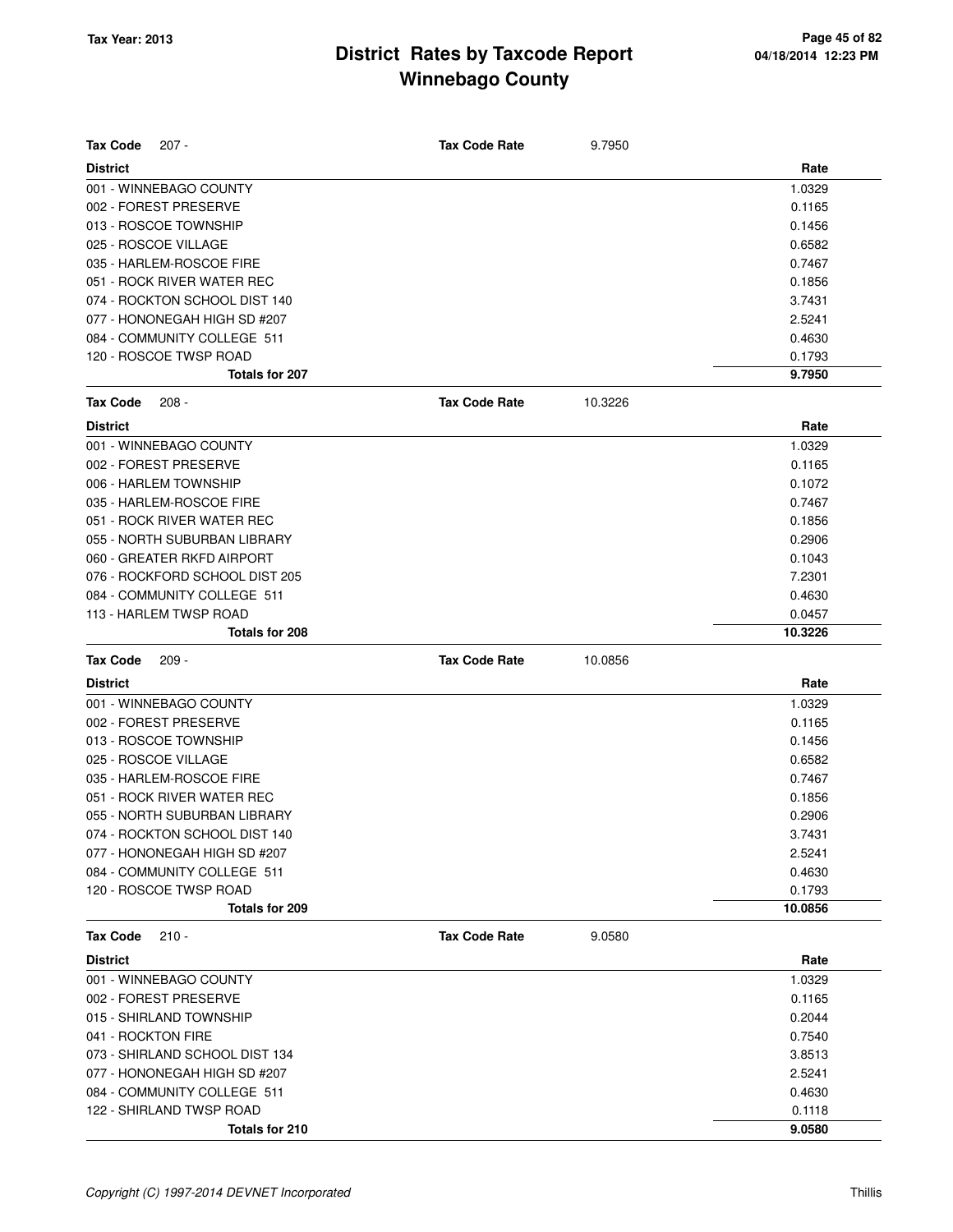| <b>Tax Code</b><br>207 -       | <b>Tax Code Rate</b> | 9.7950  |         |
|--------------------------------|----------------------|---------|---------|
| <b>District</b>                |                      |         | Rate    |
| 001 - WINNEBAGO COUNTY         |                      |         | 1.0329  |
| 002 - FOREST PRESERVE          |                      |         | 0.1165  |
| 013 - ROSCOE TOWNSHIP          |                      |         | 0.1456  |
| 025 - ROSCOE VILLAGE           |                      |         | 0.6582  |
| 035 - HARLEM-ROSCOE FIRE       |                      |         | 0.7467  |
| 051 - ROCK RIVER WATER REC     |                      |         | 0.1856  |
| 074 - ROCKTON SCHOOL DIST 140  |                      |         | 3.7431  |
| 077 - HONONEGAH HIGH SD #207   |                      |         | 2.5241  |
| 084 - COMMUNITY COLLEGE 511    |                      |         | 0.4630  |
| 120 - ROSCOE TWSP ROAD         |                      |         | 0.1793  |
| <b>Totals for 207</b>          |                      |         | 9.7950  |
| <b>Tax Code</b><br>$208 -$     | <b>Tax Code Rate</b> | 10.3226 |         |
| <b>District</b>                |                      |         | Rate    |
| 001 - WINNEBAGO COUNTY         |                      |         | 1.0329  |
| 002 - FOREST PRESERVE          |                      |         | 0.1165  |
| 006 - HARLEM TOWNSHIP          |                      |         | 0.1072  |
| 035 - HARLEM-ROSCOE FIRE       |                      |         | 0.7467  |
| 051 - ROCK RIVER WATER REC     |                      |         | 0.1856  |
| 055 - NORTH SUBURBAN LIBRARY   |                      |         | 0.2906  |
| 060 - GREATER RKFD AIRPORT     |                      |         | 0.1043  |
| 076 - ROCKFORD SCHOOL DIST 205 |                      |         | 7.2301  |
| 084 - COMMUNITY COLLEGE 511    |                      |         | 0.4630  |
| 113 - HARLEM TWSP ROAD         |                      |         | 0.0457  |
| Totals for 208                 |                      |         | 10.3226 |
| <b>Tax Code</b><br>$209 -$     | <b>Tax Code Rate</b> | 10.0856 |         |
| <b>District</b>                |                      |         | Rate    |
| 001 - WINNEBAGO COUNTY         |                      |         | 1.0329  |
| 002 - FOREST PRESERVE          |                      |         | 0.1165  |
| 013 - ROSCOE TOWNSHIP          |                      |         | 0.1456  |
| 025 - ROSCOE VILLAGE           |                      |         | 0.6582  |
| 035 - HARLEM-ROSCOE FIRE       |                      |         | 0.7467  |
| 051 - ROCK RIVER WATER REC     |                      |         | 0.1856  |
| 055 - NORTH SUBURBAN LIBRARY   |                      |         | 0.2906  |
| 074 - ROCKTON SCHOOL DIST 140  |                      |         | 3.7431  |
| 077 - HONONEGAH HIGH SD #207   |                      |         | 2.5241  |
| 084 - COMMUNITY COLLEGE 511    |                      |         | 0.4630  |
| 120 - ROSCOE TWSP ROAD         |                      |         | 0.1793  |
| Totals for 209                 |                      |         | 10.0856 |
| <b>Tax Code</b><br>$210 -$     | <b>Tax Code Rate</b> | 9.0580  |         |
| <b>District</b>                |                      |         | Rate    |
| 001 - WINNEBAGO COUNTY         |                      |         | 1.0329  |
| 002 - FOREST PRESERVE          |                      |         | 0.1165  |
| 015 - SHIRLAND TOWNSHIP        |                      |         | 0.2044  |
|                                |                      |         |         |
| 041 - ROCKTON FIRE             |                      |         | 0.7540  |
| 073 - SHIRLAND SCHOOL DIST 134 |                      |         | 3.8513  |
| 077 - HONONEGAH HIGH SD #207   |                      |         | 2.5241  |
| 084 - COMMUNITY COLLEGE 511    |                      |         | 0.4630  |
| 122 - SHIRLAND TWSP ROAD       |                      |         | 0.1118  |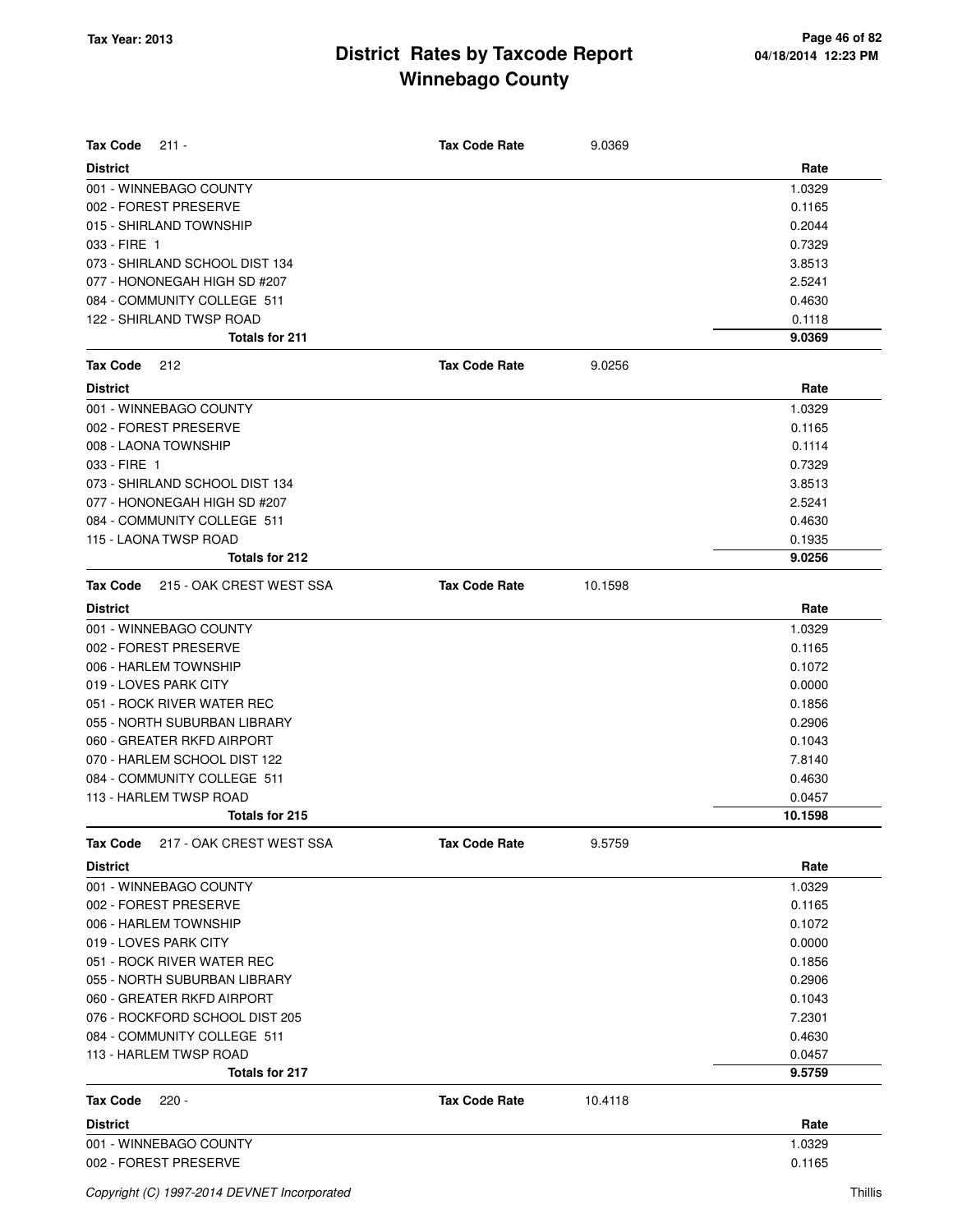| <b>Tax Code</b><br>$211 -$                  | <b>Tax Code Rate</b> | 9.0369  |         |
|---------------------------------------------|----------------------|---------|---------|
| <b>District</b>                             |                      |         | Rate    |
| 001 - WINNEBAGO COUNTY                      |                      |         | 1.0329  |
| 002 - FOREST PRESERVE                       |                      |         | 0.1165  |
| 015 - SHIRLAND TOWNSHIP                     |                      |         | 0.2044  |
| 033 - FIRE 1                                |                      |         | 0.7329  |
| 073 - SHIRLAND SCHOOL DIST 134              |                      |         | 3.8513  |
| 077 - HONONEGAH HIGH SD #207                |                      |         | 2.5241  |
| 084 - COMMUNITY COLLEGE 511                 |                      |         | 0.4630  |
| 122 - SHIRLAND TWSP ROAD                    |                      |         | 0.1118  |
| Totals for 211                              |                      |         | 9.0369  |
| <b>Tax Code</b><br>212                      | <b>Tax Code Rate</b> | 9.0256  |         |
| <b>District</b>                             |                      |         | Rate    |
| 001 - WINNEBAGO COUNTY                      |                      |         | 1.0329  |
| 002 - FOREST PRESERVE                       |                      |         | 0.1165  |
| 008 - LAONA TOWNSHIP                        |                      |         | 0.1114  |
| 033 - FIRE 1                                |                      |         | 0.7329  |
| 073 - SHIRLAND SCHOOL DIST 134              |                      |         | 3.8513  |
| 077 - HONONEGAH HIGH SD #207                |                      |         | 2.5241  |
| 084 - COMMUNITY COLLEGE 511                 |                      |         | 0.4630  |
| 115 - LAONA TWSP ROAD                       |                      |         | 0.1935  |
| Totals for 212                              |                      |         | 9.0256  |
| <b>Tax Code</b><br>215 - OAK CREST WEST SSA | <b>Tax Code Rate</b> | 10.1598 |         |
| <b>District</b>                             |                      |         | Rate    |
| 001 - WINNEBAGO COUNTY                      |                      |         | 1.0329  |
| 002 - FOREST PRESERVE                       |                      |         | 0.1165  |
| 006 - HARLEM TOWNSHIP                       |                      |         | 0.1072  |
| 019 - LOVES PARK CITY                       |                      |         | 0.0000  |
| 051 - ROCK RIVER WATER REC                  |                      |         | 0.1856  |
| 055 - NORTH SUBURBAN LIBRARY                |                      |         | 0.2906  |
| 060 - GREATER RKFD AIRPORT                  |                      |         | 0.1043  |
| 070 - HARLEM SCHOOL DIST 122                |                      |         | 7.8140  |
| 084 - COMMUNITY COLLEGE 511                 |                      |         | 0.4630  |
| 113 - HARLEM TWSP ROAD                      |                      |         | 0.0457  |
| Totals for 215                              |                      |         | 10.1598 |
| 217 - OAK CREST WEST SSA<br>Tax Code        | <b>Tax Code Rate</b> | 9.5759  |         |
| <b>District</b>                             |                      |         | Rate    |
| 001 - WINNEBAGO COUNTY                      |                      |         | 1.0329  |
| 002 - FOREST PRESERVE                       |                      |         | 0.1165  |
| 006 - HARLEM TOWNSHIP                       |                      |         | 0.1072  |
| 019 - LOVES PARK CITY                       |                      |         | 0.0000  |
| 051 - ROCK RIVER WATER REC                  |                      |         | 0.1856  |
| 055 - NORTH SUBURBAN LIBRARY                |                      |         | 0.2906  |
| 060 - GREATER RKFD AIRPORT                  |                      |         | 0.1043  |
| 076 - ROCKFORD SCHOOL DIST 205              |                      |         | 7.2301  |
| 084 - COMMUNITY COLLEGE 511                 |                      |         | 0.4630  |
| 113 - HARLEM TWSP ROAD                      |                      |         | 0.0457  |
| Totals for 217                              |                      |         | 9.5759  |
| <b>Tax Code</b><br>$220 -$                  | <b>Tax Code Rate</b> | 10.4118 |         |
| <b>District</b>                             |                      |         | Rate    |
| 001 - WINNEBAGO COUNTY                      |                      |         | 1.0329  |
| 002 - FOREST PRESERVE                       |                      |         | 0.1165  |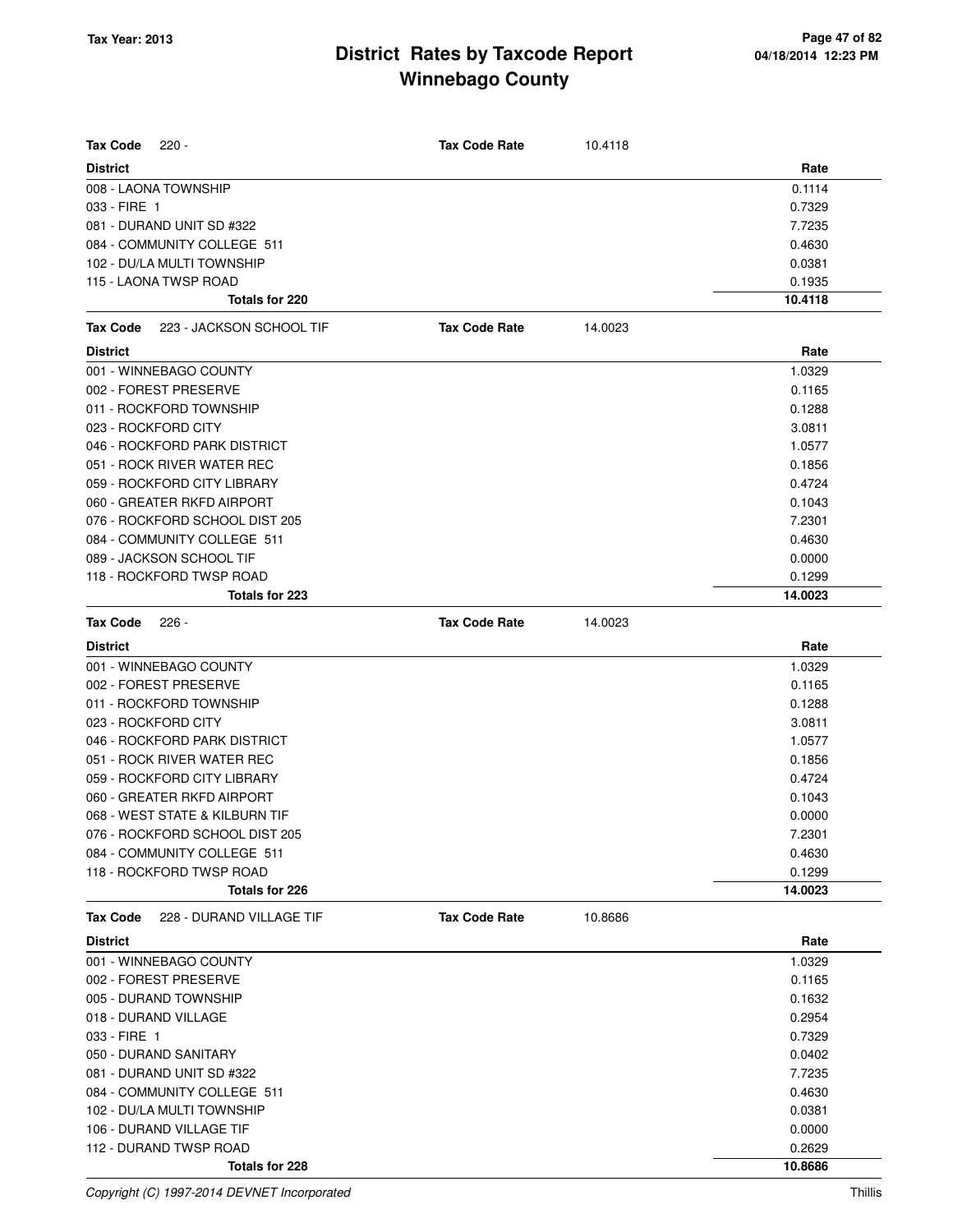| <b>Tax Code</b><br>$220 -$           | <b>Tax Code Rate</b> | 10.4118 |         |
|--------------------------------------|----------------------|---------|---------|
| <b>District</b>                      |                      |         | Rate    |
| 008 - LAONA TOWNSHIP                 |                      |         | 0.1114  |
| 033 - FIRE 1                         |                      |         | 0.7329  |
| 081 - DURAND UNIT SD #322            |                      |         | 7.7235  |
| 084 - COMMUNITY COLLEGE 511          |                      |         | 0.4630  |
| 102 - DU/LA MULTI TOWNSHIP           |                      |         | 0.0381  |
| 115 - LAONA TWSP ROAD                |                      |         | 0.1935  |
| Totals for 220                       |                      |         | 10.4118 |
| Tax Code<br>223 - JACKSON SCHOOL TIF | <b>Tax Code Rate</b> | 14.0023 |         |
| <b>District</b>                      |                      |         | Rate    |
| 001 - WINNEBAGO COUNTY               |                      |         | 1.0329  |
| 002 - FOREST PRESERVE                |                      |         | 0.1165  |
| 011 - ROCKFORD TOWNSHIP              |                      |         | 0.1288  |
| 023 - ROCKFORD CITY                  |                      |         | 3.0811  |
| 046 - ROCKFORD PARK DISTRICT         |                      |         | 1.0577  |
| 051 - ROCK RIVER WATER REC           |                      |         | 0.1856  |
| 059 - ROCKFORD CITY LIBRARY          |                      |         | 0.4724  |
| 060 - GREATER RKFD AIRPORT           |                      |         | 0.1043  |
| 076 - ROCKFORD SCHOOL DIST 205       |                      |         | 7.2301  |
| 084 - COMMUNITY COLLEGE 511          |                      |         | 0.4630  |
| 089 - JACKSON SCHOOL TIF             |                      |         | 0.0000  |
| 118 - ROCKFORD TWSP ROAD             |                      |         | 0.1299  |
| Totals for 223                       |                      |         | 14.0023 |
| <b>Tax Code</b><br>$226 -$           | <b>Tax Code Rate</b> | 14.0023 |         |
| <b>District</b>                      |                      |         | Rate    |
| 001 - WINNEBAGO COUNTY               |                      |         | 1.0329  |
| 002 - FOREST PRESERVE                |                      |         | 0.1165  |
| 011 - ROCKFORD TOWNSHIP              |                      |         | 0.1288  |
| 023 - ROCKFORD CITY                  |                      |         | 3.0811  |
| 046 - ROCKFORD PARK DISTRICT         |                      |         | 1.0577  |
| 051 - ROCK RIVER WATER REC           |                      |         | 0.1856  |
| 059 - ROCKFORD CITY LIBRARY          |                      |         | 0.4724  |
| 060 - GREATER RKFD AIRPORT           |                      |         | 0.1043  |
| 068 - WEST STATE & KILBURN TIF       |                      |         | 0.0000  |
| 076 - ROCKFORD SCHOOL DIST 205       |                      |         | 7.2301  |
| 084 - COMMUNITY COLLEGE 511          |                      |         | 0.4630  |
| 118 - ROCKFORD TWSP ROAD             |                      |         | 0.1299  |
| Totals for 226                       |                      |         | 14.0023 |
| 228 - DURAND VILLAGE TIF<br>Tax Code | <b>Tax Code Rate</b> | 10.8686 |         |
| <b>District</b>                      |                      |         | Rate    |
| 001 - WINNEBAGO COUNTY               |                      |         | 1.0329  |
| 002 - FOREST PRESERVE                |                      |         | 0.1165  |
| 005 - DURAND TOWNSHIP                |                      |         | 0.1632  |
| 018 - DURAND VILLAGE                 |                      |         | 0.2954  |
| 033 - FIRE 1                         |                      |         | 0.7329  |
| 050 - DURAND SANITARY                |                      |         | 0.0402  |
| 081 - DURAND UNIT SD #322            |                      |         | 7.7235  |
| 084 - COMMUNITY COLLEGE 511          |                      |         | 0.4630  |
| 102 - DU/LA MULTI TOWNSHIP           |                      |         | 0.0381  |
| 106 - DURAND VILLAGE TIF             |                      |         | 0.0000  |
| 112 - DURAND TWSP ROAD               |                      |         | 0.2629  |
| Totals for 228                       |                      |         | 10.8686 |

Copyright (C) 1997-2014 DEVNET Incorporated Thillis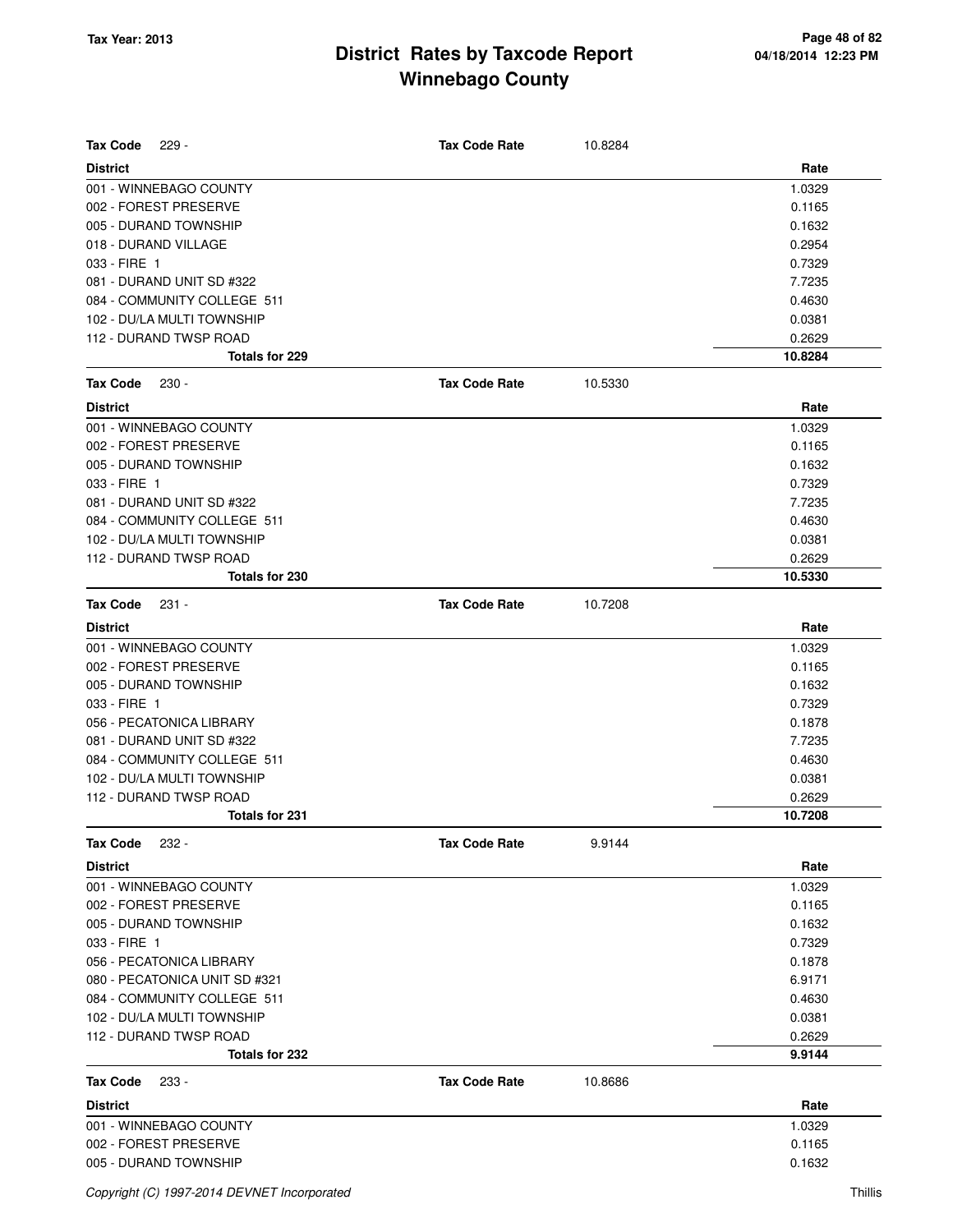| <b>Tax Code</b><br>$229 -$                                | <b>Tax Code Rate</b> | 10.8284 |                   |
|-----------------------------------------------------------|----------------------|---------|-------------------|
| <b>District</b>                                           |                      |         | Rate              |
| 001 - WINNEBAGO COUNTY                                    |                      |         | 1.0329            |
| 002 - FOREST PRESERVE                                     |                      |         | 0.1165            |
| 005 - DURAND TOWNSHIP                                     |                      |         | 0.1632            |
| 018 - DURAND VILLAGE                                      |                      |         | 0.2954            |
| 033 - FIRE 1                                              |                      |         | 0.7329            |
| 081 - DURAND UNIT SD #322                                 |                      |         | 7.7235            |
| 084 - COMMUNITY COLLEGE 511                               |                      |         | 0.4630            |
| 102 - DU/LA MULTI TOWNSHIP                                |                      |         | 0.0381            |
| 112 - DURAND TWSP ROAD                                    |                      |         | 0.2629            |
| Totals for 229                                            |                      |         | 10.8284           |
| <b>Tax Code</b><br>$230 -$                                | <b>Tax Code Rate</b> | 10.5330 |                   |
| <b>District</b>                                           |                      |         | Rate              |
| 001 - WINNEBAGO COUNTY                                    |                      |         | 1.0329            |
| 002 - FOREST PRESERVE                                     |                      |         | 0.1165            |
| 005 - DURAND TOWNSHIP                                     |                      |         | 0.1632            |
| 033 - FIRE 1                                              |                      |         | 0.7329            |
| 081 - DURAND UNIT SD #322                                 |                      |         | 7.7235            |
| 084 - COMMUNITY COLLEGE 511                               |                      |         | 0.4630            |
| 102 - DU/LA MULTI TOWNSHIP                                |                      |         | 0.0381            |
| 112 - DURAND TWSP ROAD<br>Totals for 230                  |                      |         | 0.2629<br>10.5330 |
|                                                           |                      |         |                   |
| <b>Tax Code</b><br>$231 -$                                | <b>Tax Code Rate</b> | 10.7208 |                   |
| <b>District</b>                                           |                      |         | Rate              |
| 001 - WINNEBAGO COUNTY                                    |                      |         | 1.0329            |
| 002 - FOREST PRESERVE                                     |                      |         | 0.1165            |
| 005 - DURAND TOWNSHIP                                     |                      |         | 0.1632            |
| 033 - FIRE 1                                              |                      |         | 0.7329            |
| 056 - PECATONICA LIBRARY                                  |                      |         | 0.1878            |
| 081 - DURAND UNIT SD #322                                 |                      |         | 7.7235            |
| 084 - COMMUNITY COLLEGE 511                               |                      |         | 0.4630            |
| 102 - DU/LA MULTI TOWNSHIP                                |                      |         | 0.0381            |
| 112 - DURAND TWSP ROAD<br>Totals for 231                  |                      |         | 0.2629<br>10.7208 |
|                                                           |                      |         |                   |
| <b>Tax Code</b><br>$232 -$                                | <b>Tax Code Rate</b> | 9.9144  |                   |
| <b>District</b>                                           |                      |         | Rate              |
| 001 - WINNEBAGO COUNTY                                    |                      |         | 1.0329            |
| 002 - FOREST PRESERVE                                     |                      |         | 0.1165            |
| 005 - DURAND TOWNSHIP                                     |                      |         | 0.1632            |
| 033 - FIRE 1                                              |                      |         | 0.7329            |
| 056 - PECATONICA LIBRARY                                  |                      |         | 0.1878            |
| 080 - PECATONICA UNIT SD #321                             |                      |         | 6.9171            |
| 084 - COMMUNITY COLLEGE 511<br>102 - DU/LA MULTI TOWNSHIP |                      |         | 0.4630<br>0.0381  |
| 112 - DURAND TWSP ROAD                                    |                      |         | 0.2629            |
| Totals for 232                                            |                      |         | 9.9144            |
|                                                           | <b>Tax Code Rate</b> |         |                   |
| <b>Tax Code</b><br>233 -                                  |                      | 10.8686 |                   |
| <b>District</b>                                           |                      |         | Rate              |
| 001 - WINNEBAGO COUNTY                                    |                      |         | 1.0329            |
| 002 - FOREST PRESERVE                                     |                      |         | 0.1165            |
| 005 - DURAND TOWNSHIP                                     |                      |         | 0.1632            |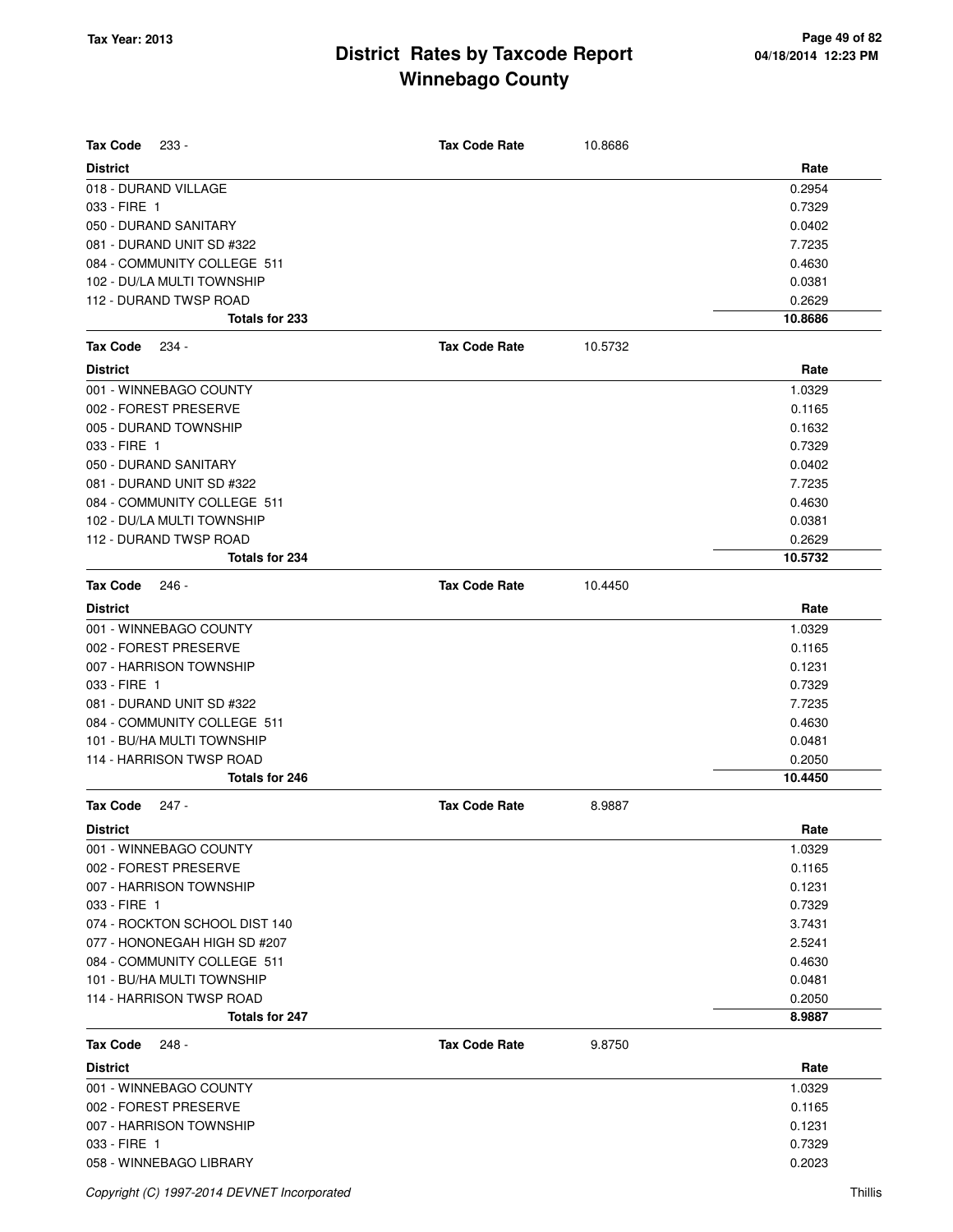| <b>Tax Code</b><br>$233 -$    | <b>Tax Code Rate</b> | 10.8686 |         |
|-------------------------------|----------------------|---------|---------|
| <b>District</b>               |                      |         | Rate    |
| 018 - DURAND VILLAGE          |                      |         | 0.2954  |
| 033 - FIRE 1                  |                      |         | 0.7329  |
| 050 - DURAND SANITARY         |                      |         | 0.0402  |
| 081 - DURAND UNIT SD #322     |                      |         | 7.7235  |
| 084 - COMMUNITY COLLEGE 511   |                      |         | 0.4630  |
| 102 - DU/LA MULTI TOWNSHIP    |                      |         | 0.0381  |
| 112 - DURAND TWSP ROAD        |                      |         | 0.2629  |
| Totals for 233                |                      |         | 10.8686 |
| <b>Tax Code</b><br>234 -      | <b>Tax Code Rate</b> | 10.5732 |         |
| <b>District</b>               |                      |         | Rate    |
| 001 - WINNEBAGO COUNTY        |                      |         | 1.0329  |
| 002 - FOREST PRESERVE         |                      |         | 0.1165  |
| 005 - DURAND TOWNSHIP         |                      |         | 0.1632  |
| 033 - FIRE 1                  |                      |         | 0.7329  |
| 050 - DURAND SANITARY         |                      |         | 0.0402  |
| 081 - DURAND UNIT SD #322     |                      |         | 7.7235  |
| 084 - COMMUNITY COLLEGE 511   |                      |         | 0.4630  |
| 102 - DU/LA MULTI TOWNSHIP    |                      |         | 0.0381  |
| 112 - DURAND TWSP ROAD        |                      |         | 0.2629  |
| Totals for 234                |                      |         | 10.5732 |
| <b>Tax Code</b><br>246 -      | <b>Tax Code Rate</b> | 10.4450 |         |
| <b>District</b>               |                      |         | Rate    |
| 001 - WINNEBAGO COUNTY        |                      |         | 1.0329  |
| 002 - FOREST PRESERVE         |                      |         | 0.1165  |
| 007 - HARRISON TOWNSHIP       |                      |         | 0.1231  |
| 033 - FIRE 1                  |                      |         | 0.7329  |
| 081 - DURAND UNIT SD #322     |                      |         | 7.7235  |
| 084 - COMMUNITY COLLEGE 511   |                      |         | 0.4630  |
| 101 - BU/HA MULTI TOWNSHIP    |                      |         | 0.0481  |
| 114 - HARRISON TWSP ROAD      |                      |         | 0.2050  |
| Totals for 246                |                      |         | 10.4450 |
| <b>Tax Code</b><br>$247 -$    | <b>Tax Code Rate</b> | 8.9887  |         |
| <b>District</b>               |                      |         | Rate    |
| 001 - WINNEBAGO COUNTY        |                      |         | 1.0329  |
| 002 - FOREST PRESERVE         |                      |         | 0.1165  |
| 007 - HARRISON TOWNSHIP       |                      |         | 0.1231  |
| 033 - FIRE 1                  |                      |         | 0.7329  |
| 074 - ROCKTON SCHOOL DIST 140 |                      |         | 3.7431  |
| 077 - HONONEGAH HIGH SD #207  |                      |         | 2.5241  |
| 084 - COMMUNITY COLLEGE 511   |                      |         | 0.4630  |
| 101 - BU/HA MULTI TOWNSHIP    |                      |         | 0.0481  |
| 114 - HARRISON TWSP ROAD      |                      |         | 0.2050  |
| Totals for 247                |                      |         | 8.9887  |
| <b>Tax Code</b><br>248 -      | <b>Tax Code Rate</b> | 9.8750  |         |
| <b>District</b>               |                      |         | Rate    |
| 001 - WINNEBAGO COUNTY        |                      |         | 1.0329  |
| 002 - FOREST PRESERVE         |                      |         | 0.1165  |
| 007 - HARRISON TOWNSHIP       |                      |         | 0.1231  |
| 033 - FIRE 1                  |                      |         | 0.7329  |
| 058 - WINNEBAGO LIBRARY       |                      |         | 0.2023  |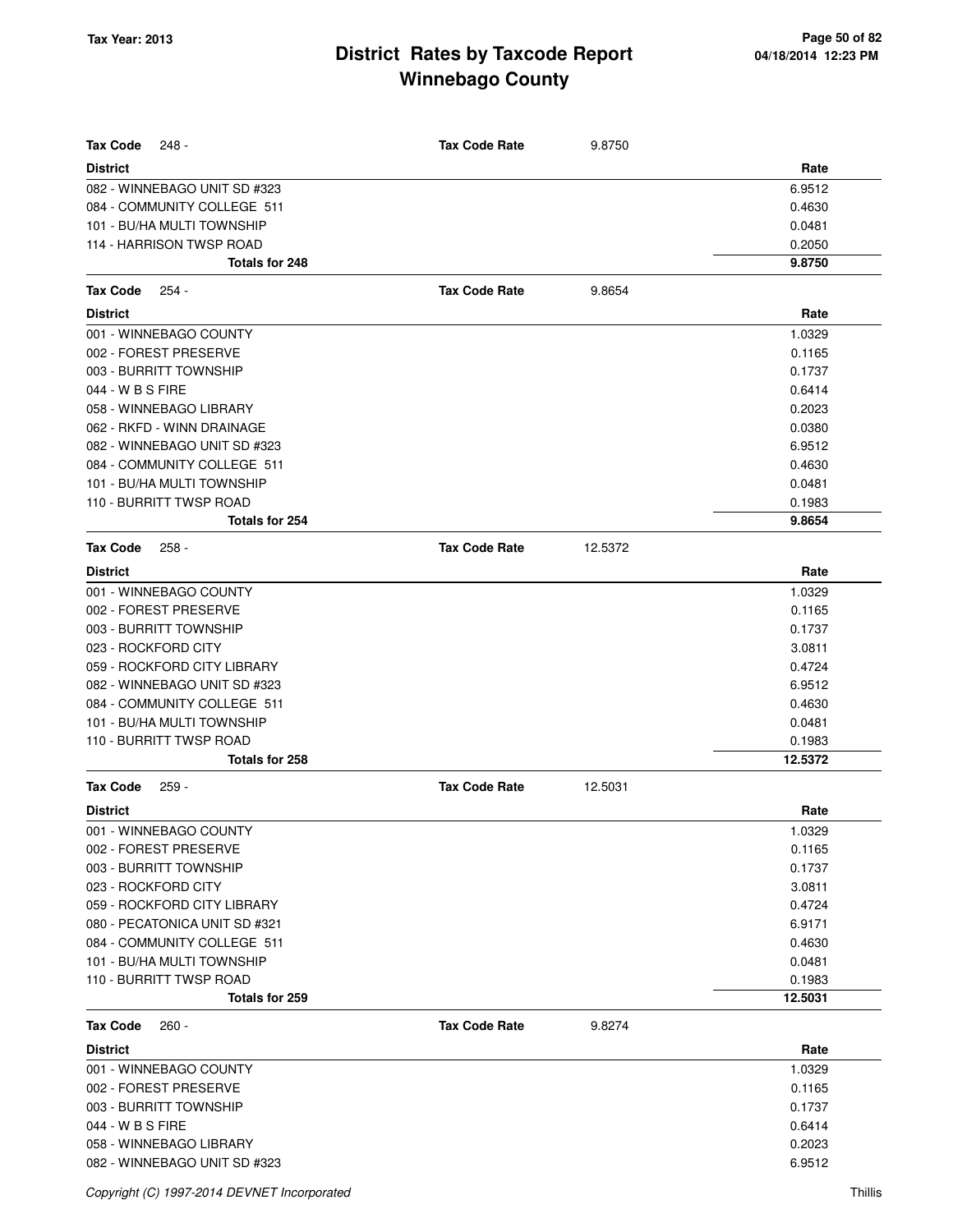| <b>Tax Code</b><br>248 -                                   | <b>Tax Code Rate</b> | 9.8750  |                  |
|------------------------------------------------------------|----------------------|---------|------------------|
| <b>District</b>                                            |                      |         | Rate             |
| 082 - WINNEBAGO UNIT SD #323                               |                      |         | 6.9512           |
| 084 - COMMUNITY COLLEGE 511                                |                      |         | 0.4630           |
| 101 - BU/HA MULTI TOWNSHIP                                 |                      |         | 0.0481           |
| 114 - HARRISON TWSP ROAD                                   |                      |         | 0.2050           |
| Totals for 248                                             |                      |         | 9.8750           |
| <b>Tax Code</b><br>254 -                                   | <b>Tax Code Rate</b> | 9.8654  |                  |
|                                                            |                      |         |                  |
| <b>District</b>                                            |                      |         | Rate             |
| 001 - WINNEBAGO COUNTY                                     |                      |         | 1.0329           |
| 002 - FOREST PRESERVE                                      |                      |         | 0.1165           |
| 003 - BURRITT TOWNSHIP                                     |                      |         | 0.1737           |
| 044 - W B S FIRE                                           |                      |         | 0.6414           |
| 058 - WINNEBAGO LIBRARY                                    |                      |         | 0.2023           |
| 062 - RKFD - WINN DRAINAGE<br>082 - WINNEBAGO UNIT SD #323 |                      |         | 0.0380<br>6.9512 |
| 084 - COMMUNITY COLLEGE 511                                |                      |         | 0.4630           |
| 101 - BU/HA MULTI TOWNSHIP                                 |                      |         | 0.0481           |
| 110 - BURRITT TWSP ROAD                                    |                      |         | 0.1983           |
| Totals for 254                                             |                      |         | 9.8654           |
| <b>Tax Code</b><br>258 -                                   | <b>Tax Code Rate</b> | 12.5372 |                  |
|                                                            |                      |         |                  |
| <b>District</b>                                            |                      |         | Rate             |
| 001 - WINNEBAGO COUNTY                                     |                      |         | 1.0329           |
| 002 - FOREST PRESERVE<br>003 - BURRITT TOWNSHIP            |                      |         | 0.1165<br>0.1737 |
| 023 - ROCKFORD CITY                                        |                      |         | 3.0811           |
| 059 - ROCKFORD CITY LIBRARY                                |                      |         | 0.4724           |
| 082 - WINNEBAGO UNIT SD #323                               |                      |         | 6.9512           |
| 084 - COMMUNITY COLLEGE 511                                |                      |         | 0.4630           |
| 101 - BU/HA MULTI TOWNSHIP                                 |                      |         | 0.0481           |
| 110 - BURRITT TWSP ROAD                                    |                      |         | 0.1983           |
| Totals for 258                                             |                      |         | 12.5372          |
| <b>Tax Code</b><br>$259 -$                                 | <b>Tax Code Rate</b> | 12.5031 |                  |
| <b>District</b>                                            |                      |         | Rate             |
| 001 - WINNEBAGO COUNTY                                     |                      |         | 1.0329           |
| 002 - FOREST PRESERVE                                      |                      |         | 0.1165           |
| 003 - BURRITT TOWNSHIP                                     |                      |         | 0.1737           |
| 023 - ROCKFORD CITY                                        |                      |         | 3.0811           |
| 059 - ROCKFORD CITY LIBRARY                                |                      |         | 0.4724           |
| 080 - PECATONICA UNIT SD #321                              |                      |         | 6.9171           |
| 084 - COMMUNITY COLLEGE 511                                |                      |         | 0.4630           |
| 101 - BU/HA MULTI TOWNSHIP                                 |                      |         | 0.0481           |
| 110 - BURRITT TWSP ROAD                                    |                      |         | 0.1983           |
| Totals for 259                                             |                      |         | 12.5031          |
| <b>Tax Code</b><br>260 -                                   | <b>Tax Code Rate</b> | 9.8274  |                  |
| <b>District</b>                                            |                      |         | Rate             |
| 001 - WINNEBAGO COUNTY                                     |                      |         | 1.0329           |
| 002 - FOREST PRESERVE                                      |                      |         | 0.1165           |
| 003 - BURRITT TOWNSHIP                                     |                      |         | 0.1737           |
| 044 - W B S FIRE                                           |                      |         | 0.6414           |
| 058 - WINNEBAGO LIBRARY                                    |                      |         | 0.2023           |
| 082 - WINNEBAGO UNIT SD #323                               |                      |         | 6.9512           |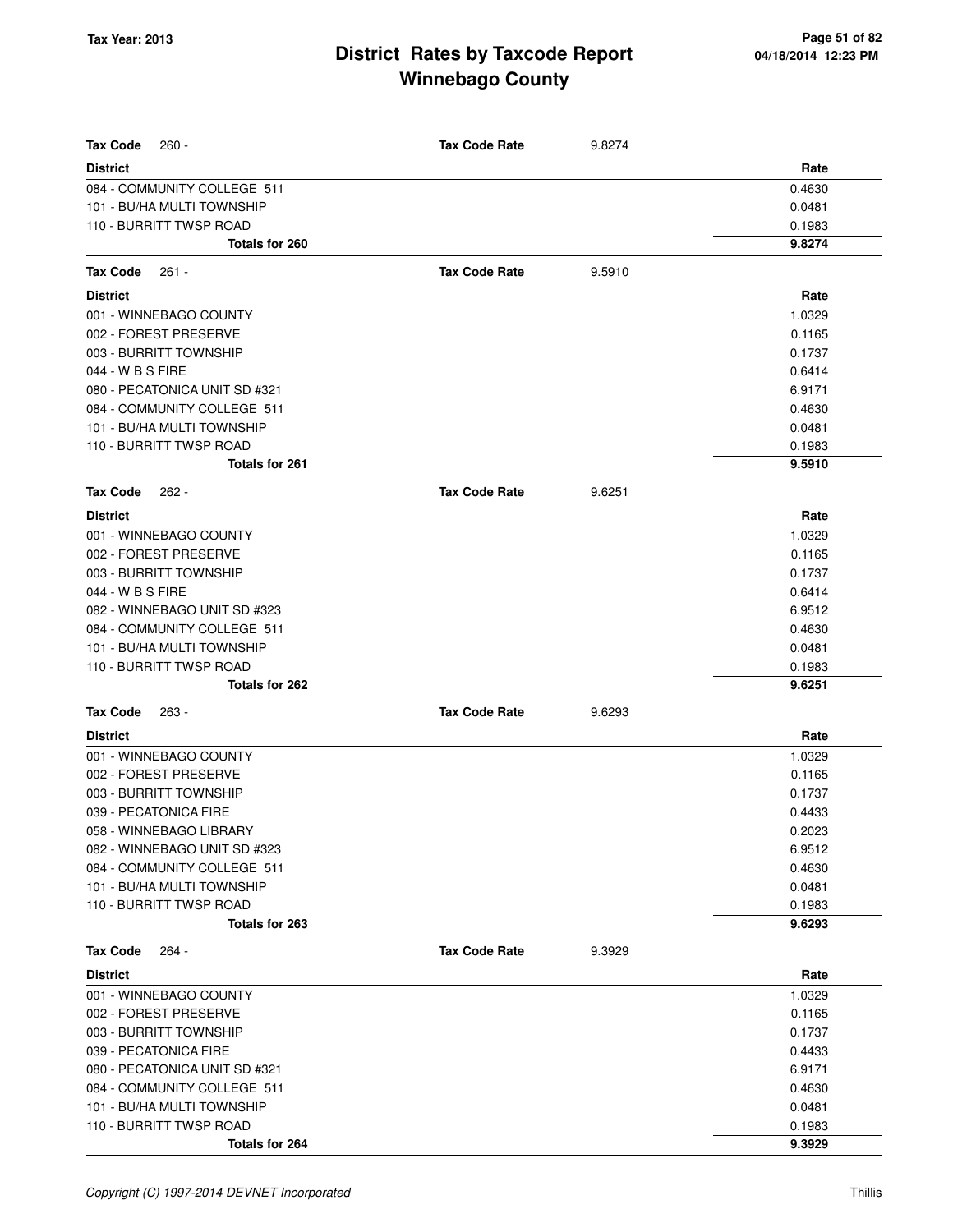| Tax Code<br>$260 -$                                   | <b>Tax Code Rate</b> | 9.8274 |                  |
|-------------------------------------------------------|----------------------|--------|------------------|
| <b>District</b>                                       |                      |        | Rate             |
| 084 - COMMUNITY COLLEGE 511                           |                      |        | 0.4630           |
| 101 - BU/HA MULTI TOWNSHIP                            |                      |        | 0.0481           |
| 110 - BURRITT TWSP ROAD                               |                      |        | 0.1983           |
| Totals for 260                                        |                      |        | 9.8274           |
| Tax Code<br>$261 -$                                   | <b>Tax Code Rate</b> | 9.5910 |                  |
| <b>District</b>                                       |                      |        | Rate             |
| 001 - WINNEBAGO COUNTY                                |                      |        | 1.0329           |
| 002 - FOREST PRESERVE                                 |                      |        | 0.1165           |
| 003 - BURRITT TOWNSHIP                                |                      |        | 0.1737           |
| 044 - W B S FIRE                                      |                      |        | 0.6414           |
| 080 - PECATONICA UNIT SD #321                         |                      |        | 6.9171           |
| 084 - COMMUNITY COLLEGE 511                           |                      |        | 0.4630           |
| 101 - BU/HA MULTI TOWNSHIP                            |                      |        | 0.0481           |
| 110 - BURRITT TWSP ROAD                               |                      |        | 0.1983           |
| Totals for 261                                        |                      |        | 9.5910           |
| Tax Code<br>$262 -$                                   | <b>Tax Code Rate</b> | 9.6251 |                  |
| District                                              |                      |        | Rate             |
| 001 - WINNEBAGO COUNTY                                |                      |        | 1.0329           |
| 002 - FOREST PRESERVE                                 |                      |        | 0.1165           |
| 003 - BURRITT TOWNSHIP                                |                      |        | 0.1737           |
| 044 - W B S FIRE                                      |                      |        | 0.6414           |
| 082 - WINNEBAGO UNIT SD #323                          |                      |        | 6.9512           |
| 084 - COMMUNITY COLLEGE 511                           |                      |        | 0.4630           |
| 101 - BU/HA MULTI TOWNSHIP                            |                      |        | 0.0481           |
| 110 - BURRITT TWSP ROAD                               |                      |        | 0.1983           |
| Totals for 262                                        |                      |        | 9.6251           |
| <b>Tax Code</b><br>263 -                              | <b>Tax Code Rate</b> | 9.6293 |                  |
| <b>District</b>                                       |                      |        | Rate             |
| 001 - WINNEBAGO COUNTY                                |                      |        | 1.0329           |
| 002 - FOREST PRESERVE                                 |                      |        | 0.1165           |
| 003 - BURRITT TOWNSHIP                                |                      |        | 0.1737           |
| 039 - PECATONICA FIRE                                 |                      |        | 0.4433           |
| 058 - WINNEBAGO LIBRARY                               |                      |        | 0.2023           |
| 082 - WINNEBAGO UNIT SD #323                          |                      |        | 6.9512           |
| 084 - COMMUNITY COLLEGE 511                           |                      |        | 0.4630           |
| 101 - BU/HA MULTI TOWNSHIP<br>110 - BURRITT TWSP ROAD |                      |        | 0.0481           |
| Totals for 263                                        |                      |        | 0.1983<br>9.6293 |
| 264 -                                                 | <b>Tax Code Rate</b> | 9.3929 |                  |
| Tax Code                                              |                      |        |                  |
| District<br>001 - WINNEBAGO COUNTY                    |                      |        | Rate             |
| 002 - FOREST PRESERVE                                 |                      |        | 1.0329<br>0.1165 |
| 003 - BURRITT TOWNSHIP                                |                      |        | 0.1737           |
| 039 - PECATONICA FIRE                                 |                      |        | 0.4433           |
| 080 - PECATONICA UNIT SD #321                         |                      |        | 6.9171           |
| 084 - COMMUNITY COLLEGE 511                           |                      |        | 0.4630           |
| 101 - BU/HA MULTI TOWNSHIP                            |                      |        | 0.0481           |
| 110 - BURRITT TWSP ROAD                               |                      |        | 0.1983           |
| Totals for 264                                        |                      |        | 9.3929           |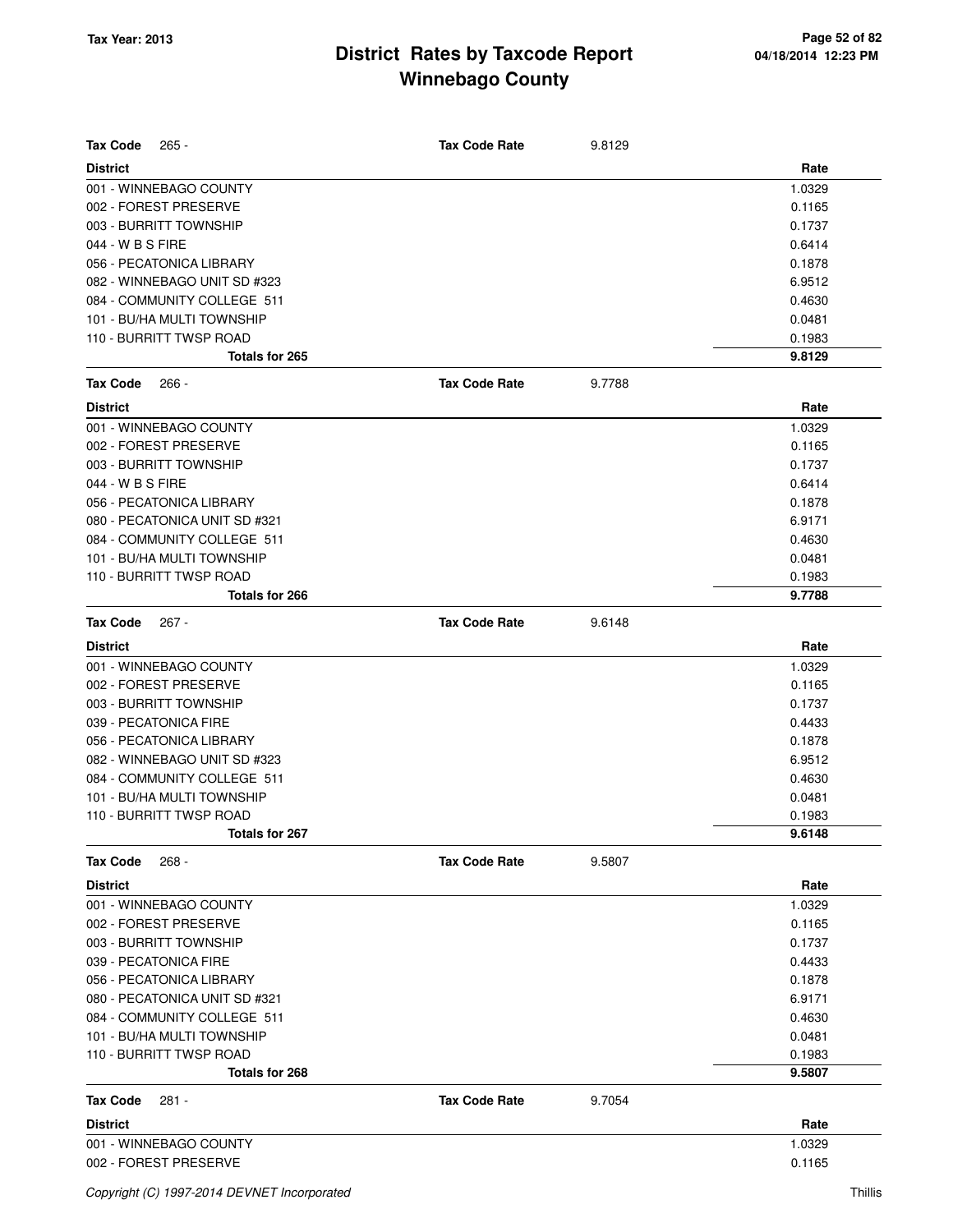| <b>Tax Code</b><br>$265 -$    | <b>Tax Code Rate</b> | 9.8129 |        |
|-------------------------------|----------------------|--------|--------|
| <b>District</b>               |                      |        | Rate   |
| 001 - WINNEBAGO COUNTY        |                      |        | 1.0329 |
| 002 - FOREST PRESERVE         |                      |        | 0.1165 |
| 003 - BURRITT TOWNSHIP        |                      |        | 0.1737 |
| 044 - W B S FIRE              |                      |        | 0.6414 |
| 056 - PECATONICA LIBRARY      |                      |        | 0.1878 |
| 082 - WINNEBAGO UNIT SD #323  |                      |        | 6.9512 |
| 084 - COMMUNITY COLLEGE 511   |                      |        | 0.4630 |
| 101 - BU/HA MULTI TOWNSHIP    |                      |        | 0.0481 |
| 110 - BURRITT TWSP ROAD       |                      |        | 0.1983 |
| Totals for 265                |                      |        | 9.8129 |
| <b>Tax Code</b><br>$266 -$    | <b>Tax Code Rate</b> | 9.7788 |        |
| <b>District</b>               |                      |        | Rate   |
| 001 - WINNEBAGO COUNTY        |                      |        | 1.0329 |
| 002 - FOREST PRESERVE         |                      |        | 0.1165 |
| 003 - BURRITT TOWNSHIP        |                      |        | 0.1737 |
| 044 - W B S FIRE              |                      |        | 0.6414 |
| 056 - PECATONICA LIBRARY      |                      |        | 0.1878 |
| 080 - PECATONICA UNIT SD #321 |                      |        | 6.9171 |
| 084 - COMMUNITY COLLEGE 511   |                      |        | 0.4630 |
| 101 - BU/HA MULTI TOWNSHIP    |                      |        | 0.0481 |
| 110 - BURRITT TWSP ROAD       |                      |        | 0.1983 |
| Totals for 266                |                      |        | 9.7788 |
| <b>Tax Code</b><br>$267 -$    | <b>Tax Code Rate</b> | 9.6148 |        |
| <b>District</b>               |                      |        | Rate   |
| 001 - WINNEBAGO COUNTY        |                      |        | 1.0329 |
| 002 - FOREST PRESERVE         |                      |        | 0.1165 |
| 003 - BURRITT TOWNSHIP        |                      |        | 0.1737 |
| 039 - PECATONICA FIRE         |                      |        | 0.4433 |
| 056 - PECATONICA LIBRARY      |                      |        | 0.1878 |
| 082 - WINNEBAGO UNIT SD #323  |                      |        | 6.9512 |
| 084 - COMMUNITY COLLEGE 511   |                      |        | 0.4630 |
| 101 - BU/HA MULTI TOWNSHIP    |                      |        | 0.0481 |
| 110 - BURRITT TWSP ROAD       |                      |        | 0.1983 |
| Totals for 267                |                      |        | 9.6148 |
| <b>Tax Code</b><br>$268 -$    | <b>Tax Code Rate</b> | 9.5807 |        |
| <b>District</b>               |                      |        | Rate   |
| 001 - WINNEBAGO COUNTY        |                      |        | 1.0329 |
| 002 - FOREST PRESERVE         |                      |        | 0.1165 |
| 003 - BURRITT TOWNSHIP        |                      |        | 0.1737 |
| 039 - PECATONICA FIRE         |                      |        | 0.4433 |
| 056 - PECATONICA LIBRARY      |                      |        | 0.1878 |
| 080 - PECATONICA UNIT SD #321 |                      |        | 6.9171 |
| 084 - COMMUNITY COLLEGE 511   |                      |        | 0.4630 |
| 101 - BU/HA MULTI TOWNSHIP    |                      |        | 0.0481 |
| 110 - BURRITT TWSP ROAD       |                      |        | 0.1983 |
| Totals for 268                |                      |        | 9.5807 |
| <b>Tax Code</b><br>281 -      | <b>Tax Code Rate</b> | 9.7054 |        |
| <b>District</b>               |                      |        | Rate   |
| 001 - WINNEBAGO COUNTY        |                      |        | 1.0329 |
| 002 - FOREST PRESERVE         |                      |        | 0.1165 |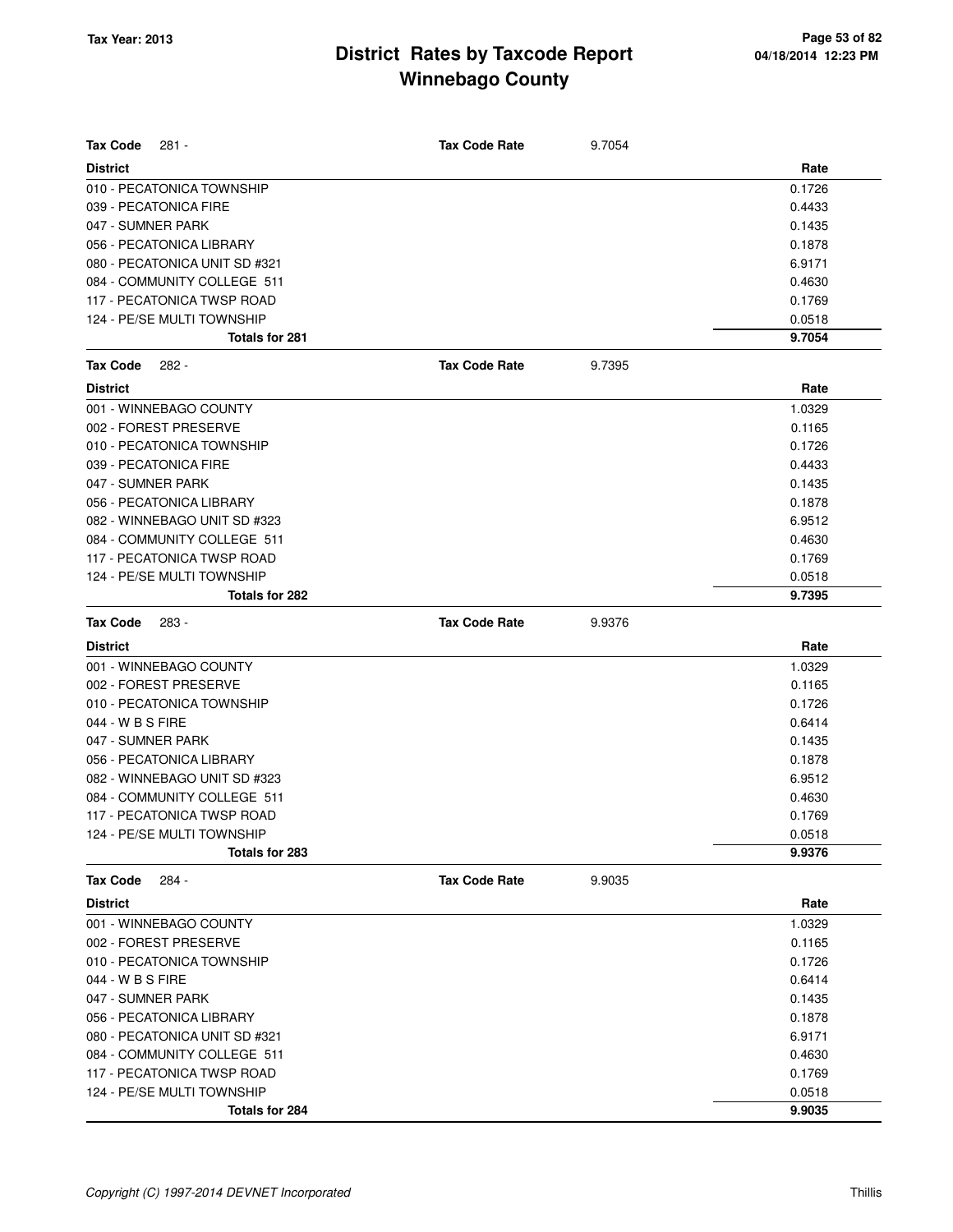| <b>Tax Code</b><br>$281 -$    | <b>Tax Code Rate</b> | 9.7054 |        |
|-------------------------------|----------------------|--------|--------|
| <b>District</b>               |                      |        | Rate   |
| 010 - PECATONICA TOWNSHIP     |                      |        | 0.1726 |
| 039 - PECATONICA FIRE         |                      |        | 0.4433 |
| 047 - SUMNER PARK             |                      |        | 0.1435 |
| 056 - PECATONICA LIBRARY      |                      |        | 0.1878 |
| 080 - PECATONICA UNIT SD #321 |                      |        | 6.9171 |
| 084 - COMMUNITY COLLEGE 511   |                      |        | 0.4630 |
| 117 - PECATONICA TWSP ROAD    |                      |        | 0.1769 |
| 124 - PE/SE MULTI TOWNSHIP    |                      |        | 0.0518 |
| <b>Totals for 281</b>         |                      |        | 9.7054 |
| <b>Tax Code</b><br>$282 -$    | <b>Tax Code Rate</b> | 9.7395 |        |
| <b>District</b>               |                      |        | Rate   |
| 001 - WINNEBAGO COUNTY        |                      |        | 1.0329 |
| 002 - FOREST PRESERVE         |                      |        | 0.1165 |
| 010 - PECATONICA TOWNSHIP     |                      |        | 0.1726 |
| 039 - PECATONICA FIRE         |                      |        | 0.4433 |
| 047 - SUMNER PARK             |                      |        | 0.1435 |
| 056 - PECATONICA LIBRARY      |                      |        | 0.1878 |
| 082 - WINNEBAGO UNIT SD #323  |                      |        | 6.9512 |
| 084 - COMMUNITY COLLEGE 511   |                      |        | 0.4630 |
| 117 - PECATONICA TWSP ROAD    |                      |        | 0.1769 |
| 124 - PE/SE MULTI TOWNSHIP    |                      |        | 0.0518 |
| Totals for 282                |                      |        | 9.7395 |
| <b>Tax Code</b><br>283 -      | <b>Tax Code Rate</b> | 9.9376 |        |
| <b>District</b>               |                      |        | Rate   |
| 001 - WINNEBAGO COUNTY        |                      |        | 1.0329 |
| 002 - FOREST PRESERVE         |                      |        | 0.1165 |
| 010 - PECATONICA TOWNSHIP     |                      |        | 0.1726 |
| 044 - W B S FIRE              |                      |        | 0.6414 |
| 047 - SUMNER PARK             |                      |        | 0.1435 |
| 056 - PECATONICA LIBRARY      |                      |        | 0.1878 |
| 082 - WINNEBAGO UNIT SD #323  |                      |        | 6.9512 |
| 084 - COMMUNITY COLLEGE 511   |                      |        | 0.4630 |
| 117 - PECATONICA TWSP ROAD    |                      |        | 0.1769 |
| 124 - PE/SE MULTI TOWNSHIP    |                      |        | 0.0518 |
| Totals for 283                |                      |        | 9.9376 |
| <b>Tax Code</b><br>284 -      | <b>Tax Code Rate</b> | 9.9035 |        |
| <b>District</b>               |                      |        | Rate   |
| 001 - WINNEBAGO COUNTY        |                      |        | 1.0329 |
| 002 - FOREST PRESERVE         |                      |        | 0.1165 |
| 010 - PECATONICA TOWNSHIP     |                      |        | 0.1726 |
| 044 - W B S FIRE              |                      |        | 0.6414 |
| 047 - SUMNER PARK             |                      |        | 0.1435 |
| 056 - PECATONICA LIBRARY      |                      |        | 0.1878 |
| 080 - PECATONICA UNIT SD #321 |                      |        | 6.9171 |
| 084 - COMMUNITY COLLEGE 511   |                      |        | 0.4630 |
| 117 - PECATONICA TWSP ROAD    |                      |        | 0.1769 |
| 124 - PE/SE MULTI TOWNSHIP    |                      |        | 0.0518 |
| Totals for 284                |                      |        | 9.9035 |
|                               |                      |        |        |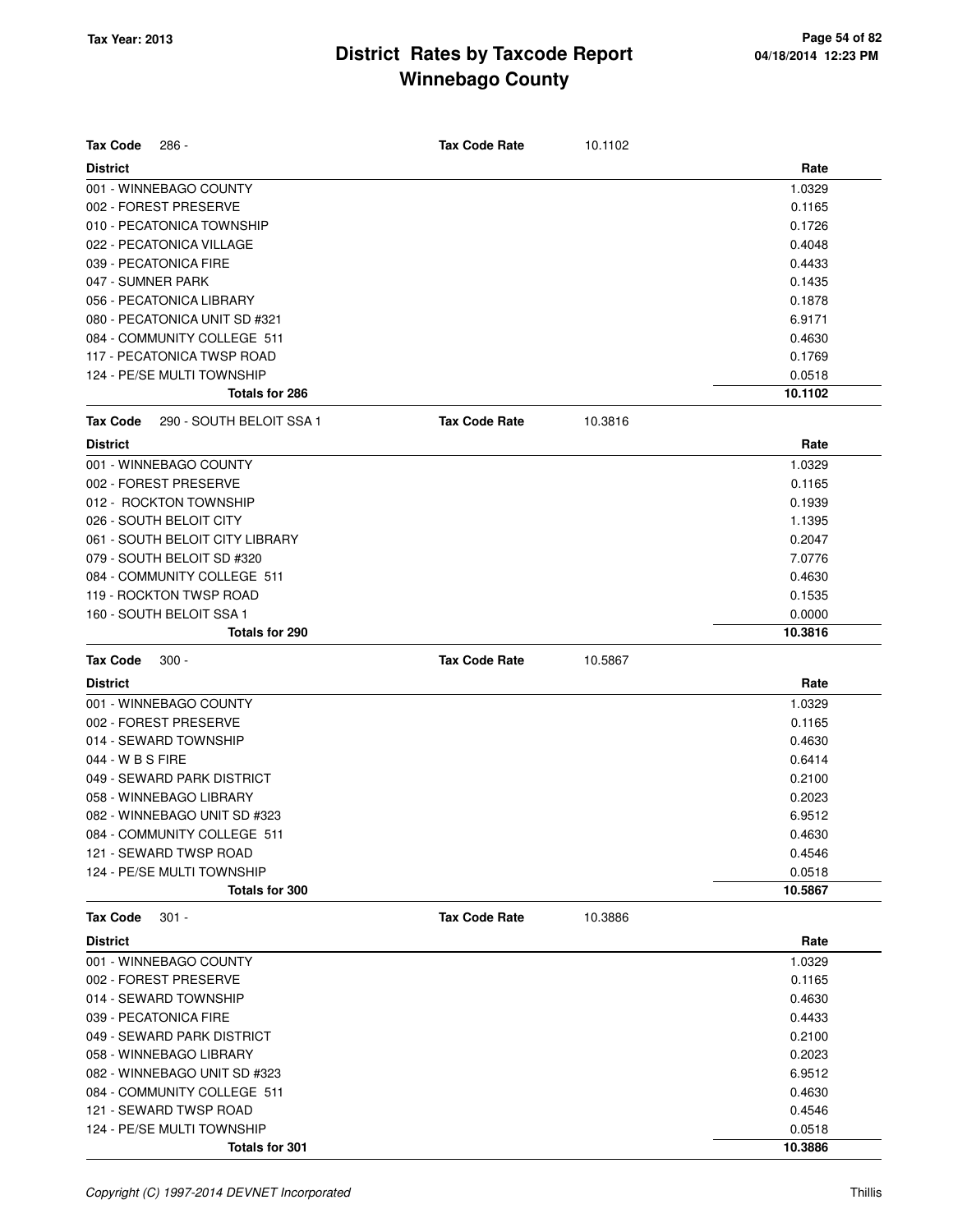| <b>Tax Code</b>   | 286 -                                        | <b>Tax Code Rate</b> | 10.1102 |                   |
|-------------------|----------------------------------------------|----------------------|---------|-------------------|
| <b>District</b>   |                                              |                      |         | Rate              |
|                   | 001 - WINNEBAGO COUNTY                       |                      |         | 1.0329            |
|                   | 002 - FOREST PRESERVE                        |                      |         | 0.1165            |
|                   | 010 - PECATONICA TOWNSHIP                    |                      |         | 0.1726            |
|                   | 022 - PECATONICA VILLAGE                     |                      |         | 0.4048            |
|                   | 039 - PECATONICA FIRE                        |                      |         | 0.4433            |
| 047 - SUMNER PARK |                                              |                      |         | 0.1435            |
|                   | 056 - PECATONICA LIBRARY                     |                      |         | 0.1878            |
|                   | 080 - PECATONICA UNIT SD #321                |                      |         | 6.9171            |
|                   | 084 - COMMUNITY COLLEGE 511                  |                      |         | 0.4630            |
|                   | 117 - PECATONICA TWSP ROAD                   |                      |         | 0.1769            |
|                   | 124 - PE/SE MULTI TOWNSHIP                   |                      |         | 0.0518            |
|                   | Totals for 286                               |                      |         | 10.1102           |
| <b>Tax Code</b>   | 290 - SOUTH BELOIT SSA 1                     | <b>Tax Code Rate</b> | 10.3816 |                   |
| <b>District</b>   |                                              |                      |         | Rate              |
|                   | 001 - WINNEBAGO COUNTY                       |                      |         | 1.0329            |
|                   | 002 - FOREST PRESERVE                        |                      |         | 0.1165            |
|                   | 012 - ROCKTON TOWNSHIP                       |                      |         | 0.1939            |
|                   | 026 - SOUTH BELOIT CITY                      |                      |         | 1.1395            |
|                   | 061 - SOUTH BELOIT CITY LIBRARY              |                      |         | 0.2047            |
|                   | 079 - SOUTH BELOIT SD #320                   |                      |         | 7.0776            |
|                   | 084 - COMMUNITY COLLEGE 511                  |                      |         | 0.4630            |
|                   | 119 - ROCKTON TWSP ROAD                      |                      |         | 0.1535            |
|                   | 160 - SOUTH BELOIT SSA 1                     |                      |         | 0.0000            |
|                   | Totals for 290                               |                      |         | 10.3816           |
|                   |                                              |                      |         |                   |
| <b>Tax Code</b>   | $300 -$                                      | <b>Tax Code Rate</b> | 10.5867 |                   |
| <b>District</b>   |                                              |                      |         | Rate              |
|                   | 001 - WINNEBAGO COUNTY                       |                      |         | 1.0329            |
|                   | 002 - FOREST PRESERVE                        |                      |         | 0.1165            |
|                   | 014 - SEWARD TOWNSHIP                        |                      |         | 0.4630            |
| 044 - W B S FIRE  |                                              |                      |         | 0.6414            |
|                   | 049 - SEWARD PARK DISTRICT                   |                      |         | 0.2100            |
|                   | 058 - WINNEBAGO LIBRARY                      |                      |         | 0.2023            |
|                   | 082 - WINNEBAGO UNIT SD #323                 |                      |         | 6.9512            |
|                   | 084 - COMMUNITY COLLEGE 511                  |                      |         | 0.4630            |
|                   | 121 - SEWARD TWSP ROAD                       |                      |         | 0.4546            |
|                   | 124 - PE/SE MULTI TOWNSHIP                   |                      |         | 0.0518            |
|                   | Totals for 300                               |                      |         | 10.5867           |
| <b>Tax Code</b>   | $301 -$                                      | <b>Tax Code Rate</b> | 10.3886 |                   |
| <b>District</b>   |                                              |                      |         | Rate              |
|                   | 001 - WINNEBAGO COUNTY                       |                      |         | 1.0329            |
|                   | 002 - FOREST PRESERVE                        |                      |         | 0.1165            |
|                   | 014 - SEWARD TOWNSHIP                        |                      |         | 0.4630            |
|                   | 039 - PECATONICA FIRE                        |                      |         | 0.4433            |
|                   | 049 - SEWARD PARK DISTRICT                   |                      |         | 0.2100            |
|                   | 058 - WINNEBAGO LIBRARY                      |                      |         | 0.2023            |
|                   | 082 - WINNEBAGO UNIT SD #323                 |                      |         | 6.9512            |
|                   | 084 - COMMUNITY COLLEGE 511                  |                      |         | 0.4630            |
|                   | 121 - SEWARD TWSP ROAD                       |                      |         | 0.4546            |
|                   | 124 - PE/SE MULTI TOWNSHIP<br>Totals for 301 |                      |         | 0.0518<br>10.3886 |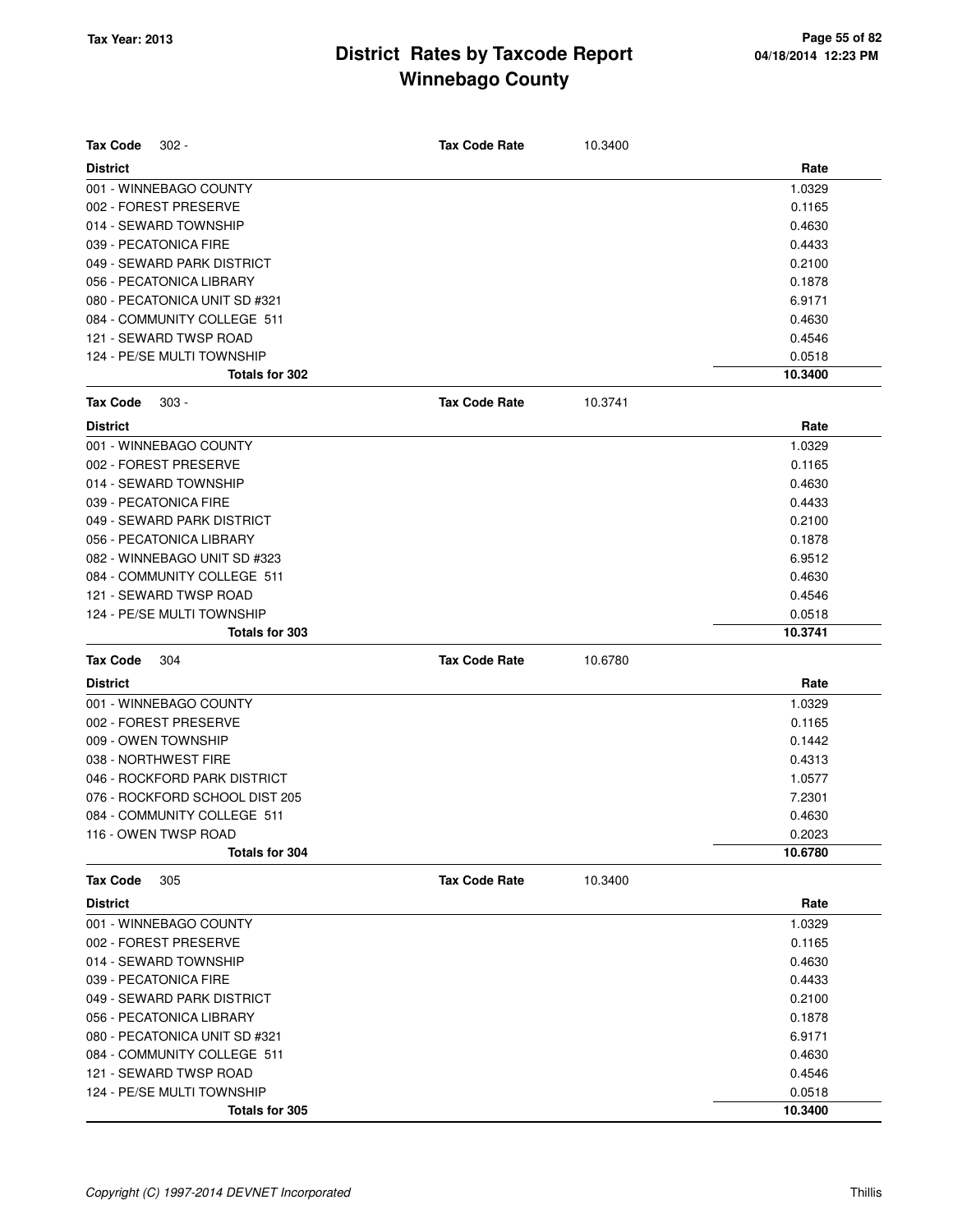| <b>Tax Code</b><br>$302 -$     | <b>Tax Code Rate</b> | 10.3400 |         |
|--------------------------------|----------------------|---------|---------|
| <b>District</b>                |                      |         | Rate    |
| 001 - WINNEBAGO COUNTY         |                      |         | 1.0329  |
| 002 - FOREST PRESERVE          |                      |         | 0.1165  |
| 014 - SEWARD TOWNSHIP          |                      |         | 0.4630  |
| 039 - PECATONICA FIRE          |                      |         | 0.4433  |
| 049 - SEWARD PARK DISTRICT     |                      |         | 0.2100  |
| 056 - PECATONICA LIBRARY       |                      |         | 0.1878  |
| 080 - PECATONICA UNIT SD #321  |                      |         | 6.9171  |
| 084 - COMMUNITY COLLEGE 511    |                      |         | 0.4630  |
| 121 - SEWARD TWSP ROAD         |                      |         | 0.4546  |
| 124 - PE/SE MULTI TOWNSHIP     |                      |         | 0.0518  |
| Totals for 302                 |                      |         | 10.3400 |
| <b>Tax Code</b><br>$303 -$     | <b>Tax Code Rate</b> | 10.3741 |         |
| <b>District</b>                |                      |         | Rate    |
| 001 - WINNEBAGO COUNTY         |                      |         | 1.0329  |
| 002 - FOREST PRESERVE          |                      |         | 0.1165  |
| 014 - SEWARD TOWNSHIP          |                      |         | 0.4630  |
| 039 - PECATONICA FIRE          |                      |         | 0.4433  |
| 049 - SEWARD PARK DISTRICT     |                      |         | 0.2100  |
| 056 - PECATONICA LIBRARY       |                      |         | 0.1878  |
| 082 - WINNEBAGO UNIT SD #323   |                      |         | 6.9512  |
| 084 - COMMUNITY COLLEGE 511    |                      |         | 0.4630  |
| 121 - SEWARD TWSP ROAD         |                      |         | 0.4546  |
| 124 - PE/SE MULTI TOWNSHIP     |                      |         | 0.0518  |
| Totals for 303                 |                      |         | 10.3741 |
| <b>Tax Code</b><br>304         | <b>Tax Code Rate</b> | 10.6780 |         |
| <b>District</b>                |                      |         | Rate    |
| 001 - WINNEBAGO COUNTY         |                      |         | 1.0329  |
| 002 - FOREST PRESERVE          |                      |         | 0.1165  |
| 009 - OWEN TOWNSHIP            |                      |         | 0.1442  |
| 038 - NORTHWEST FIRE           |                      |         | 0.4313  |
| 046 - ROCKFORD PARK DISTRICT   |                      |         | 1.0577  |
| 076 - ROCKFORD SCHOOL DIST 205 |                      |         | 7.2301  |
| 084 - COMMUNITY COLLEGE 511    |                      |         | 0.4630  |
| 116 - OWEN TWSP ROAD           |                      |         | 0.2023  |
| Totals for 304                 |                      |         | 10.6780 |
| <b>Tax Code</b><br>305         | <b>Tax Code Rate</b> | 10.3400 |         |
| <b>District</b>                |                      |         | Rate    |
| 001 - WINNEBAGO COUNTY         |                      |         | 1.0329  |
| 002 - FOREST PRESERVE          |                      |         | 0.1165  |
| 014 - SEWARD TOWNSHIP          |                      |         | 0.4630  |
| 039 - PECATONICA FIRE          |                      |         | 0.4433  |
| 049 - SEWARD PARK DISTRICT     |                      |         | 0.2100  |
| 056 - PECATONICA LIBRARY       |                      |         | 0.1878  |
| 080 - PECATONICA UNIT SD #321  |                      |         | 6.9171  |
| 084 - COMMUNITY COLLEGE 511    |                      |         | 0.4630  |
| 121 - SEWARD TWSP ROAD         |                      |         | 0.4546  |
|                                |                      |         |         |
| 124 - PE/SE MULTI TOWNSHIP     |                      |         | 0.0518  |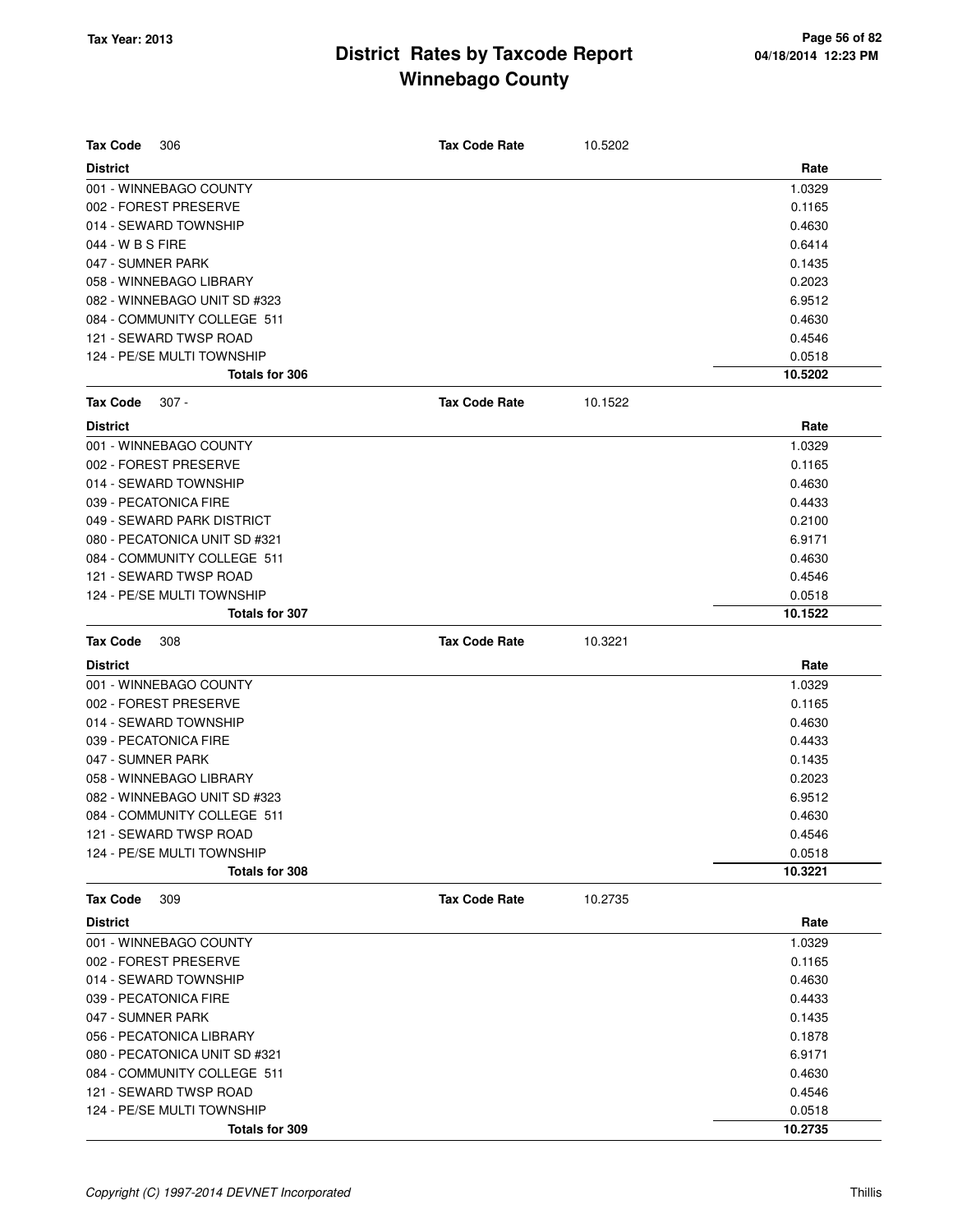| <b>Tax Code</b><br>306        | <b>Tax Code Rate</b> | 10.5202 |         |
|-------------------------------|----------------------|---------|---------|
| <b>District</b>               |                      |         | Rate    |
| 001 - WINNEBAGO COUNTY        |                      |         | 1.0329  |
| 002 - FOREST PRESERVE         |                      |         | 0.1165  |
| 014 - SEWARD TOWNSHIP         |                      |         | 0.4630  |
| 044 - W B S FIRE              |                      |         | 0.6414  |
| 047 - SUMNER PARK             |                      |         | 0.1435  |
| 058 - WINNEBAGO LIBRARY       |                      |         | 0.2023  |
| 082 - WINNEBAGO UNIT SD #323  |                      |         | 6.9512  |
| 084 - COMMUNITY COLLEGE 511   |                      |         | 0.4630  |
| 121 - SEWARD TWSP ROAD        |                      |         | 0.4546  |
| 124 - PE/SE MULTI TOWNSHIP    |                      |         | 0.0518  |
| Totals for 306                |                      |         | 10.5202 |
| <b>Tax Code</b><br>$307 -$    | <b>Tax Code Rate</b> | 10.1522 |         |
| <b>District</b>               |                      |         | Rate    |
| 001 - WINNEBAGO COUNTY        |                      |         | 1.0329  |
| 002 - FOREST PRESERVE         |                      |         | 0.1165  |
| 014 - SEWARD TOWNSHIP         |                      |         | 0.4630  |
| 039 - PECATONICA FIRE         |                      |         | 0.4433  |
| 049 - SEWARD PARK DISTRICT    |                      |         | 0.2100  |
| 080 - PECATONICA UNIT SD #321 |                      |         | 6.9171  |
| 084 - COMMUNITY COLLEGE 511   |                      |         | 0.4630  |
| 121 - SEWARD TWSP ROAD        |                      |         | 0.4546  |
| 124 - PE/SE MULTI TOWNSHIP    |                      |         | 0.0518  |
| Totals for 307                |                      |         | 10.1522 |
| <b>Tax Code</b><br>308        | <b>Tax Code Rate</b> | 10.3221 |         |
| <b>District</b>               |                      |         | Rate    |
| 001 - WINNEBAGO COUNTY        |                      |         | 1.0329  |
| 002 - FOREST PRESERVE         |                      |         | 0.1165  |
| 014 - SEWARD TOWNSHIP         |                      |         | 0.4630  |
| 039 - PECATONICA FIRE         |                      |         | 0.4433  |
| 047 - SUMNER PARK             |                      |         | 0.1435  |
| 058 - WINNEBAGO LIBRARY       |                      |         | 0.2023  |
| 082 - WINNEBAGO UNIT SD #323  |                      |         | 6.9512  |
| 084 - COMMUNITY COLLEGE 511   |                      |         | 0.4630  |
| 121 - SEWARD TWSP ROAD        |                      |         | 0.4546  |
| 124 - PE/SE MULTI TOWNSHIP    |                      |         | 0.0518  |
| Totals for 308                |                      |         | 10.3221 |
| <b>Tax Code</b><br>309        | <b>Tax Code Rate</b> | 10.2735 |         |
| <b>District</b>               |                      |         | Rate    |
| 001 - WINNEBAGO COUNTY        |                      |         | 1.0329  |
| 002 - FOREST PRESERVE         |                      |         | 0.1165  |
| 014 - SEWARD TOWNSHIP         |                      |         | 0.4630  |
| 039 - PECATONICA FIRE         |                      |         | 0.4433  |
| 047 - SUMNER PARK             |                      |         | 0.1435  |
| 056 - PECATONICA LIBRARY      |                      |         | 0.1878  |
| 080 - PECATONICA UNIT SD #321 |                      |         | 6.9171  |
| 084 - COMMUNITY COLLEGE 511   |                      |         | 0.4630  |
| 121 - SEWARD TWSP ROAD        |                      |         | 0.4546  |
| 124 - PE/SE MULTI TOWNSHIP    |                      |         | 0.0518  |
| Totals for 309                |                      |         | 10.2735 |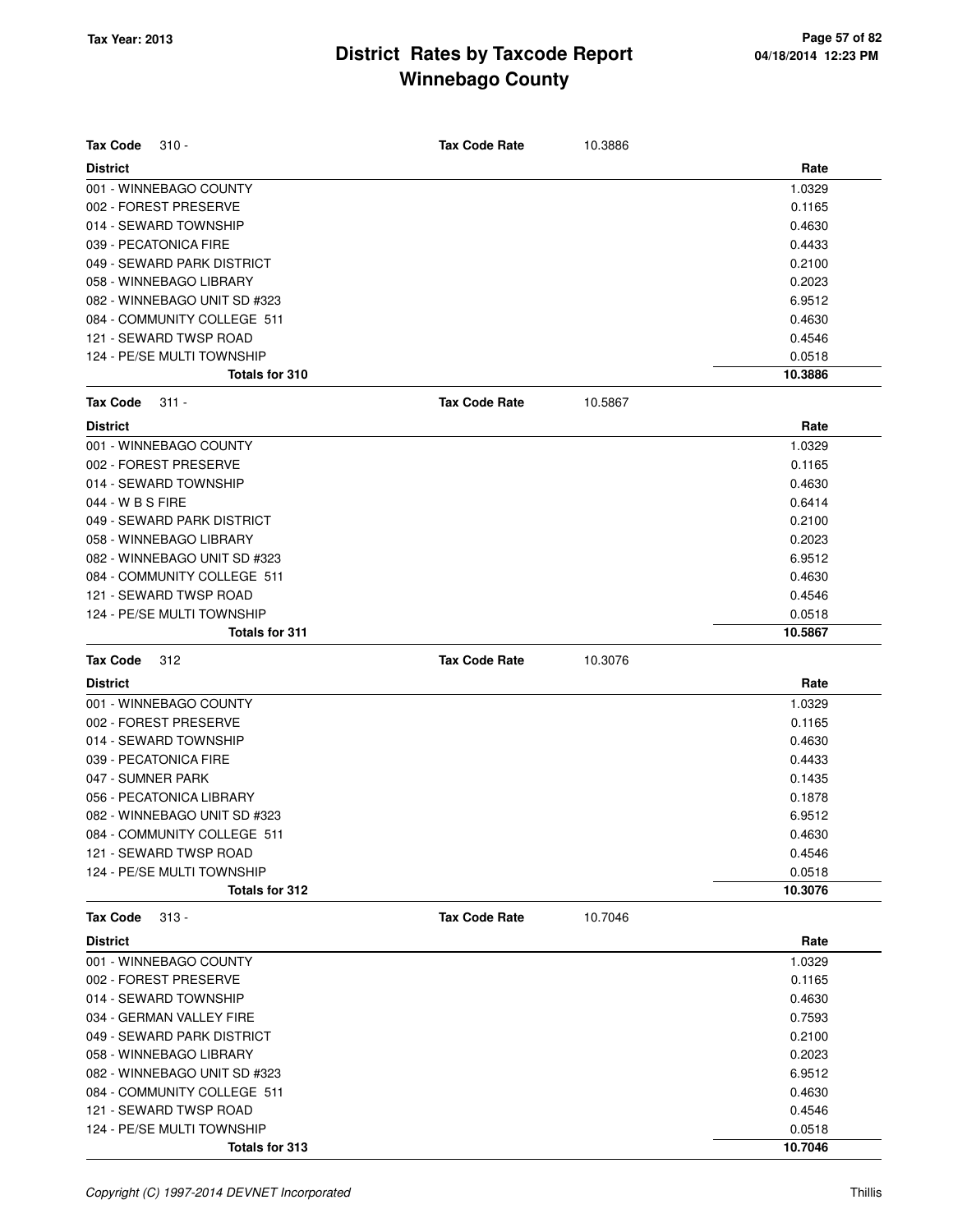| Tax Code<br>$310 -$          | <b>Tax Code Rate</b> | 10.3886 |         |
|------------------------------|----------------------|---------|---------|
| <b>District</b>              |                      |         | Rate    |
| 001 - WINNEBAGO COUNTY       |                      |         | 1.0329  |
| 002 - FOREST PRESERVE        |                      |         | 0.1165  |
| 014 - SEWARD TOWNSHIP        |                      |         | 0.4630  |
| 039 - PECATONICA FIRE        |                      |         | 0.4433  |
| 049 - SEWARD PARK DISTRICT   |                      |         | 0.2100  |
| 058 - WINNEBAGO LIBRARY      |                      |         | 0.2023  |
| 082 - WINNEBAGO UNIT SD #323 |                      |         | 6.9512  |
| 084 - COMMUNITY COLLEGE 511  |                      |         | 0.4630  |
| 121 - SEWARD TWSP ROAD       |                      |         | 0.4546  |
| 124 - PE/SE MULTI TOWNSHIP   |                      |         | 0.0518  |
| Totals for 310               |                      |         | 10.3886 |
| <b>Tax Code</b><br>311 -     | <b>Tax Code Rate</b> | 10.5867 |         |
| <b>District</b>              |                      |         | Rate    |
| 001 - WINNEBAGO COUNTY       |                      |         |         |
|                              |                      |         | 1.0329  |
| 002 - FOREST PRESERVE        |                      |         | 0.1165  |
| 014 - SEWARD TOWNSHIP        |                      |         | 0.4630  |
| 044 - W B S FIRE             |                      |         | 0.6414  |
| 049 - SEWARD PARK DISTRICT   |                      |         | 0.2100  |
| 058 - WINNEBAGO LIBRARY      |                      |         | 0.2023  |
| 082 - WINNEBAGO UNIT SD #323 |                      |         | 6.9512  |
| 084 - COMMUNITY COLLEGE 511  |                      |         | 0.4630  |
| 121 - SEWARD TWSP ROAD       |                      |         | 0.4546  |
| 124 - PE/SE MULTI TOWNSHIP   |                      |         | 0.0518  |
| <b>Totals for 311</b>        |                      |         | 10.5867 |
|                              |                      |         |         |
| <b>Tax Code</b><br>312       | <b>Tax Code Rate</b> | 10.3076 |         |
| <b>District</b>              |                      |         | Rate    |
| 001 - WINNEBAGO COUNTY       |                      |         | 1.0329  |
| 002 - FOREST PRESERVE        |                      |         | 0.1165  |
| 014 - SEWARD TOWNSHIP        |                      |         | 0.4630  |
| 039 - PECATONICA FIRE        |                      |         | 0.4433  |
| 047 - SUMNER PARK            |                      |         | 0.1435  |
| 056 - PECATONICA LIBRARY     |                      |         | 0.1878  |
| 082 - WINNEBAGO UNIT SD #323 |                      |         | 6.9512  |
| 084 - COMMUNITY COLLEGE 511  |                      |         | 0.4630  |
| 121 - SEWARD TWSP ROAD       |                      |         | 0.4546  |
| 124 - PE/SE MULTI TOWNSHIP   |                      |         | 0.0518  |
| Totals for 312               |                      |         | 10.3076 |
| <b>Tax Code</b><br>$313 -$   | <b>Tax Code Rate</b> | 10.7046 |         |
| <b>District</b>              |                      |         | Rate    |
| 001 - WINNEBAGO COUNTY       |                      |         | 1.0329  |
| 002 - FOREST PRESERVE        |                      |         | 0.1165  |
| 014 - SEWARD TOWNSHIP        |                      |         | 0.4630  |
| 034 - GERMAN VALLEY FIRE     |                      |         | 0.7593  |
| 049 - SEWARD PARK DISTRICT   |                      |         | 0.2100  |
| 058 - WINNEBAGO LIBRARY      |                      |         | 0.2023  |
| 082 - WINNEBAGO UNIT SD #323 |                      |         | 6.9512  |
| 084 - COMMUNITY COLLEGE 511  |                      |         | 0.4630  |
| 121 - SEWARD TWSP ROAD       |                      |         | 0.4546  |
| 124 - PE/SE MULTI TOWNSHIP   |                      |         | 0.0518  |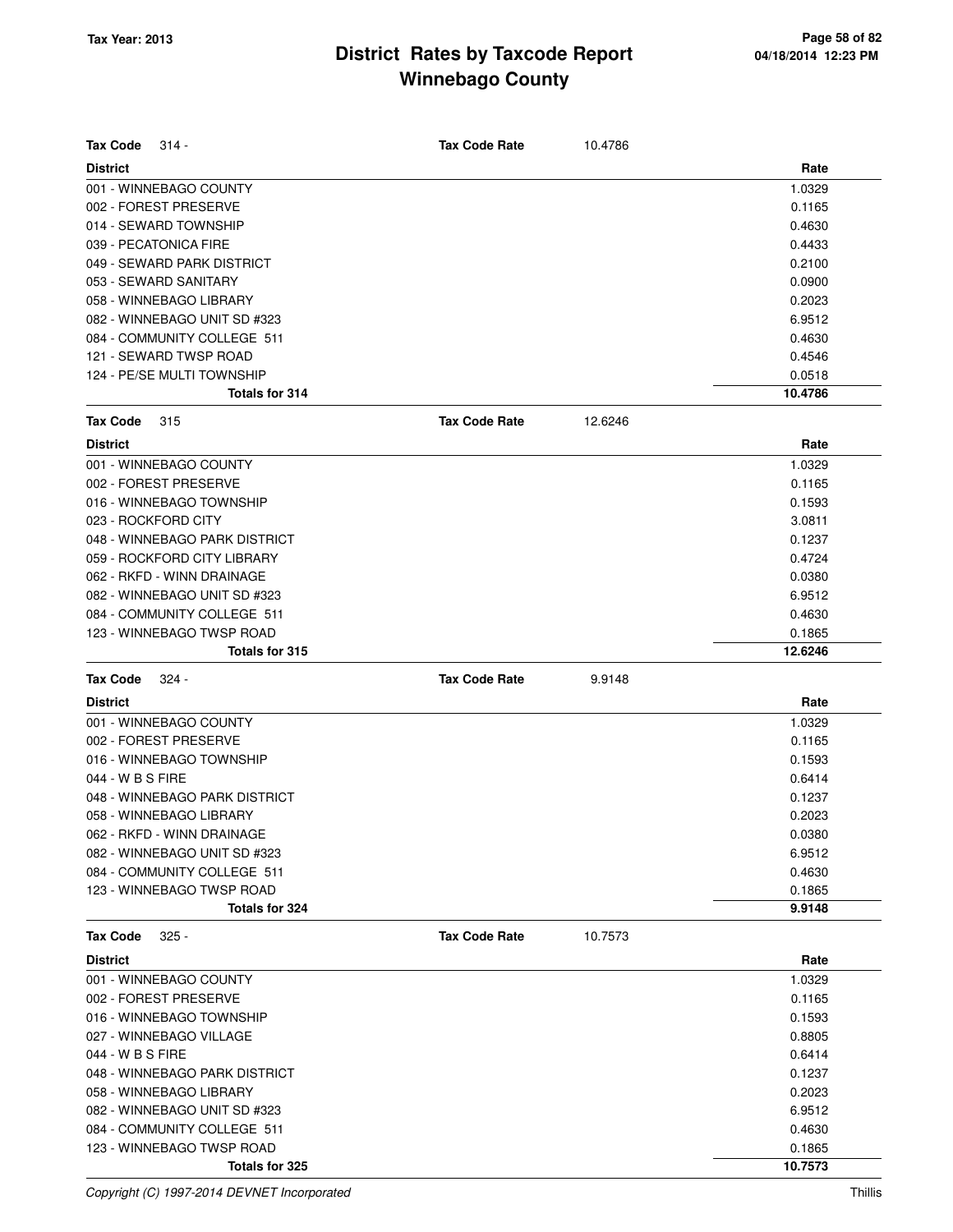| <b>Tax Code</b><br>314 -      | <b>Tax Code Rate</b> | 10.4786 |         |
|-------------------------------|----------------------|---------|---------|
| <b>District</b>               |                      |         | Rate    |
| 001 - WINNEBAGO COUNTY        |                      |         | 1.0329  |
| 002 - FOREST PRESERVE         |                      |         | 0.1165  |
| 014 - SEWARD TOWNSHIP         |                      |         | 0.4630  |
| 039 - PECATONICA FIRE         |                      |         | 0.4433  |
| 049 - SEWARD PARK DISTRICT    |                      |         | 0.2100  |
| 053 - SEWARD SANITARY         |                      |         | 0.0900  |
| 058 - WINNEBAGO LIBRARY       |                      |         | 0.2023  |
| 082 - WINNEBAGO UNIT SD #323  |                      |         | 6.9512  |
| 084 - COMMUNITY COLLEGE 511   |                      |         | 0.4630  |
| 121 - SEWARD TWSP ROAD        |                      |         | 0.4546  |
| 124 - PE/SE MULTI TOWNSHIP    |                      |         | 0.0518  |
| Totals for 314                |                      |         | 10.4786 |
| <b>Tax Code</b><br>315        | <b>Tax Code Rate</b> | 12.6246 |         |
| <b>District</b>               |                      |         | Rate    |
| 001 - WINNEBAGO COUNTY        |                      |         | 1.0329  |
| 002 - FOREST PRESERVE         |                      |         | 0.1165  |
| 016 - WINNEBAGO TOWNSHIP      |                      |         | 0.1593  |
| 023 - ROCKFORD CITY           |                      |         | 3.0811  |
| 048 - WINNEBAGO PARK DISTRICT |                      |         | 0.1237  |
| 059 - ROCKFORD CITY LIBRARY   |                      |         | 0.4724  |
| 062 - RKFD - WINN DRAINAGE    |                      |         | 0.0380  |
| 082 - WINNEBAGO UNIT SD #323  |                      |         | 6.9512  |
| 084 - COMMUNITY COLLEGE 511   |                      |         | 0.4630  |
| 123 - WINNEBAGO TWSP ROAD     |                      |         | 0.1865  |
| Totals for 315                |                      |         | 12.6246 |
| <b>Tax Code</b><br>324 -      | <b>Tax Code Rate</b> | 9.9148  |         |
| <b>District</b>               |                      |         | Rate    |
| 001 - WINNEBAGO COUNTY        |                      |         | 1.0329  |
| 002 - FOREST PRESERVE         |                      |         | 0.1165  |
| 016 - WINNEBAGO TOWNSHIP      |                      |         | 0.1593  |
| 044 - W B S FIRE              |                      |         | 0.6414  |
| 048 - WINNEBAGO PARK DISTRICT |                      |         | 0.1237  |
| 058 - WINNEBAGO LIBRARY       |                      |         | 0.2023  |
| 062 - RKFD - WINN DRAINAGE    |                      |         | 0.0380  |
| 082 - WINNEBAGO UNIT SD #323  |                      |         | 6.9512  |
| 084 - COMMUNITY COLLEGE 511   |                      |         | 0.4630  |
| 123 - WINNEBAGO TWSP ROAD     |                      |         | 0.1865  |
| Totals for 324                |                      |         | 9.9148  |
| <b>Tax Code</b><br>$325 -$    | <b>Tax Code Rate</b> | 10.7573 |         |
| <b>District</b>               |                      |         | Rate    |
| 001 - WINNEBAGO COUNTY        |                      |         | 1.0329  |
| 002 - FOREST PRESERVE         |                      |         | 0.1165  |
| 016 - WINNEBAGO TOWNSHIP      |                      |         | 0.1593  |
| 027 - WINNEBAGO VILLAGE       |                      |         | 0.8805  |
|                               |                      |         |         |
| 044 - W B S FIRE              |                      |         | 0.6414  |
| 048 - WINNEBAGO PARK DISTRICT |                      |         | 0.1237  |
| 058 - WINNEBAGO LIBRARY       |                      |         | 0.2023  |
| 082 - WINNEBAGO UNIT SD #323  |                      |         | 6.9512  |
| 084 - COMMUNITY COLLEGE 511   |                      |         | 0.4630  |
| 123 - WINNEBAGO TWSP ROAD     |                      |         | 0.1865  |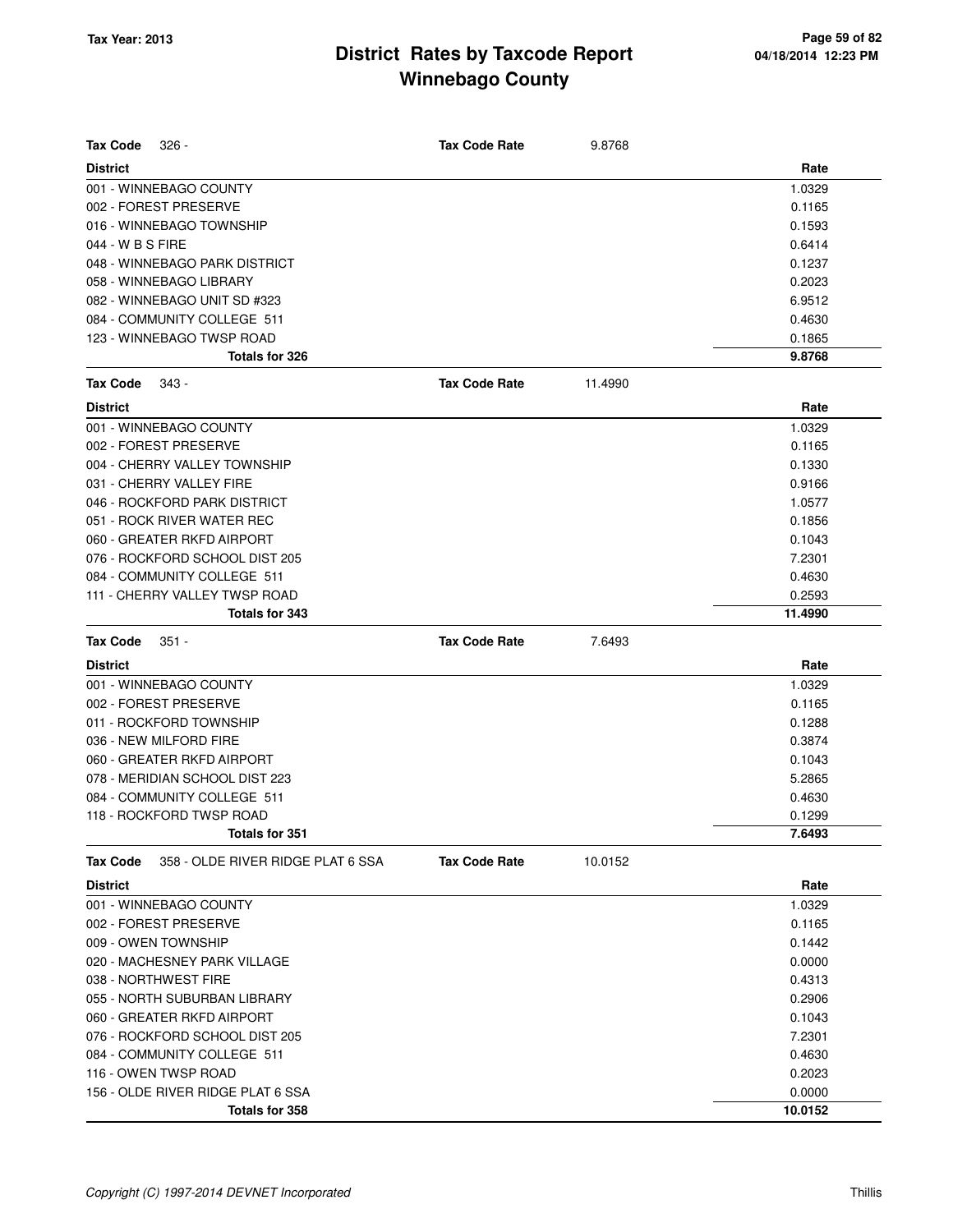| $326 -$<br>Tax Code                                  | <b>Tax Code Rate</b> | 9.8768  |         |
|------------------------------------------------------|----------------------|---------|---------|
| <b>District</b>                                      |                      |         | Rate    |
| 001 - WINNEBAGO COUNTY                               |                      |         | 1.0329  |
| 002 - FOREST PRESERVE                                |                      |         | 0.1165  |
| 016 - WINNEBAGO TOWNSHIP                             |                      |         | 0.1593  |
| 044 - W B S FIRE                                     |                      |         | 0.6414  |
| 048 - WINNEBAGO PARK DISTRICT                        |                      |         | 0.1237  |
| 058 - WINNEBAGO LIBRARY                              |                      |         | 0.2023  |
| 082 - WINNEBAGO UNIT SD #323                         |                      |         | 6.9512  |
| 084 - COMMUNITY COLLEGE 511                          |                      |         | 0.4630  |
| 123 - WINNEBAGO TWSP ROAD                            |                      |         | 0.1865  |
| Totals for 326                                       |                      |         | 9.8768  |
| <b>Tax Code</b><br>343 -                             | <b>Tax Code Rate</b> | 11.4990 |         |
| <b>District</b>                                      |                      |         | Rate    |
| 001 - WINNEBAGO COUNTY                               |                      |         | 1.0329  |
| 002 - FOREST PRESERVE                                |                      |         | 0.1165  |
| 004 - CHERRY VALLEY TOWNSHIP                         |                      |         | 0.1330  |
| 031 - CHERRY VALLEY FIRE                             |                      |         | 0.9166  |
| 046 - ROCKFORD PARK DISTRICT                         |                      |         | 1.0577  |
| 051 - ROCK RIVER WATER REC                           |                      |         | 0.1856  |
| 060 - GREATER RKFD AIRPORT                           |                      |         | 0.1043  |
| 076 - ROCKFORD SCHOOL DIST 205                       |                      |         | 7.2301  |
| 084 - COMMUNITY COLLEGE 511                          |                      |         | 0.4630  |
| 111 - CHERRY VALLEY TWSP ROAD                        |                      |         | 0.2593  |
| Totals for 343                                       |                      |         | 11.4990 |
| <b>Tax Code</b><br>$351 -$                           | <b>Tax Code Rate</b> | 7.6493  |         |
| <b>District</b>                                      |                      |         | Rate    |
| 001 - WINNEBAGO COUNTY                               |                      |         | 1.0329  |
| 002 - FOREST PRESERVE                                |                      |         | 0.1165  |
| 011 - ROCKFORD TOWNSHIP                              |                      |         | 0.1288  |
|                                                      |                      |         |         |
| 036 - NEW MILFORD FIRE                               |                      |         | 0.3874  |
| 060 - GREATER RKFD AIRPORT                           |                      |         | 0.1043  |
| 078 - MERIDIAN SCHOOL DIST 223                       |                      |         | 5.2865  |
| 084 - COMMUNITY COLLEGE 511                          |                      |         | 0.4630  |
| 118 - ROCKFORD TWSP ROAD                             |                      |         | 0.1299  |
| Totals for 351                                       |                      |         | 7.6493  |
| 358 - OLDE RIVER RIDGE PLAT 6 SSA<br><b>Tax Code</b> | <b>Tax Code Rate</b> | 10.0152 |         |
| <b>District</b>                                      |                      |         | Rate    |
| 001 - WINNEBAGO COUNTY                               |                      |         | 1.0329  |
| 002 - FOREST PRESERVE                                |                      |         | 0.1165  |
| 009 - OWEN TOWNSHIP                                  |                      |         | 0.1442  |
| 020 - MACHESNEY PARK VILLAGE                         |                      |         | 0.0000  |
| 038 - NORTHWEST FIRE                                 |                      |         | 0.4313  |
| 055 - NORTH SUBURBAN LIBRARY                         |                      |         | 0.2906  |
| 060 - GREATER RKFD AIRPORT                           |                      |         | 0.1043  |
| 076 - ROCKFORD SCHOOL DIST 205                       |                      |         | 7.2301  |
| 084 - COMMUNITY COLLEGE 511                          |                      |         | 0.4630  |
| 116 - OWEN TWSP ROAD                                 |                      |         | 0.2023  |
| 156 - OLDE RIVER RIDGE PLAT 6 SSA                    |                      |         | 0.0000  |
| Totals for 358                                       |                      |         | 10.0152 |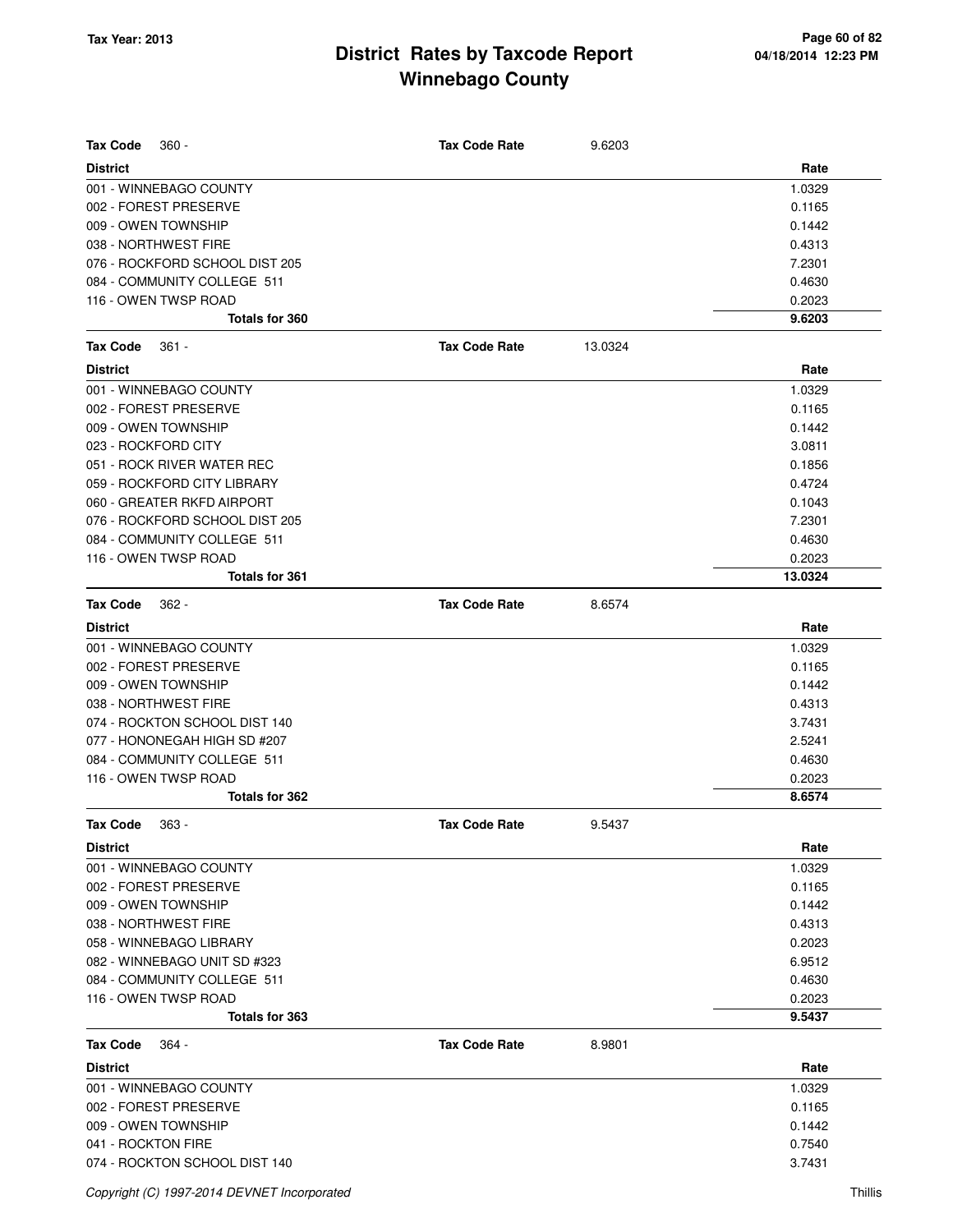| <b>Tax Code</b><br>$360 -$     | <b>Tax Code Rate</b> | 9.6203  |         |
|--------------------------------|----------------------|---------|---------|
| <b>District</b>                |                      |         | Rate    |
| 001 - WINNEBAGO COUNTY         |                      |         | 1.0329  |
| 002 - FOREST PRESERVE          |                      |         | 0.1165  |
| 009 - OWEN TOWNSHIP            |                      |         | 0.1442  |
| 038 - NORTHWEST FIRE           |                      |         | 0.4313  |
| 076 - ROCKFORD SCHOOL DIST 205 |                      |         | 7.2301  |
| 084 - COMMUNITY COLLEGE 511    |                      |         | 0.4630  |
| 116 - OWEN TWSP ROAD           |                      |         | 0.2023  |
| <b>Totals for 360</b>          |                      |         | 9.6203  |
| <b>Tax Code</b><br>$361 -$     | <b>Tax Code Rate</b> | 13.0324 |         |
| <b>District</b>                |                      |         | Rate    |
| 001 - WINNEBAGO COUNTY         |                      |         | 1.0329  |
| 002 - FOREST PRESERVE          |                      |         | 0.1165  |
| 009 - OWEN TOWNSHIP            |                      |         | 0.1442  |
| 023 - ROCKFORD CITY            |                      |         | 3.0811  |
| 051 - ROCK RIVER WATER REC     |                      |         | 0.1856  |
| 059 - ROCKFORD CITY LIBRARY    |                      |         | 0.4724  |
| 060 - GREATER RKFD AIRPORT     |                      |         | 0.1043  |
| 076 - ROCKFORD SCHOOL DIST 205 |                      |         | 7.2301  |
| 084 - COMMUNITY COLLEGE 511    |                      |         | 0.4630  |
| 116 - OWEN TWSP ROAD           |                      |         | 0.2023  |
| <b>Totals for 361</b>          |                      |         | 13.0324 |
| <b>Tax Code</b><br>$362 -$     | <b>Tax Code Rate</b> | 8.6574  |         |
| <b>District</b>                |                      |         | Rate    |
| 001 - WINNEBAGO COUNTY         |                      |         | 1.0329  |
| 002 - FOREST PRESERVE          |                      |         | 0.1165  |
| 009 - OWEN TOWNSHIP            |                      |         | 0.1442  |
| 038 - NORTHWEST FIRE           |                      |         | 0.4313  |
| 074 - ROCKTON SCHOOL DIST 140  |                      |         | 3.7431  |
| 077 - HONONEGAH HIGH SD #207   |                      |         | 2.5241  |
| 084 - COMMUNITY COLLEGE 511    |                      |         | 0.4630  |
| 116 - OWEN TWSP ROAD           |                      |         | 0.2023  |
| Totals for 362                 |                      |         | 8.6574  |
| Tax Code<br>363 -              | Tax Code Rate        | 9.5437  |         |
| <b>District</b>                |                      |         | Rate    |
| 001 - WINNEBAGO COUNTY         |                      |         | 1.0329  |
| 002 - FOREST PRESERVE          |                      |         | 0.1165  |
| 009 - OWEN TOWNSHIP            |                      |         | 0.1442  |
| 038 - NORTHWEST FIRE           |                      |         | 0.4313  |
| 058 - WINNEBAGO LIBRARY        |                      |         | 0.2023  |
| 082 - WINNEBAGO UNIT SD #323   |                      |         | 6.9512  |
| 084 - COMMUNITY COLLEGE 511    |                      |         | 0.4630  |
| 116 - OWEN TWSP ROAD           |                      |         | 0.2023  |
| Totals for 363                 |                      |         | 9.5437  |
| <b>Tax Code</b><br>364 -       | <b>Tax Code Rate</b> | 8.9801  |         |
| <b>District</b>                |                      |         | Rate    |
| 001 - WINNEBAGO COUNTY         |                      |         | 1.0329  |
| 002 - FOREST PRESERVE          |                      |         | 0.1165  |
| 009 - OWEN TOWNSHIP            |                      |         | 0.1442  |
| 041 - ROCKTON FIRE             |                      |         | 0.7540  |
| 074 - ROCKTON SCHOOL DIST 140  |                      |         | 3.7431  |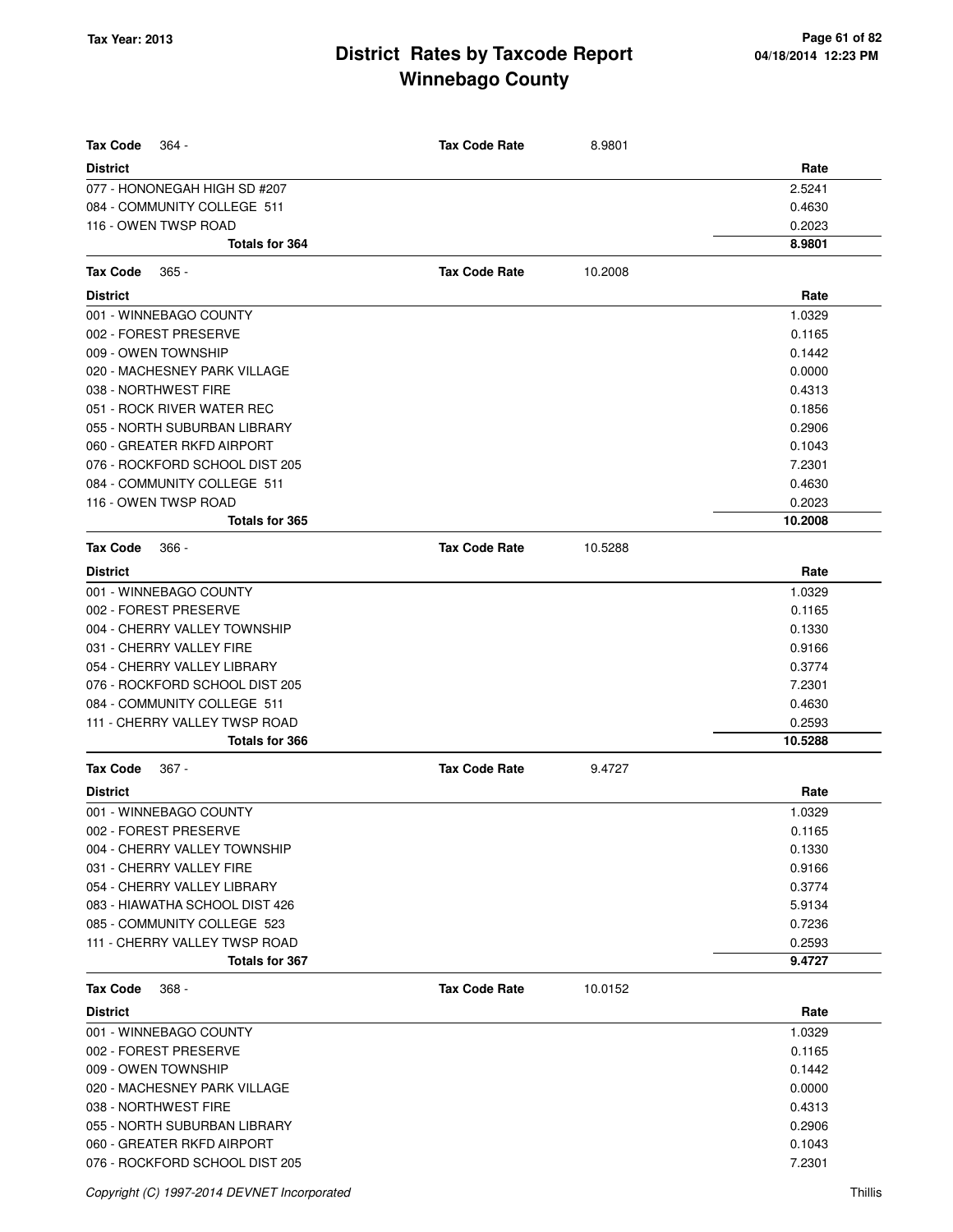| <b>Tax Code</b><br>364 -       | <b>Tax Code Rate</b> | 8.9801  |         |
|--------------------------------|----------------------|---------|---------|
| <b>District</b>                |                      |         | Rate    |
| 077 - HONONEGAH HIGH SD #207   |                      |         | 2.5241  |
| 084 - COMMUNITY COLLEGE 511    |                      |         | 0.4630  |
| 116 - OWEN TWSP ROAD           |                      |         | 0.2023  |
| <b>Totals for 364</b>          |                      |         | 8.9801  |
| <b>Tax Code</b><br>$365 -$     | <b>Tax Code Rate</b> | 10.2008 |         |
| <b>District</b>                |                      |         | Rate    |
| 001 - WINNEBAGO COUNTY         |                      |         | 1.0329  |
| 002 - FOREST PRESERVE          |                      |         | 0.1165  |
| 009 - OWEN TOWNSHIP            |                      |         | 0.1442  |
| 020 - MACHESNEY PARK VILLAGE   |                      |         | 0.0000  |
| 038 - NORTHWEST FIRE           |                      |         | 0.4313  |
| 051 - ROCK RIVER WATER REC     |                      |         | 0.1856  |
| 055 - NORTH SUBURBAN LIBRARY   |                      |         | 0.2906  |
| 060 - GREATER RKFD AIRPORT     |                      |         | 0.1043  |
| 076 - ROCKFORD SCHOOL DIST 205 |                      |         | 7.2301  |
| 084 - COMMUNITY COLLEGE 511    |                      |         | 0.4630  |
| 116 - OWEN TWSP ROAD           |                      |         | 0.2023  |
| <b>Totals for 365</b>          |                      |         | 10.2008 |
| <b>Tax Code</b><br>366 -       | <b>Tax Code Rate</b> | 10.5288 |         |
| <b>District</b>                |                      |         | Rate    |
| 001 - WINNEBAGO COUNTY         |                      |         | 1.0329  |
| 002 - FOREST PRESERVE          |                      |         | 0.1165  |
| 004 - CHERRY VALLEY TOWNSHIP   |                      |         | 0.1330  |
| 031 - CHERRY VALLEY FIRE       |                      |         | 0.9166  |
| 054 - CHERRY VALLEY LIBRARY    |                      |         | 0.3774  |
| 076 - ROCKFORD SCHOOL DIST 205 |                      |         | 7.2301  |
| 084 - COMMUNITY COLLEGE 511    |                      |         | 0.4630  |
| 111 - CHERRY VALLEY TWSP ROAD  |                      |         | 0.2593  |
| <b>Totals for 366</b>          |                      |         | 10.5288 |
| <b>Tax Code</b><br>367 -       | <b>Tax Code Rate</b> | 9.4727  |         |
| <b>District</b>                |                      |         | Rate    |
| 001 - WINNEBAGO COUNTY         |                      |         | 1.0329  |
| 002 - FOREST PRESERVE          |                      |         | 0.1165  |
| 004 - CHERRY VALLEY TOWNSHIP   |                      |         | 0.1330  |
| 031 - CHERRY VALLEY FIRE       |                      |         | 0.9166  |
| 054 - CHERRY VALLEY LIBRARY    |                      |         | 0.3774  |
| 083 - HIAWATHA SCHOOL DIST 426 |                      |         | 5.9134  |
| 085 - COMMUNITY COLLEGE 523    |                      |         | 0.7236  |
| 111 - CHERRY VALLEY TWSP ROAD  |                      |         | 0.2593  |
| <b>Totals for 367</b>          |                      |         | 9.4727  |
| <b>Tax Code</b><br>368 -       | <b>Tax Code Rate</b> | 10.0152 |         |
| <b>District</b>                |                      |         | Rate    |
| 001 - WINNEBAGO COUNTY         |                      |         | 1.0329  |
| 002 - FOREST PRESERVE          |                      |         | 0.1165  |
| 009 - OWEN TOWNSHIP            |                      |         | 0.1442  |
| 020 - MACHESNEY PARK VILLAGE   |                      |         | 0.0000  |
| 038 - NORTHWEST FIRE           |                      |         | 0.4313  |
| 055 - NORTH SUBURBAN LIBRARY   |                      |         | 0.2906  |
| 060 - GREATER RKFD AIRPORT     |                      |         | 0.1043  |
| 076 - ROCKFORD SCHOOL DIST 205 |                      |         | 7.2301  |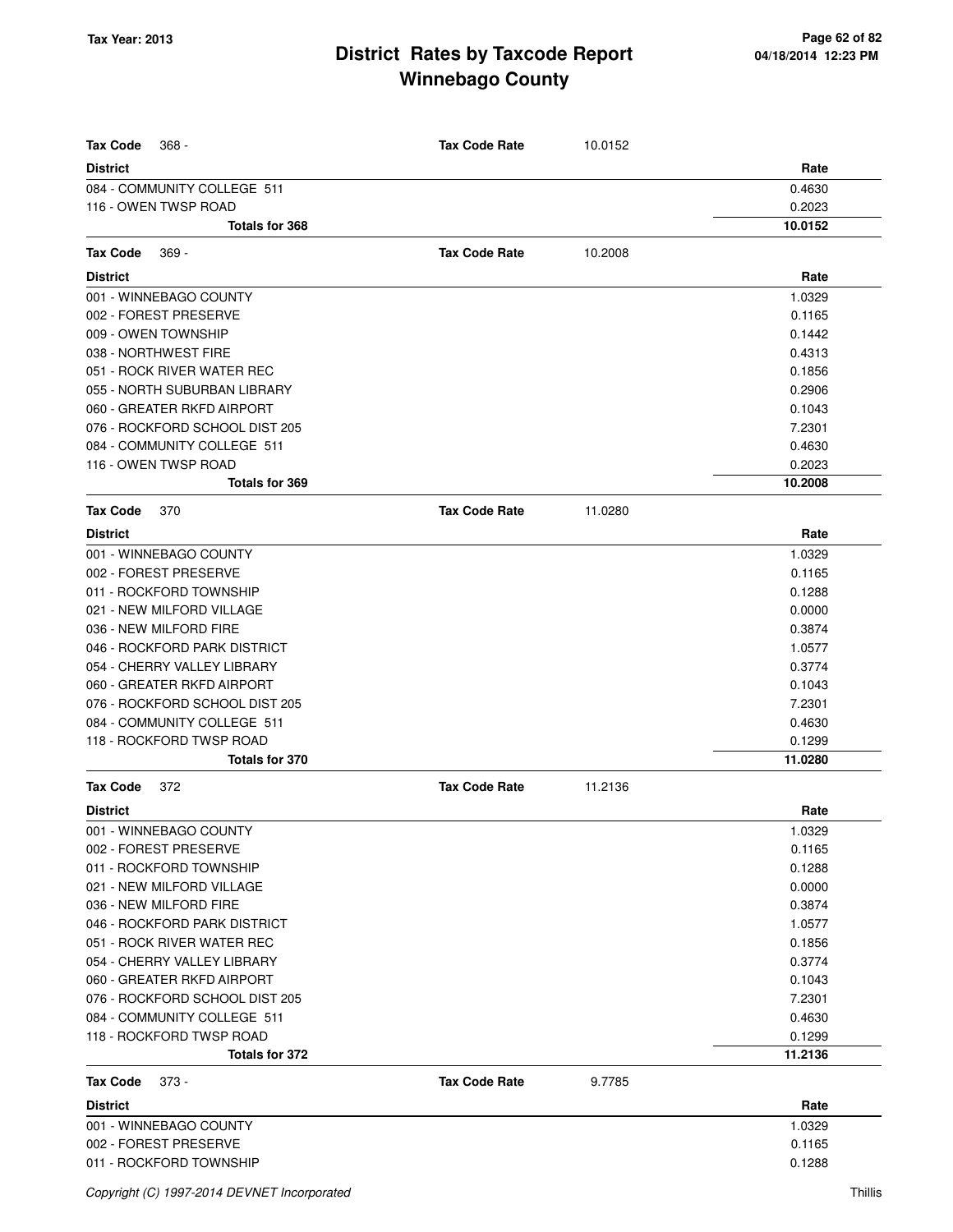| <b>Tax Code</b><br>$368 -$     | <b>Tax Code Rate</b> | 10.0152 |         |
|--------------------------------|----------------------|---------|---------|
| <b>District</b>                |                      |         | Rate    |
| 084 - COMMUNITY COLLEGE 511    |                      |         | 0.4630  |
| 116 - OWEN TWSP ROAD           |                      |         | 0.2023  |
| Totals for 368                 |                      |         | 10.0152 |
| <b>Tax Code</b><br>$369 -$     | <b>Tax Code Rate</b> | 10.2008 |         |
| <b>District</b>                |                      |         | Rate    |
| 001 - WINNEBAGO COUNTY         |                      |         | 1.0329  |
| 002 - FOREST PRESERVE          |                      |         | 0.1165  |
| 009 - OWEN TOWNSHIP            |                      |         | 0.1442  |
| 038 - NORTHWEST FIRE           |                      |         | 0.4313  |
| 051 - ROCK RIVER WATER REC     |                      |         | 0.1856  |
| 055 - NORTH SUBURBAN LIBRARY   |                      |         | 0.2906  |
| 060 - GREATER RKFD AIRPORT     |                      |         | 0.1043  |
| 076 - ROCKFORD SCHOOL DIST 205 |                      |         | 7.2301  |
| 084 - COMMUNITY COLLEGE 511    |                      |         | 0.4630  |
| 116 - OWEN TWSP ROAD           |                      |         | 0.2023  |
| Totals for 369                 |                      |         | 10.2008 |
| <b>Tax Code</b><br>370         | <b>Tax Code Rate</b> | 11.0280 |         |
| <b>District</b>                |                      |         | Rate    |
| 001 - WINNEBAGO COUNTY         |                      |         | 1.0329  |
| 002 - FOREST PRESERVE          |                      |         | 0.1165  |
| 011 - ROCKFORD TOWNSHIP        |                      |         | 0.1288  |
| 021 - NEW MILFORD VILLAGE      |                      |         | 0.0000  |
| 036 - NEW MILFORD FIRE         |                      |         | 0.3874  |
| 046 - ROCKFORD PARK DISTRICT   |                      |         | 1.0577  |
| 054 - CHERRY VALLEY LIBRARY    |                      |         | 0.3774  |
| 060 - GREATER RKFD AIRPORT     |                      |         | 0.1043  |
| 076 - ROCKFORD SCHOOL DIST 205 |                      |         | 7.2301  |
| 084 - COMMUNITY COLLEGE 511    |                      |         | 0.4630  |
| 118 - ROCKFORD TWSP ROAD       |                      |         | 0.1299  |
| <b>Totals for 370</b>          |                      |         | 11.0280 |
| <b>Tax Code</b><br>372         | <b>Tax Code Rate</b> | 11.2136 |         |
| District                       |                      |         | Rate    |
| 001 - WINNEBAGO COUNTY         |                      |         | 1.0329  |
| 002 - FOREST PRESERVE          |                      |         | 0.1165  |
| 011 - ROCKFORD TOWNSHIP        |                      |         | 0.1288  |
| 021 - NEW MILFORD VILLAGE      |                      |         | 0.0000  |
| 036 - NEW MILFORD FIRE         |                      |         | 0.3874  |
| 046 - ROCKFORD PARK DISTRICT   |                      |         | 1.0577  |
| 051 - ROCK RIVER WATER REC     |                      |         | 0.1856  |
| 054 - CHERRY VALLEY LIBRARY    |                      |         | 0.3774  |
| 060 - GREATER RKFD AIRPORT     |                      |         | 0.1043  |
| 076 - ROCKFORD SCHOOL DIST 205 |                      |         | 7.2301  |
| 084 - COMMUNITY COLLEGE 511    |                      |         | 0.4630  |
| 118 - ROCKFORD TWSP ROAD       |                      |         | 0.1299  |
| Totals for 372                 |                      |         | 11.2136 |
| <b>Tax Code</b><br>$373 -$     | <b>Tax Code Rate</b> | 9.7785  |         |
| <b>District</b>                |                      |         | Rate    |
| 001 - WINNEBAGO COUNTY         |                      |         | 1.0329  |
| 002 - FOREST PRESERVE          |                      |         | 0.1165  |
| 011 - ROCKFORD TOWNSHIP        |                      |         | 0.1288  |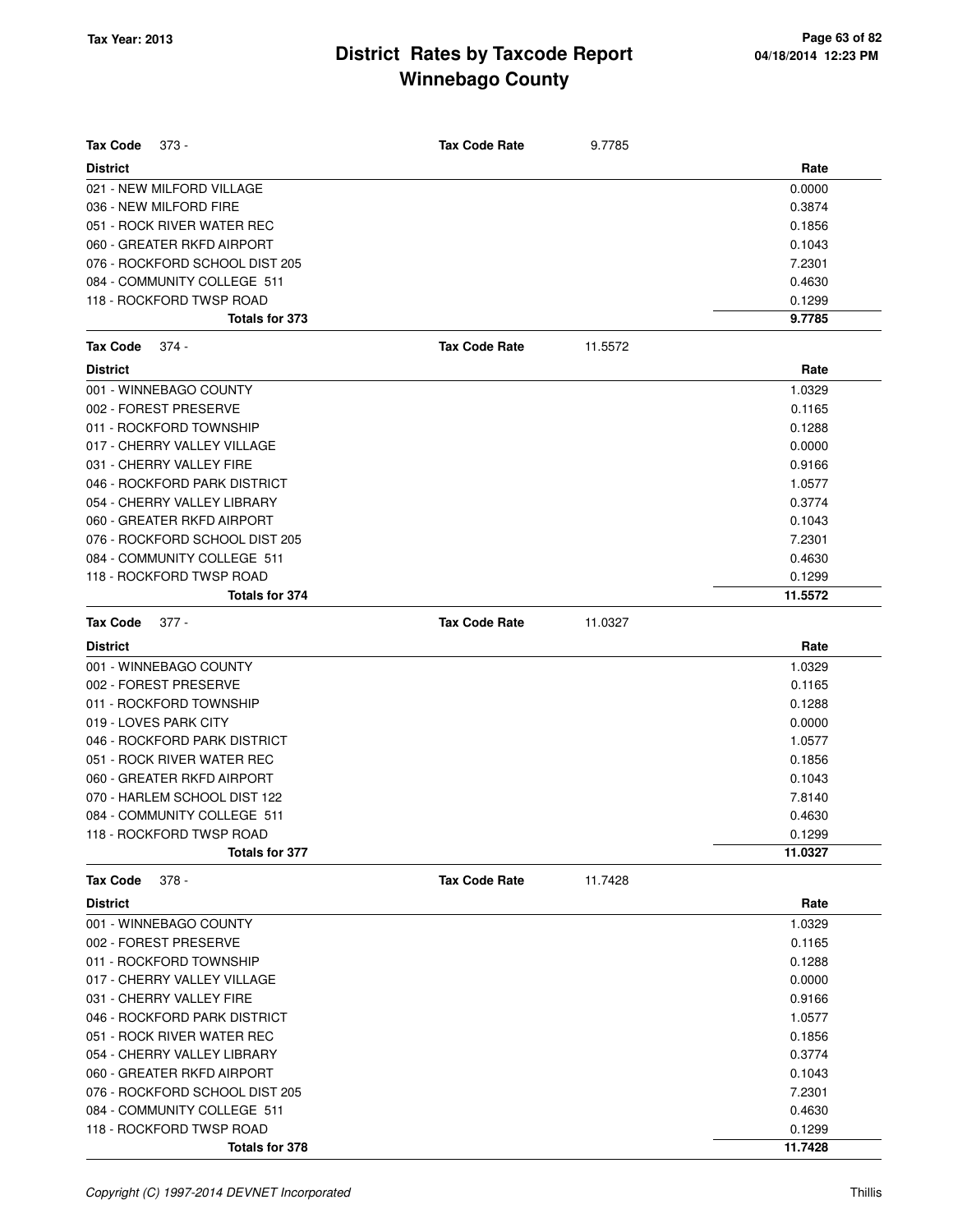| <b>Tax Code</b><br>373 -       | <b>Tax Code Rate</b> | 9.7785  |         |
|--------------------------------|----------------------|---------|---------|
| <b>District</b>                |                      |         | Rate    |
| 021 - NEW MILFORD VILLAGE      |                      |         | 0.0000  |
| 036 - NEW MILFORD FIRE         |                      |         | 0.3874  |
| 051 - ROCK RIVER WATER REC     |                      |         | 0.1856  |
| 060 - GREATER RKFD AIRPORT     |                      |         | 0.1043  |
| 076 - ROCKFORD SCHOOL DIST 205 |                      |         | 7.2301  |
| 084 - COMMUNITY COLLEGE 511    |                      |         | 0.4630  |
| 118 - ROCKFORD TWSP ROAD       |                      |         | 0.1299  |
| Totals for 373                 |                      |         | 9.7785  |
| $374 -$<br>Tax Code            | <b>Tax Code Rate</b> | 11.5572 |         |
| <b>District</b>                |                      |         | Rate    |
| 001 - WINNEBAGO COUNTY         |                      |         | 1.0329  |
| 002 - FOREST PRESERVE          |                      |         | 0.1165  |
| 011 - ROCKFORD TOWNSHIP        |                      |         | 0.1288  |
| 017 - CHERRY VALLEY VILLAGE    |                      |         | 0.0000  |
| 031 - CHERRY VALLEY FIRE       |                      |         | 0.9166  |
| 046 - ROCKFORD PARK DISTRICT   |                      |         | 1.0577  |
| 054 - CHERRY VALLEY LIBRARY    |                      |         | 0.3774  |
| 060 - GREATER RKFD AIRPORT     |                      |         | 0.1043  |
| 076 - ROCKFORD SCHOOL DIST 205 |                      |         | 7.2301  |
| 084 - COMMUNITY COLLEGE 511    |                      |         | 0.4630  |
| 118 - ROCKFORD TWSP ROAD       |                      |         | 0.1299  |
| Totals for 374                 |                      |         | 11.5572 |
| <b>Tax Code</b><br>$377 -$     | <b>Tax Code Rate</b> | 11.0327 |         |
| <b>District</b>                |                      |         | Rate    |
| 001 - WINNEBAGO COUNTY         |                      |         | 1.0329  |
| 002 - FOREST PRESERVE          |                      |         | 0.1165  |
| 011 - ROCKFORD TOWNSHIP        |                      |         | 0.1288  |
| 019 - LOVES PARK CITY          |                      |         | 0.0000  |
| 046 - ROCKFORD PARK DISTRICT   |                      |         | 1.0577  |
| 051 - ROCK RIVER WATER REC     |                      |         | 0.1856  |
| 060 - GREATER RKFD AIRPORT     |                      |         | 0.1043  |
| 070 - HARLEM SCHOOL DIST 122   |                      |         | 7.8140  |
| 084 - COMMUNITY COLLEGE 511    |                      |         | 0.4630  |
| 118 - ROCKFORD TWSP ROAD       |                      |         | 0.1299  |
| Totals for 377                 |                      |         | 11.0327 |
| $378 -$<br>Tax Code            | <b>Tax Code Rate</b> | 11.7428 |         |
| <b>District</b>                |                      |         | Rate    |
| 001 - WINNEBAGO COUNTY         |                      |         | 1.0329  |
| 002 - FOREST PRESERVE          |                      |         | 0.1165  |
| 011 - ROCKFORD TOWNSHIP        |                      |         | 0.1288  |
| 017 - CHERRY VALLEY VILLAGE    |                      |         | 0.0000  |
| 031 - CHERRY VALLEY FIRE       |                      |         | 0.9166  |
| 046 - ROCKFORD PARK DISTRICT   |                      |         | 1.0577  |
| 051 - ROCK RIVER WATER REC     |                      |         | 0.1856  |
| 054 - CHERRY VALLEY LIBRARY    |                      |         | 0.3774  |
| 060 - GREATER RKFD AIRPORT     |                      |         | 0.1043  |
| 076 - ROCKFORD SCHOOL DIST 205 |                      |         | 7.2301  |
| 084 - COMMUNITY COLLEGE 511    |                      |         | 0.4630  |
| 118 - ROCKFORD TWSP ROAD       |                      |         | 0.1299  |
| <b>Totals for 378</b>          |                      |         | 11.7428 |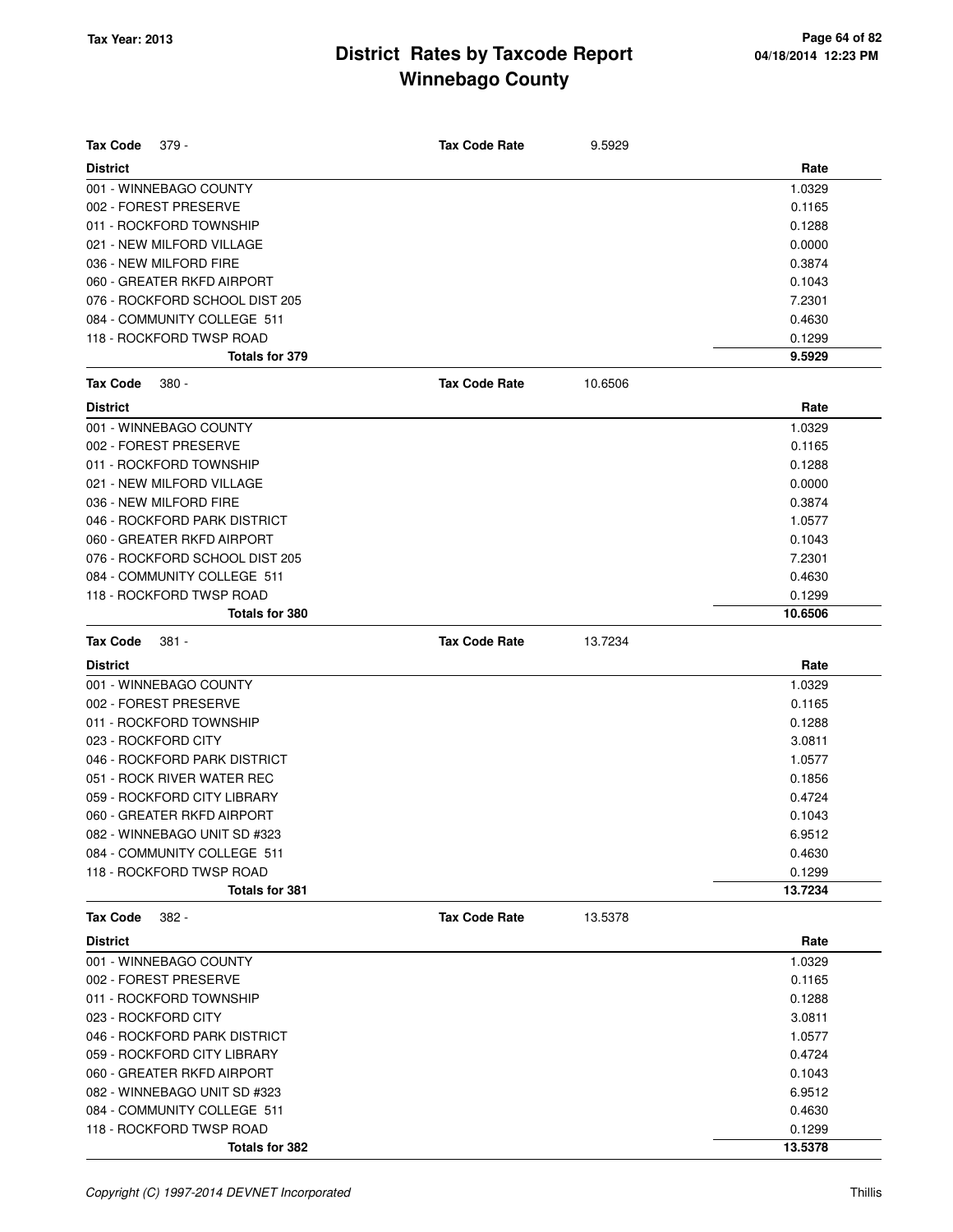| <b>Tax Code</b><br>379 -       | <b>Tax Code Rate</b> | 9.5929  |         |
|--------------------------------|----------------------|---------|---------|
| <b>District</b>                |                      |         | Rate    |
| 001 - WINNEBAGO COUNTY         |                      |         | 1.0329  |
| 002 - FOREST PRESERVE          |                      |         | 0.1165  |
| 011 - ROCKFORD TOWNSHIP        |                      |         | 0.1288  |
| 021 - NEW MILFORD VILLAGE      |                      |         | 0.0000  |
| 036 - NEW MILFORD FIRE         |                      |         | 0.3874  |
| 060 - GREATER RKFD AIRPORT     |                      |         | 0.1043  |
| 076 - ROCKFORD SCHOOL DIST 205 |                      |         | 7.2301  |
| 084 - COMMUNITY COLLEGE 511    |                      |         | 0.4630  |
| 118 - ROCKFORD TWSP ROAD       |                      |         | 0.1299  |
| Totals for 379                 |                      |         | 9.5929  |
| <b>Tax Code</b><br>380 -       | <b>Tax Code Rate</b> | 10.6506 |         |
| <b>District</b>                |                      |         | Rate    |
| 001 - WINNEBAGO COUNTY         |                      |         | 1.0329  |
| 002 - FOREST PRESERVE          |                      |         | 0.1165  |
| 011 - ROCKFORD TOWNSHIP        |                      |         | 0.1288  |
| 021 - NEW MILFORD VILLAGE      |                      |         | 0.0000  |
| 036 - NEW MILFORD FIRE         |                      |         | 0.3874  |
| 046 - ROCKFORD PARK DISTRICT   |                      |         | 1.0577  |
| 060 - GREATER RKFD AIRPORT     |                      |         | 0.1043  |
| 076 - ROCKFORD SCHOOL DIST 205 |                      |         | 7.2301  |
| 084 - COMMUNITY COLLEGE 511    |                      |         | 0.4630  |
| 118 - ROCKFORD TWSP ROAD       |                      |         | 0.1299  |
| <b>Totals for 380</b>          |                      |         | 10.6506 |
| <b>Tax Code</b><br>$381 -$     | <b>Tax Code Rate</b> | 13.7234 |         |
| <b>District</b>                |                      |         | Rate    |
| 001 - WINNEBAGO COUNTY         |                      |         | 1.0329  |
| 002 - FOREST PRESERVE          |                      |         | 0.1165  |
| 011 - ROCKFORD TOWNSHIP        |                      |         | 0.1288  |
| 023 - ROCKFORD CITY            |                      |         | 3.0811  |
| 046 - ROCKFORD PARK DISTRICT   |                      |         | 1.0577  |
| 051 - ROCK RIVER WATER REC     |                      |         | 0.1856  |
| 059 - ROCKFORD CITY LIBRARY    |                      |         | 0.4724  |
| 060 - GREATER RKFD AIRPORT     |                      |         | 0.1043  |
| 082 - WINNEBAGO UNIT SD #323   |                      |         | 6.9512  |
| 084 - COMMUNITY COLLEGE 511    |                      |         | 0.4630  |
| 118 - ROCKFORD TWSP ROAD       |                      |         | 0.1299  |
| Totals for 381                 |                      |         | 13.7234 |
| <b>Tax Code</b><br>$382 -$     | <b>Tax Code Rate</b> | 13.5378 |         |
| <b>District</b>                |                      |         | Rate    |
| 001 - WINNEBAGO COUNTY         |                      |         | 1.0329  |
| 002 - FOREST PRESERVE          |                      |         | 0.1165  |
| 011 - ROCKFORD TOWNSHIP        |                      |         | 0.1288  |
| 023 - ROCKFORD CITY            |                      |         | 3.0811  |
| 046 - ROCKFORD PARK DISTRICT   |                      |         | 1.0577  |
| 059 - ROCKFORD CITY LIBRARY    |                      |         | 0.4724  |
| 060 - GREATER RKFD AIRPORT     |                      |         | 0.1043  |
| 082 - WINNEBAGO UNIT SD #323   |                      |         | 6.9512  |
| 084 - COMMUNITY COLLEGE 511    |                      |         | 0.4630  |
| 118 - ROCKFORD TWSP ROAD       |                      |         | 0.1299  |
| Totals for 382                 |                      |         | 13.5378 |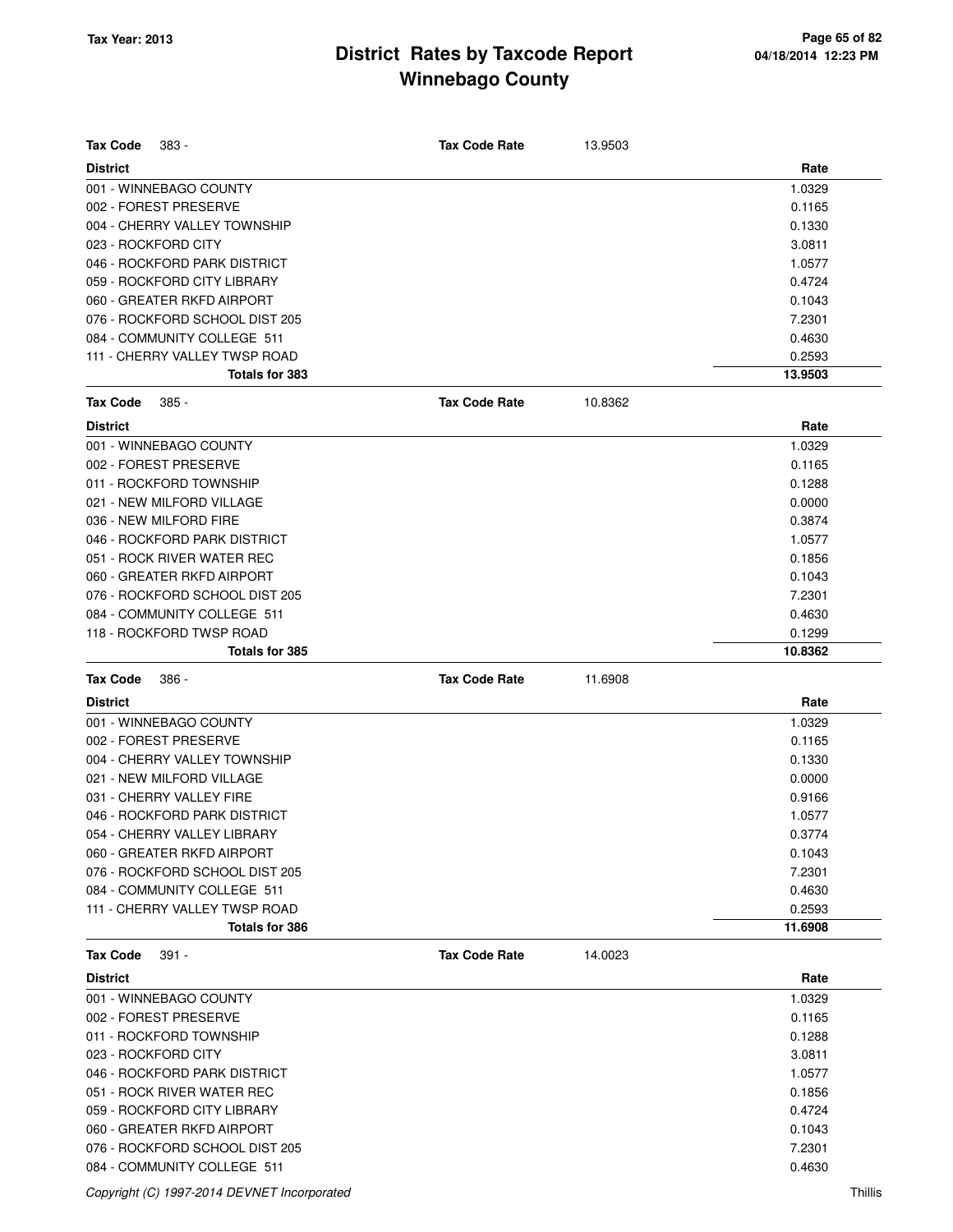| Tax Code<br>383 -              |                       | <b>Tax Code Rate</b> | 13.9503 |         |
|--------------------------------|-----------------------|----------------------|---------|---------|
| <b>District</b>                |                       |                      |         | Rate    |
| 001 - WINNEBAGO COUNTY         |                       |                      |         | 1.0329  |
| 002 - FOREST PRESERVE          |                       |                      |         | 0.1165  |
| 004 - CHERRY VALLEY TOWNSHIP   |                       |                      |         | 0.1330  |
| 023 - ROCKFORD CITY            |                       |                      |         | 3.0811  |
| 046 - ROCKFORD PARK DISTRICT   |                       |                      |         | 1.0577  |
| 059 - ROCKFORD CITY LIBRARY    |                       |                      |         | 0.4724  |
| 060 - GREATER RKFD AIRPORT     |                       |                      |         | 0.1043  |
| 076 - ROCKFORD SCHOOL DIST 205 |                       |                      |         | 7.2301  |
| 084 - COMMUNITY COLLEGE 511    |                       |                      |         | 0.4630  |
| 111 - CHERRY VALLEY TWSP ROAD  |                       |                      |         | 0.2593  |
|                                | Totals for 383        |                      |         | 13.9503 |
| <b>Tax Code</b><br>385 -       |                       | <b>Tax Code Rate</b> | 10.8362 |         |
|                                |                       |                      |         |         |
| <b>District</b>                |                       |                      |         | Rate    |
| 001 - WINNEBAGO COUNTY         |                       |                      |         | 1.0329  |
| 002 - FOREST PRESERVE          |                       |                      |         | 0.1165  |
| 011 - ROCKFORD TOWNSHIP        |                       |                      |         | 0.1288  |
| 021 - NEW MILFORD VILLAGE      |                       |                      |         | 0.0000  |
| 036 - NEW MILFORD FIRE         |                       |                      |         | 0.3874  |
| 046 - ROCKFORD PARK DISTRICT   |                       |                      |         | 1.0577  |
| 051 - ROCK RIVER WATER REC     |                       |                      |         | 0.1856  |
| 060 - GREATER RKFD AIRPORT     |                       |                      |         | 0.1043  |
| 076 - ROCKFORD SCHOOL DIST 205 |                       |                      |         | 7.2301  |
| 084 - COMMUNITY COLLEGE 511    |                       |                      |         | 0.4630  |
| 118 - ROCKFORD TWSP ROAD       |                       |                      |         | 0.1299  |
|                                | <b>Totals for 385</b> |                      |         | 10.8362 |
|                                |                       |                      |         |         |
| Tax Code<br>386 -              |                       | <b>Tax Code Rate</b> | 11.6908 |         |
| <b>District</b>                |                       |                      |         | Rate    |
| 001 - WINNEBAGO COUNTY         |                       |                      |         | 1.0329  |
| 002 - FOREST PRESERVE          |                       |                      |         | 0.1165  |
| 004 - CHERRY VALLEY TOWNSHIP   |                       |                      |         | 0.1330  |
| 021 - NEW MILFORD VILLAGE      |                       |                      |         | 0.0000  |
| 031 - CHERRY VALLEY FIRE       |                       |                      |         | 0.9166  |
| 046 - ROCKFORD PARK DISTRICT   |                       |                      |         | 1.0577  |
| 054 - CHERRY VALLEY LIBRARY    |                       |                      |         | 0.3774  |
| 060 - GREATER RKFD AIRPORT     |                       |                      |         | 0.1043  |
| 076 - ROCKFORD SCHOOL DIST 205 |                       |                      |         | 7.2301  |
| 084 - COMMUNITY COLLEGE 511    |                       |                      |         | 0.4630  |
| 111 - CHERRY VALLEY TWSP ROAD  |                       |                      |         | 0.2593  |
|                                | <b>Totals for 386</b> |                      |         | 11.6908 |
| Tax Code<br>$391 -$            |                       | <b>Tax Code Rate</b> | 14.0023 |         |
| <b>District</b>                |                       |                      |         | Rate    |
| 001 - WINNEBAGO COUNTY         |                       |                      |         | 1.0329  |
| 002 - FOREST PRESERVE          |                       |                      |         | 0.1165  |
| 011 - ROCKFORD TOWNSHIP        |                       |                      |         | 0.1288  |
| 023 - ROCKFORD CITY            |                       |                      |         | 3.0811  |
| 046 - ROCKFORD PARK DISTRICT   |                       |                      |         | 1.0577  |
| 051 - ROCK RIVER WATER REC     |                       |                      |         | 0.1856  |
| 059 - ROCKFORD CITY LIBRARY    |                       |                      |         | 0.4724  |
| 060 - GREATER RKFD AIRPORT     |                       |                      |         | 0.1043  |
| 076 - ROCKFORD SCHOOL DIST 205 |                       |                      |         | 7.2301  |

Copyright (C) 1997-2014 DEVNET Incorporated Thillis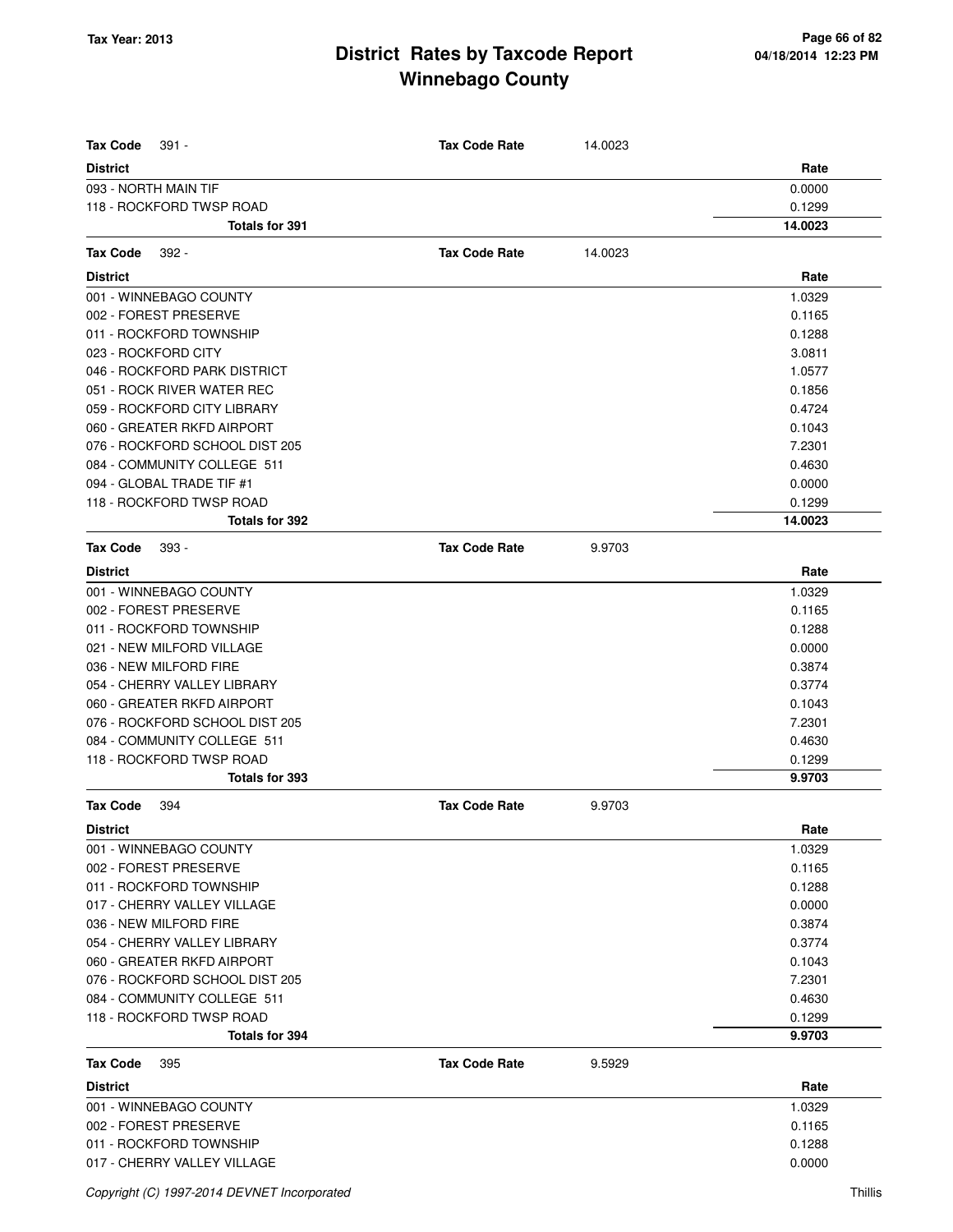| <b>Tax Code</b><br>391 -       | <b>Tax Code Rate</b> | 14.0023 |         |
|--------------------------------|----------------------|---------|---------|
| <b>District</b>                |                      |         | Rate    |
| 093 - NORTH MAIN TIF           |                      |         | 0.0000  |
| 118 - ROCKFORD TWSP ROAD       |                      |         | 0.1299  |
| <b>Totals for 391</b>          |                      |         | 14.0023 |
| <b>Tax Code</b><br>$392 -$     | <b>Tax Code Rate</b> | 14.0023 |         |
| <b>District</b>                |                      |         | Rate    |
| 001 - WINNEBAGO COUNTY         |                      |         | 1.0329  |
| 002 - FOREST PRESERVE          |                      |         | 0.1165  |
| 011 - ROCKFORD TOWNSHIP        |                      |         | 0.1288  |
| 023 - ROCKFORD CITY            |                      |         | 3.0811  |
| 046 - ROCKFORD PARK DISTRICT   |                      |         | 1.0577  |
| 051 - ROCK RIVER WATER REC     |                      |         | 0.1856  |
| 059 - ROCKFORD CITY LIBRARY    |                      |         | 0.4724  |
| 060 - GREATER RKFD AIRPORT     |                      |         | 0.1043  |
| 076 - ROCKFORD SCHOOL DIST 205 |                      |         | 7.2301  |
| 084 - COMMUNITY COLLEGE 511    |                      |         | 0.4630  |
| 094 - GLOBAL TRADE TIF #1      |                      |         | 0.0000  |
| 118 - ROCKFORD TWSP ROAD       |                      |         | 0.1299  |
| Totals for 392                 |                      |         | 14.0023 |
| <b>Tax Code</b><br>393 -       | <b>Tax Code Rate</b> | 9.9703  |         |
| <b>District</b>                |                      |         | Rate    |
| 001 - WINNEBAGO COUNTY         |                      |         | 1.0329  |
| 002 - FOREST PRESERVE          |                      |         | 0.1165  |
| 011 - ROCKFORD TOWNSHIP        |                      |         | 0.1288  |
| 021 - NEW MILFORD VILLAGE      |                      |         | 0.0000  |
| 036 - NEW MILFORD FIRE         |                      |         | 0.3874  |
| 054 - CHERRY VALLEY LIBRARY    |                      |         | 0.3774  |
| 060 - GREATER RKFD AIRPORT     |                      |         | 0.1043  |
| 076 - ROCKFORD SCHOOL DIST 205 |                      |         | 7.2301  |
| 084 - COMMUNITY COLLEGE 511    |                      |         | 0.4630  |
| 118 - ROCKFORD TWSP ROAD       |                      |         | 0.1299  |
| Totals for 393                 |                      |         | 9.9703  |
| <b>Tax Code</b><br>394         | <b>Tax Code Rate</b> | 9.9703  |         |
| <b>District</b>                |                      |         | Rate    |
| 001 - WINNEBAGO COUNTY         |                      |         | 1.0329  |
| 002 - FOREST PRESERVE          |                      |         | 0.1165  |
| 011 - ROCKFORD TOWNSHIP        |                      |         | 0.1288  |
| 017 - CHERRY VALLEY VILLAGE    |                      |         | 0.0000  |
| 036 - NEW MILFORD FIRE         |                      |         | 0.3874  |
| 054 - CHERRY VALLEY LIBRARY    |                      |         | 0.3774  |
| 060 - GREATER RKFD AIRPORT     |                      |         | 0.1043  |
| 076 - ROCKFORD SCHOOL DIST 205 |                      |         | 7.2301  |
| 084 - COMMUNITY COLLEGE 511    |                      |         | 0.4630  |
| 118 - ROCKFORD TWSP ROAD       |                      |         | 0.1299  |
| Totals for 394                 |                      |         | 9.9703  |
| <b>Tax Code</b><br>395         | <b>Tax Code Rate</b> | 9.5929  |         |
| <b>District</b>                |                      |         | Rate    |
| 001 - WINNEBAGO COUNTY         |                      |         | 1.0329  |
| 002 - FOREST PRESERVE          |                      |         | 0.1165  |
| 011 - ROCKFORD TOWNSHIP        |                      |         | 0.1288  |
| 017 - CHERRY VALLEY VILLAGE    |                      |         | 0.0000  |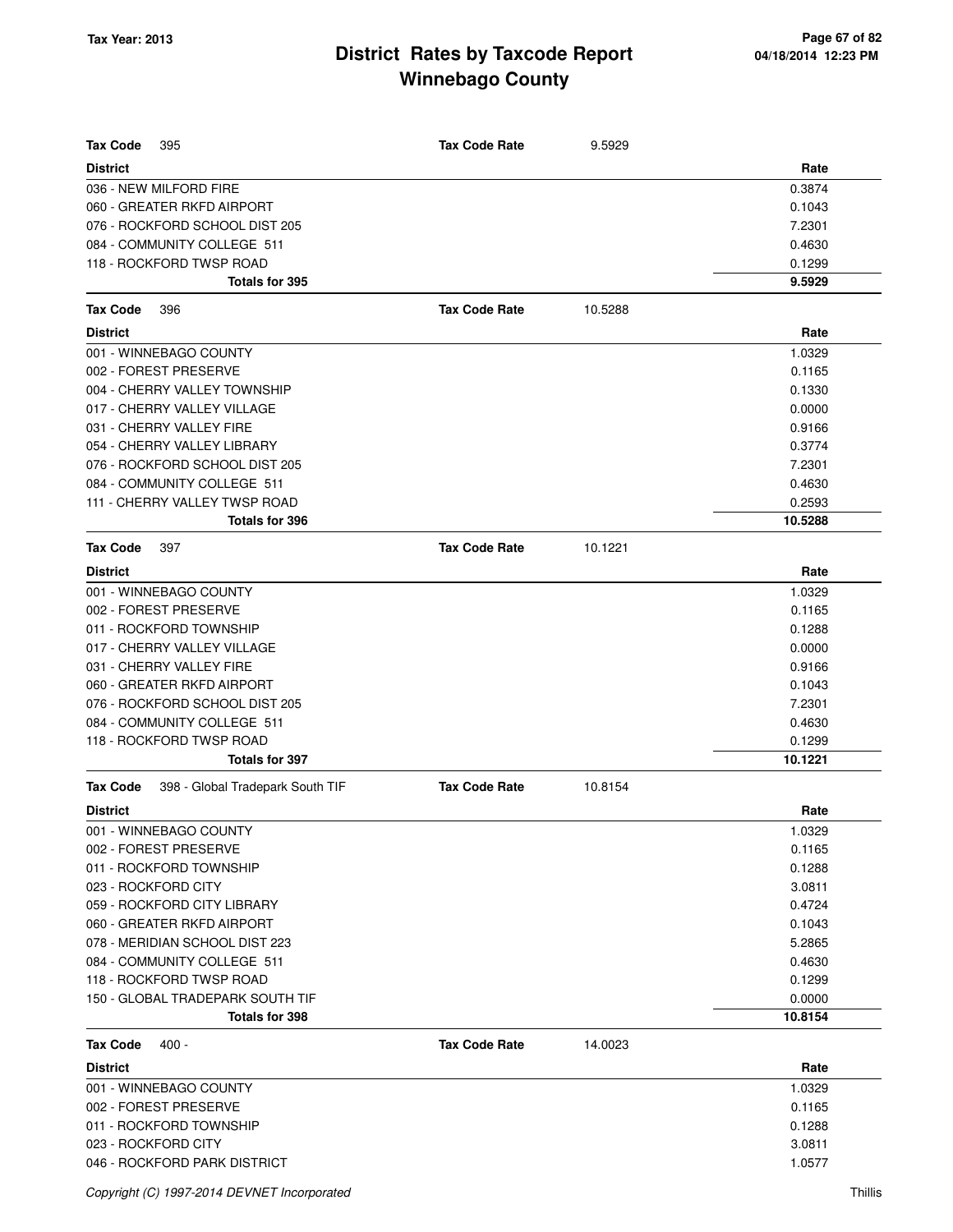| <b>Tax Code</b><br>395                                    | <b>Tax Code Rate</b> | 9.5929  |                   |
|-----------------------------------------------------------|----------------------|---------|-------------------|
| <b>District</b>                                           |                      |         | Rate              |
| 036 - NEW MILFORD FIRE                                    |                      |         | 0.3874            |
| 060 - GREATER RKFD AIRPORT                                |                      |         | 0.1043            |
| 076 - ROCKFORD SCHOOL DIST 205                            |                      |         | 7.2301            |
| 084 - COMMUNITY COLLEGE 511                               |                      |         | 0.4630            |
| 118 - ROCKFORD TWSP ROAD                                  |                      |         | 0.1299            |
| Totals for 395                                            |                      |         | 9.5929            |
| <b>Tax Code</b><br>396                                    | <b>Tax Code Rate</b> | 10.5288 |                   |
| <b>District</b>                                           |                      |         | Rate              |
| 001 - WINNEBAGO COUNTY                                    |                      |         | 1.0329            |
| 002 - FOREST PRESERVE                                     |                      |         | 0.1165            |
| 004 - CHERRY VALLEY TOWNSHIP                              |                      |         | 0.1330            |
| 017 - CHERRY VALLEY VILLAGE                               |                      |         | 0.0000            |
| 031 - CHERRY VALLEY FIRE                                  |                      |         | 0.9166            |
| 054 - CHERRY VALLEY LIBRARY                               |                      |         | 0.3774            |
| 076 - ROCKFORD SCHOOL DIST 205                            |                      |         | 7.2301            |
| 084 - COMMUNITY COLLEGE 511                               |                      |         | 0.4630            |
| 111 - CHERRY VALLEY TWSP ROAD                             |                      |         | 0.2593            |
| <b>Totals for 396</b>                                     |                      |         | 10.5288           |
| <b>Tax Code</b><br>397                                    | <b>Tax Code Rate</b> | 10.1221 |                   |
| <b>District</b>                                           |                      |         | Rate              |
| 001 - WINNEBAGO COUNTY                                    |                      |         | 1.0329            |
| 002 - FOREST PRESERVE                                     |                      |         | 0.1165            |
| 011 - ROCKFORD TOWNSHIP                                   |                      |         | 0.1288            |
| 017 - CHERRY VALLEY VILLAGE                               |                      |         | 0.0000            |
| 031 - CHERRY VALLEY FIRE                                  |                      |         | 0.9166            |
| 060 - GREATER RKFD AIRPORT                                |                      |         | 0.1043            |
| 076 - ROCKFORD SCHOOL DIST 205                            |                      |         | 7.2301            |
| 084 - COMMUNITY COLLEGE 511                               |                      |         | 0.4630            |
| 118 - ROCKFORD TWSP ROAD                                  |                      |         | 0.1299            |
| <b>Totals for 397</b>                                     |                      |         | 10.1221           |
| Tax Code<br>398 - Global Tradepark South TIF              | <b>Tax Code Rate</b> | 10.8154 |                   |
|                                                           |                      |         |                   |
| <b>District</b>                                           |                      |         | Rate              |
| 001 - WINNEBAGO COUNTY                                    |                      |         | 1.0329            |
| 002 - FOREST PRESERVE                                     |                      |         | 0.1165            |
| 011 - ROCKFORD TOWNSHIP                                   |                      |         | 0.1288            |
| 023 - ROCKFORD CITY                                       |                      |         | 3.0811            |
| 059 - ROCKFORD CITY LIBRARY                               |                      |         | 0.4724            |
| 060 - GREATER RKFD AIRPORT                                |                      |         | 0.1043            |
| 078 - MERIDIAN SCHOOL DIST 223                            |                      |         | 5.2865            |
| 084 - COMMUNITY COLLEGE 511                               |                      |         | 0.4630            |
| 118 - ROCKFORD TWSP ROAD                                  |                      |         | 0.1299            |
| 150 - GLOBAL TRADEPARK SOUTH TIF<br><b>Totals for 398</b> |                      |         | 0.0000<br>10.8154 |
|                                                           |                      |         |                   |
| Tax Code<br>$400 -$                                       | <b>Tax Code Rate</b> | 14.0023 |                   |
| <b>District</b>                                           |                      |         | Rate              |
| 001 - WINNEBAGO COUNTY                                    |                      |         | 1.0329            |
| 002 - FOREST PRESERVE                                     |                      |         | 0.1165            |
| 011 - ROCKFORD TOWNSHIP                                   |                      |         | 0.1288            |
| 023 - ROCKFORD CITY                                       |                      |         | 3.0811            |
| 046 - ROCKFORD PARK DISTRICT                              |                      |         | 1.0577            |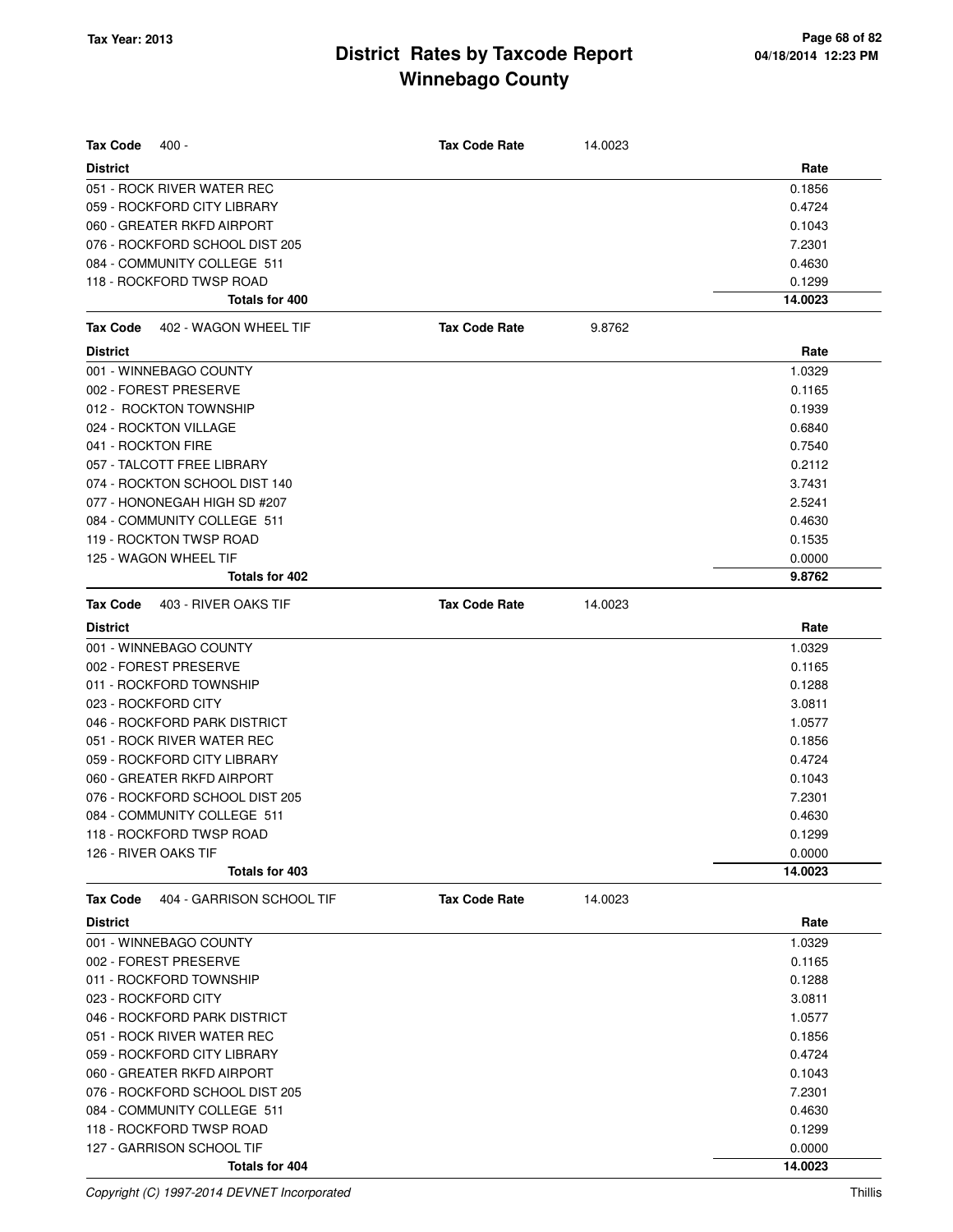| <b>Tax Code</b><br>$400 -$                   | <b>Tax Code Rate</b> | 14.0023 |         |
|----------------------------------------------|----------------------|---------|---------|
| <b>District</b>                              |                      |         | Rate    |
| 051 - ROCK RIVER WATER REC                   |                      |         | 0.1856  |
| 059 - ROCKFORD CITY LIBRARY                  |                      |         | 0.4724  |
| 060 - GREATER RKFD AIRPORT                   |                      |         | 0.1043  |
| 076 - ROCKFORD SCHOOL DIST 205               |                      |         | 7.2301  |
| 084 - COMMUNITY COLLEGE 511                  |                      |         | 0.4630  |
| 118 - ROCKFORD TWSP ROAD                     |                      |         | 0.1299  |
| Totals for 400                               |                      |         | 14.0023 |
| <b>Tax Code</b><br>402 - WAGON WHEEL TIF     | <b>Tax Code Rate</b> | 9.8762  |         |
| <b>District</b>                              |                      |         | Rate    |
| 001 - WINNEBAGO COUNTY                       |                      |         | 1.0329  |
| 002 - FOREST PRESERVE                        |                      |         | 0.1165  |
| 012 - ROCKTON TOWNSHIP                       |                      |         | 0.1939  |
| 024 - ROCKTON VILLAGE                        |                      |         | 0.6840  |
| 041 - ROCKTON FIRE                           |                      |         | 0.7540  |
| 057 - TALCOTT FREE LIBRARY                   |                      |         | 0.2112  |
| 074 - ROCKTON SCHOOL DIST 140                |                      |         | 3.7431  |
| 077 - HONONEGAH HIGH SD #207                 |                      |         | 2.5241  |
| 084 - COMMUNITY COLLEGE 511                  |                      |         | 0.4630  |
| 119 - ROCKTON TWSP ROAD                      |                      |         | 0.1535  |
| 125 - WAGON WHEEL TIF                        |                      |         | 0.0000  |
| <b>Totals for 402</b>                        |                      |         | 9.8762  |
| 403 - RIVER OAKS TIF<br><b>Tax Code</b>      | <b>Tax Code Rate</b> | 14.0023 |         |
| <b>District</b>                              |                      |         | Rate    |
| 001 - WINNEBAGO COUNTY                       |                      |         | 1.0329  |
| 002 - FOREST PRESERVE                        |                      |         | 0.1165  |
| 011 - ROCKFORD TOWNSHIP                      |                      |         | 0.1288  |
| 023 - ROCKFORD CITY                          |                      |         | 3.0811  |
| 046 - ROCKFORD PARK DISTRICT                 |                      |         | 1.0577  |
| 051 - ROCK RIVER WATER REC                   |                      |         | 0.1856  |
| 059 - ROCKFORD CITY LIBRARY                  |                      |         | 0.4724  |
| 060 - GREATER RKFD AIRPORT                   |                      |         | 0.1043  |
| 076 - ROCKFORD SCHOOL DIST 205               |                      |         | 7.2301  |
| 084 - COMMUNITY COLLEGE 511                  |                      |         | 0.4630  |
| 118 - ROCKFORD TWSP ROAD                     |                      |         | 0.1299  |
| 126 - RIVER OAKS TIF                         |                      |         | 0.0000  |
| Totals for 403                               |                      |         | 14.0023 |
| 404 - GARRISON SCHOOL TIF<br><b>Tax Code</b> | <b>Tax Code Rate</b> | 14.0023 |         |
| <b>District</b>                              |                      |         | Rate    |
| 001 - WINNEBAGO COUNTY                       |                      |         | 1.0329  |
| 002 - FOREST PRESERVE                        |                      |         | 0.1165  |
| 011 - ROCKFORD TOWNSHIP                      |                      |         | 0.1288  |
| 023 - ROCKFORD CITY                          |                      |         | 3.0811  |
| 046 - ROCKFORD PARK DISTRICT                 |                      |         | 1.0577  |
| 051 - ROCK RIVER WATER REC                   |                      |         | 0.1856  |
| 059 - ROCKFORD CITY LIBRARY                  |                      |         | 0.4724  |
| 060 - GREATER RKFD AIRPORT                   |                      |         | 0.1043  |
| 076 - ROCKFORD SCHOOL DIST 205               |                      |         | 7.2301  |
| 084 - COMMUNITY COLLEGE 511                  |                      |         | 0.4630  |
| 118 - ROCKFORD TWSP ROAD                     |                      |         | 0.1299  |
| 127 - GARRISON SCHOOL TIF                    |                      |         | 0.0000  |
| Totals for 404                               |                      |         | 14.0023 |

Copyright (C) 1997-2014 DEVNET Incorporated Thillis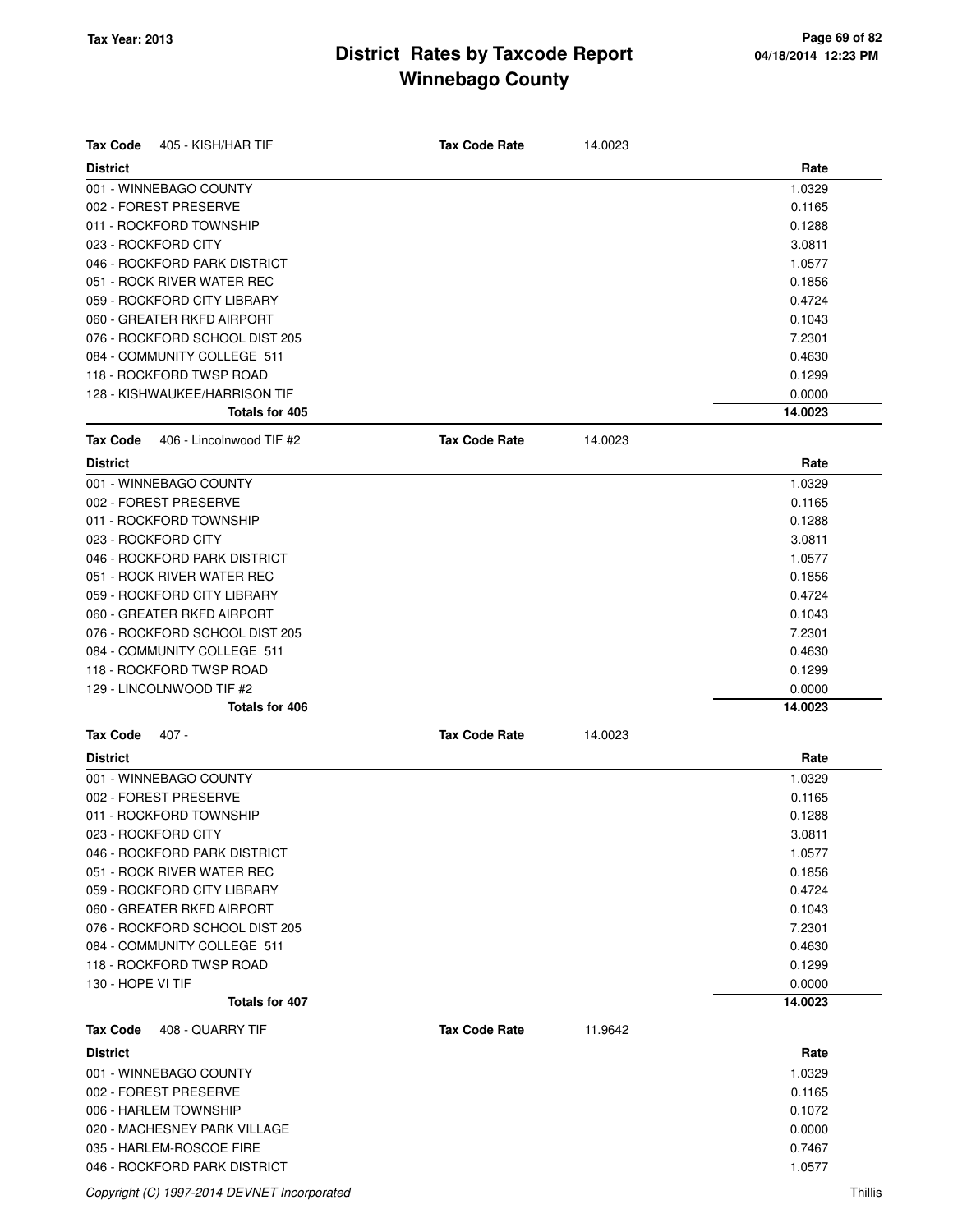| <b>Tax Code</b><br>405 - KISH/HAR TIF       | <b>Tax Code Rate</b> | 14.0023 |         |
|---------------------------------------------|----------------------|---------|---------|
| <b>District</b>                             |                      |         | Rate    |
| 001 - WINNEBAGO COUNTY                      |                      |         | 1.0329  |
| 002 - FOREST PRESERVE                       |                      |         | 0.1165  |
| 011 - ROCKFORD TOWNSHIP                     |                      |         | 0.1288  |
| 023 - ROCKFORD CITY                         |                      |         | 3.0811  |
| 046 - ROCKFORD PARK DISTRICT                |                      |         | 1.0577  |
| 051 - ROCK RIVER WATER REC                  |                      |         | 0.1856  |
| 059 - ROCKFORD CITY LIBRARY                 |                      |         | 0.4724  |
| 060 - GREATER RKFD AIRPORT                  |                      |         | 0.1043  |
| 076 - ROCKFORD SCHOOL DIST 205              |                      |         | 7.2301  |
| 084 - COMMUNITY COLLEGE 511                 |                      |         | 0.4630  |
| 118 - ROCKFORD TWSP ROAD                    |                      |         | 0.1299  |
| 128 - KISHWAUKEE/HARRISON TIF               |                      |         | 0.0000  |
| Totals for 405                              |                      |         | 14.0023 |
| <b>Tax Code</b><br>406 - Lincolnwood TIF #2 | <b>Tax Code Rate</b> | 14.0023 |         |
| <b>District</b>                             |                      |         | Rate    |
| 001 - WINNEBAGO COUNTY                      |                      |         | 1.0329  |
| 002 - FOREST PRESERVE                       |                      |         | 0.1165  |
| 011 - ROCKFORD TOWNSHIP                     |                      |         | 0.1288  |
| 023 - ROCKFORD CITY                         |                      |         | 3.0811  |
| 046 - ROCKFORD PARK DISTRICT                |                      |         | 1.0577  |
| 051 - ROCK RIVER WATER REC                  |                      |         | 0.1856  |
| 059 - ROCKFORD CITY LIBRARY                 |                      |         | 0.4724  |
| 060 - GREATER RKFD AIRPORT                  |                      |         | 0.1043  |
| 076 - ROCKFORD SCHOOL DIST 205              |                      |         | 7.2301  |
| 084 - COMMUNITY COLLEGE 511                 |                      |         | 0.4630  |
| 118 - ROCKFORD TWSP ROAD                    |                      |         | 0.1299  |
| 129 - LINCOLNWOOD TIF #2                    |                      |         | 0.0000  |
| <b>Totals for 406</b>                       |                      |         | 14.0023 |
| <b>Tax Code</b><br>407 -                    | <b>Tax Code Rate</b> | 14.0023 |         |
| <b>District</b>                             |                      |         | Rate    |
| 001 - WINNEBAGO COUNTY                      |                      |         | 1.0329  |
| 002 - FOREST PRESERVE                       |                      |         | 0.1165  |
| 011 - ROCKFORD TOWNSHIP                     |                      |         | 0.1288  |
| 023 - ROCKFORD CITY                         |                      |         | 3.0811  |
| 046 - ROCKFORD PARK DISTRICT                |                      |         | 1.0577  |
| 051 - ROCK RIVER WATER REC                  |                      |         | 0.1856  |
| 059 - ROCKFORD CITY LIBRARY                 |                      |         | 0.4724  |
| 060 - GREATER RKFD AIRPORT                  |                      |         | 0.1043  |
| 076 - ROCKFORD SCHOOL DIST 205              |                      |         | 7.2301  |
| 084 - COMMUNITY COLLEGE 511                 |                      |         | 0.4630  |
| 118 - ROCKFORD TWSP ROAD                    |                      |         | 0.1299  |
| 130 - HOPE VI TIF                           |                      |         | 0.0000  |
| <b>Totals for 407</b>                       |                      |         | 14.0023 |
| <b>Tax Code</b><br>408 - QUARRY TIF         | <b>Tax Code Rate</b> | 11.9642 |         |
| <b>District</b>                             |                      |         | Rate    |
| 001 - WINNEBAGO COUNTY                      |                      |         | 1.0329  |
| 002 - FOREST PRESERVE                       |                      |         | 0.1165  |
| 006 - HARLEM TOWNSHIP                       |                      |         | 0.1072  |
| 020 - MACHESNEY PARK VILLAGE                |                      |         | 0.0000  |
| 035 - HARLEM-ROSCOE FIRE                    |                      |         | 0.7467  |
| 046 - ROCKFORD PARK DISTRICT                |                      |         | 1.0577  |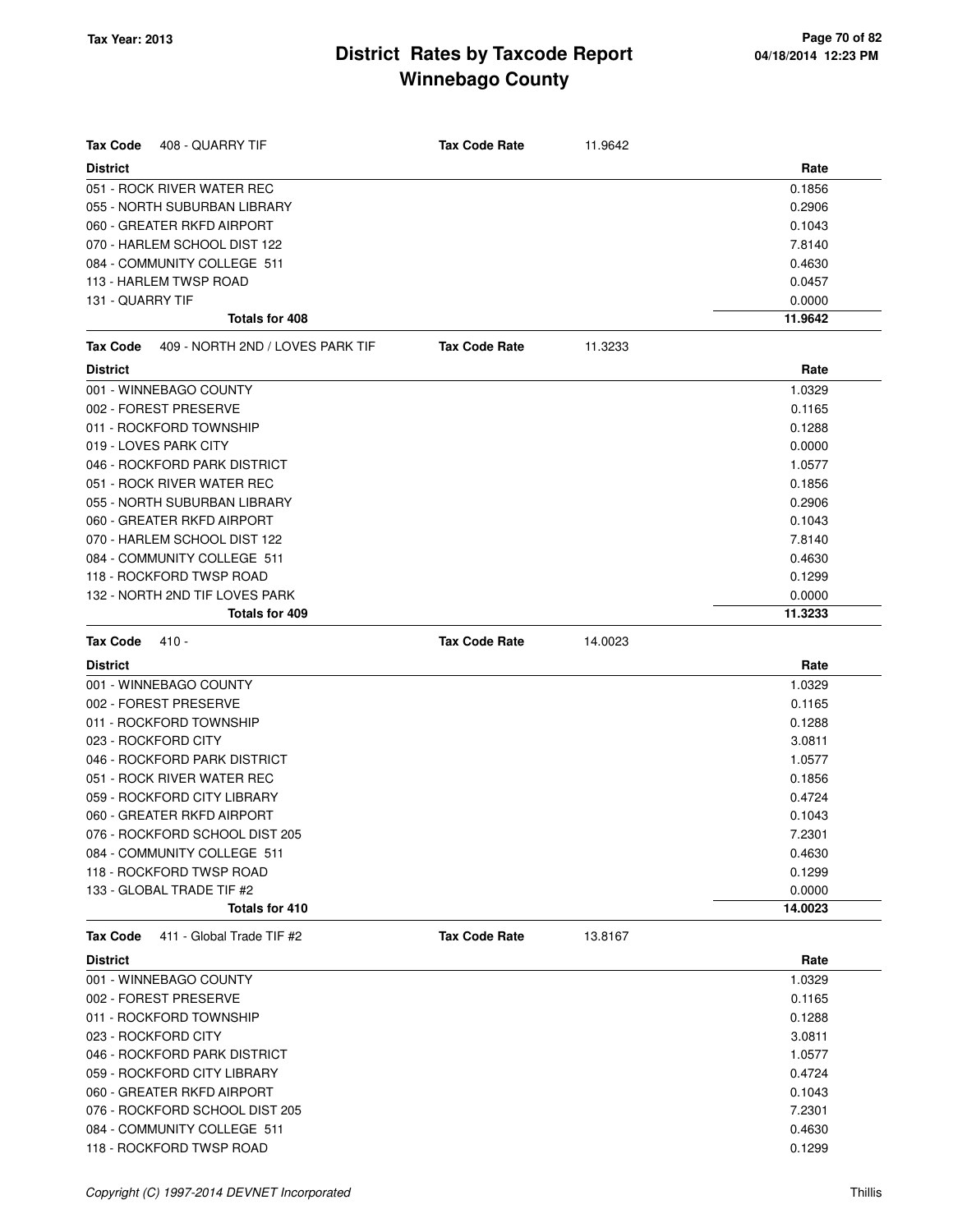| <b>Tax Code</b><br>408 - QUARRY TIF                 | <b>Tax Code Rate</b> | 11.9642 |         |
|-----------------------------------------------------|----------------------|---------|---------|
| <b>District</b>                                     |                      |         | Rate    |
| 051 - ROCK RIVER WATER REC                          |                      |         | 0.1856  |
| 055 - NORTH SUBURBAN LIBRARY                        |                      |         | 0.2906  |
| 060 - GREATER RKFD AIRPORT                          |                      |         | 0.1043  |
| 070 - HARLEM SCHOOL DIST 122                        |                      |         | 7.8140  |
| 084 - COMMUNITY COLLEGE 511                         |                      |         | 0.4630  |
| 113 - HARLEM TWSP ROAD                              |                      |         | 0.0457  |
| 131 - QUARRY TIF                                    |                      |         | 0.0000  |
| Totals for 408                                      |                      |         | 11.9642 |
| 409 - NORTH 2ND / LOVES PARK TIF<br><b>Tax Code</b> | <b>Tax Code Rate</b> | 11.3233 |         |
| <b>District</b>                                     |                      |         | Rate    |
| 001 - WINNEBAGO COUNTY                              |                      |         | 1.0329  |
| 002 - FOREST PRESERVE                               |                      |         | 0.1165  |
| 011 - ROCKFORD TOWNSHIP                             |                      |         | 0.1288  |
| 019 - LOVES PARK CITY                               |                      |         | 0.0000  |
| 046 - ROCKFORD PARK DISTRICT                        |                      |         | 1.0577  |
| 051 - ROCK RIVER WATER REC                          |                      |         | 0.1856  |
| 055 - NORTH SUBURBAN LIBRARY                        |                      |         | 0.2906  |
| 060 - GREATER RKFD AIRPORT                          |                      |         | 0.1043  |
| 070 - HARLEM SCHOOL DIST 122                        |                      |         | 7.8140  |
| 084 - COMMUNITY COLLEGE 511                         |                      |         | 0.4630  |
| 118 - ROCKFORD TWSP ROAD                            |                      |         | 0.1299  |
| 132 - NORTH 2ND TIF LOVES PARK                      |                      |         | 0.0000  |
| Totals for 409                                      |                      |         | 11.3233 |
| <b>Tax Code</b><br>$410 -$                          | <b>Tax Code Rate</b> | 14.0023 |         |
| <b>District</b>                                     |                      |         | Rate    |
| 001 - WINNEBAGO COUNTY                              |                      |         | 1.0329  |
| 002 - FOREST PRESERVE                               |                      |         | 0.1165  |
| 011 - ROCKFORD TOWNSHIP                             |                      |         | 0.1288  |
| 023 - ROCKFORD CITY                                 |                      |         | 3.0811  |
| 046 - ROCKFORD PARK DISTRICT                        |                      |         | 1.0577  |
| 051 - ROCK RIVER WATER REC                          |                      |         | 0.1856  |
| 059 - ROCKFORD CITY LIBRARY                         |                      |         | 0.4724  |
| 060 - GREATER RKFD AIRPORT                          |                      |         | 0.1043  |
| 076 - ROCKFORD SCHOOL DIST 205                      |                      |         | 7.2301  |
| 084 - COMMUNITY COLLEGE 511                         |                      |         | 0.4630  |
| 118 - ROCKFORD TWSP ROAD                            |                      |         | 0.1299  |
| 133 - GLOBAL TRADE TIF #2                           |                      |         | 0.0000  |
| Totals for 410                                      |                      |         | 14.0023 |
| <b>Tax Code</b><br>411 - Global Trade TIF #2        | <b>Tax Code Rate</b> | 13.8167 |         |
| <b>District</b>                                     |                      |         | Rate    |
| 001 - WINNEBAGO COUNTY                              |                      |         | 1.0329  |
| 002 - FOREST PRESERVE                               |                      |         | 0.1165  |
| 011 - ROCKFORD TOWNSHIP                             |                      |         | 0.1288  |
| 023 - ROCKFORD CITY                                 |                      |         | 3.0811  |
| 046 - ROCKFORD PARK DISTRICT                        |                      |         | 1.0577  |
| 059 - ROCKFORD CITY LIBRARY                         |                      |         | 0.4724  |
| 060 - GREATER RKFD AIRPORT                          |                      |         | 0.1043  |
| 076 - ROCKFORD SCHOOL DIST 205                      |                      |         | 7.2301  |
| 084 - COMMUNITY COLLEGE 511                         |                      |         | 0.4630  |
| 118 - ROCKFORD TWSP ROAD                            |                      |         | 0.1299  |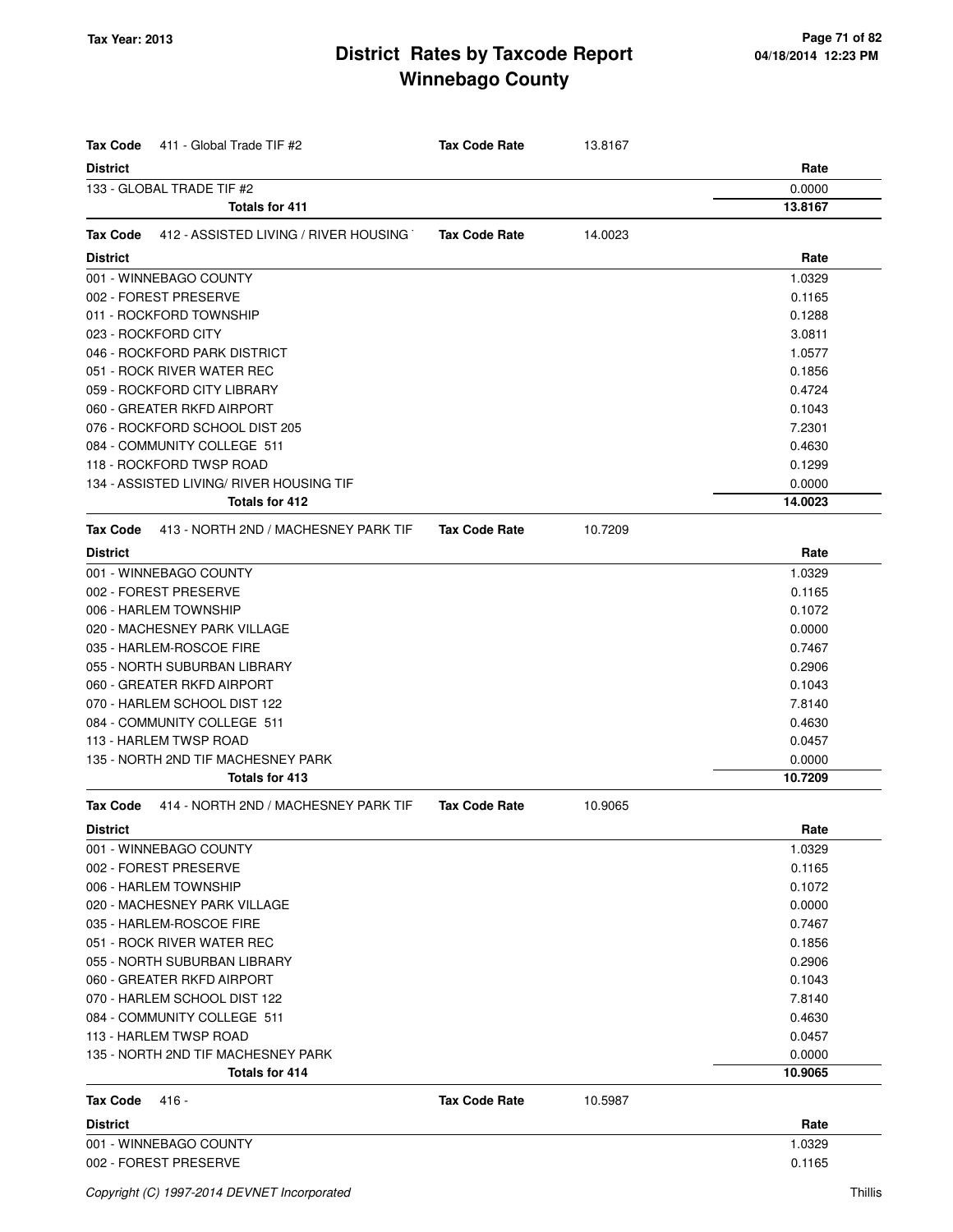| <b>Tax Code</b>           | 411 - Global Trade TIF #2                | <b>Tax Code Rate</b> | 13.8167 |         |
|---------------------------|------------------------------------------|----------------------|---------|---------|
| <b>District</b>           |                                          |                      |         | Rate    |
| 133 - GLOBAL TRADE TIF #2 |                                          |                      |         | 0.0000  |
|                           | <b>Totals for 411</b>                    |                      |         | 13.8167 |
| Tax Code                  | 412 - ASSISTED LIVING / RIVER HOUSING    | <b>Tax Code Rate</b> | 14.0023 |         |
| <b>District</b>           |                                          |                      |         | Rate    |
| 001 - WINNEBAGO COUNTY    |                                          |                      |         | 1.0329  |
| 002 - FOREST PRESERVE     |                                          |                      |         | 0.1165  |
| 011 - ROCKFORD TOWNSHIP   |                                          |                      |         | 0.1288  |
| 023 - ROCKFORD CITY       |                                          |                      |         | 3.0811  |
|                           | 046 - ROCKFORD PARK DISTRICT             |                      |         | 1.0577  |
|                           | 051 - ROCK RIVER WATER REC               |                      |         | 0.1856  |
|                           | 059 - ROCKFORD CITY LIBRARY              |                      |         | 0.4724  |
|                           | 060 - GREATER RKFD AIRPORT               |                      |         | 0.1043  |
|                           | 076 - ROCKFORD SCHOOL DIST 205           |                      |         | 7.2301  |
|                           | 084 - COMMUNITY COLLEGE 511              |                      |         | 0.4630  |
|                           | 118 - ROCKFORD TWSP ROAD                 |                      |         | 0.1299  |
|                           | 134 - ASSISTED LIVING/ RIVER HOUSING TIF |                      |         | 0.0000  |
|                           | Totals for 412                           |                      |         | 14.0023 |
| <b>Tax Code</b>           | 413 - NORTH 2ND / MACHESNEY PARK TIF     | <b>Tax Code Rate</b> | 10.7209 |         |
| <b>District</b>           |                                          |                      |         | Rate    |
| 001 - WINNEBAGO COUNTY    |                                          |                      |         | 1.0329  |
| 002 - FOREST PRESERVE     |                                          |                      |         | 0.1165  |
| 006 - HARLEM TOWNSHIP     |                                          |                      |         | 0.1072  |
|                           | 020 - MACHESNEY PARK VILLAGE             |                      |         | 0.0000  |
| 035 - HARLEM-ROSCOE FIRE  |                                          |                      |         | 0.7467  |
|                           | 055 - NORTH SUBURBAN LIBRARY             |                      |         | 0.2906  |
|                           | 060 - GREATER RKFD AIRPORT               |                      |         | 0.1043  |
|                           | 070 - HARLEM SCHOOL DIST 122             |                      |         | 7.8140  |
|                           | 084 - COMMUNITY COLLEGE 511              |                      |         | 0.4630  |
| 113 - HARLEM TWSP ROAD    |                                          |                      |         | 0.0457  |
|                           | 135 - NORTH 2ND TIF MACHESNEY PARK       |                      |         | 0.0000  |
|                           | Totals for 413                           |                      |         | 10.7209 |
| Tax Code                  | 414 - NORTH 2ND / MACHESNEY PARK TIF     | <b>Tax Code Rate</b> | 10.9065 |         |
| <b>District</b>           |                                          |                      |         | Rate    |
| 001 - WINNEBAGO COUNTY    |                                          |                      |         | 1.0329  |
| 002 - FOREST PRESERVE     |                                          |                      |         | 0.1165  |
| 006 - HARLEM TOWNSHIP     |                                          |                      |         | 0.1072  |
|                           | 020 - MACHESNEY PARK VILLAGE             |                      |         | 0.0000  |
| 035 - HARLEM-ROSCOE FIRE  |                                          |                      |         | 0.7467  |
|                           | 051 - ROCK RIVER WATER REC               |                      |         | 0.1856  |
|                           | 055 - NORTH SUBURBAN LIBRARY             |                      |         | 0.2906  |
|                           | 060 - GREATER RKFD AIRPORT               |                      |         | 0.1043  |
|                           | 070 - HARLEM SCHOOL DIST 122             |                      |         | 7.8140  |
|                           | 084 - COMMUNITY COLLEGE 511              |                      |         | 0.4630  |
| 113 - HARLEM TWSP ROAD    |                                          |                      |         | 0.0457  |
|                           | 135 - NORTH 2ND TIF MACHESNEY PARK       |                      |         | 0.0000  |
|                           | Totals for 414                           |                      |         | 10.9065 |
| <b>Tax Code</b><br>416 -  |                                          | <b>Tax Code Rate</b> | 10.5987 |         |
| <b>District</b>           |                                          |                      |         | Rate    |
| 001 - WINNEBAGO COUNTY    |                                          |                      |         | 1.0329  |
| 002 - FOREST PRESERVE     |                                          |                      |         | 0.1165  |
|                           |                                          |                      |         |         |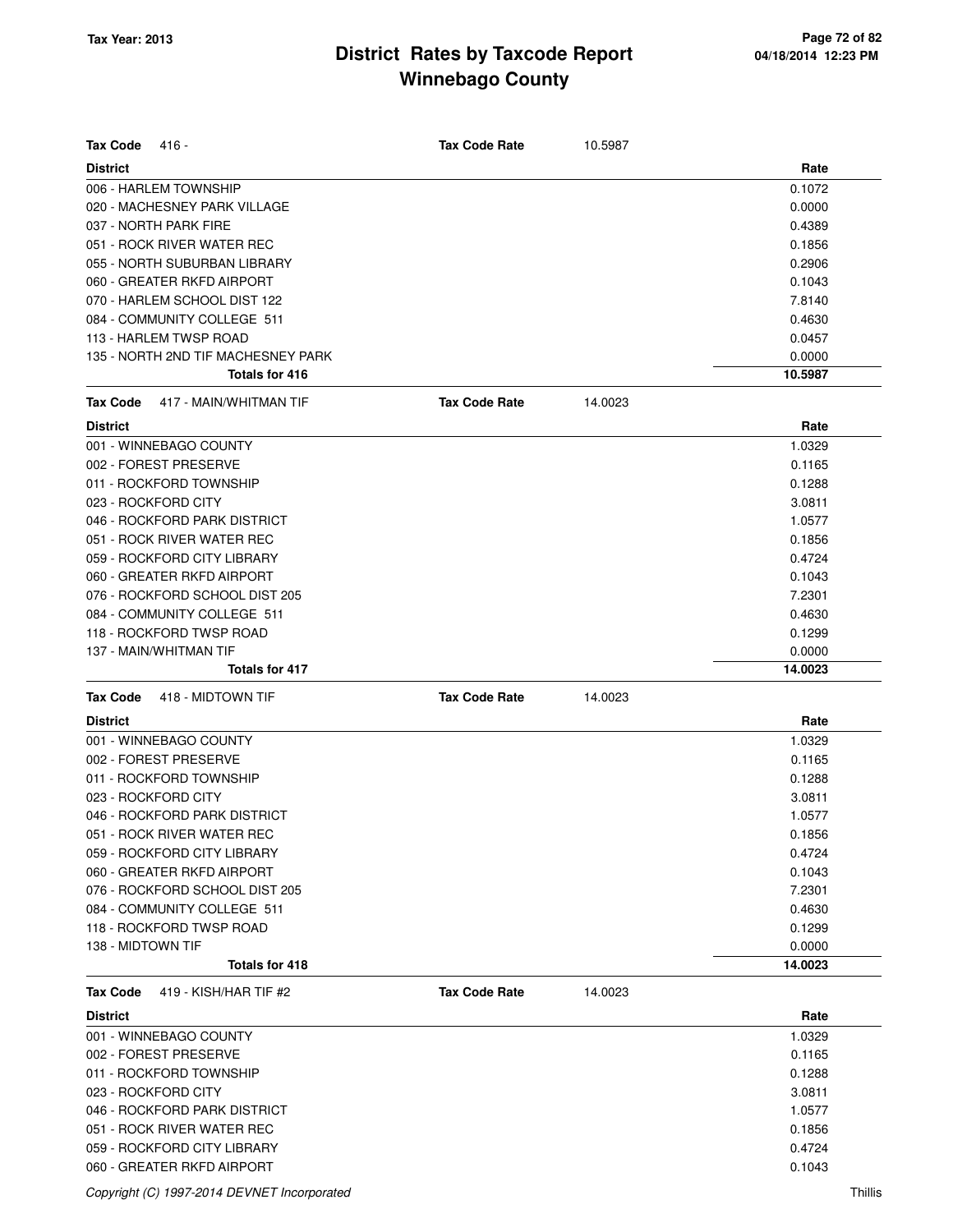| <b>Tax Code</b><br>416 -                  | <b>Tax Code Rate</b> | 10.5987 |         |
|-------------------------------------------|----------------------|---------|---------|
| <b>District</b>                           |                      |         | Rate    |
| 006 - HARLEM TOWNSHIP                     |                      |         | 0.1072  |
| 020 - MACHESNEY PARK VILLAGE              |                      |         | 0.0000  |
| 037 - NORTH PARK FIRE                     |                      |         | 0.4389  |
| 051 - ROCK RIVER WATER REC                |                      |         | 0.1856  |
| 055 - NORTH SUBURBAN LIBRARY              |                      |         | 0.2906  |
| 060 - GREATER RKFD AIRPORT                |                      |         | 0.1043  |
| 070 - HARLEM SCHOOL DIST 122              |                      |         | 7.8140  |
| 084 - COMMUNITY COLLEGE 511               |                      |         | 0.4630  |
| 113 - HARLEM TWSP ROAD                    |                      |         | 0.0457  |
| 135 - NORTH 2ND TIF MACHESNEY PARK        |                      |         | 0.0000  |
| Totals for 416                            |                      |         | 10.5987 |
| 417 - MAIN/WHITMAN TIF<br><b>Tax Code</b> | <b>Tax Code Rate</b> | 14.0023 |         |
| <b>District</b>                           |                      |         | Rate    |
| 001 - WINNEBAGO COUNTY                    |                      |         | 1.0329  |
| 002 - FOREST PRESERVE                     |                      |         | 0.1165  |
| 011 - ROCKFORD TOWNSHIP                   |                      |         | 0.1288  |
| 023 - ROCKFORD CITY                       |                      |         | 3.0811  |
| 046 - ROCKFORD PARK DISTRICT              |                      |         | 1.0577  |
| 051 - ROCK RIVER WATER REC                |                      |         | 0.1856  |
| 059 - ROCKFORD CITY LIBRARY               |                      |         | 0.4724  |
| 060 - GREATER RKFD AIRPORT                |                      |         | 0.1043  |
| 076 - ROCKFORD SCHOOL DIST 205            |                      |         | 7.2301  |
| 084 - COMMUNITY COLLEGE 511               |                      |         | 0.4630  |
| 118 - ROCKFORD TWSP ROAD                  |                      |         | 0.1299  |
| 137 - MAIN/WHITMAN TIF                    |                      |         | 0.0000  |
| <b>Totals for 417</b>                     |                      |         | 14.0023 |
| 418 - MIDTOWN TIF<br><b>Tax Code</b>      | <b>Tax Code Rate</b> | 14.0023 |         |
|                                           |                      |         | Rate    |
| <b>District</b>                           |                      |         |         |
| 001 - WINNEBAGO COUNTY                    |                      |         | 1.0329  |
| 002 - FOREST PRESERVE                     |                      |         | 0.1165  |
| 011 - ROCKFORD TOWNSHIP                   |                      |         | 0.1288  |
| 023 - ROCKFORD CITY                       |                      |         | 3.0811  |
| 046 - ROCKFORD PARK DISTRICT              |                      |         | 1.0577  |
| 051 - ROCK RIVER WATER REC                |                      |         | 0.1856  |
| 059 - ROCKFORD CITY LIBRARY               |                      |         | 0.4724  |
| 060 - GREATER RKFD AIRPORT                |                      |         | 0.1043  |
| 076 - ROCKFORD SCHOOL DIST 205            |                      |         | 7.2301  |
| 084 - COMMUNITY COLLEGE 511               |                      |         | 0.4630  |
| 118 - ROCKFORD TWSP ROAD                  |                      |         | 0.1299  |
| 138 - MIDTOWN TIF                         |                      |         | 0.0000  |
| Totals for 418                            |                      |         | 14.0023 |
| <b>Tax Code</b><br>419 - KISH/HAR TIF #2  | <b>Tax Code Rate</b> | 14.0023 |         |
| <b>District</b>                           |                      |         | Rate    |
| 001 - WINNEBAGO COUNTY                    |                      |         | 1.0329  |
| 002 - FOREST PRESERVE                     |                      |         | 0.1165  |
| 011 - ROCKFORD TOWNSHIP                   |                      |         | 0.1288  |
| 023 - ROCKFORD CITY                       |                      |         | 3.0811  |
| 046 - ROCKFORD PARK DISTRICT              |                      |         | 1.0577  |
| 051 - ROCK RIVER WATER REC                |                      |         | 0.1856  |
| 059 - ROCKFORD CITY LIBRARY               |                      |         | 0.4724  |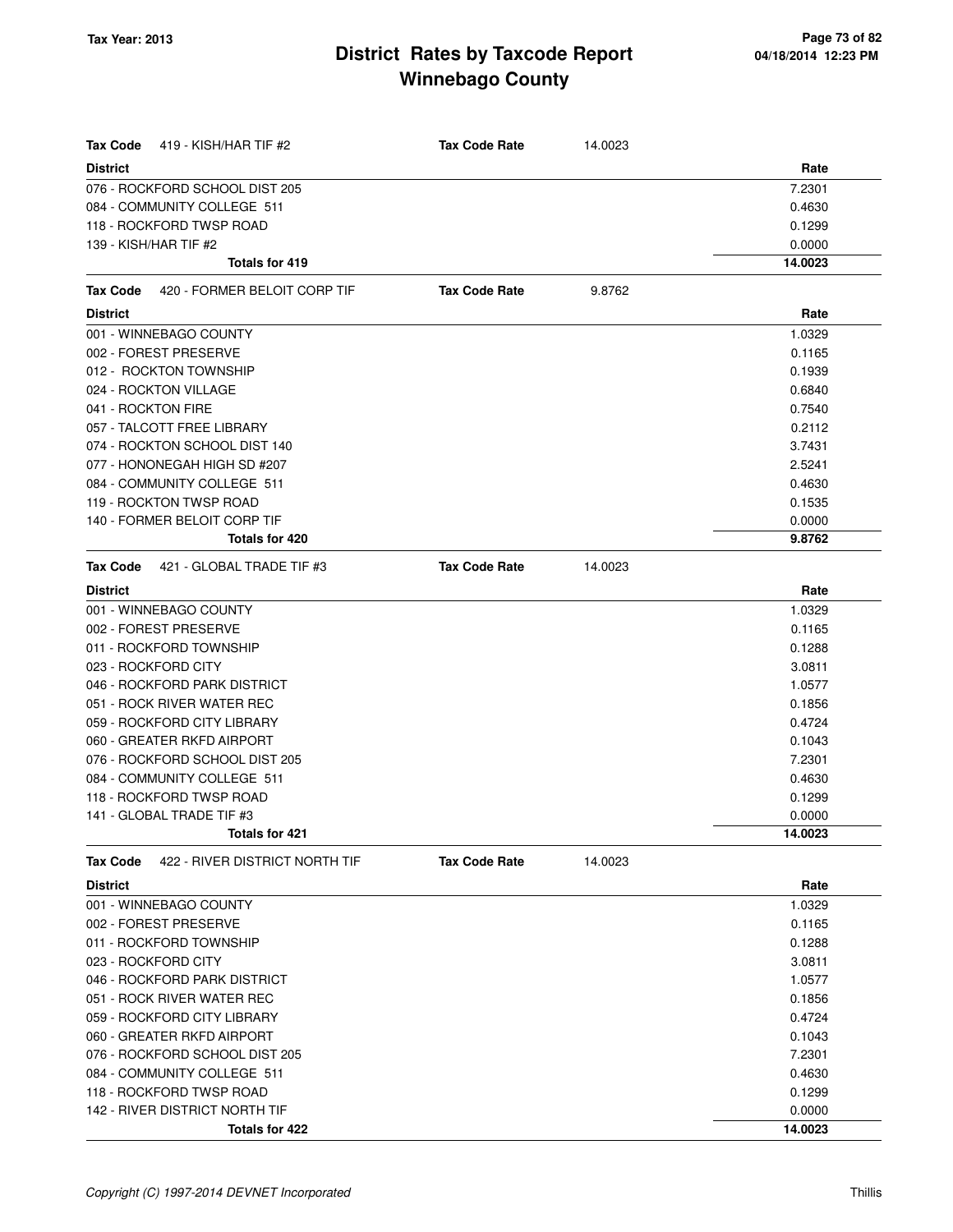| <b>District</b><br>Rate<br>076 - ROCKFORD SCHOOL DIST 205<br>7.2301<br>084 - COMMUNITY COLLEGE 511<br>0.4630<br>118 - ROCKFORD TWSP ROAD<br>0.1299<br>139 - KISH/HAR TIF #2<br>0.0000<br>14.0023<br><b>Totals for 419</b><br>420 - FORMER BELOIT CORP TIF<br>Tax Code<br><b>Tax Code Rate</b><br>9.8762<br>Rate<br><b>District</b><br>001 - WINNEBAGO COUNTY<br>1.0329<br>002 - FOREST PRESERVE<br>0.1165<br>012 - ROCKTON TOWNSHIP<br>0.1939<br>024 - ROCKTON VILLAGE<br>0.6840<br>041 - ROCKTON FIRE<br>0.7540<br>057 - TALCOTT FREE LIBRARY<br>0.2112<br>074 - ROCKTON SCHOOL DIST 140<br>3.7431<br>077 - HONONEGAH HIGH SD #207<br>2.5241<br>084 - COMMUNITY COLLEGE 511<br>0.4630<br>119 - ROCKTON TWSP ROAD<br>0.1535<br>140 - FORMER BELOIT CORP TIF<br>0.0000<br>Totals for 420<br>9.8762<br>421 - GLOBAL TRADE TIF #3<br><b>Tax Code Rate</b><br>14.0023<br>Tax Code<br><b>District</b><br>Rate<br>001 - WINNEBAGO COUNTY<br>1.0329<br>002 - FOREST PRESERVE<br>0.1165<br>011 - ROCKFORD TOWNSHIP<br>0.1288<br>023 - ROCKFORD CITY<br>3.0811<br>046 - ROCKFORD PARK DISTRICT<br>1.0577<br>051 - ROCK RIVER WATER REC<br>0.1856<br>059 - ROCKFORD CITY LIBRARY<br>0.4724<br>060 - GREATER RKFD AIRPORT<br>0.1043<br>076 - ROCKFORD SCHOOL DIST 205<br>7.2301<br>084 - COMMUNITY COLLEGE 511<br>0.4630<br>118 - ROCKFORD TWSP ROAD<br>0.1299 |
|-----------------------------------------------------------------------------------------------------------------------------------------------------------------------------------------------------------------------------------------------------------------------------------------------------------------------------------------------------------------------------------------------------------------------------------------------------------------------------------------------------------------------------------------------------------------------------------------------------------------------------------------------------------------------------------------------------------------------------------------------------------------------------------------------------------------------------------------------------------------------------------------------------------------------------------------------------------------------------------------------------------------------------------------------------------------------------------------------------------------------------------------------------------------------------------------------------------------------------------------------------------------------------------------------------------------------------------------------------|
|                                                                                                                                                                                                                                                                                                                                                                                                                                                                                                                                                                                                                                                                                                                                                                                                                                                                                                                                                                                                                                                                                                                                                                                                                                                                                                                                                     |
|                                                                                                                                                                                                                                                                                                                                                                                                                                                                                                                                                                                                                                                                                                                                                                                                                                                                                                                                                                                                                                                                                                                                                                                                                                                                                                                                                     |
|                                                                                                                                                                                                                                                                                                                                                                                                                                                                                                                                                                                                                                                                                                                                                                                                                                                                                                                                                                                                                                                                                                                                                                                                                                                                                                                                                     |
|                                                                                                                                                                                                                                                                                                                                                                                                                                                                                                                                                                                                                                                                                                                                                                                                                                                                                                                                                                                                                                                                                                                                                                                                                                                                                                                                                     |
|                                                                                                                                                                                                                                                                                                                                                                                                                                                                                                                                                                                                                                                                                                                                                                                                                                                                                                                                                                                                                                                                                                                                                                                                                                                                                                                                                     |
|                                                                                                                                                                                                                                                                                                                                                                                                                                                                                                                                                                                                                                                                                                                                                                                                                                                                                                                                                                                                                                                                                                                                                                                                                                                                                                                                                     |
|                                                                                                                                                                                                                                                                                                                                                                                                                                                                                                                                                                                                                                                                                                                                                                                                                                                                                                                                                                                                                                                                                                                                                                                                                                                                                                                                                     |
|                                                                                                                                                                                                                                                                                                                                                                                                                                                                                                                                                                                                                                                                                                                                                                                                                                                                                                                                                                                                                                                                                                                                                                                                                                                                                                                                                     |
|                                                                                                                                                                                                                                                                                                                                                                                                                                                                                                                                                                                                                                                                                                                                                                                                                                                                                                                                                                                                                                                                                                                                                                                                                                                                                                                                                     |
|                                                                                                                                                                                                                                                                                                                                                                                                                                                                                                                                                                                                                                                                                                                                                                                                                                                                                                                                                                                                                                                                                                                                                                                                                                                                                                                                                     |
|                                                                                                                                                                                                                                                                                                                                                                                                                                                                                                                                                                                                                                                                                                                                                                                                                                                                                                                                                                                                                                                                                                                                                                                                                                                                                                                                                     |
|                                                                                                                                                                                                                                                                                                                                                                                                                                                                                                                                                                                                                                                                                                                                                                                                                                                                                                                                                                                                                                                                                                                                                                                                                                                                                                                                                     |
|                                                                                                                                                                                                                                                                                                                                                                                                                                                                                                                                                                                                                                                                                                                                                                                                                                                                                                                                                                                                                                                                                                                                                                                                                                                                                                                                                     |
|                                                                                                                                                                                                                                                                                                                                                                                                                                                                                                                                                                                                                                                                                                                                                                                                                                                                                                                                                                                                                                                                                                                                                                                                                                                                                                                                                     |
|                                                                                                                                                                                                                                                                                                                                                                                                                                                                                                                                                                                                                                                                                                                                                                                                                                                                                                                                                                                                                                                                                                                                                                                                                                                                                                                                                     |
|                                                                                                                                                                                                                                                                                                                                                                                                                                                                                                                                                                                                                                                                                                                                                                                                                                                                                                                                                                                                                                                                                                                                                                                                                                                                                                                                                     |
|                                                                                                                                                                                                                                                                                                                                                                                                                                                                                                                                                                                                                                                                                                                                                                                                                                                                                                                                                                                                                                                                                                                                                                                                                                                                                                                                                     |
|                                                                                                                                                                                                                                                                                                                                                                                                                                                                                                                                                                                                                                                                                                                                                                                                                                                                                                                                                                                                                                                                                                                                                                                                                                                                                                                                                     |
|                                                                                                                                                                                                                                                                                                                                                                                                                                                                                                                                                                                                                                                                                                                                                                                                                                                                                                                                                                                                                                                                                                                                                                                                                                                                                                                                                     |
|                                                                                                                                                                                                                                                                                                                                                                                                                                                                                                                                                                                                                                                                                                                                                                                                                                                                                                                                                                                                                                                                                                                                                                                                                                                                                                                                                     |
|                                                                                                                                                                                                                                                                                                                                                                                                                                                                                                                                                                                                                                                                                                                                                                                                                                                                                                                                                                                                                                                                                                                                                                                                                                                                                                                                                     |
|                                                                                                                                                                                                                                                                                                                                                                                                                                                                                                                                                                                                                                                                                                                                                                                                                                                                                                                                                                                                                                                                                                                                                                                                                                                                                                                                                     |
|                                                                                                                                                                                                                                                                                                                                                                                                                                                                                                                                                                                                                                                                                                                                                                                                                                                                                                                                                                                                                                                                                                                                                                                                                                                                                                                                                     |
|                                                                                                                                                                                                                                                                                                                                                                                                                                                                                                                                                                                                                                                                                                                                                                                                                                                                                                                                                                                                                                                                                                                                                                                                                                                                                                                                                     |
|                                                                                                                                                                                                                                                                                                                                                                                                                                                                                                                                                                                                                                                                                                                                                                                                                                                                                                                                                                                                                                                                                                                                                                                                                                                                                                                                                     |
|                                                                                                                                                                                                                                                                                                                                                                                                                                                                                                                                                                                                                                                                                                                                                                                                                                                                                                                                                                                                                                                                                                                                                                                                                                                                                                                                                     |
|                                                                                                                                                                                                                                                                                                                                                                                                                                                                                                                                                                                                                                                                                                                                                                                                                                                                                                                                                                                                                                                                                                                                                                                                                                                                                                                                                     |
|                                                                                                                                                                                                                                                                                                                                                                                                                                                                                                                                                                                                                                                                                                                                                                                                                                                                                                                                                                                                                                                                                                                                                                                                                                                                                                                                                     |
|                                                                                                                                                                                                                                                                                                                                                                                                                                                                                                                                                                                                                                                                                                                                                                                                                                                                                                                                                                                                                                                                                                                                                                                                                                                                                                                                                     |
|                                                                                                                                                                                                                                                                                                                                                                                                                                                                                                                                                                                                                                                                                                                                                                                                                                                                                                                                                                                                                                                                                                                                                                                                                                                                                                                                                     |
|                                                                                                                                                                                                                                                                                                                                                                                                                                                                                                                                                                                                                                                                                                                                                                                                                                                                                                                                                                                                                                                                                                                                                                                                                                                                                                                                                     |
|                                                                                                                                                                                                                                                                                                                                                                                                                                                                                                                                                                                                                                                                                                                                                                                                                                                                                                                                                                                                                                                                                                                                                                                                                                                                                                                                                     |
|                                                                                                                                                                                                                                                                                                                                                                                                                                                                                                                                                                                                                                                                                                                                                                                                                                                                                                                                                                                                                                                                                                                                                                                                                                                                                                                                                     |
| 141 - GLOBAL TRADE TIF #3<br>0.0000                                                                                                                                                                                                                                                                                                                                                                                                                                                                                                                                                                                                                                                                                                                                                                                                                                                                                                                                                                                                                                                                                                                                                                                                                                                                                                                 |
| 14.0023<br>Totals for 421                                                                                                                                                                                                                                                                                                                                                                                                                                                                                                                                                                                                                                                                                                                                                                                                                                                                                                                                                                                                                                                                                                                                                                                                                                                                                                                           |
| Tax Code<br>422 - RIVER DISTRICT NORTH TIF<br><b>Tax Code Rate</b><br>14.0023                                                                                                                                                                                                                                                                                                                                                                                                                                                                                                                                                                                                                                                                                                                                                                                                                                                                                                                                                                                                                                                                                                                                                                                                                                                                       |
| Rate<br><b>District</b>                                                                                                                                                                                                                                                                                                                                                                                                                                                                                                                                                                                                                                                                                                                                                                                                                                                                                                                                                                                                                                                                                                                                                                                                                                                                                                                             |
| 001 - WINNEBAGO COUNTY<br>1.0329                                                                                                                                                                                                                                                                                                                                                                                                                                                                                                                                                                                                                                                                                                                                                                                                                                                                                                                                                                                                                                                                                                                                                                                                                                                                                                                    |
| 002 - FOREST PRESERVE<br>0.1165                                                                                                                                                                                                                                                                                                                                                                                                                                                                                                                                                                                                                                                                                                                                                                                                                                                                                                                                                                                                                                                                                                                                                                                                                                                                                                                     |
| 011 - ROCKFORD TOWNSHIP<br>0.1288                                                                                                                                                                                                                                                                                                                                                                                                                                                                                                                                                                                                                                                                                                                                                                                                                                                                                                                                                                                                                                                                                                                                                                                                                                                                                                                   |
| 023 - ROCKFORD CITY<br>3.0811                                                                                                                                                                                                                                                                                                                                                                                                                                                                                                                                                                                                                                                                                                                                                                                                                                                                                                                                                                                                                                                                                                                                                                                                                                                                                                                       |
| 046 - ROCKFORD PARK DISTRICT<br>1.0577                                                                                                                                                                                                                                                                                                                                                                                                                                                                                                                                                                                                                                                                                                                                                                                                                                                                                                                                                                                                                                                                                                                                                                                                                                                                                                              |
| 051 - ROCK RIVER WATER REC<br>0.1856                                                                                                                                                                                                                                                                                                                                                                                                                                                                                                                                                                                                                                                                                                                                                                                                                                                                                                                                                                                                                                                                                                                                                                                                                                                                                                                |
| 059 - ROCKFORD CITY LIBRARY<br>0.4724                                                                                                                                                                                                                                                                                                                                                                                                                                                                                                                                                                                                                                                                                                                                                                                                                                                                                                                                                                                                                                                                                                                                                                                                                                                                                                               |
| 060 - GREATER RKFD AIRPORT<br>0.1043                                                                                                                                                                                                                                                                                                                                                                                                                                                                                                                                                                                                                                                                                                                                                                                                                                                                                                                                                                                                                                                                                                                                                                                                                                                                                                                |
| 076 - ROCKFORD SCHOOL DIST 205<br>7.2301                                                                                                                                                                                                                                                                                                                                                                                                                                                                                                                                                                                                                                                                                                                                                                                                                                                                                                                                                                                                                                                                                                                                                                                                                                                                                                            |
| 084 - COMMUNITY COLLEGE 511<br>0.4630                                                                                                                                                                                                                                                                                                                                                                                                                                                                                                                                                                                                                                                                                                                                                                                                                                                                                                                                                                                                                                                                                                                                                                                                                                                                                                               |
| 118 - ROCKFORD TWSP ROAD<br>0.1299<br>142 - RIVER DISTRICT NORTH TIF<br>0.0000                                                                                                                                                                                                                                                                                                                                                                                                                                                                                                                                                                                                                                                                                                                                                                                                                                                                                                                                                                                                                                                                                                                                                                                                                                                                      |
| 14.0023<br>Totals for 422                                                                                                                                                                                                                                                                                                                                                                                                                                                                                                                                                                                                                                                                                                                                                                                                                                                                                                                                                                                                                                                                                                                                                                                                                                                                                                                           |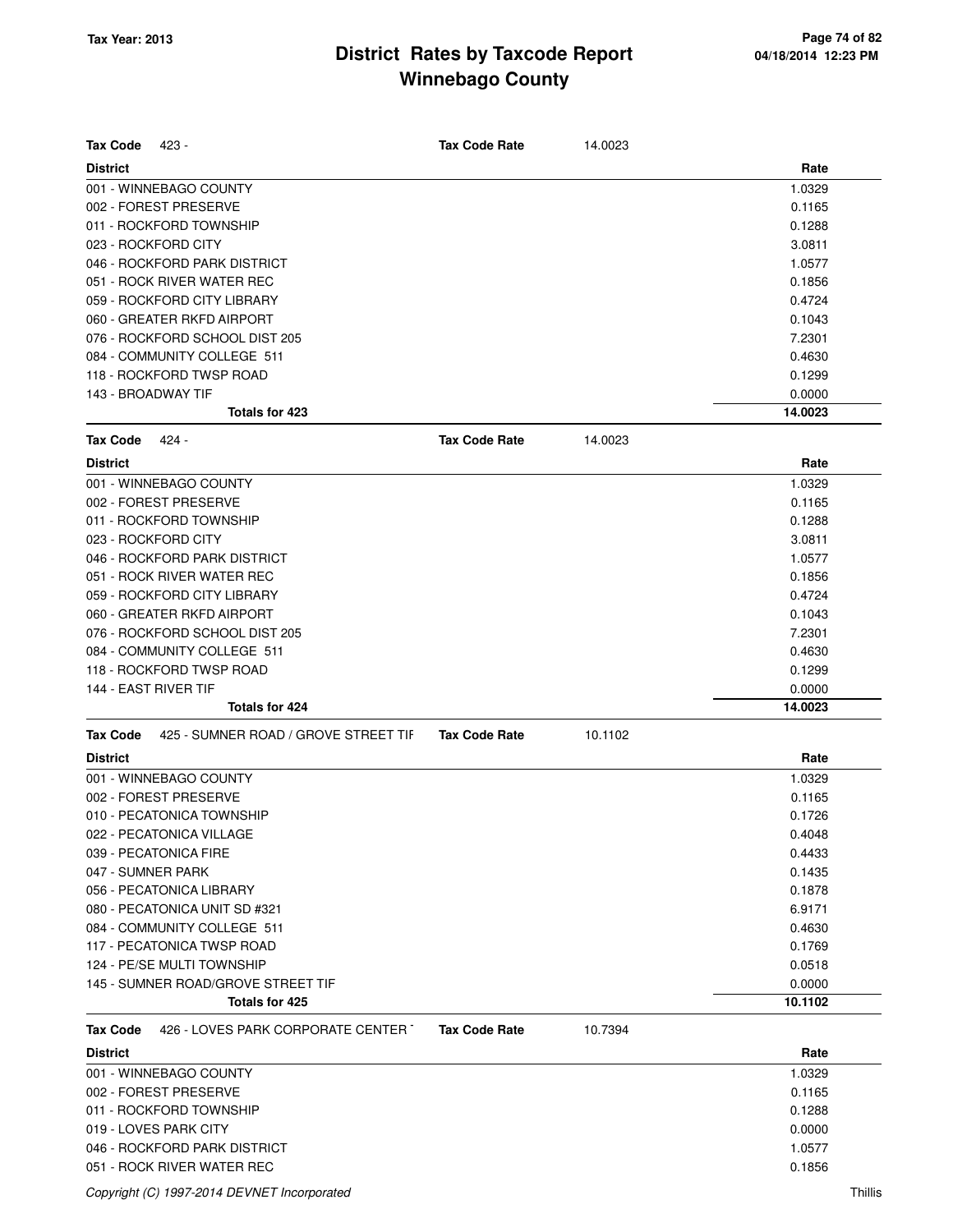| <b>Tax Code</b><br>423 -                                | <b>Tax Code Rate</b> | 14.0023 |                |
|---------------------------------------------------------|----------------------|---------|----------------|
| <b>District</b>                                         |                      |         | Rate           |
| 001 - WINNEBAGO COUNTY                                  |                      |         | 1.0329         |
| 002 - FOREST PRESERVE                                   |                      |         | 0.1165         |
| 011 - ROCKFORD TOWNSHIP                                 |                      |         | 0.1288         |
| 023 - ROCKFORD CITY                                     |                      |         | 3.0811         |
| 046 - ROCKFORD PARK DISTRICT                            |                      |         | 1.0577         |
| 051 - ROCK RIVER WATER REC                              |                      |         | 0.1856         |
| 059 - ROCKFORD CITY LIBRARY                             |                      |         | 0.4724         |
| 060 - GREATER RKFD AIRPORT                              |                      |         | 0.1043         |
| 076 - ROCKFORD SCHOOL DIST 205                          |                      |         | 7.2301         |
| 084 - COMMUNITY COLLEGE 511                             |                      |         | 0.4630         |
| 118 - ROCKFORD TWSP ROAD                                |                      |         | 0.1299         |
| 143 - BROADWAY TIF                                      |                      |         | 0.0000         |
| Totals for 423                                          |                      |         | 14.0023        |
| <b>Tax Code</b><br>424 -                                | <b>Tax Code Rate</b> | 14.0023 |                |
| <b>District</b>                                         |                      |         | Rate           |
| 001 - WINNEBAGO COUNTY                                  |                      |         | 1.0329         |
| 002 - FOREST PRESERVE                                   |                      |         | 0.1165         |
| 011 - ROCKFORD TOWNSHIP                                 |                      |         | 0.1288         |
| 023 - ROCKFORD CITY                                     |                      |         | 3.0811         |
| 046 - ROCKFORD PARK DISTRICT                            |                      |         | 1.0577         |
| 051 - ROCK RIVER WATER REC                              |                      |         | 0.1856         |
| 059 - ROCKFORD CITY LIBRARY                             |                      |         | 0.4724         |
| 060 - GREATER RKFD AIRPORT                              |                      |         | 0.1043         |
| 076 - ROCKFORD SCHOOL DIST 205                          |                      |         | 7.2301         |
| 084 - COMMUNITY COLLEGE 511                             |                      |         | 0.4630         |
| 118 - ROCKFORD TWSP ROAD                                |                      |         | 0.1299         |
| 144 - EAST RIVER TIF                                    |                      |         | 0.0000         |
| Totals for 424                                          |                      |         | 14.0023        |
| 425 - SUMNER ROAD / GROVE STREET TIF<br><b>Tax Code</b> | <b>Tax Code Rate</b> | 10.1102 |                |
|                                                         |                      |         |                |
| <b>District</b><br>001 - WINNEBAGO COUNTY               |                      |         | Rate<br>1.0329 |
|                                                         |                      |         |                |
| 002 - FOREST PRESERVE                                   |                      |         | 0.1165         |
| 010 - PECATONICA TOWNSHIP                               |                      |         | 0.1726         |
| 022 - PECATONICA VILLAGE                                |                      |         | 0.4048         |
| 039 - PECATONICA FIRE                                   |                      |         | 0.4433         |
| 047 - SUMNER PARK                                       |                      |         | 0.1435         |
| 056 - PECATONICA LIBRARY                                |                      |         | 0.1878         |
| 080 - PECATONICA UNIT SD #321                           |                      |         | 6.9171         |
| 084 - COMMUNITY COLLEGE 511                             |                      |         | 0.4630         |
| 117 - PECATONICA TWSP ROAD                              |                      |         | 0.1769         |
| 124 - PE/SE MULTI TOWNSHIP                              |                      |         | 0.0518         |
| 145 - SUMNER ROAD/GROVE STREET TIF                      |                      |         | 0.0000         |
| Totals for 425                                          |                      |         | 10.1102        |
| 426 - LOVES PARK CORPORATE CENTER T<br>Tax Code         | <b>Tax Code Rate</b> | 10.7394 |                |
| <b>District</b>                                         |                      |         | Rate           |
| 001 - WINNEBAGO COUNTY                                  |                      |         | 1.0329         |
| 002 - FOREST PRESERVE                                   |                      |         | 0.1165         |
| 011 - ROCKFORD TOWNSHIP                                 |                      |         | 0.1288         |
| 019 - LOVES PARK CITY                                   |                      |         | 0.0000         |
| 046 - ROCKFORD PARK DISTRICT                            |                      |         | 1.0577         |
| 051 - ROCK RIVER WATER REC                              |                      |         | 0.1856         |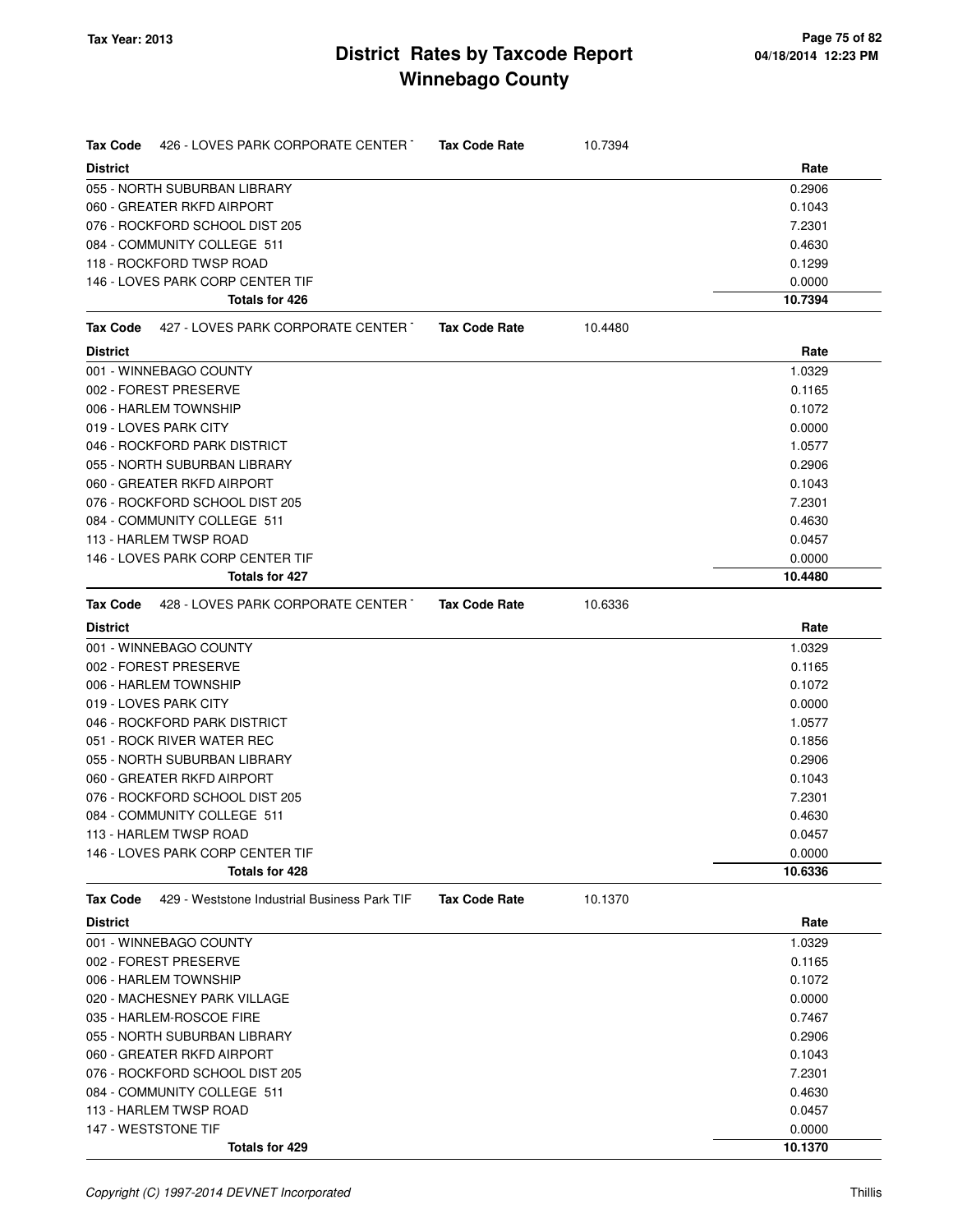| Tax Code        | 426 - LOVES PARK CORPORATE CENTER T          | <b>Tax Code Rate</b> | 10.7394 |         |
|-----------------|----------------------------------------------|----------------------|---------|---------|
| <b>District</b> |                                              |                      |         | Rate    |
|                 | 055 - NORTH SUBURBAN LIBRARY                 |                      |         | 0.2906  |
|                 | 060 - GREATER RKFD AIRPORT                   |                      |         | 0.1043  |
|                 | 076 - ROCKFORD SCHOOL DIST 205               |                      |         | 7.2301  |
|                 | 084 - COMMUNITY COLLEGE 511                  |                      |         | 0.4630  |
|                 | 118 - ROCKFORD TWSP ROAD                     |                      |         | 0.1299  |
|                 | 146 - LOVES PARK CORP CENTER TIF             |                      |         | 0.0000  |
|                 | Totals for 426                               |                      |         | 10.7394 |
| Tax Code        | 427 - LOVES PARK CORPORATE CENTER T          | <b>Tax Code Rate</b> | 10.4480 |         |
| <b>District</b> |                                              |                      |         | Rate    |
|                 | 001 - WINNEBAGO COUNTY                       |                      |         | 1.0329  |
|                 | 002 - FOREST PRESERVE                        |                      |         | 0.1165  |
|                 | 006 - HARLEM TOWNSHIP                        |                      |         | 0.1072  |
|                 | 019 - LOVES PARK CITY                        |                      |         | 0.0000  |
|                 | 046 - ROCKFORD PARK DISTRICT                 |                      |         | 1.0577  |
|                 | 055 - NORTH SUBURBAN LIBRARY                 |                      |         | 0.2906  |
|                 | 060 - GREATER RKFD AIRPORT                   |                      |         | 0.1043  |
|                 | 076 - ROCKFORD SCHOOL DIST 205               |                      |         | 7.2301  |
|                 | 084 - COMMUNITY COLLEGE 511                  |                      |         | 0.4630  |
|                 | 113 - HARLEM TWSP ROAD                       |                      |         | 0.0457  |
|                 | 146 - LOVES PARK CORP CENTER TIF             |                      |         | 0.0000  |
|                 | <b>Totals for 427</b>                        |                      |         | 10.4480 |
| Tax Code        | 428 - LOVES PARK CORPORATE CENTER            | <b>Tax Code Rate</b> | 10.6336 |         |
| <b>District</b> |                                              |                      |         | Rate    |
|                 | 001 - WINNEBAGO COUNTY                       |                      |         | 1.0329  |
|                 | 002 - FOREST PRESERVE                        |                      |         | 0.1165  |
|                 | 006 - HARLEM TOWNSHIP                        |                      |         | 0.1072  |
|                 | 019 - LOVES PARK CITY                        |                      |         | 0.0000  |
|                 | 046 - ROCKFORD PARK DISTRICT                 |                      |         | 1.0577  |
|                 | 051 - ROCK RIVER WATER REC                   |                      |         | 0.1856  |
|                 | 055 - NORTH SUBURBAN LIBRARY                 |                      |         | 0.2906  |
|                 | 060 - GREATER RKFD AIRPORT                   |                      |         | 0.1043  |
|                 | 076 - ROCKFORD SCHOOL DIST 205               |                      |         | 7.2301  |
|                 | 084 - COMMUNITY COLLEGE 511                  |                      |         | 0.4630  |
|                 | 113 - HARLEM TWSP ROAD                       |                      |         | 0.0457  |
|                 | 146 - LOVES PARK CORP CENTER TIF             |                      |         | 0.0000  |
|                 | <b>Totals for 428</b>                        |                      |         | 10.6336 |
| Tax Code        | 429 - Weststone Industrial Business Park TIF | <b>Tax Code Rate</b> | 10.1370 |         |
| <b>District</b> |                                              |                      |         | Rate    |
|                 | 001 - WINNEBAGO COUNTY                       |                      |         | 1.0329  |
|                 | 002 - FOREST PRESERVE                        |                      |         | 0.1165  |
|                 | 006 - HARLEM TOWNSHIP                        |                      |         | 0.1072  |
|                 | 020 - MACHESNEY PARK VILLAGE                 |                      |         | 0.0000  |
|                 | 035 - HARLEM-ROSCOE FIRE                     |                      |         | 0.7467  |
|                 | 055 - NORTH SUBURBAN LIBRARY                 |                      |         | 0.2906  |
|                 | 060 - GREATER RKFD AIRPORT                   |                      |         | 0.1043  |
|                 | 076 - ROCKFORD SCHOOL DIST 205               |                      |         | 7.2301  |
|                 | 084 - COMMUNITY COLLEGE 511                  |                      |         | 0.4630  |
|                 | 113 - HARLEM TWSP ROAD                       |                      |         | 0.0457  |
|                 | 147 - WESTSTONE TIF                          |                      |         | 0.0000  |
|                 | Totals for 429                               |                      |         | 10.1370 |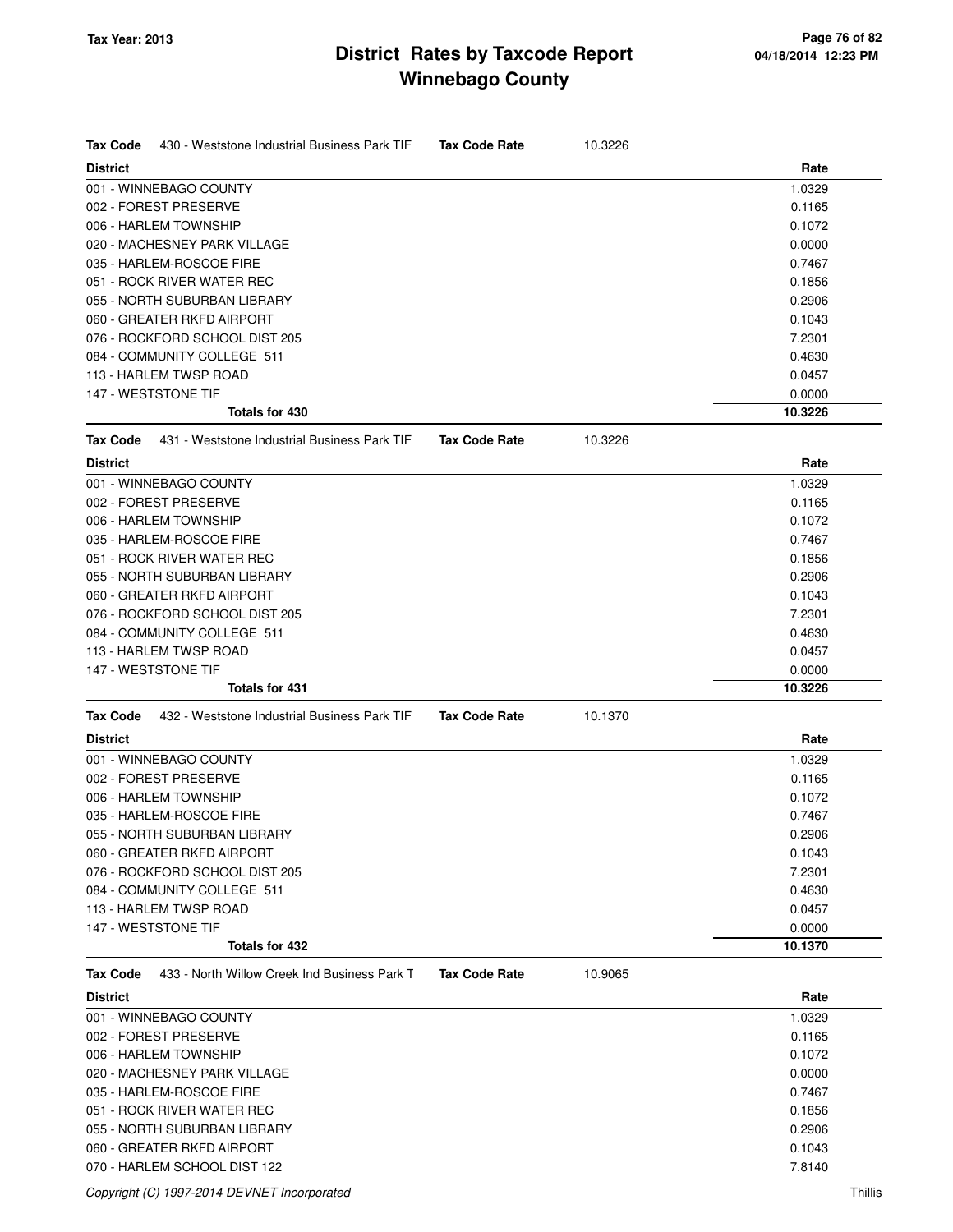| Tax Code<br>430 - Weststone Industrial Business Park TIF | <b>Tax Code Rate</b> | 10.3226 |         |
|----------------------------------------------------------|----------------------|---------|---------|
| <b>District</b>                                          |                      |         | Rate    |
| 001 - WINNEBAGO COUNTY                                   |                      |         | 1.0329  |
| 002 - FOREST PRESERVE                                    |                      |         | 0.1165  |
| 006 - HARLEM TOWNSHIP                                    |                      |         | 0.1072  |
| 020 - MACHESNEY PARK VILLAGE                             |                      |         | 0.0000  |
| 035 - HARLEM-ROSCOE FIRE                                 |                      |         | 0.7467  |
| 051 - ROCK RIVER WATER REC                               |                      |         | 0.1856  |
| 055 - NORTH SUBURBAN LIBRARY                             |                      |         | 0.2906  |
| 060 - GREATER RKFD AIRPORT                               |                      |         | 0.1043  |
| 076 - ROCKFORD SCHOOL DIST 205                           |                      |         | 7.2301  |
| 084 - COMMUNITY COLLEGE 511                              |                      |         | 0.4630  |
| 113 - HARLEM TWSP ROAD                                   |                      |         | 0.0457  |
| 147 - WESTSTONE TIF                                      |                      |         | 0.0000  |
| Totals for 430                                           |                      |         | 10.3226 |
| 431 - Weststone Industrial Business Park TIF<br>Tax Code | <b>Tax Code Rate</b> | 10.3226 |         |
| <b>District</b>                                          |                      |         | Rate    |
| 001 - WINNEBAGO COUNTY                                   |                      |         | 1.0329  |
| 002 - FOREST PRESERVE                                    |                      |         | 0.1165  |
| 006 - HARLEM TOWNSHIP                                    |                      |         | 0.1072  |
| 035 - HARLEM-ROSCOE FIRE                                 |                      |         | 0.7467  |
| 051 - ROCK RIVER WATER REC                               |                      |         | 0.1856  |
| 055 - NORTH SUBURBAN LIBRARY                             |                      |         | 0.2906  |
| 060 - GREATER RKFD AIRPORT                               |                      |         | 0.1043  |
| 076 - ROCKFORD SCHOOL DIST 205                           |                      |         | 7.2301  |
| 084 - COMMUNITY COLLEGE 511                              |                      |         | 0.4630  |
| 113 - HARLEM TWSP ROAD                                   |                      |         | 0.0457  |
| 147 - WESTSTONE TIF                                      |                      |         | 0.0000  |
| Totals for 431                                           |                      |         | 10.3226 |
| 432 - Weststone Industrial Business Park TIF<br>Tax Code | <b>Tax Code Rate</b> | 10.1370 |         |
| <b>District</b>                                          |                      |         | Rate    |
| 001 - WINNEBAGO COUNTY                                   |                      |         | 1.0329  |
| 002 - FOREST PRESERVE                                    |                      |         | 0.1165  |
| 006 - HARLEM TOWNSHIP                                    |                      |         | 0.1072  |
| 035 - HARLEM-ROSCOE FIRE                                 |                      |         | 0.7467  |
| 055 - NORTH SUBURBAN LIBRARY                             |                      |         | 0.2906  |
| 060 - GREATER RKFD AIRPORT                               |                      |         | 0.1043  |
| 076 - ROCKFORD SCHOOL DIST 205                           |                      |         | 7.2301  |
| 084 - COMMUNITY COLLEGE 511                              |                      |         | 0.4630  |
| 113 - HARLEM TWSP ROAD                                   |                      |         | 0.0457  |
| 147 - WESTSTONE TIF                                      |                      |         | 0.0000  |
| Totals for 432                                           |                      |         | 10.1370 |
| 433 - North Willow Creek Ind Business Park T<br>Tax Code | <b>Tax Code Rate</b> | 10.9065 |         |
| <b>District</b>                                          |                      |         | Rate    |
| 001 - WINNEBAGO COUNTY                                   |                      |         | 1.0329  |
| 002 - FOREST PRESERVE                                    |                      |         | 0.1165  |
| 006 - HARLEM TOWNSHIP                                    |                      |         | 0.1072  |
| 020 - MACHESNEY PARK VILLAGE                             |                      |         | 0.0000  |
| 035 - HARLEM-ROSCOE FIRE                                 |                      |         | 0.7467  |
| 051 - ROCK RIVER WATER REC                               |                      |         | 0.1856  |
| 055 - NORTH SUBURBAN LIBRARY                             |                      |         | 0.2906  |
| 060 - GREATER RKFD AIRPORT                               |                      |         | 0.1043  |
| 070 - HARLEM SCHOOL DIST 122                             |                      |         | 7.8140  |

Copyright (C) 1997-2014 DEVNET Incorporated Thillis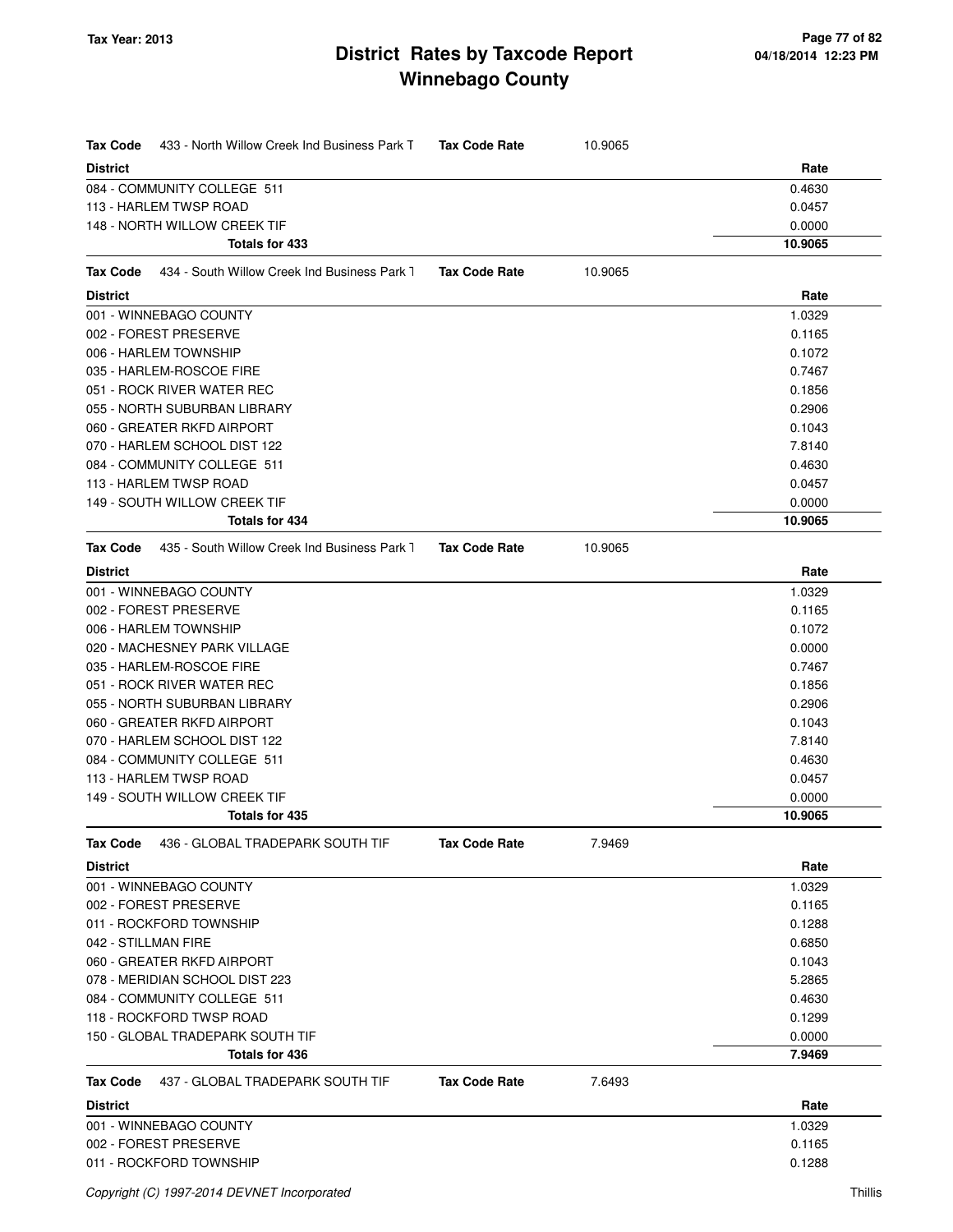| <b>Tax Code</b><br>433 - North Willow Creek Ind Business Park T | <b>Tax Code Rate</b> | 10.9065 |         |
|-----------------------------------------------------------------|----------------------|---------|---------|
| <b>District</b>                                                 |                      |         | Rate    |
| 084 - COMMUNITY COLLEGE 511                                     |                      |         | 0.4630  |
| 113 - HARLEM TWSP ROAD                                          |                      |         | 0.0457  |
| 148 - NORTH WILLOW CREEK TIF                                    |                      |         | 0.0000  |
| Totals for 433                                                  |                      |         | 10.9065 |
| 434 - South Willow Creek Ind Business Park 1<br><b>Tax Code</b> | <b>Tax Code Rate</b> | 10.9065 |         |
| <b>District</b>                                                 |                      |         | Rate    |
| 001 - WINNEBAGO COUNTY                                          |                      |         | 1.0329  |
| 002 - FOREST PRESERVE                                           |                      |         | 0.1165  |
| 006 - HARLEM TOWNSHIP                                           |                      |         | 0.1072  |
| 035 - HARLEM-ROSCOE FIRE                                        |                      |         | 0.7467  |
| 051 - ROCK RIVER WATER REC                                      |                      |         | 0.1856  |
| 055 - NORTH SUBURBAN LIBRARY                                    |                      |         | 0.2906  |
| 060 - GREATER RKFD AIRPORT                                      |                      |         | 0.1043  |
| 070 - HARLEM SCHOOL DIST 122                                    |                      |         | 7.8140  |
| 084 - COMMUNITY COLLEGE 511                                     |                      |         | 0.4630  |
| 113 - HARLEM TWSP ROAD                                          |                      |         | 0.0457  |
| 149 - SOUTH WILLOW CREEK TIF                                    |                      |         | 0.0000  |
| <b>Totals for 434</b>                                           |                      |         | 10.9065 |
| <b>Tax Code</b><br>435 - South Willow Creek Ind Business Park 1 | <b>Tax Code Rate</b> | 10.9065 |         |
| <b>District</b>                                                 |                      |         | Rate    |
| 001 - WINNEBAGO COUNTY                                          |                      |         | 1.0329  |
| 002 - FOREST PRESERVE                                           |                      |         | 0.1165  |
| 006 - HARLEM TOWNSHIP                                           |                      |         | 0.1072  |
| 020 - MACHESNEY PARK VILLAGE                                    |                      |         | 0.0000  |
| 035 - HARLEM-ROSCOE FIRE                                        |                      |         | 0.7467  |
| 051 - ROCK RIVER WATER REC                                      |                      |         | 0.1856  |
| 055 - NORTH SUBURBAN LIBRARY                                    |                      |         | 0.2906  |
| 060 - GREATER RKFD AIRPORT                                      |                      |         | 0.1043  |
| 070 - HARLEM SCHOOL DIST 122                                    |                      |         | 7.8140  |
| 084 - COMMUNITY COLLEGE 511                                     |                      |         | 0.4630  |
| 113 - HARLEM TWSP ROAD                                          |                      |         | 0.0457  |
| 149 - SOUTH WILLOW CREEK TIF                                    |                      |         | 0.0000  |
| Totals for 435                                                  |                      |         | 10.9065 |
| 436 - GLOBAL TRADEPARK SOUTH TIF<br>Tax Code                    | <b>Tax Code Rate</b> | 7.9469  |         |
| <b>District</b>                                                 |                      |         | Rate    |
| 001 - WINNEBAGO COUNTY                                          |                      |         | 1.0329  |
| 002 - FOREST PRESERVE                                           |                      |         | 0.1165  |
| 011 - ROCKFORD TOWNSHIP                                         |                      |         | 0.1288  |
| 042 - STILLMAN FIRE                                             |                      |         | 0.6850  |
| 060 - GREATER RKFD AIRPORT                                      |                      |         | 0.1043  |
| 078 - MERIDIAN SCHOOL DIST 223                                  |                      |         | 5.2865  |
| 084 - COMMUNITY COLLEGE 511                                     |                      |         | 0.4630  |
| 118 - ROCKFORD TWSP ROAD                                        |                      |         | 0.1299  |
| 150 - GLOBAL TRADEPARK SOUTH TIF                                |                      |         | 0.0000  |
| Totals for 436                                                  |                      |         | 7.9469  |
| Tax Code<br>437 - GLOBAL TRADEPARK SOUTH TIF                    | <b>Tax Code Rate</b> | 7.6493  |         |
| <b>District</b>                                                 |                      |         | Rate    |
| 001 - WINNEBAGO COUNTY                                          |                      |         | 1.0329  |
| 002 - FOREST PRESERVE                                           |                      |         | 0.1165  |
| 011 - ROCKFORD TOWNSHIP                                         |                      |         | 0.1288  |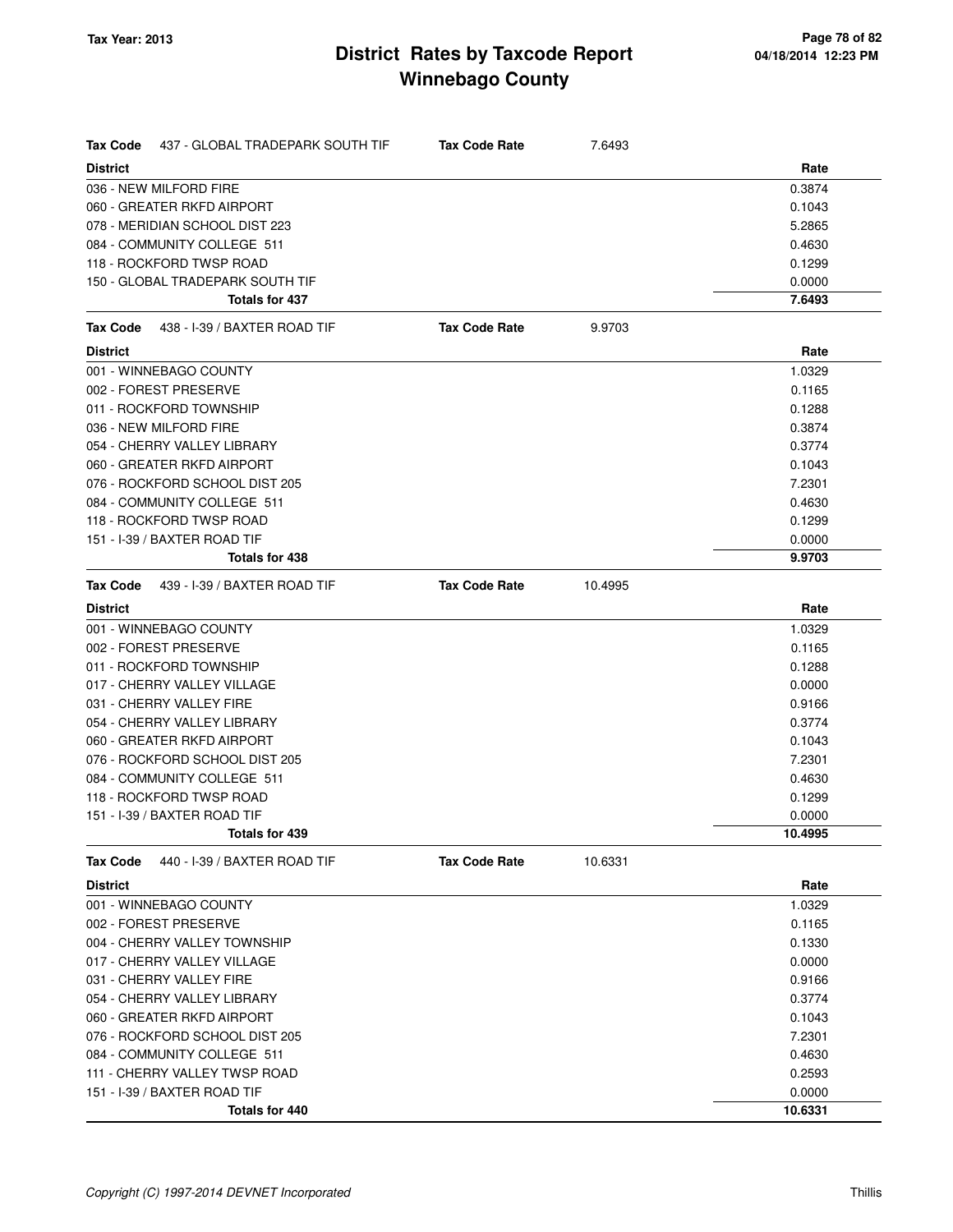| <b>Tax Code</b><br>437 - GLOBAL TRADEPARK SOUTH TIF | <b>Tax Code Rate</b> | 7.6493  |         |
|-----------------------------------------------------|----------------------|---------|---------|
| <b>District</b>                                     |                      |         | Rate    |
| 036 - NEW MILFORD FIRE                              |                      |         | 0.3874  |
| 060 - GREATER RKFD AIRPORT                          |                      |         | 0.1043  |
| 078 - MERIDIAN SCHOOL DIST 223                      |                      |         | 5.2865  |
| 084 - COMMUNITY COLLEGE 511                         |                      |         | 0.4630  |
| 118 - ROCKFORD TWSP ROAD                            |                      |         | 0.1299  |
| 150 - GLOBAL TRADEPARK SOUTH TIF                    |                      |         | 0.0000  |
| Totals for 437                                      |                      |         | 7.6493  |
| 438 - I-39 / BAXTER ROAD TIF<br>Tax Code            | <b>Tax Code Rate</b> | 9.9703  |         |
| <b>District</b>                                     |                      |         | Rate    |
| 001 - WINNEBAGO COUNTY                              |                      |         | 1.0329  |
| 002 - FOREST PRESERVE                               |                      |         | 0.1165  |
| 011 - ROCKFORD TOWNSHIP                             |                      |         | 0.1288  |
| 036 - NEW MILFORD FIRE                              |                      |         | 0.3874  |
| 054 - CHERRY VALLEY LIBRARY                         |                      |         | 0.3774  |
| 060 - GREATER RKFD AIRPORT                          |                      |         | 0.1043  |
| 076 - ROCKFORD SCHOOL DIST 205                      |                      |         | 7.2301  |
| 084 - COMMUNITY COLLEGE 511                         |                      |         | 0.4630  |
| 118 - ROCKFORD TWSP ROAD                            |                      |         | 0.1299  |
| 151 - I-39 / BAXTER ROAD TIF                        |                      |         | 0.0000  |
| <b>Totals for 438</b>                               |                      |         | 9.9703  |
| Tax Code<br>439 - I-39 / BAXTER ROAD TIF            | <b>Tax Code Rate</b> | 10.4995 |         |
| <b>District</b>                                     |                      |         | Rate    |
| 001 - WINNEBAGO COUNTY                              |                      |         | 1.0329  |
| 002 - FOREST PRESERVE                               |                      |         | 0.1165  |
| 011 - ROCKFORD TOWNSHIP                             |                      |         | 0.1288  |
| 017 - CHERRY VALLEY VILLAGE                         |                      |         | 0.0000  |
| 031 - CHERRY VALLEY FIRE                            |                      |         | 0.9166  |
| 054 - CHERRY VALLEY LIBRARY                         |                      |         | 0.3774  |
| 060 - GREATER RKFD AIRPORT                          |                      |         | 0.1043  |
| 076 - ROCKFORD SCHOOL DIST 205                      |                      |         | 7.2301  |
| 084 - COMMUNITY COLLEGE 511                         |                      |         | 0.4630  |
| 118 - ROCKFORD TWSP ROAD                            |                      |         | 0.1299  |
| 151 - I-39 / BAXTER ROAD TIF                        |                      |         | 0.0000  |
| Totals for 439                                      |                      |         | 10.4995 |
| <b>Tax Code</b><br>440 - I-39 / BAXTER ROAD TIF     | <b>Tax Code Rate</b> | 10.6331 |         |
| <b>District</b>                                     |                      |         | Rate    |
| 001 - WINNEBAGO COUNTY                              |                      |         | 1.0329  |
| 002 - FOREST PRESERVE                               |                      |         | 0.1165  |
| 004 - CHERRY VALLEY TOWNSHIP                        |                      |         | 0.1330  |
| 017 - CHERRY VALLEY VILLAGE                         |                      |         | 0.0000  |
| 031 - CHERRY VALLEY FIRE                            |                      |         | 0.9166  |
| 054 - CHERRY VALLEY LIBRARY                         |                      |         | 0.3774  |
| 060 - GREATER RKFD AIRPORT                          |                      |         | 0.1043  |
| 076 - ROCKFORD SCHOOL DIST 205                      |                      |         | 7.2301  |
| 084 - COMMUNITY COLLEGE 511                         |                      |         | 0.4630  |
| 111 - CHERRY VALLEY TWSP ROAD                       |                      |         | 0.2593  |
| 151 - I-39 / BAXTER ROAD TIF                        |                      |         | 0.0000  |
| Totals for 440                                      |                      |         | 10.6331 |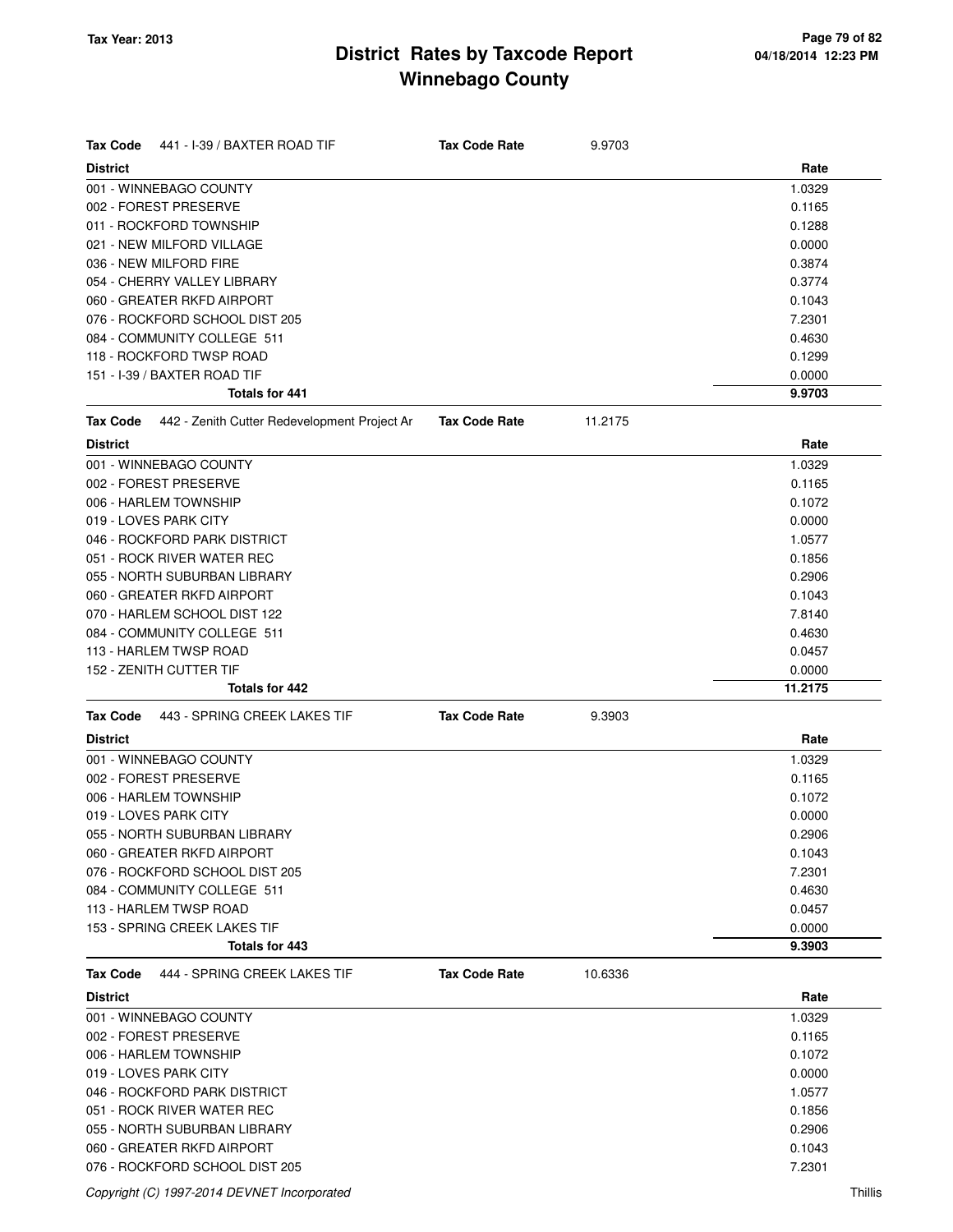| <b>Tax Code</b><br>441 - I-39 / BAXTER ROAD TIF          | <b>Tax Code Rate</b> | 9.9703  |         |
|----------------------------------------------------------|----------------------|---------|---------|
| <b>District</b>                                          |                      |         | Rate    |
| 001 - WINNEBAGO COUNTY                                   |                      |         | 1.0329  |
| 002 - FOREST PRESERVE                                    |                      |         | 0.1165  |
| 011 - ROCKFORD TOWNSHIP                                  |                      |         | 0.1288  |
| 021 - NEW MILFORD VILLAGE                                |                      |         | 0.0000  |
| 036 - NEW MILFORD FIRE                                   |                      |         | 0.3874  |
| 054 - CHERRY VALLEY LIBRARY                              |                      |         | 0.3774  |
| 060 - GREATER RKFD AIRPORT                               |                      |         | 0.1043  |
| 076 - ROCKFORD SCHOOL DIST 205                           |                      |         | 7.2301  |
| 084 - COMMUNITY COLLEGE 511                              |                      |         | 0.4630  |
| 118 - ROCKFORD TWSP ROAD                                 |                      |         | 0.1299  |
| 151 - I-39 / BAXTER ROAD TIF                             |                      |         | 0.0000  |
| <b>Totals for 441</b>                                    |                      |         | 9.9703  |
| 442 - Zenith Cutter Redevelopment Project Ar<br>Tax Code | <b>Tax Code Rate</b> | 11.2175 |         |
| <b>District</b>                                          |                      |         | Rate    |
| 001 - WINNEBAGO COUNTY                                   |                      |         | 1.0329  |
| 002 - FOREST PRESERVE                                    |                      |         | 0.1165  |
| 006 - HARLEM TOWNSHIP                                    |                      |         | 0.1072  |
| 019 - LOVES PARK CITY                                    |                      |         | 0.0000  |
| 046 - ROCKFORD PARK DISTRICT                             |                      |         | 1.0577  |
| 051 - ROCK RIVER WATER REC                               |                      |         | 0.1856  |
| 055 - NORTH SUBURBAN LIBRARY                             |                      |         | 0.2906  |
| 060 - GREATER RKFD AIRPORT                               |                      |         | 0.1043  |
| 070 - HARLEM SCHOOL DIST 122                             |                      |         | 7.8140  |
| 084 - COMMUNITY COLLEGE 511                              |                      |         | 0.4630  |
| 113 - HARLEM TWSP ROAD                                   |                      |         | 0.0457  |
| 152 - ZENITH CUTTER TIF                                  |                      |         | 0.0000  |
| <b>Totals for 442</b>                                    |                      |         | 11.2175 |
| <b>Tax Code</b><br>443 - SPRING CREEK LAKES TIF          | <b>Tax Code Rate</b> | 9.3903  |         |
| <b>District</b>                                          |                      |         | Rate    |
| 001 - WINNEBAGO COUNTY                                   |                      |         | 1.0329  |
| 002 - FOREST PRESERVE                                    |                      |         | 0.1165  |
| 006 - HARLEM TOWNSHIP                                    |                      |         | 0.1072  |
| 019 - LOVES PARK CITY                                    |                      |         | 0.0000  |
| 055 - NORTH SUBURBAN LIBRARY                             |                      |         | 0.2906  |
| 060 - GREATER RKFD AIRPORT                               |                      |         | 0.1043  |
| 076 - ROCKFORD SCHOOL DIST 205                           |                      |         | 7.2301  |
| 084 - COMMUNITY COLLEGE 511                              |                      |         | 0.4630  |
| 113 - HARLEM TWSP ROAD                                   |                      |         | 0.0457  |
| 153 - SPRING CREEK LAKES TIF                             |                      |         | 0.0000  |
| Totals for 443                                           |                      |         | 9.3903  |
| 444 - SPRING CREEK LAKES TIF<br><b>Tax Code</b>          | <b>Tax Code Rate</b> | 10.6336 |         |
| <b>District</b>                                          |                      |         | Rate    |
| 001 - WINNEBAGO COUNTY                                   |                      |         | 1.0329  |
| 002 - FOREST PRESERVE                                    |                      |         | 0.1165  |
| 006 - HARLEM TOWNSHIP                                    |                      |         | 0.1072  |
| 019 - LOVES PARK CITY                                    |                      |         | 0.0000  |
| 046 - ROCKFORD PARK DISTRICT                             |                      |         | 1.0577  |
| 051 - ROCK RIVER WATER REC                               |                      |         | 0.1856  |
| 055 - NORTH SUBURBAN LIBRARY                             |                      |         | 0.2906  |
| 060 - GREATER RKFD AIRPORT                               |                      |         | 0.1043  |
| 076 - ROCKFORD SCHOOL DIST 205                           |                      |         | 7.2301  |

Copyright (C) 1997-2014 DEVNET Incorporated Thillis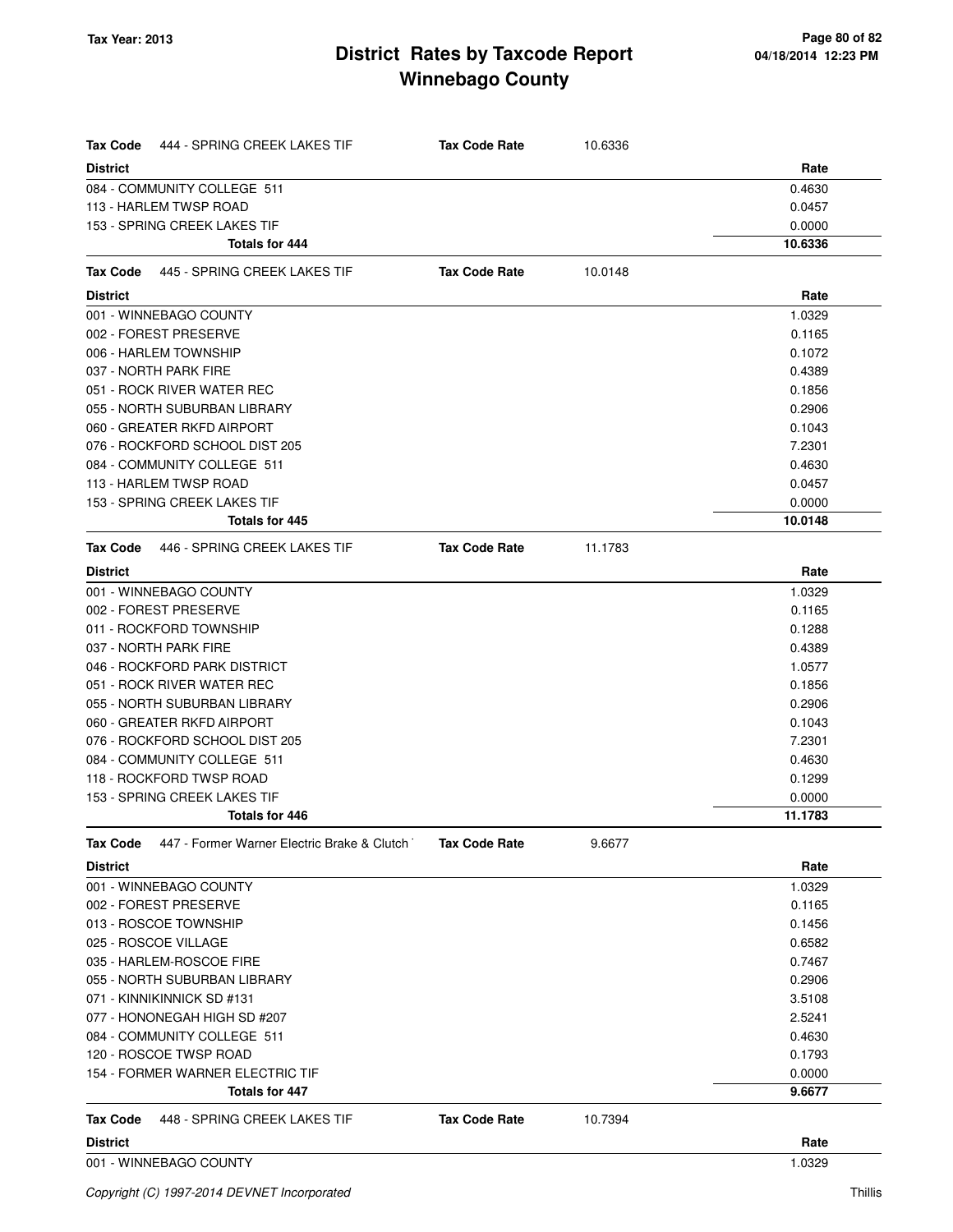| <b>Tax Code</b><br>444 - SPRING CREEK LAKES TIF                | <b>Tax Code Rate</b> | 10.6336 |                  |
|----------------------------------------------------------------|----------------------|---------|------------------|
| <b>District</b>                                                |                      |         | Rate             |
| 084 - COMMUNITY COLLEGE 511                                    |                      |         | 0.4630           |
| 113 - HARLEM TWSP ROAD                                         |                      |         | 0.0457           |
| 153 - SPRING CREEK LAKES TIF                                   |                      |         | 0.0000           |
| <b>Totals for 444</b>                                          |                      |         | 10.6336          |
| Tax Code<br>445 - SPRING CREEK LAKES TIF                       | <b>Tax Code Rate</b> | 10.0148 |                  |
| <b>District</b>                                                |                      |         | Rate             |
| 001 - WINNEBAGO COUNTY                                         |                      |         | 1.0329           |
| 002 - FOREST PRESERVE                                          |                      |         | 0.1165           |
| 006 - HARLEM TOWNSHIP                                          |                      |         | 0.1072           |
| 037 - NORTH PARK FIRE                                          |                      |         | 0.4389           |
| 051 - ROCK RIVER WATER REC                                     |                      |         | 0.1856           |
| 055 - NORTH SUBURBAN LIBRARY                                   |                      |         | 0.2906           |
| 060 - GREATER RKFD AIRPORT                                     |                      |         | 0.1043           |
| 076 - ROCKFORD SCHOOL DIST 205                                 |                      |         | 7.2301           |
| 084 - COMMUNITY COLLEGE 511                                    |                      |         | 0.4630           |
| 113 - HARLEM TWSP ROAD                                         |                      |         | 0.0457           |
| 153 - SPRING CREEK LAKES TIF                                   |                      |         | 0.0000           |
| Totals for 445                                                 |                      |         | 10.0148          |
| <b>Tax Code</b><br>446 - SPRING CREEK LAKES TIF                | <b>Tax Code Rate</b> | 11.1783 |                  |
| <b>District</b>                                                |                      |         | Rate             |
| 001 - WINNEBAGO COUNTY                                         |                      |         | 1.0329           |
| 002 - FOREST PRESERVE                                          |                      |         | 0.1165           |
| 011 - ROCKFORD TOWNSHIP                                        |                      |         | 0.1288           |
| 037 - NORTH PARK FIRE                                          |                      |         | 0.4389           |
| 046 - ROCKFORD PARK DISTRICT                                   |                      |         | 1.0577           |
| 051 - ROCK RIVER WATER REC                                     |                      |         | 0.1856           |
| 055 - NORTH SUBURBAN LIBRARY                                   |                      |         | 0.2906           |
| 060 - GREATER RKFD AIRPORT                                     |                      |         | 0.1043           |
| 076 - ROCKFORD SCHOOL DIST 205                                 |                      |         | 7.2301           |
| 084 - COMMUNITY COLLEGE 511                                    |                      |         | 0.4630           |
| 118 - ROCKFORD TWSP ROAD                                       |                      |         | 0.1299           |
| 153 - SPRING CREEK LAKES TIF                                   |                      |         | 0.0000           |
| Totals for 446                                                 |                      |         | 11.1783          |
| 447 - Former Warner Electric Brake & Clutch<br><b>Tax Code</b> | <b>Tax Code Rate</b> | 9.6677  |                  |
| <b>District</b>                                                |                      |         | Rate             |
| 001 - WINNEBAGO COUNTY                                         |                      |         | 1.0329           |
| 002 - FOREST PRESERVE                                          |                      |         | 0.1165           |
| 013 - ROSCOE TOWNSHIP                                          |                      |         | 0.1456           |
| 025 - ROSCOE VILLAGE                                           |                      |         | 0.6582           |
| 035 - HARLEM-ROSCOE FIRE                                       |                      |         | 0.7467           |
| 055 - NORTH SUBURBAN LIBRARY                                   |                      |         | 0.2906           |
| 071 - KINNIKINNICK SD #131                                     |                      |         | 3.5108           |
| 077 - HONONEGAH HIGH SD #207                                   |                      |         | 2.5241           |
| 084 - COMMUNITY COLLEGE 511<br>120 - ROSCOE TWSP ROAD          |                      |         | 0.4630<br>0.1793 |
| 154 - FORMER WARNER ELECTRIC TIF                               |                      |         | 0.0000           |
| <b>Totals for 447</b>                                          |                      |         | 9.6677           |
| Tax Code<br>448 - SPRING CREEK LAKES TIF                       | <b>Tax Code Rate</b> | 10.7394 |                  |
| <b>District</b>                                                |                      |         | Rate             |
| 001 - WINNEBAGO COUNTY                                         |                      |         | 1.0329           |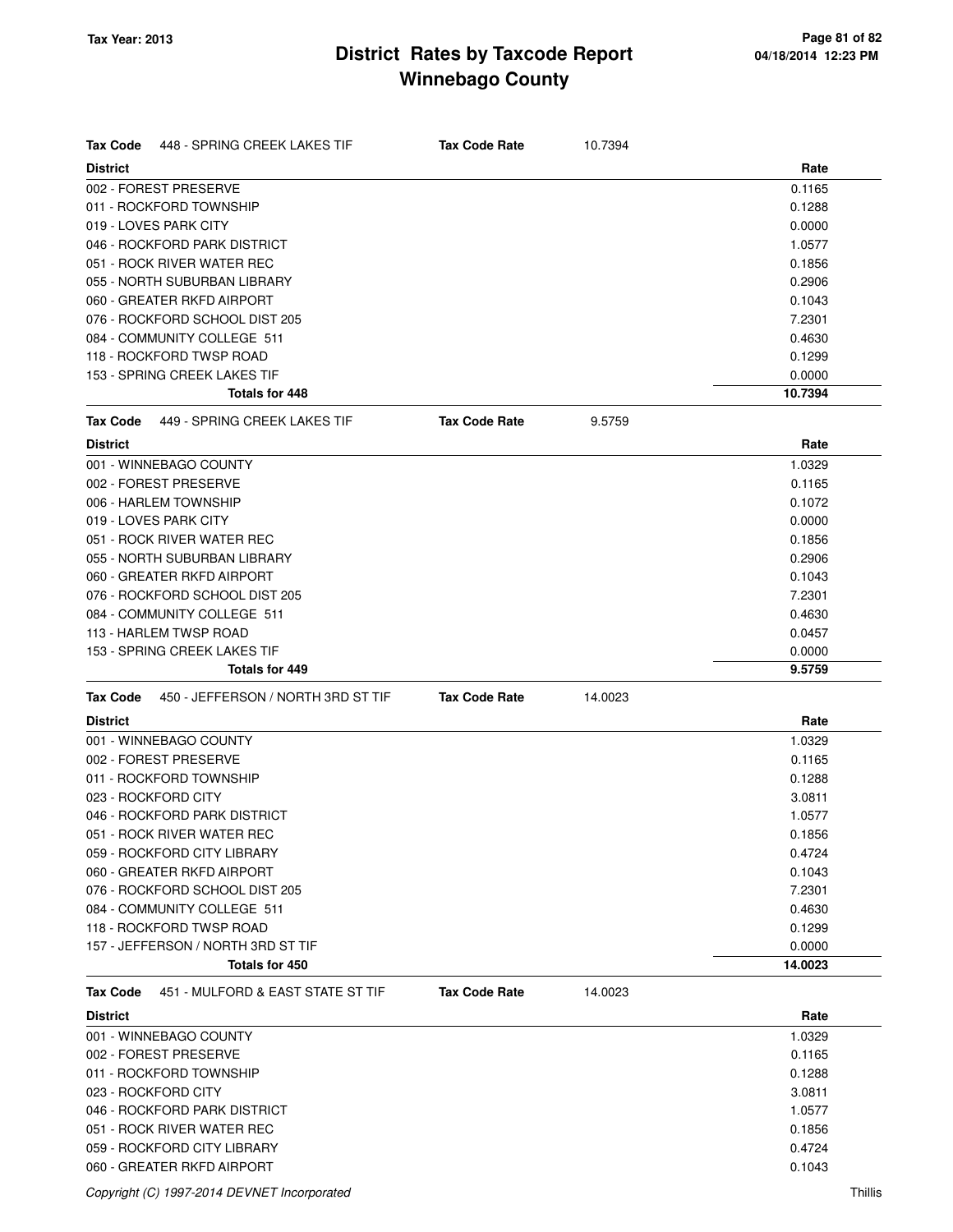| <b>Tax Code</b><br>448 - SPRING CREEK LAKES TIF       | <b>Tax Code Rate</b> | 10.7394 |         |
|-------------------------------------------------------|----------------------|---------|---------|
| <b>District</b>                                       |                      |         | Rate    |
| 002 - FOREST PRESERVE                                 |                      |         | 0.1165  |
| 011 - ROCKFORD TOWNSHIP                               |                      |         | 0.1288  |
| 019 - LOVES PARK CITY                                 |                      |         | 0.0000  |
| 046 - ROCKFORD PARK DISTRICT                          |                      |         | 1.0577  |
| 051 - ROCK RIVER WATER REC                            |                      |         | 0.1856  |
| 055 - NORTH SUBURBAN LIBRARY                          |                      |         | 0.2906  |
| 060 - GREATER RKFD AIRPORT                            |                      |         | 0.1043  |
| 076 - ROCKFORD SCHOOL DIST 205                        |                      |         | 7.2301  |
| 084 - COMMUNITY COLLEGE 511                           |                      |         | 0.4630  |
| 118 - ROCKFORD TWSP ROAD                              |                      |         | 0.1299  |
| 153 - SPRING CREEK LAKES TIF                          |                      |         | 0.0000  |
| <b>Totals for 448</b>                                 |                      |         | 10.7394 |
| 449 - SPRING CREEK LAKES TIF<br><b>Tax Code</b>       | <b>Tax Code Rate</b> | 9.5759  |         |
| <b>District</b>                                       |                      |         | Rate    |
| 001 - WINNEBAGO COUNTY                                |                      |         | 1.0329  |
| 002 - FOREST PRESERVE                                 |                      |         | 0.1165  |
| 006 - HARLEM TOWNSHIP                                 |                      |         | 0.1072  |
| 019 - LOVES PARK CITY                                 |                      |         | 0.0000  |
| 051 - ROCK RIVER WATER REC                            |                      |         | 0.1856  |
| 055 - NORTH SUBURBAN LIBRARY                          |                      |         | 0.2906  |
| 060 - GREATER RKFD AIRPORT                            |                      |         | 0.1043  |
| 076 - ROCKFORD SCHOOL DIST 205                        |                      |         | 7.2301  |
| 084 - COMMUNITY COLLEGE 511                           |                      |         | 0.4630  |
| 113 - HARLEM TWSP ROAD                                |                      |         | 0.0457  |
| 153 - SPRING CREEK LAKES TIF                          |                      |         | 0.0000  |
| <b>Totals for 449</b>                                 |                      |         | 9.5759  |
| 450 - JEFFERSON / NORTH 3RD ST TIF<br><b>Tax Code</b> | <b>Tax Code Rate</b> | 14.0023 |         |
| <b>District</b>                                       |                      |         | Rate    |
| 001 - WINNEBAGO COUNTY                                |                      |         | 1.0329  |
| 002 - FOREST PRESERVE                                 |                      |         | 0.1165  |
| 011 - ROCKFORD TOWNSHIP                               |                      |         | 0.1288  |
| 023 - ROCKFORD CITY                                   |                      |         | 3.0811  |
| 046 - ROCKFORD PARK DISTRICT                          |                      |         | 1.0577  |
| 051 - ROCK RIVER WATER REC                            |                      |         | 0.1856  |
| 059 - ROCKFORD CITY LIBRARY                           |                      |         | 0.4724  |
| 060 - GREATER RKFD AIRPORT                            |                      |         | 0.1043  |
| 076 - ROCKFORD SCHOOL DIST 205                        |                      |         | 7.2301  |
| 084 - COMMUNITY COLLEGE 511                           |                      |         | 0.4630  |
| 118 - ROCKFORD TWSP ROAD                              |                      |         | 0.1299  |
| 157 - JEFFERSON / NORTH 3RD ST TIF                    |                      |         | 0.0000  |
| Totals for 450                                        |                      |         | 14.0023 |
| 451 - MULFORD & EAST STATE ST TIF<br>Tax Code         | <b>Tax Code Rate</b> | 14.0023 |         |
| <b>District</b>                                       |                      |         | Rate    |
| 001 - WINNEBAGO COUNTY                                |                      |         | 1.0329  |
| 002 - FOREST PRESERVE                                 |                      |         | 0.1165  |
| 011 - ROCKFORD TOWNSHIP                               |                      |         | 0.1288  |
| 023 - ROCKFORD CITY                                   |                      |         | 3.0811  |
| 046 - ROCKFORD PARK DISTRICT                          |                      |         | 1.0577  |
| 051 - ROCK RIVER WATER REC                            |                      |         | 0.1856  |
| 059 - ROCKFORD CITY LIBRARY                           |                      |         | 0.4724  |
| 060 - GREATER RKFD AIRPORT                            |                      |         | 0.1043  |